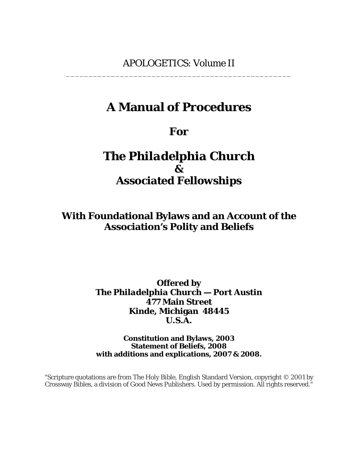# **A Manual of Procedures**

# **For**

# *The Philadelphia Church &*  **Associated Fellowships**

**With Foundational Bylaws and an Account of the Association's Polity and Beliefs**

> **Offered by**  *The Philadelphia Church — Port Austin* **477 Main Street Kinde, Michigan 48445 U.S.A.**

> **Constitution and Bylaws, 2003 Statement of Beliefs, 2008 with additions and explications, 2007 & 2008.**

"Scripture quotations are from The Holy Bible, English Standard Version, copyright © 2001 by Crossway Bibles, a division of Good News Publishers. Used by permission. All rights reserved."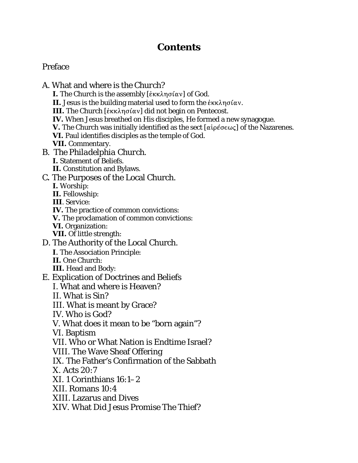## **Contents**

## Preface

A. What and where is *the Church*? **I.** The Church is the assembly [¦6680F\"<] of God. **II.** Jesus is the building material used to form the  $\epsilon \kappa \kappa \lambda \eta \sigma \iota \alpha \nu$ . **III.** The Church [έκκλησίαν] did not begin on Pentecost. **IV.** When Jesus breathed on His disciples, He formed a new synagogue. **V.** The Church was initially identified as the sect  $\alpha$  [ $\alpha$ ip $\beta$ σεως] of the Nazarenes. **VI.** Paul identifies disciples as the temple of God. **VII.** Commentary. B. *The Philadelphia Church*. **I.** Statement of Beliefs. **II.** Constitution and Bylaws. C**.** The Purposes of the Local Church. **I.** Worship: **II.** Fellowship: **III**. Service: **IV.** The practice of common convictions: **V.** The proclamation of common convictions: **VI.** Organization: **VII.** Of little strength: D. The Authority of the Local Church. **I**. The Association Principle: **II.** One Church: **III.** Head and Body: E. Explication of Doctrines and Beliefs I. What and where is Heaven? II. What is Sin? III. What is meant by Grace? IV. Who is God? V. What does it mean to be "born again"? VI. Baptism VII. Who or What Nation is Endtime Israel? VIII. The Wave Sheaf Offering IX. The Father's Confirmation of the Sabbath X. Acts 20:7 XI. 1 Corinthians 16:1–2 XII. Romans 10:4 XIII. Lazarus and Dives XIV. What Did Jesus Promise The Thief?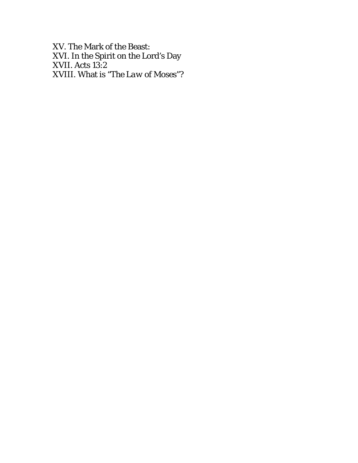XV. The Mark of the Beast: XVI. In the Spirit on the Lord's Day XVII. Acts 13:2 XVIII. What is "*The Law of Moses*"?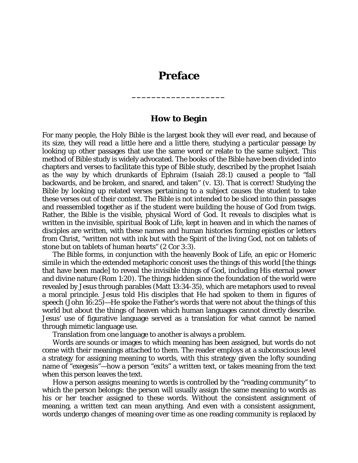## **Preface**

**\_\_\_\_\_\_\_\_\_\_\_\_\_\_\_\_\_\_\_** 

## **How to Begin**

For many people, the Holy Bible is the largest book they will ever read, and because of its size, they will read a little here and a little there, studying a particular passage by looking up other passages that use the same word or relate to the same subject. This method of Bible study is widely advocated. The books of the Bible have been divided into chapters and verses to facilitate this type of Bible study, described by the prophet Isaiah as the way by which drunkards of Ephraim (Isaiah 28:1) caused a people to "fall backwards, and be broken, and snared, and taken" (*v.* 13). That is correct! Studying the Bible by looking up related verses pertaining to a subject causes the student to take these verses out of their context. The Bible is not intended to be sliced into thin passages and reassembled together as if the student were building the house of God from twigs. Rather, the Bible is the visible, physical Word of God. It reveals to disciples what is written in the invisible, spiritual Book of Life, kept in heaven and in which the names of disciples are written, with these names and human histories forming epistles or letters from Christ, "written not with ink but with the Spirit of the living God, not on tablets of stone but on tablets of human hearts" (2 Cor 3:3).

The Bible forms, in conjunction with the heavenly Book of Life, an epic or Homeric simile in which the extended metaphoric conceit uses the things of this world [the things that have been made] to reveal the invisible things of God, including His eternal power and divine nature (Rom 1:20). The things hidden since the foundation of the world were revealed by Jesus through parables (Matt 13:34-35), which are metaphors used to reveal a moral principle. Jesus told His disciples that He had spoken to them in figures of speech (John 16:25)—He spoke the Father's words that were not about the things of this world but about the things of heaven which human languages cannot directly describe. Jesus' use of figurative language served as a translation for what cannot be named through mimetic language use.

Translation from one language to another is always a problem.

Words are sounds or images to which meaning has been assigned, but words do not come with their meanings attached to them. The reader employs at a subconscious level a strategy for assigning meaning to words, with this strategy given the lofty sounding name of "exegesis"—how a person "exits" a written text, or takes meaning from the text when this person leaves the text.

How a person assigns meaning to words is controlled by the "reading community" to which the person belongs: the person will usually assign the same meaning to words as his or her teacher assigned to these words. Without the consistent assignment of meaning, a written text can mean anything. And even with a consistent assignment, words undergo changes of meaning over time as one reading community is replaced by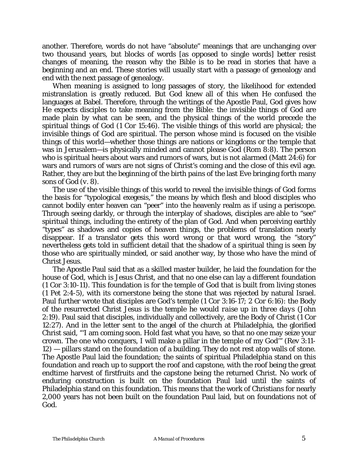another. Therefore, words do not have "absolute" meanings that are unchanging over two thousand years, but blocks of words [as opposed to single words] better resist changes of meaning, the reason why the Bible is to be read in stories that have a beginning and an end. These stories will usually start with a passage of genealogy and end with the next passage of genealogy.

When meaning is assigned to long passages of story, the likelihood for extended mistranslation is greatly reduced. But God knew all of this when He confused the languages at Babel. Therefore, through the writings of the Apostle Paul, God gives how He expects disciples to take meaning from the Bible: the invisible things of God are made plain by what can be seen, and the physical things of the world precede the spiritual things of God (1 Cor 15:46). The visible things of this world are physical; the invisible things of God are spiritual. The person whose mind is focused on the visible things of this world—whether those things are nations or kingdoms or the temple that was in Jerusalem—is physically minded and cannot please God (Rom 8:8). The person who is spiritual hears about wars and rumors of wars, but is not alarmed (Matt 24:6) for wars and rumors of wars are not signs of Christ's coming and the close of this evil age. Rather, they are but the beginning of the birth pains of the last Eve bringing forth many sons of God (*v.* 8).

The use of the visible things of this world to reveal the invisible things of God forms the basis for "typological exegesis," the means by which flesh and blood disciples who cannot bodily enter heaven can "peer" into the heavenly realm as if using a periscope. Through seeing darkly, or through the interplay of shadows, disciples are able to "see" spiritual things, including the entirety of the plan of God. And when perceiving earthly "types" as shadows and copies of heaven things, the problems of translation nearly disappear. If a translator gets this word wrong or that word wrong, the "story" nevertheless gets told in sufficient detail that the shadow of a spiritual thing is seen by those who are spiritually minded, or said another way, by those who have the mind of Christ Jesus.

The Apostle Paul said that as a skilled master builder, he laid the foundation for the house of God, which is Jesus Christ, and that no one else can lay a different foundation (1 Cor 3:10-11). This foundation is for the temple of God that is built from living stones (1 Pet 2:4-5), with its cornerstone being the stone that was rejected by natural Israel. Paul further wrote that disciples are God's temple (1 Cor 3:16-17; 2 Cor 6:16): the Body of the resurrected Christ Jesus is the temple he would *raise up in three days* (John 2:19). Paul said that disciples, individually and collectively, are the Body of Christ (1 Cor 12:27). And in the letter sent to the angel of the church at Philadelphia, the glorified Christ said, "'I am coming soon. Hold fast what you have, so that no one may seize your crown. The one who conquers, I will make a pillar in the temple of my God'" (Rev 3:11- 12) — pillars stand on the foundation of a building. They do not rest atop walls of stone. The Apostle Paul laid the foundation; the saints of spiritual Philadelphia stand on this foundation and reach up to support the roof and capstone, with the roof being the great endtime harvest of firstfruits and the capstone being the returned Christ. No work of enduring construction is built on the foundation Paul laid until the saints of Philadelphia stand on this foundation. This means that the work of Christians for nearly 2,000 years has not been built on the foundation Paul laid, but on foundations not of God.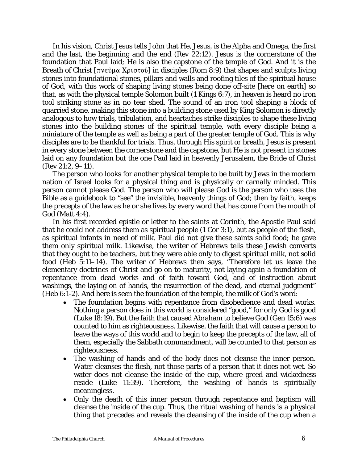In his vision, Christ Jesus tells John that He, Jesus, is the Alpha and Omega, the first and the last, the beginning and the end (Rev 22:12). Jesus is the cornerstone of the foundation that Paul laid; He is also the capstone of the temple of God. And it is the Breath of Christ  $[\pi v \in \hat{\mathfrak{g}} \times \mathfrak{g} \times \mathfrak{g} \times \hat{\mathfrak{g}}]$  in disciples (Rom 8:9) that shapes and sculpts living stones into foundational stones, pillars and walls and roofing tiles of the spiritual house of God, with this work of shaping living stones being done off-site [here on earth] so that, as with the physical temple Solomon built (1 Kings 6:7), in heaven is heard no iron tool striking stone as in no tear shed. The sound of an iron tool shaping a block of quarried stone, making this stone into a building stone used by King Solomon is directly analogous to how trials, tribulation, and heartaches strike disciples to shape these living stones into the building stones of the spiritual temple, with every disciple being a miniature of the temple as well as being a part of the greater temple of God. This is why disciples are to be thankful for trials. Thus, through His spirit or breath, Jesus is present in every stone between the cornerstone and the capstone, but He is not present in stones laid on any foundation but the one Paul laid in heavenly Jerusalem, the Bride of Christ (Rev 21:2, 9–11).

The person who looks for another physical temple to be built by Jews in the modern nation of Israel looks for a physical thing and is physically or carnally minded. This person cannot please God. The person who will please God is the person who uses the Bible as a guidebook to "see" the invisible, heavenly things of God; then by faith, keeps the precepts of the law as he or she lives by every word that has come from the mouth of God (Matt 4:4).

In his first recorded epistle or letter to the saints at Corinth, the Apostle Paul said that he could not address them as spiritual people (1 Cor 3:1), but as people of the flesh, as spiritual infants in need of milk. Paul did not give these saints solid food; he gave them only spiritual milk. Likewise, the writer of Hebrews tells these Jewish converts that they ought to be teachers, but they were able only to digest spiritual milk, not solid food (Heb 5:11–14). The writer of Hebrews then says, "Therefore let us leave the elementary doctrines of Christ and go on to maturity, not laying again a foundation of repentance from dead works and of faith toward God, and of instruction about washings, the laying on of hands, the resurrection of the dead, and eternal judgment" (Heb 6:1-2). And here is seen the foundation of the temple, the milk of God's word:

- The foundation begins with repentance from disobedience and dead works. Nothing a person does in this world is considered "good," for only God is good (Luke 18:19). But the faith that caused Abraham to believe God (Gen 15:6) was counted to him as righteousness. Likewise, the faith that will cause a person to leave the ways of this world and to begin to keep the precepts of the law, all of them, especially the Sabbath commandment, will be counted to that person as righteousness.
- The washing of hands and of the body does not cleanse the inner person. Water cleanses the flesh, not those parts of a person that it does not wet. So water does not cleanse the inside of the cup, where greed and wickedness reside (Luke 11:39). Therefore, the washing of hands is spiritually meaningless.
- Only the death of this inner person through repentance and baptism will cleanse the inside of the cup. Thus, the ritual washing of hands is a physical thing that precedes and reveals the cleansing of the inside of the cup when a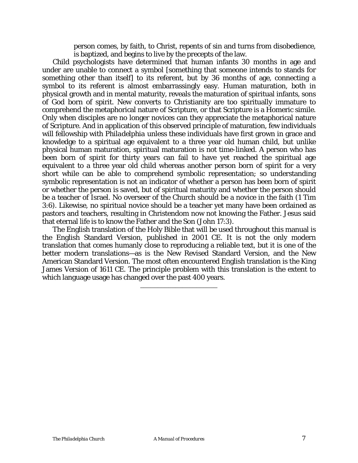person comes, by faith, to Christ, repents of sin and turns from disobedience, is baptized, and begins to live by the precepts of the law.

Child psychologists have determined that human infants 30 months in age and under are unable to connect a symbol [something that someone intends to stands for something other than itself] to its referent, but by 36 months of age, connecting a symbol to its referent is almost embarrassingly easy. Human maturation, both in physical growth and in mental maturity, reveals the maturation of spiritual infants, sons of God born of spirit. New converts to Christianity are too spiritually immature to comprehend the metaphorical nature of Scripture, or that Scripture is a Homeric simile. Only when disciples are no longer novices can they appreciate the metaphorical nature of Scripture. And in application of this observed principle of maturation, few individuals will fellowship with *Philadelphia* unless these individuals have first grown in grace and knowledge to a spiritual age equivalent to a three year old human child, but unlike physical human maturation, spiritual maturation is not time-linked. A person who has been born of spirit for thirty years can fail to have yet reached the spiritual age equivalent to a three year old child whereas another person born of spirit for a very short while can be able to comprehend symbolic representation; so understanding symbolic representation is not an indicator of whether a person has been born of spirit or whether the person is saved, but of spiritual maturity and whether the person should be a teacher of Israel. No overseer of the Church should be a novice in the faith (1 Tim 3:6). Likewise, no spiritual novice should be a teacher yet many have been ordained as pastors and teachers, resulting in Christendom now not knowing the Father. Jesus said that eternal life is to know the Father and the Son (John 17:3).

The English translation of the Holy Bible that will be used throughout this manual is the English Standard Version, published in 2001 CE. It is not the only modern translation that comes humanly close to reproducing a reliable text, but it is one of the better modern translations—as is the New Revised Standard Version, and the New American Standard Version. The most often encountered English translation is the King James Version of 1611 CE. The principle problem with this translation is the extent to which language usage has changed over the past 400 years. \_\_\_\_\_\_\_\_\_\_\_\_\_\_\_\_\_\_\_\_\_\_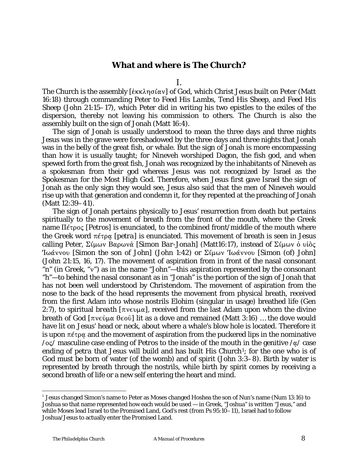## **What and where is** *The Church***?**

I.

The Church is the assembly  $[\&\kappa \&\lambda \eta \sigma \&\alpha \nu]$  of God, which Christ Jesus built on Peter (Matt 16:18) through commanding Peter to *Feed His Lambs, Tend His Sheep, and Feed His Sheep* (John 21:15–17), which Peter did in writing his two epistles to the exiles of the dispersion, thereby not leaving his commission to others. The Church is also the assembly built on the sign of Jonah (Matt 16:4).

The sign of Jonah is usually understood to mean the three days and three nights Jesus was in the grave were foreshadowed by the three days and three nights that Jonah was in the belly of the great fish, or whale. But the sign of Jonah is more encompassing than how it is usually taught; for Nineveh worshiped Dagon, the fish god, and when spewed forth from the great fish, Jonah was recognized by the inhabitants of Nineveh as a spokesman from their god whereas Jesus was not recognized by Israel as the Spokesman for the Most High God. Therefore, when Jesus first gave Israel the sign of Jonah as the only sign they would see, Jesus also said that the men of Nineveh would rise up with that generation and condemn it, for they repented at the preaching of Jonah (Matt 12:39–41).

The sign of Jonah pertains physically to Jesus' resurrection from death but pertains spiritually to the movement of breath from the front of the mouth, where the Greek name  $\Pi \in \Pi$ <sub> $\in$ </sub> [*Petros*] is enunciated, to the combined front/middle of the mouth where the Greek word πέτρα [*petra*] is enunciated. This movement of breath is seen in Jesus calling Peter,  $\Sigma$ i $\mu \omega \nu$   $B\alpha \rho \omega \nu \hat{\alpha}$  [*Simon Bar-Jonah*] (Matt16:17), instead of  $\Sigma$ i $\mu \omega \nu$  of  $\upsilon$ ioc <sup>'</sup>Ιωάννου [*Simon the son of John*] (John 1:42) or Σίμων 'Ιωάννου [*Simon (of) John*] (John 21:15, 16, 17). The movement of aspiration from in front of the nasal consonant "n" (in Greek, "v") as in the name "John"—this aspiration represented by the consonant "h"—to behind the nasal consonant as in "Jonah" is the portion of the sign of Jonah that has not been well understood by Christendom. The movement of aspiration from the nose to the back of the head represents the movement from physical breath, received from the first Adam into whose nostrils *Elohim* (singular in usage) breathed life (Gen 2:7), to spiritual *breath* [ $\pi$ v $\epsilon$ v $\mu\alpha$ ], received from the last Adam upon whom the divine breath of God  $[\pi v \in \hat{\theta} \cup \theta \in \hat{\theta}]$  lit as a dove and remained (Matt 3:16) ... the dove would have lit on Jesus' head or neck, about where a whale's blow hole is located. Therefore it is upon  $\pi \in \mathfrak{p}$  and the movement of aspiration from the puckered lips in the nominative  $\log$  masculine case ending of *Petros* to the inside of the mouth in the genitive  $\log$  case ending of *petra* that Jesus will build and has built His Church<sup>[1](#page-7-0)</sup>; for the one who is of God must be born of water (of the womb) and of spirit (John 3:3–8). Birth by water is represented by breath through the nostrils, while birth by spirit comes by receiving a second breath of life or a new self entering the heart and mind.

 $\overline{a}$ 

<span id="page-7-0"></span><sup>1</sup> Jesus changed Simon's name to Peter as Moses changed Hoshea the son of Nun's name (Num 13:16) to Joshua so that name represented how each would be used — in Greek, "Joshua" is written "Jesus," and while Moses lead Israel to the Promised Land, God's rest (from Ps 95:10–11), Israel had to follow Joshua/Jesus to actually enter the Promised Land.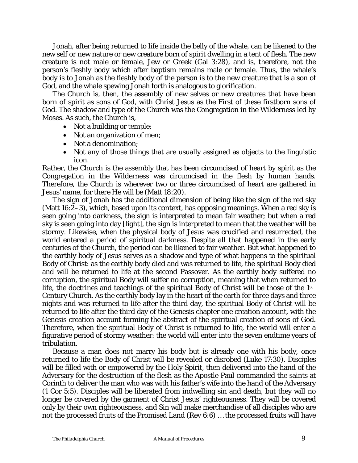Jonah, after being returned to life inside the belly of the whale, can be likened to the new self or new nature or new creature born of spirit dwelling in a tent of flesh. The new creature is not male or female, Jew or Greek (Gal 3:28), and is, therefore, not the person's fleshly body which after baptism remains male or female. Thus, the whale's body is to Jonah as the fleshly body of the person is to the new creature that is a son of God, and the whale spewing Jonah forth is analogous to glorification.

The Church is, then, the assembly of new selves or new creatures that have been born of spirit as sons of God, with Christ Jesus as the First of these firstborn sons of God. The shadow and type of the Church was the Congregation in the Wilderness led by Moses. As such, the Church is,

- Not a building or temple;
- Not an organization of men;
- Not a denomination;
- Not any of those things that are usually assigned as objects to the linguistic icon.

Rather, the Church is the assembly that has been circumcised of heart by spirit as the Congregation in the Wilderness was circumcised in the flesh by human hands. Therefore, the Church is wherever two or three circumcised of heart are gathered in Jesus' name, for there He will be (Matt 18:20).

The sign of Jonah has the additional dimension of being like the sign of the red sky (Matt 16:2–3), which, based upon its context, has opposing meanings. When a red sky is seen going into darkness, the sign is interpreted to mean fair weather; but when a red sky is seen going into day [light], the sign is interpreted to mean that the weather will be stormy. Likewise, when the physical body of Jesus was crucified and resurrected, the world entered a period of spiritual darkness. Despite all that happened in the early centuries of the Church, the period can be likened to fair weather. But what happened to the earthly body of Jesus serves as a shadow and type of what happens to the spiritual Body of Christ: as the earthly body died and was returned to life, the spiritual Body died and will be returned to life at the second Passover. As the earthly body suffered no corruption, the spiritual Body will suffer no corruption, meaning that when returned to life, the doctrines and teachings of the spiritual Body of Christ will be those of the 1st-Century Church. As the earthly body lay in the heart of the earth for three days and three nights and was returned to life after the third day, the spiritual Body of Christ will be returned to life after the third day of the Genesis chapter one creation account, with the Genesis creation account forming the abstract of the spiritual creation of sons of God. Therefore, when the spiritual Body of Christ is returned to life, the world will enter a figurative period of stormy weather: the world will enter into the seven endtime years of tribulation.

Because a man does not marry his body but is already one with his body, once returned to life the Body of Christ will be revealed or disrobed (Luke 17:30). Disciples will be filled with or empowered by the Holy Spirit, then delivered into the hand of the Adversary for the destruction of the flesh as the Apostle Paul commanded the saints at Corinth to deliver the man who was with his father's wife into the hand of the Adversary (1 Cor 5:5). Disciples will be liberated from indwelling sin and death, but they will no longer be covered by the garment of Christ Jesus' righteousness. They will be covered only by their own righteousness, and Sin will make merchandise of all disciples who are not the processed fruits of the Promised Land (Rev 6:6) … the processed fruits will have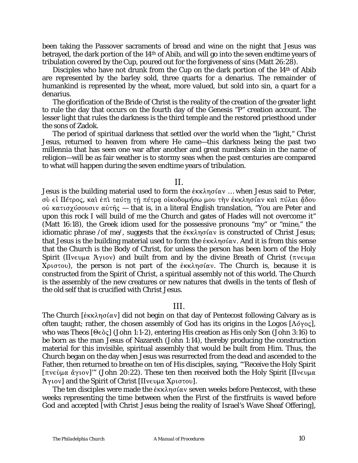been taking the Passover sacraments of bread and wine on the night that Jesus was betrayed, the dark portion of the 14th of Abib, and will go into the seven endtime years of tribulation covered by the Cup, poured out for the forgiveness of sins (Matt 26:28).

Disciples who have not drunk from the Cup on the dark portion of the 14<sup>th</sup> of Abib are represented by the barley sold, three quarts for a denarius. The remainder of humankind is represented by the wheat, more valued, but sold into sin, a quart for a denarius.

The glorification of the Bride of Christ is the reality of the creation of the greater light to rule the day that occurs on the fourth day of the Genesis "P" creation account. The lesser light that rules the darkness is the third temple and the restored priesthood under the sons of Zadok.

The period of spiritual darkness that settled over the world when the "light," Christ Jesus, returned to heaven from where He came—this darkness being the past two millennia that has seen one war after another and great numbers slain in the name of religion—will be as fair weather is to stormy seas when the past centuries are compared to what will happen during the seven endtime years of tribulation.

### II.

Jesus is the building material used to form the  $\epsilon \kappa \lambda \eta \sigma \alpha$ . when Jesus said to Peter, σύ εί Πέτρος, και έπι ταύτη τη πέτρα οίκοδομήσω μου την έκκλησίαν και πύλαι ἄδου ού κατισχύσουσιν αύτής — that is, in a literal English translation, "You are Peter and upon this rock I will build of me the Church and gates of Hades will not overcome it" (Matt 16:18), the Greek idiom used for the possessive pronouns "my" or "mine," the idiomatic phrase */of me/*, suggests that the  $\frac{\partial f}{\partial x}$  is constructed of Christ Jesus; that Jesus is the building material used to form the  $\epsilon$ <sub>KK</sub> $\eta$ oiav. And it is from this sense that the Church is the Body of Christ, for unless the person has been born of the Holy Spirit (Ilvevua Aytov) and built from and by the divine Breath of Christ ( $\pi$ vevua  $Xριστου$ , the person is not part of the *έκκλησίαν*. The Church is, because it is constructed from the Spirit of Christ, a spiritual assembly not of this world. The Church is the assembly of the new creatures or new natures that dwells in the tents of flesh of the old self that is crucified with Christ Jesus.

## III.

The Church  $[\&\kappa \&\eta \sigma(\alpha)]$  did not begin on that day of Pentecost following Calvary as is often taught; rather, the chosen assembly of God has its origins in the *Logos* [ $\Lambda$ ó $\gamma$ oς], who was *Theos* [Θεὸς] (John 1:1-2), entering His creation as His only Son (John 3:16) to be born as the man Jesus of Nazareth (John 1:14), thereby producing the construction material for this invisible, spiritual assembly that would be built from Him. Thus, the Church began on the day when Jesus was resurrected from the dead and ascended to the Father, then returned to breathe on ten of His disciples, saying, "'Receive the Holy Spirit [ $\pi$ νεῦμα ἄγιον]'" (John 20:22). These ten then received both the Holy Spirit [Πνευμα] Aytov] and the Spirit of Christ  $[I]$  vevua Xptotov].

The ten disciples were made the  $\epsilon$ <sub>KK</sub> $\eta$ oíαv seven weeks before Pentecost, with these weeks representing the time between when the First of the firstfruits is waved before God and accepted [with Christ Jesus being the reality of Israel's Wave Sheaf Offering],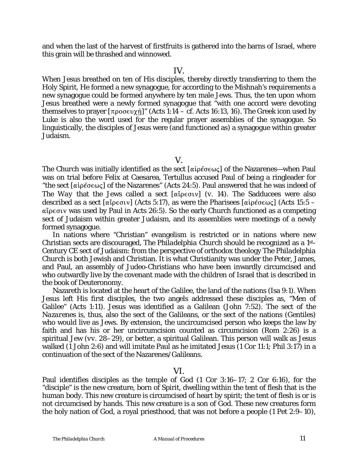and when the last of the harvest of firstfruits is gathered into the barns of Israel, where this grain will be thrashed and winnowed.

#### IV.

When Jesus breathed on ten of His disciples, thereby directly transferring to them the Holy Spirit, He formed a new synagogue, for according to the Mishnah's requirements a new synagogue could be formed anywhere by ten male Jews. Thus, the ten upon whom Jesus breathed were a newly formed synagogue that "with one accord were devoting themselves to prayer  $[\pi \rho \circ \sigma \in \chi \hat{n}]$ " (Acts 1:14 – *cf.* Acts 16:13, 16). The Greek icon used by Luke is also the word used for the regular prayer assemblies of the synagogue. So linguistically, the disciples of Jesus were (and functioned as) a synagogue within greater Judaism.

V.

The Church was initially identified as the sect  $\lceil \alpha \cdot \beta \rangle$  of the Nazarenes—when Paul was on trial before Felix at Caesarea, Tertullus accused Paul of being a ringleader for "the sect [ $\alpha$ ipέσ $\epsilon \omega \zeta$ ] of the Nazarenes" (Acts 24:5). Paul answered that he was indeed of *The Way* that the Jews called a sect  $\alpha$  [ $\alpha$  ip  $\epsilon$  or  $v$ ] (*v.* 14). The Sadducees were also described as a sect [ $\alpha\beta\in\alpha\cup\gamma$ ] (Acts 5:17), as were the Pharisees [ $\alpha\beta\in\alpha\cup\gamma$ ] (Acts 15:5 –  $\alpha\zeta$ <sub>peque</sub> was used by Paul in Acts 26:5). So the early Church functioned as a competing sect of Judaism within greater Judaism, and its assemblies were meetings of a newly formed synagogue.

In nations where "Christian" evangelism is restricted or in nations where new Christian sects are discouraged, *The Philadelphia Church* should be recognized as a 1st-Century CE sect of Judaism: from the perspective of orthodox theology *The Philadelphia Church* is both Jewish and Christian. It is what Christianity was under the Peter, James, and Paul, an assembly of Judeo-Christians who have been inwardly circumcised and who outwardly live by the covenant made with the children of Israel that is described in the book of Deuteronomy.

Nazareth is located at the heart of the Galilee, the land of the nations (Isa 9:1). When Jesus left His first disciples, the two angels addressed these disciples as, "Men of Galilee" (Acts 1:11). Jesus was identified as a Galilean (John 7:52). The *sect of the Nazarenes* is, thus, also the sect of the Galileans, or the sect of the nations (Gentiles) who would live as Jews. By extension, the uncircumcised person who keeps the law by faith and has his or her uncircumcision counted as circumcision (Rom 2:26) is a spiritual Jew (*vv*. 28–29), or better, a spiritual Galilean. This person will walk as Jesus walked (1 John 2:6) and will imitate Paul as he imitated Jesus (1 Cor 11:1; Phil 3:17) in a continuation of the sect of the Nazarenes/Galileans.

## VI.

Paul identifies disciples as the temple of God (1 Cor 3:16–17; 2 Cor 6:16), for the "disciple" is the new creature, born of Spirit, dwelling within the tent of flesh that is the human body. This new creature is circumcised of heart by spirit; the tent of flesh is or is not circumcised by hands. This new creature is a son of God. These new creatures form the holy nation of God, a royal priesthood, that was not before a people (1 Pet 2:9–10),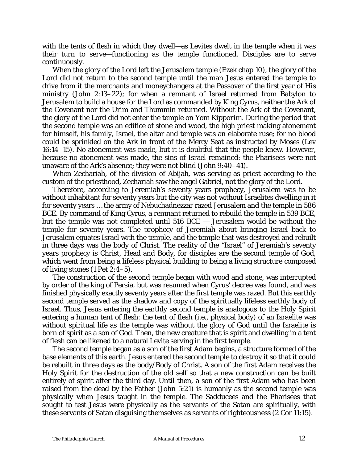with the tents of flesh in which they dwell—as Levites dwelt in the temple when it was their turn to serve—functioning as the temple functioned. Disciples are to serve continuously.

When the glory of the Lord left the Jerusalem temple (Ezek chap 10), the glory of the Lord did not return to the second temple until the man Jesus entered the temple to drive from it the merchants and moneychangers at the Passover of the first year of His ministry (John 2:13–22); for when a remnant of Israel returned from Babylon to Jerusalem to build a house for the Lord as commanded by King Cyrus, neither the Ark of the Covenant nor the Urim and Thummin returned. Without the Ark of the Covenant, the glory of the Lord did not enter the temple on *Yom Kipporim*. During the period that the second temple was an edifice of stone and wood, the high priest making atonement for himself, his family, Israel, the altar and temple was an elaborate ruse; for no blood could be sprinkled on the Ark in front of the Mercy Seat as instructed by Moses (Lev 16:14–15). No atonement was made, but it is doubtful that the people knew. However, because no atonement was made, the sins of Israel remained: the Pharisees were not unaware of the Ark's absence; they were not blind (John 9:40–41).

When Zechariah, of the division of Abijah, was serving as priest according to the custom of the priesthood, Zechariah saw the angel Gabriel, not the glory of the Lord.

Therefore, according to Jeremiah's seventy years prophecy, Jerusalem was to be without inhabitant for seventy years but the city was not without Israelites dwelling in it for seventy years … the army of Nebuchadnezzar razed Jerusalem and the temple in 586 BCE. By command of King Cyrus, a remnant returned to rebuild the temple in 539 BCE, but the temple was not completed until 516 BCE — Jerusalem would be without the temple for seventy years. The prophecy of Jeremiah about bringing Israel back to Jerusalem equates Israel with the temple, and the temple that was destroyed and rebuilt in three days was the body of Christ. The reality of the "Israel" of Jeremiah's seventy years prophecy is Christ, Head and Body, for disciples are the second temple of God, which went from being a lifeless physical building to being a living structure composed of living stones (1 Pet 2:4–5).

The construction of the second temple began with wood and stone, was interrupted by order of the king of Persia, but was resumed when Cyrus' decree was found, and was finished physically exactly seventy years after the first temple was razed. But this earthly second temple served as the shadow and copy of the spiritually lifeless earthly body of Israel. Thus, Jesus entering the earthly second temple is analogous to the Holy Spirit entering a human tent of flesh: the tent of flesh (i.e., physical body) of an Israelite was without spiritual life as the temple was without the glory of God until the Israelite is born of spirit as a son of God. Then, the new creature that is spirit and dwelling in a tent of flesh can be likened to a natural Levite serving in the first temple.

The second temple began as a son of the first Adam begins, a structure formed of the base elements of this earth. Jesus entered the second temple to destroy it so that it could be rebuilt in three days as the body/Body of Christ. A son of the first Adam receives the Holy Spirit for the destruction of the old self so that a new construction can be built entirely of spirit after the third day. Until then, a son of the first Adam who has been raised from the dead by the Father (John 5:21) is humanly as the second temple was physically when Jesus taught in the temple. The Sadducees and the Pharisees that sought to test Jesus were physically as the servants of the Satan are spiritually, with these servants of Satan disguising themselves as servants of righteousness (2 Cor 11:15).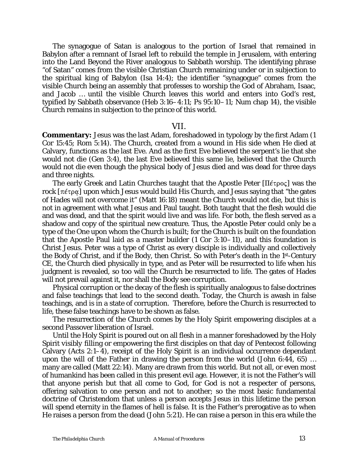The synagogue of Satan is analogous to the portion of Israel that remained in Babylon after a remnant of Israel left to rebuild the temple in Jerusalem, with entering into the Land Beyond the River analogous to Sabbath worship. The identifying phrase "of Satan" comes from the visible Christian Church remaining under or in subjection to the spiritual king of Babylon (Isa 14:4); the identifier "synagogue" comes from the visible Church being an assembly that professes to worship the God of Abraham, Isaac, and Jacob … until the visible Church leaves this world and enters into God's rest, typified by Sabbath observance (Heb 3:16–4:11; Ps 95:10–11; Num chap 14), the visible Church remains in subjection to the prince of this world.

#### VII.

**Commentary:** Jesus was the last Adam, foreshadowed in typology by the first Adam (1) Cor 15:45; Rom 5:14). The Church, created from a wound in His side when He died at Calvary, functions as the last Eve. And as the first Eve believed the serpent's lie that she would not die (Gen 3:4), the last Eve believed this same lie, believed that the Church would not die even though the physical body of Jesus died and was dead for three days and three nights.

The early Greek and Latin Churches taught that the Apostle Peter  $[\Pi \epsilon \tau \rho o \varsigma]$  was the rock  $[\pi \varepsilon \tau \rho \alpha]$  upon which Jesus would build His Church, and Jesus saying that "the gates" of Hades will not overcome it" (Matt 16:18) meant the Church would not die, but this is not in agreement with what Jesus and Paul taught. Both taught that the flesh would die and was dead, and that the spirit would live and was life. For both, the flesh served as a shadow and copy of the spiritual new creature. Thus, the Apostle Peter could only be a type of the One upon whom the Church is built; for the Church is built on the foundation that the Apostle Paul laid as a master builder (1 Cor 3:10–11), and this foundation is Christ Jesus. Peter was a type of Christ as every disciple is individually and collectively the Body of Christ, and if the Body, then *Christ*. So with Peter's death in the 1st-Century CE, the Church died physically in type, and as Peter will be resurrected to life when his judgment is revealed, so too will the Church be resurrected to life. The gates of Hades will not prevail against it, nor shall the Body see corruption.

Physical corruption or the decay of the flesh is spiritually analogous to false doctrines and false teachings that lead to the second death. Today, the Church is awash in false teachings, and is in a state of corruption. Therefore, before the Church is resurrected to life, these false teachings have to be shown as false.

The resurrection of the Church comes by the Holy Spirit empowering disciples at a second Passover liberation of Israel.

Until the Holy Spirit is poured out on all flesh in a manner foreshadowed by the Holy Spirit *visibly* filling or empowering the first disciples on that day of Pentecost following Calvary (Acts 2:1–4), receipt of the Holy Spirit is an individual occurrence dependant upon the will of the Father in drawing the person from the world (John 6:44, 65) … many are called (Matt 22:14). Many are drawn from this world. But not all, or even most of humankind has been called in this present evil age. However, it is not the Father's will that anyone perish but that all come to God, for God is not a respecter of persons, offering salvation to one person and not to another; so the most basic fundamental doctrine of Christendom that unless a person accepts Jesus in this lifetime the person will spend eternity in the flames of hell is false. It is the Father's prerogative as to when He raises a person from the dead (John 5:21). He can raise a person in this era while the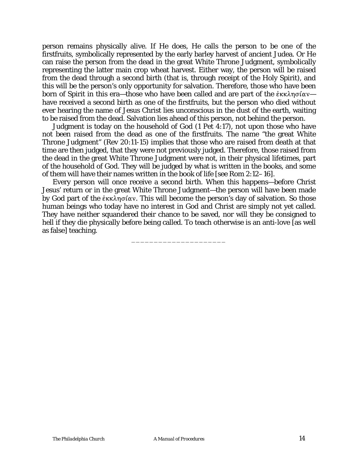person remains physically alive. If He does, He calls the person to be one of the firstfruits, symbolically represented by the early barley harvest of ancient Judea. Or He can raise the person from the dead in the great White Throne Judgment, symbolically representing the latter main crop wheat harvest. Either way, the person will be raised from the dead through a second birth (that is, through receipt of the Holy Spirit), and this will be the person's only opportunity for salvation. Therefore, those who have been born of Spirit in this era—those who have been called and are part of the  $\dot{\epsilon}$ KK $\lambda$ n $\sigma$ ίαν have received a second birth as one of the firstfruits, but the person who died without ever hearing the name of Jesus Christ lies unconscious in the dust of the earth, waiting to be raised from the dead. Salvation lies ahead of this person, not behind the person.

Judgment is today on the household of God (1 Pet 4:17), not upon those who have not been raised from the dead as one of the firstfruits. The name "the great White Throne Judgment" (Rev 20:11-15) implies that those who are raised from death at that time are then judged, that they were not previously judged. Therefore, those raised from the dead in the great White Throne Judgment were not, in their physical lifetimes, part of the household of God. They will be judged by what is written in the books, and some of them will have their names written in the book of life [see Rom 2:12–16].

Every person will once receive a second birth. When this happens—before Christ Jesus' return or in the great White Throne Judgment—the person will have been made by God part of the  $\epsilon_{KK}$   $\delta_{\text{max}}$ . This will become the person's day of salvation. So those human beings who today have no interest in God and Christ are simply not yet called. They have neither squandered their chance to be saved, nor will they be consigned to hell if they die physically before being called. To teach otherwise is an anti-love [as well as false] teaching.

\_\_\_\_\_\_\_\_\_\_\_\_\_\_\_\_\_\_\_\_\_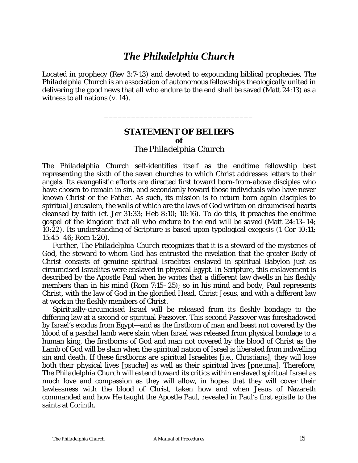## *The Philadelphia Church*

Located in prophecy (Rev 3:7-13) and devoted to expounding biblical prophecies, *The Philadelphia Church* is an association of autonomous fellowships theologically united in delivering the good news that all who endure to the end shall be saved (Matt 24:13) as a witness to all nations (v. 14).

## **STATEMENT OF BELIEFS of**  *The Philadelphia Church*

\_\_\_\_\_\_\_\_\_\_\_\_\_\_\_\_\_\_\_\_\_\_\_\_\_\_\_\_\_\_\_\_\_

*The Philadelphia Church* self-identifies itself as the endtime fellowship best representing the sixth of the seven churches to which Christ addresses letters to their angels. Its evangelistic efforts are directed first toward born-from-above disciples who have chosen to remain in sin, and secondarily toward those individuals who have never known Christ or the Father. As such, its mission is to return born again disciples to spiritual Jerusalem, the walls of which are the laws of God written on circumcised hearts cleansed by faith (*cf.* Jer 31:33; Heb 8:10; 10:16). To do this, it preaches the endtime gospel of the kingdom that *all who endure to the end will be saved* (Matt 24:13–14; 10:22). Its understanding of Scripture is based upon typological exegesis (1 Cor 10:11; 15:45–46; Rom 1:20).

Further, *The Philadelphia Church* recognizes that it is a steward of the mysteries of God, the steward to whom God has entrusted the revelation that the greater Body of Christ consists of genuine spiritual Israelites enslaved in spiritual Babylon just as circumcised Israelites were enslaved in physical Egypt. In Scripture, this enslavement is described by the Apostle Paul when he writes that a different law dwells in his fleshly members than in his mind (Rom 7:15–25); so in his mind and body, Paul represents *Christ*, with the law of God in the glorified Head, Christ Jesus, and with a different law at work in the fleshly members of *Christ*.

Spiritually-circumcised Israel will be released from its fleshly bondage to the differing law at a second or spiritual Passover. This second Passover was foreshadowed by Israel's exodus from Egypt—and as the firstborn of man and beast not covered by the blood of a paschal lamb were slain when Israel was released from physical bondage to a human king, the firstborns of God and man not covered by the blood of Christ as the Lamb of God will be slain when the spiritual nation of Israel is liberated from indwelling sin and death. If these firstborns are spiritual Israelites [i.e., Christians], they will lose both their physical lives [*psuche*] as well as their spiritual lives [*pneuma*]. Therefore, *The Philadelphia Church* will extend toward its critics within enslaved spiritual Israel as much love and compassion as they will allow, in hopes that they will cover their lawlessness with the blood of Christ, taken how and when Jesus of Nazareth commanded and how He taught the Apostle Paul, revealed in Paul's first epistle to the saints at Corinth.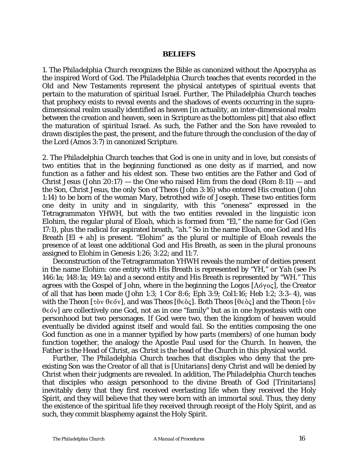#### *BELIEFS*

1. *The Philadelphia Church* recognizes the Bible as canonized without the Apocrypha as the inspired Word of God. *The Philadelphia Church* teaches that events recorded in the Old and New Testaments represent the physical antetypes of spiritual events that pertain to the maturation of spiritual Israel. Further, *The Philadelphia Church* teaches that prophecy exists to reveal events and the shadows of events occurring in the supradimensional realm usually identified as heaven [in actuality, an inter-dimensional realm between the creation and heaven, seen in Scripture as the bottomless pit] that also effect the maturation of spiritual Israel. As such, the Father and the Son have revealed to drawn disciples the past, the present, and the future through the conclusion of the day of the Lord (Amos 3:7) in canonized Scripture.

2. *The Philadelphia Church* teaches that God is one in unity and in love, but consists of two entities that in the beginning functioned as one deity as if married, and now function as a father and his eldest son. These two entities are the Father and God of Christ Jesus (John 20:17) — the One who raised Him from the dead (Rom  $8:11$ ) — and the Son, Christ Jesus, the only Son of *Theos* (John 3:16) who entered His creation (John 1:14) to be born of the woman Mary, betrothed wife of Joseph. These two entities form one deity in unity and in singularity, with this "oneness" expressed in the Tetragrammaton *YHWH*, but with the two entities revealed in the linguistic icon *Elohim*, the regular plural of *Eloah*, which is formed from "*El*," the name for God (Gen 17:1), plus the radical for aspirated breath, "*ah.*" So in the name *Eloah*, one God and His Breath [*El* + *ah*] is present. "*Elohim*" as the plural or multiple of *Eloah* reveals the presence of at least one additional God and His Breath, as seen in the plural pronouns assigned to *Elohim* in Genesis 1:26; 3:22; and 11:7.

Deconstruction of the Tetragrammaton *YHWH* reveals the number of deities present in the name *Elohim*: one entity with His Breath is represented by "*YH*," or *Yah* (see Ps 146:1a; 148:1a; 149:1a) and a second entity and His Breath is represented by "*WH*." This agrees with the Gospel of John, where in the beginning the  $Logos$  [ $\Lambda$ ó $\gamma$ o $\varsigma$ ], the Creator of all that has been made (John 1:3; 1 Cor 8:6; Eph 3:9; Col1:16; Heb 1:2; 3:3–4), was with *the Theon* [τὸν θεόν], and was *Theos* [θεὸς]. Both *Theos* [θεὸς] and *the Theon* [τὸν  $2.5$   $0.6$  are collectively one God, not as in one "family" but as in one hypostasis with one personhood but two personages. If God were two, then the kingdom of heaven would eventually be divided against itself and would fail. So the entities composing the one God function as one in a manner typified by how parts (members) of one human body function together, the analogy the Apostle Paul used for the Church. In heaven, the Father is the Head of Christ, as Christ is the head of the Church in this physical world.

Further, *The Philadelphia Church* teaches that disciples who deny that the preexisting Son was the Creator of all that is [Unitarians] deny Christ and will be denied by Christ when their judgments are revealed. In addition, *The Philadelphia Church* teaches that disciples who assign personhood to the divine Breath of God [Trinitarians] inevitably deny that they first received everlasting life when they received the Holy Spirit, and they will believe that they were born with an immortal soul. Thus, they deny the existence of the spiritual life they received through receipt of the Holy Spirit, and as such, they commit blasphemy against the Holy Spirit.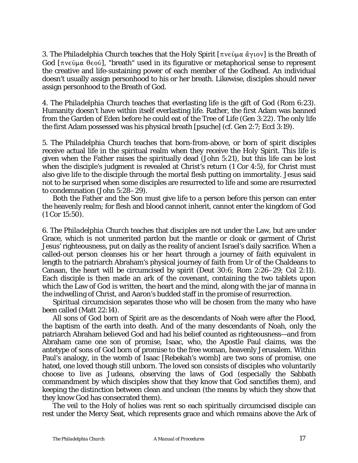3. *The Philadelphia Church* teaches that the Holy Spirit [πνεῦμα ἄγιον] is the Breath of God  $[\pi \nu \in \hat{\mathfrak{g}}]$ , "breath" used in its figurative or metaphorical sense to represent the creative and life-sustaining power of each member of the Godhead. An individual doesn't usually assign personhood to his or her breath. Likewise, disciples should never assign personhood to the Breath of God.

4. *The Philadelphia Church* teaches that everlasting life is the gift of God (Rom 6:23). Humanity doesn't have within itself everlasting life. Rather, the first Adam was banned from the Garden of Eden before he could eat of the Tree of Life (Gen 3:22). The only life the first Adam possessed was his physical breath [*psuche*] (*cf.* Gen 2:7; Eccl 3:19).

5. *The Philadelphia Church* teaches that born-from-above, or born of spirit disciples receive actual life in the spiritual realm when they receive the Holy Spirit. This life is given when the Father raises the spiritually dead (John 5:21), but this life can be lost when the disciple's judgment is revealed at Christ's return (1 Cor 4:5), for Christ must also give life to the disciple through the mortal flesh putting on immortality. Jesus said not to be surprised when some disciples are resurrected to life and some are resurrected to condemnation (John 5:28–29).

Both the Father and the Son must give life to a person before this person can enter the heavenly realm; for flesh and blood cannot inherit, cannot enter the kingdom of God (1 Cor 15:50).

6. *The Philadelphia Church* teaches that disciples are not under the Law, but are under Grace, which is not unmerited pardon but the mantle or cloak or garment of Christ Jesus' righteousness, put on daily as the reality of ancient Israel's daily sacrifice. When a called-out person cleanses his or her heart through a journey of faith equivalent in length to the patriarch Abraham's physical journey of faith from Ur of the Chaldeans to Canaan, the heart will be circumcised by spirit (Deut 30:6; Rom 2:26–29; Col 2:11). Each disciple is then made an ark of the covenant, containing the two tablets upon which the Law of God is written, the heart and the mind, along with the jar of manna in the indwelling of Christ, and Aaron's budded staff in the promise of resurrection.

Spiritual circumcision separates those who will be chosen from the many who have been called (Matt 22:14).

All sons of God born of Spirit are as the descendants of Noah were after the Flood, the baptism of the earth into death. And of the many descendants of Noah, only the patriarch Abraham believed God and had his belief counted as righteousness—and from Abraham came one son of promise, Isaac, who, the Apostle Paul claims, was the antetype of sons of God born of promise to the free woman, heavenly Jerusalem. Within Paul's analogy, in the womb of Isaac [Rebekah's womb] are two sons of promise, one hated, one loved though still unborn. The loved son consists of disciples who voluntarily choose to live as Judeans, observing the laws of God (especially the Sabbath commandment by which disciples show that they know that God sanctifies them), and keeping the distinction between clean and unclean (the means by which they show that they know God has consecrated them).

The veil to the Holy of holies was rent so each spiritually circumcised disciple can rest under the Mercy Seat, which represents grace and which remains above the Ark of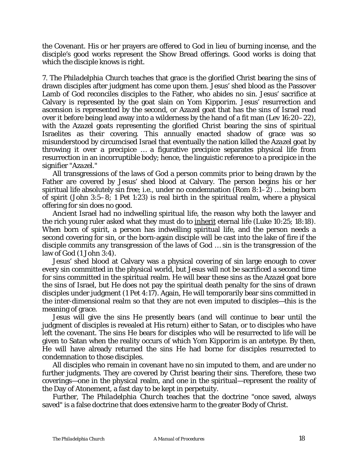the Covenant. His or her prayers are offered to God in lieu of burning incense, and the disciple's good works represent the Show Bread offerings. Good works is doing that which the disciple knows is right.

7. *The Philadelphia Church* teaches that grace is the glorified Christ bearing the sins of drawn disciples after judgment has come upon them. Jesus' shed blood as the Passover Lamb of God reconciles disciples to the Father, who abides no sin. Jesus' sacrifice at Calvary is represented by the goat slain on *Yom Kipporim*. Jesus' resurrection and ascension is represented by the second, or *Azazel* goat that has the sins of Israel read over it before being lead away into a wilderness by the hand of a fit man (Lev 16:20–22), with the *Azazel* goats representing the glorified Christ bearing the sins of spiritual Israelites as their covering. This annually enacted shadow of grace was so misunderstood by circumcised Israel that eventually the nation killed the *Azazel* goat by throwing it over a precipice … a figurative precipice separates physical life from resurrection in an incorruptible body; hence, the linguistic reference to a precipice in the signifier "*Azazel*."

All transgressions of the laws of God a person commits prior to being drawn by the Father are covered by Jesus' shed blood at Calvary. The person begins his or her spiritual life absolutely sin free; i.e., under no condemnation (Rom 8:1–2) … being born of spirit (John 3:5–8; 1 Pet 1:23) is real birth in the spiritual realm, where a physical offering for sin does no good.

Ancient Israel had no indwelling spiritual life, the reason why both the lawyer and the rich young ruler asked what they must do to inherit eternal life (Luke 10:25; 18:18). When born of spirit, a person has indwelling spiritual life, and the person needs a second covering for sin, or the born-again disciple will be cast into the lake of fire if the disciple commits any transgression of the laws of God … sin is the transgression of the law of God (1 John 3:4).

Jesus' shed blood at Calvary was a physical covering of sin large enough to cover every sin committed in the physical world, but Jesus will not be sacrificed a second time for sins committed in the spiritual realm. He will bear these sins as the *Azazel* goat bore the sins of Israel, but He does not pay the spiritual death penalty for the sins of drawn disciples under judgment (1 Pet 4:17). Again, He will temporarily bear sins committed in the inter-dimensional realm so that they are not even imputed to disciples—this is the meaning of grace.

Jesus will give the sins He presently bears (and will continue to bear until the judgment of disciples is revealed at His return) either to Satan, or to disciples who have left the covenant. The sins He bears for disciples who will be resurrected to life will be given to Satan when the reality occurs of which *Yom Kipporim* is an antetype. By then, He will have already returned the sins He had borne for disciples resurrected to condemnation to those disciples.

All disciples who remain in covenant have no sin imputed to them, and are under no further judgments. They are covered by Christ bearing their sins. Therefore, these two coverings—one in the physical realm, and one in the spiritual—represent the reality of the Day of Atonement, a fast day to be kept in perpetuity.

Further, *The Philadelphia Church* teaches that the doctrine "once saved, always saved" is a false doctrine that does extensive harm to the greater Body of Christ.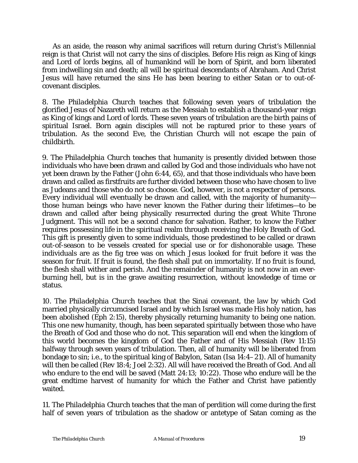As an aside, the reason why animal sacrifices will return during Christ's Millennial reign is that Christ will not carry the sins of disciples. Before His reign as King of kings and Lord of lords begins, all of humankind will be born of Spirit, and born liberated from indwelling sin and death; all will be spiritual descendants of Abraham. And Christ Jesus will have returned the sins He has been bearing to either Satan or to out-ofcovenant disciples.

8. *The Philadelphia Church* teaches that following seven years of tribulation the glorified Jesus of Nazareth will return as the Messiah to establish a thousand-year reign as King of kings and Lord of lords. These seven years of tribulation are the birth pains of spiritual Israel. Born again disciples will not be raptured prior to these years of tribulation. As the second Eve, the Christian Church will not escape the pain of childbirth.

9. *The Philadelphia Church* teaches that humanity is presently divided between those individuals who have been drawn and called by God and those individuals who have not yet been drawn by the Father (John 6:44, 65), and that those individuals who have been drawn and called as firstfruits are further divided between those who have chosen to live as Judeans and those who do not so choose. God, however, is not a respecter of persons. Every individual will eventually be drawn and called, with the majority of humanity those human beings who have never known the Father during their lifetimes—to be drawn and called after being physically resurrected during the great White Throne Judgment. This will not be a second chance for salvation. Rather, to know the Father requires possessing life in the spiritual realm through receiving the Holy Breath of God. This gift is presently given to some individuals, those predestined to be called or drawn out-of-season to be vessels created for special use or for dishonorable usage. These individuals are as the fig tree was on which Jesus looked for fruit before it was the season for fruit. If fruit is found, the flesh shall put on immortality. If no fruit is found, the flesh shall wither and perish. And the remainder of humanity is not now in an everburning hell, but is in the grave awaiting resurrection, without knowledge of time or status.

10. *The Philadelphia Church* teaches that the Sinai covenant, the law by which God married physically circumcised Israel and by which Israel was made His holy nation, has been abolished (Eph 2:15), thereby physically returning humanity to being one nation. This one new humanity, though, has been separated spiritually between those who have the Breath of God and those who do not. This separation will end when the kingdom of this world becomes the kingdom of God the Father and of His Messiah (Rev 11:15) halfway through seven years of tribulation. Then, all of humanity will be liberated from bondage to sin; i.e., to the spiritual king of Babylon, Satan (Isa 14:4–21). All of humanity will then be called (Rev 18:4; Joel 2:32). All will have received the Breath of God. And all who endure to the end will be saved (Matt 24:13; 10:22). Those who endure will be the great endtime harvest of humanity for which the Father and Christ have patiently waited.

11. *The Philadelphia Church* teaches that the man of perdition will come during the first half of seven years of tribulation as the shadow or antetype of Satan coming as the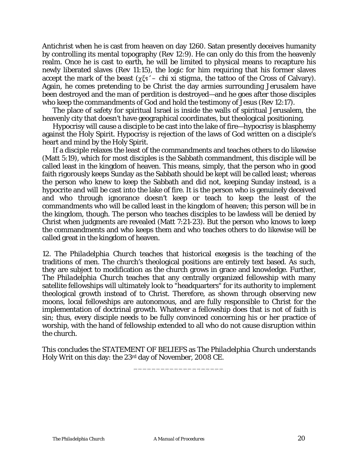Antichrist when he is cast from heaven on day 1260. Satan presently deceives humanity by controlling its mental topography (Rev 12:9). He can only do this from the heavenly realm. Once he is cast to earth, he will be limited to physical means to recapture his newly liberated slaves (Rev 11:15), the logic for him requiring that his former slaves accept the mark of the beast  $(\gamma \xi s' - chi \xi s)$  stigma, the tattoo of the Cross of Calvary). Again, he comes pretending to be Christ the day armies surrounding Jerusalem have been destroyed and the man of perdition is destroyed—and he goes after those disciples who keep the commandments of God and hold the testimony of Jesus (Rev 12:17).

The place of safety for spiritual Israel is inside the walls of spiritual Jerusalem, the heavenly city that doesn't have geographical coordinates, but theological positioning.

Hypocrisy will cause a disciple to be cast into the lake of fire—hypocrisy is blasphemy against the Holy Spirit. Hypocrisy is rejection of the laws of God written on a disciple's heart and mind by the Holy Spirit.

If a disciple relaxes the least of the commandments and teaches others to do likewise (Matt 5:19), which for most disciples is the Sabbath commandment, this disciple will be called least in the kingdom of heaven. This means, simply, that the person who in good faith rigorously keeps Sunday as the Sabbath should be kept will be called least; whereas the person who knew to keep the Sabbath and did not, keeping Sunday instead, is a hypocrite and will be cast into the lake of fire. It is the person who is genuinely deceived and who through ignorance doesn't keep or teach to keep the least of the commandments who will be called least in the kingdom of heaven; this person will be in the kingdom, though. The person who teaches disciples to be lawless will be denied by Christ when judgments are revealed (Matt 7:21-23). But the person who knows to keep the commandments and who keeps them and who teaches others to do likewise will be called great in the kingdom of heaven.

12. *The Philadelphia Church* teaches that historical exegesis is the teaching of the traditions of men. The church's theological positions are entirely text based. As such, they are subject to modification as the church grows in grace and knowledge. Further, *The Philadelphia Church* teaches that any centrally organized fellowship with many satellite fellowships will ultimately look to "headquarters" for its authority to implement theological growth instead of to Christ. Therefore, as shown through observing new moons, local fellowships are autonomous, and are fully responsible to Christ for the implementation of doctrinal growth. Whatever a fellowship does that is not of faith is sin; thus, every disciple needs to be fully convinced concerning his or her practice of worship, with the hand of fellowship extended to all who do not cause disruption within the church.

This concludes the STATEMENT OF BELIEFS as *The Philadelphia Church* understands Holy Writ on this day: the 23rd day of November, 2008 CE.

\_\_\_\_\_\_\_\_\_\_\_\_\_\_\_\_\_\_\_\_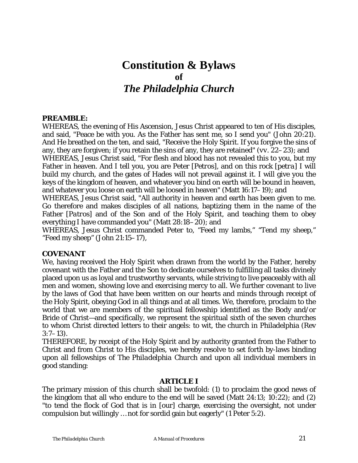# **Constitution & Bylaws of**  *The Philadelphia Church*

## **PREAMBLE:**

WHEREAS, the evening of His Ascension, Jesus Christ appeared to ten of His disciples, and said, "Peace be with you. As the Father has sent me, so I send you" (John 20:21). And He breathed on the ten, and said, "Receive the Holy Spirit. If you forgive the sins of any, they are forgiven; if you retain the sins of any, they are retained" (*vv*. 22–23); and WHEREAS, Jesus Christ said, "For flesh and blood has not revealed this to you, but my Father in heaven. And I tell you, you are Peter [*Petros*], and on this rock [*petra*] I will build my church, and the gates of Hades will not prevail against it. I will give you the keys of the kingdom of heaven, and whatever you bind on earth will be bound in heaven, and whatever you loose on earth will be loosed in heaven" (Matt 16:17–19); and

WHEREAS, Jesus Christ said, "All authority in heaven and earth has been given to me. Go therefore and makes disciples of all nations, baptizing them in the name of the Father [*Patros*] and of the Son and of the Holy Spirit, and teaching them to obey everything I have commanded you" (Matt 28:18–20); and

WHEREAS, Jesus Christ commanded Peter to, "Feed my lambs," "Tend my sheep," "Feed my sheep" (John 21:15–17),

## **COVENANT**

We, having received the Holy Spirit when drawn from the world by the Father, hereby covenant with the Father and the Son to dedicate ourselves to fulfilling all tasks divinely placed upon us as loyal and trustworthy servants, while striving to live peaceably with all men and women, showing love and exercising mercy to all. We further covenant to live by the laws of God that have been written on our hearts and minds through receipt of the Holy Spirit, obeying God in all things and at all times. We, therefore, proclaim to the world that we are members of the spiritual fellowship identified as the Body and/or Bride of Christ—and specifically, we represent the spiritual sixth of the seven churches to whom Christ directed letters to their angels: to wit, the church in Philadelphia (Rev 3:7–13).

THEREFORE, by receipt of the Holy Spirit and by authority granted from the Father to Christ and from Christ to His disciples, we hereby resolve to set forth by-laws binding upon all fellowships of *The Philadelphia Church* and upon all individual members in good standing:

## **ARTICLE I**

The primary mission of this church shall be twofold: (1) to proclaim the good news of the kingdom that all who endure to the end will be saved (Matt 24:13; 10:22); and (2) "to tend the flock of God that is in [our] charge, exercising the oversight, not under compulsion but willingly … not for sordid gain but eagerly" (1 Peter 5:2).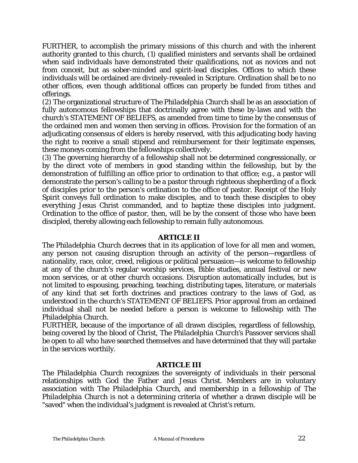FURTHER, to accomplish the primary missions of this church and with the inherent authority granted to this church, (1) qualified ministers and servants shall be ordained when said individuals have demonstrated their qualifications, not as novices and not from conceit, but as sober-minded and spirit-lead disciples. Offices to which these individuals will be ordained are divinely-revealed in Scripture. Ordination shall be to no other offices, even though additional offices can properly be funded from tithes and offerings.

(2) The organizational structure of *The Philadelphia Church* shall be as an association of fully autonomous fellowships that doctrinally agree with these by-laws and with the church's STATEMENT OF BELIEFS, as amended from time to time by the consensus of the ordained men and women then serving in offices. Provision for the formation of an adjudicating consensus of elders is hereby reserved, with this adjudicating body having the right to receive a small stipend and reimbursement for their legitimate expenses, these moneys coming from the fellowships collectively.

(3) The governing hierarchy of a fellowship shall not be determined congressionally, or by the direct vote of members in good standing within the fellowship, but by the demonstration of fulfilling an office prior to ordination to that office; e.g., a pastor will demonstrate the person's calling to be a pastor through righteous shepherding of a flock of disciples prior to the person's ordination to the office of pastor. Receipt of the Holy Spirit conveys full ordination to make disciples, and to teach these disciples to obey everything Jesus Christ commanded, and to baptize these disciples into judgment. Ordination to the office of pastor, then, will be by the consent of those who have been discipled, thereby allowing each fellowship to remain fully autonomous.

## **ARTICLE II**

*The Philadelphia Church* decrees that in its application of love for all men and women, any person not causing disruption through an activity of the person—regardless of nationality, race, color, creed, religious or political persuasion—is welcome to fellowship at any of the church's regular worship services, Bible studies, annual festival or new moon services, or at other church occasions. Disruption automatically includes, but is not limited to espousing, preaching, teaching, distributing tapes, literature, or materials of any kind that set forth doctrines and practices contrary to the laws of God, as understood in the church's STATEMENT OF BELIEFS. Prior approval from an ordained individual shall not be needed before a person is welcome to fellowship with *The Philadelphia Church*.

FURTHER, because of the importance of all drawn disciples, regardless of fellowship, being covered by the blood of Christ, *The Philadelphia Church's* Passover services shall be open to all who have searched themselves and have determined that they will partake in the services worthily.

## **ARTICLE III**

*The Philadelphia Church* recognizes the sovereignty of individuals in their personal relationships with God the Father and Jesus Christ. Members are in voluntary association with *The Philadelphia Church*, and membership in a fellowship of *The Philadelphia Church* is not a determining criteria of whether a drawn disciple will be "saved" when the individual's judgment is revealed at Christ's return.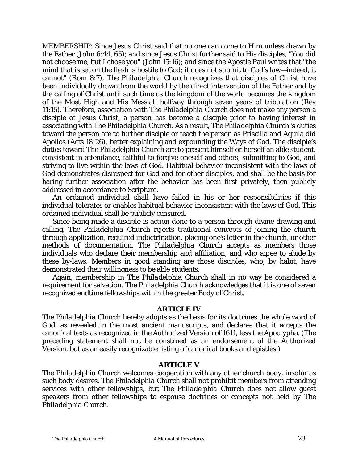MEMBERSHIP: Since Jesus Christ said that no one can come to Him unless drawn by the Father (John 6:44, 65); and since Jesus Christ further said to His disciples, "You did not choose me, but I chose you" (John 15:16); and since the Apostle Paul writes that "the mind that is set on the flesh is hostile to God; it does not submit to God's law—indeed, it cannot" (Rom 8:7), *The Philadelphia Church* recognizes that disciples of Christ have been individually drawn from the world by the direct intervention of the Father and by the calling of Christ until such time as the kingdom of the world becomes the kingdom of the Most High and His Messiah halfway through seven years of tribulation (Rev 11:15). Therefore, association with *The Philadelphia Church* does not make any person a disciple of Jesus Christ; a person has become a disciple prior to having interest in associating with *The Philadelphia Church*. As a result, *The Philadelphia Church 's* duties toward the person are to further disciple or teach the person as Priscilla and Aquila did Apollos (Acts 18:26), better explaining and expounding the Ways of God. The disciple's duties toward *The Philadelphia Church* are to present himself or herself an able student, consistent in attendance, faithful to forgive oneself and others, submitting to God, and striving to live within the laws of God. Habitual behavior inconsistent with the laws of God demonstrates disrespect for God and for other disciples, and shall be the basis for baring further association after the behavior has been first privately, then publicly addressed in accordance to Scripture.

An ordained individual shall have failed in his or her responsibilities if this individual tolerates or enables habitual behavior inconsistent with the laws of God. This ordained individual shall be publicly censured.

Since being made a disciple is action done to a person through divine drawing and calling, *The Philadelphia Church* rejects traditional concepts of joining the church through application, required indoctrination, placing one's letter in the church, or other methods of documentation. *The Philadelphia Church* accepts as members those individuals who declare their membership and affiliation, and who agree to abide by these by-laws. Members in good standing are those disciples, who, by habit, have demonstrated their willingness to be able students.

Again, membership in *The Philadelphia Church* shall in no way be considered a requirement for salvation. *The Philadelphia Church* acknowledges that it is one of seven recognized endtime fellowships within the greater Body of Christ.

## **ARTICLE IV**

*The Philadelphia Church* hereby adopts as the basis for its doctrines the whole word of God, as revealed in the most ancient manuscripts, and declares that it accepts the canonical texts as recognized in the Authorized Version of 1611, less the Apocrypha. (The preceding statement shall not be construed as an endorsement of the Authorized Version, but as an easily recognizable listing of canonical books and epistles.)

## **ARTICLE V**

*The Philadelphia Church* welcomes cooperation with any other church body, insofar as such body desires. *The Philadelphia Church* shall not prohibit members from attending services with other fellowships, but *The Philadelphia Church* does not allow guest speakers from other fellowships to espouse doctrines or concepts not held by *The Philadelphia Church*.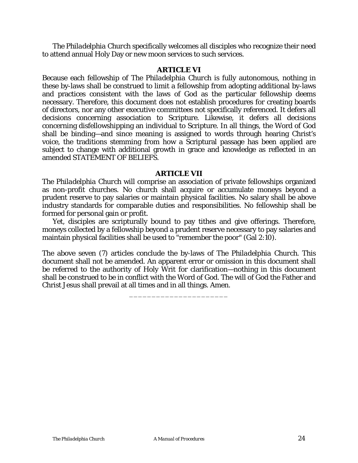*The Philadelphia Church* specifically welcomes all disciples who recognize their need to attend annual Holy Day or new moon services to such services.

### **ARTICLE VI**

Because each fellowship of *The Philadelphia Church* is fully autonomous, nothing in these by-laws shall be construed to limit a fellowship from adopting additional by-laws and practices consistent with the laws of God as the particular fellowship deems necessary. Therefore, this document does not establish procedures for creating boards of directors, nor any other executive committees not specifically referenced. It defers all decisions concerning association to Scripture. Likewise, it defers all decisions concerning disfellowshipping an individual to Scripture. In all things, the Word of God shall be binding—and since meaning is assigned to words through hearing Christ's voice, the traditions stemming from how a Scriptural passage has been applied are subject to change with additional growth in grace and knowledge as reflected in an amended STATEMENT OF BELIEFS.

## **ARTICLE VII**

*The Philadelphia Church* will comprise an association of private fellowships organized as non-profit churches. No church shall acquire or accumulate moneys beyond a prudent reserve to pay salaries or maintain physical facilities. No salary shall be above industry standards for comparable duties and responsibilities. No fellowship shall be formed for personal gain or profit.

Yet, disciples are scripturally bound to pay tithes and give offerings. Therefore, moneys collected by a fellowship beyond a prudent reserve necessary to pay salaries and maintain physical facilities shall be used to "remember the poor" (Gal 2:10).

The above seven (7) articles conclude the by-laws of *The Philadelphia Church*. This document shall not be amended. An apparent error or omission in this document shall be referred to the authority of Holy Writ for clarification—nothing in this document shall be construed to be in conflict with the Word of God. The will of God the Father and Christ Jesus shall prevail at all times and in all things. Amen.

\_\_\_\_\_\_\_\_\_\_\_\_\_\_\_\_\_\_\_\_\_\_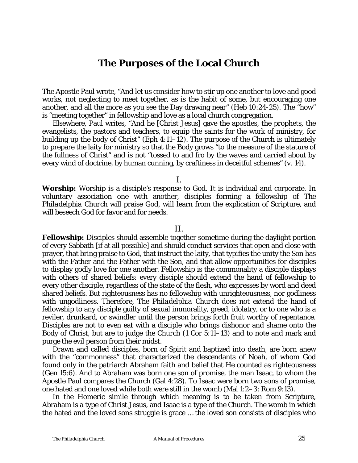## **The Purposes of the Local Church**

The Apostle Paul wrote, "And let us consider how to stir up one another to love and good works, not neglecting to meet together, as is the habit of some, but encouraging one another, and all the more as you see the Day drawing near" (Heb 10:24-25). The "how" is "meeting together" in fellowship and love as a local church congregation.

Elsewhere, Paul writes, "And he [Christ Jesus] gave the apostles, the prophets, the evangelists, the pastors and teachers, to equip the saints for the work of ministry, for building up the body of Christ" (Eph 4:11–12). The purpose of the Church is ultimately to prepare the laity for ministry so that the Body grows "to the measure of the stature of the fullness of Christ" and is not "tossed to and fro by the waves and carried about by every wind of doctrine, by human cunning, by craftiness in deceitful schemes" (*v*. 14).

I.

**Worship:** Worship is a disciple's response to God. It is individual and corporate. In voluntary association one with another, disciples forming a fellowship of *The Philadelphia Church* will praise God, will learn from the explication of Scripture, and will beseech God for favor and for needs.

## II.

**Fellowship:** Disciples should assemble together sometime during the daylight portion of every Sabbath [if at all possible] and should conduct services that open and close with prayer, that bring praise to God, that instruct the laity, that typifies the unity the Son has with the Father and the Father with the Son, and that allow opportunities for disciples to display godly love for one another. Fellowship is the commonality a disciple displays with others of shared beliefs: every disciple should extend the hand of fellowship to every other disciple, regardless of the state of the flesh, who expresses by word and deed shared beliefs. But righteousness has no fellowship with unrighteousness, nor godliness with ungodliness. Therefore, *The Philadelphia Church* does not extend the hand of fellowship to any disciple guilty of sexual immorality, greed, idolatry, or to one who is a reviler, drunkard, or swindler until the person brings forth fruit worthy of repentance. Disciples are not to even eat with a disciple who brings dishonor and shame onto the Body of Christ, but are to judge the Church (1 Cor 5:11–13) and to note and mark and purge the evil person from their midst.

Drawn and called disciples, born of Spirit and baptized into death, are born anew with the "commonness" that characterized the descendants of Noah, of whom God found only in the patriarch Abraham faith and belief that He counted as righteousness (Gen 15:6). And to Abraham was born one son of promise, the man Isaac, to whom the Apostle Paul compares the Church (Gal 4:28). To Isaac were born two sons of promise, one hated and one loved while both were still in the womb (Mal 1:2–3; Rom 9:13).

In the Homeric simile through which meaning is to be taken from Scripture, Abraham is a type of Christ Jesus, and Isaac is a type of the Church. The womb in which the hated and the loved sons struggle is grace … the loved son consists of disciples who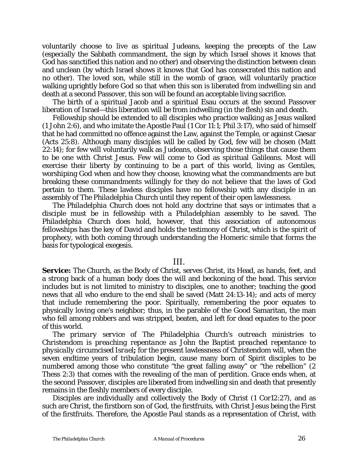voluntarily choose to live as spiritual Judeans, keeping the precepts of the Law (especially the Sabbath commandment, the sign by which Israel shows it knows that God has sanctified this nation and no other) and observing the distinction between clean and unclean (by which Israel shows it knows that God has consecrated this nation and no other). The loved son, while still in the womb of grace, will voluntarily practice walking uprightly before God so that when this son is liberated from indwelling sin and death at a second Passover, this son will be found an acceptable living sacrifice.

The birth of a spiritual Jacob and a spiritual Esau occurs at the second Passover liberation of Israel—this liberation will be from indwelling (in the flesh) sin and death.

Fellowship should be extended to all disciples who practice walking as Jesus walked (1 John 2:6), and who imitate the Apostle Paul (1 Cor 11:1; Phil 3:17), who said of himself that he had committed no offence against the Law, against the Temple, or against Caesar (Acts 25:8). Although many disciples will be called by God, few will be chosen (Matt 22:14); for few will voluntarily walk as Judeans, observing those things that cause them to be one with Christ Jesus. Few will come to God as spiritual Galileans. Most will exercise their liberty by continuing to be a part of this world, living as Gentiles, worshiping God when and how they choose, knowing what the commandments are but breaking these commandments willingly for they do not believe that the laws of God pertain to them. These lawless disciples have no fellowship with any disciple in an assembly of *The Philadelphia Church* until they repent of their open lawlessness.

*The Philadelphia Church* does not hold any doctrine that says or intimates that a disciple must be in fellowship with a *Philadelphian* assembly to be saved. *The Philadelphia Church* does hold, however, that this association of autonomous fellowships has the key of David and holds the testimony of Christ, which is the spirit of prophecy, with both coming through understanding the Homeric simile that forms the basis for typological exegesis.

## III.

**Service:** The Church, as the Body of Christ, serves Christ, its Head, as hands, feet, and a strong back of a human body does the will and beckoning of the head. This service includes but is not limited to ministry to disciples, one to another; teaching the good news that all who endure to the end shall be saved (Matt 24:13-14); and acts of mercy that include remembering the poor. Spiritually, remembering the poor equates to physically loving one's neighbor; thus, in the parable of the Good Samaritan, the man who fell among robbers and was stripped, beaten, and left for dead equates to the poor of this world.

*The primary service of* The Philadelphia Church's *outreach ministries to Christendom is preaching repentance as John the Baptist preached repentance to physically circumcised Israel***;** for the present lawlessness of Christendom will, when the seven endtime years of tribulation begin, cause many born of Spirit disciples to be numbered among those who constitute "the great falling away" or "the rebellion" (2 Thess 2:3) that comes with the revealing of the man of perdition. Grace ends when, at the second Passover, disciples are liberated from indwelling sin and death that presently remains in the fleshly members of every disciple.

Disciples are individually and collectively the Body of Christ (1 Cor12:27), and as such are *Christ*, the firstborn son of God, the firstfruits, with Christ Jesus being the First of the firstfruits. Therefore, the Apostle Paul stands as a representation of *Christ*, with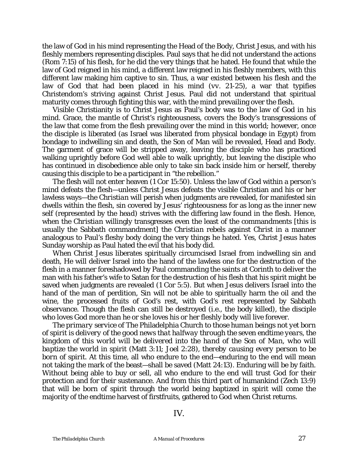the law of God in his mind representing the Head of the Body, Christ Jesus, and with his fleshly members representing disciples. Paul says that he did not understand the actions (Rom 7:15) of his flesh, for he did the very things that he hated. He found that while the law of God reigned in his mind, a different law reigned in his fleshly members, with this different law making him captive to sin. Thus, a war existed between his flesh and the law of God that had been placed in his mind (*vv.* 21-25), a war that typifies Christendom's striving against Christ Jesus. Paul did not understand that spiritual maturity comes through fighting this war, with the mind prevailing over the flesh.

Visible Christianity is to Christ Jesus as Paul's body was to the law of God in his mind. Grace, the mantle of Christ's righteousness, covers the Body's transgressions of the law that come from the flesh prevailing over the mind in this world; however, once the disciple is liberated (as Israel was liberated from physical bondage in Egypt) from bondage to indwelling sin and death, the Son of Man will be revealed, Head and Body. The garment of grace will be stripped away, leaving the disciple who has practiced walking uprightly before God well able to walk uprightly, but leaving the disciple who has continued in disobedience able only to take sin back inside him or herself, thereby causing this disciple to be a participant in "the rebellion."

The flesh will not enter heaven (1 Cor 15:50). Unless the law of God within a person's mind defeats the flesh—unless Christ Jesus defeats the visible Christian and his or her lawless ways—the *Christian* will perish when judgments are revealed, for manifested sin dwells within the flesh, sin covered by Jesus' righteousness for as long as the inner new self (represented by the *head*) strives with the differing law found in the flesh. Hence, when the *Christian* willingly transgresses even the least of the commandments [this is usually the Sabbath commandment] the *Christian* rebels against *Christ* in a manner analogous to Paul's fleshy body doing the very things he hated. Yes, Christ Jesus hates Sunday worship as Paul hated the evil that his body did.

When Christ Jesus liberates spiritually circumcised Israel from indwelling sin and death, He will deliver Israel into the hand of the lawless one for the destruction of the flesh in a manner foreshadowed by Paul commanding the saints at Corinth to deliver the man with his father's wife to Satan for the destruction of his flesh that his spirit might be saved when judgments are revealed (1 Cor 5:5). But when Jesus delivers Israel into the hand of the man of perdition, Sin will not be able to spiritually harm the oil and the wine, the processed fruits of God's rest, with God's rest represented by Sabbath observance. Though the flesh can still be destroyed (i.e., the body killed), the disciple who loves God more than he or she loves his or her fleshly body will live forever.

*The primary service of* The Philadelphia Church *to those human beings not yet born of spirit is delivery of the good news that halfway through the seven endtime years, the kingdom of this world will be delivered into the hand of the Son of Man, who will baptize the world in spirit* (Matt 3:11; Joel 2:28)*, thereby causing every person to be born of spirit.* At this time, all who endure to the end—enduring to the end will mean not taking the mark of the beast—shall be saved (Matt 24:13). Enduring will be by faith. Without being able to buy or sell, all who endure to the end will trust God for their protection and for their sustenance. And from this third part of humankind (Zech 13:9) that will be born of spirit through the world being baptized in spirit will come the majority of the endtime harvest of firstfruits, gathered to God when Christ returns.

IV.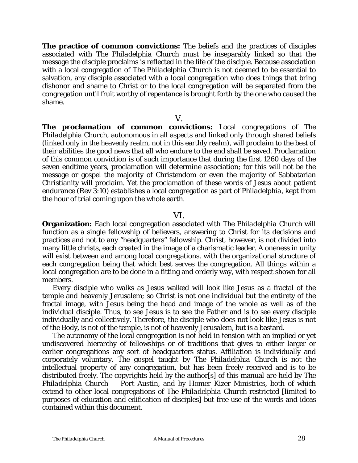**The practice of common convictions:** The beliefs and the practices of disciples associated with *The Philadelphia Church* must be inseparably linked so that the message the disciple proclaims is reflected in the life of the disciple. Because association with a local congregation of *The Philadelphia Church* is not deemed to be essential to salvation, any disciple associated with a local congregation who does things that bring dishonor and shame to Christ or to the local congregation will be separated from the congregation until fruit worthy of repentance is brought forth by the one who caused the shame.

### V.

**The proclamation of common convictions:** Local congregations of *The Philadelphia Church*, autonomous in all aspects and linked only through shared beliefs (linked only in the heavenly realm, not in this earthly realm), will proclaim to the best of their abilities the good news that all who endure to the end shall be saved. Proclamation of this common conviction is of such importance that during the first 1260 days of the seven endtime years, proclamation will determine association; for this will not be the message or gospel the majority of Christendom or even the majority of Sabbatarian Christianity will proclaim. Yet the proclamation of these words of Jesus about patient endurance (Rev 3:10) establishes a local congregation as part of *Philadelphia*, kept from the hour of trial coming upon the whole earth*.*

## VI.

**Organization:** Each local congregation associated with *The Philadelphia Church* will function as a single fellowship of believers, answering to Christ for its decisions and practices and not to any "headquarters" fellowship. Christ, however, is not divided into many little *christs*, each created in the image of a charismatic leader. A *oneness* in unity will exist between and among local congregations, with the organizational structure of each congregation being that which best serves the congregation. All things within a local congregation are to be done in a fitting and orderly way, with respect shown for all members.

Every disciple who walks as Jesus walked will look like Jesus as a fractal of the temple and heavenly Jerusalem; so *Christ* is not one individual but the entirety of the fractal image, with Jesus being the head and image of the whole as well as of the individual disciple. Thus, to see Jesus is to see the Father and is to see every disciple individually and collectively. Therefore, the disciple who does not look like Jesus is not of the Body, is not of the temple, is not of heavenly Jerusalem, but is a bastard.

The autonomy of the local congregation is not held in tension with an implied or yet undiscovered hierarchy of fellowships or of traditions that gives to either larger or earlier congregations any sort of headquarters status. Affiliation is individually and corporately voluntary. The gospel taught by *The Philadelphia Church* is not the intellectual property of any congregation, but has been freely received and is to be distributed freely. The copyrights held by the author[s] of this manual are held by *The Philadelphia Church — Port Austin*, and by Homer Kizer Ministries, both of which extend to other local congregations of *The Philadelphia Church* restricted [limited to purposes of education and edification of disciples] but free use of the words and ideas contained within this document.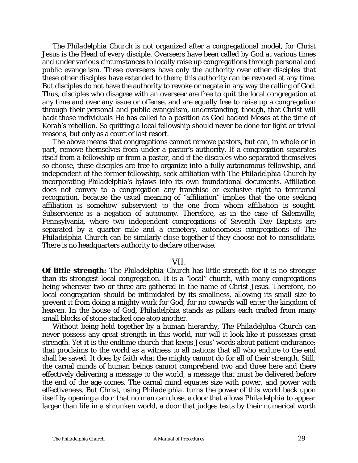*The Philadelphia Church* is not organized after a congregational model, for Christ Jesus is the Head of every disciple. Overseers have been called by God at various times and under various circumstances to locally raise up congregations through personal and public evangelism. These overseers have only the authority over other disciples that these other disciples have extended to them; this authority can be revoked at any time. But disciples do not have the authority to revoke or negate in any way the calling of God. Thus, disciples who disagree with an overseer are free to quit the local congregation at any time and over any issue or offense, and are equally free to raise up a congregation through their personal and public evangelism, understanding, though, that Christ will back those individuals He has called to a position as God backed Moses at the time of Korah's rebellion. So quitting a local fellowship should never be done for light or trivial reasons, but only as a court of last resort.

The above means that congregations cannot remove pastors, but can, in whole or in part, remove themselves from under a pastor's authority. If a congregation separates itself from a fellowship or from a pastor, and if the disciples who separated themselves so choose, these disciples are free to organize into a fully autonomous fellowship, and independent of the former fellowship, seek affiliation with *The Philadelphia Church* by incorporating *Philadelphia's* bylaws into its own foundational documents*.* Affiliation does not convey to a congregation any franchise or exclusive right to territorial recognition, because the usual meaning of "affiliation" implies that the one seeking affiliation is somehow subservient to the one from whom affiliation is sought. Subservience is a negation of autonomy. Therefore, as in the case of Salemville, Pennsylvania, where two independent congregations of Seventh Day Baptists are separated by a quarter mile and a cemetery, autonomous congregations of *The Philadelphia Church* can be similarly close together if they choose not to consolidate. There is no headquarters authority to declare otherwise.

## VII.

**Of little strength:** *The Philadelphia Church* has little strength for it is no stronger than its strongest local congregation. It is a "local" church, with many congregations being wherever two or three are gathered in the name of Christ Jesus. Therefore, no local congregation should be intimidated by its smallness, allowing its small size to prevent it from doing a mighty work for God, for no cowards will enter the kingdom of heaven. In the house of God, *Philadelphia* stands as pillars each crafted from many small blocks of stone stacked one atop another.

Without being held together by a human hierarchy, *The Philadelphia Church* can never possess any great strength in this world, nor will it look like it possesses great strength. Yet it is the endtime church that keeps Jesus' words about patient endurance; that proclaims to the world as a witness to all nations that all who endure to the end shall be saved. It does by faith what the mighty cannot do for all of their strength. Still, the carnal minds of human beings cannot comprehend two and three here and there effectively delivering a message to the world, a message that must be delivered before the end of the age comes. The carnal mind equates size with power, and power with effectiveness. But Christ, using *Philadelphia*, turns the power of this world back upon itself by opening a door that no man can close, a door that allows *Philadelphia* to appear larger than life in a shrunken world, a door that judges texts by their numerical worth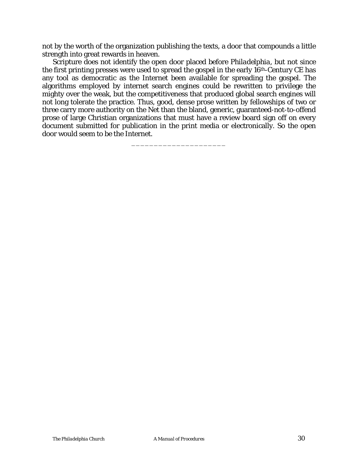not by the worth of the organization publishing the texts, a door that compounds a little strength into great rewards in heaven.

Scripture does not identify the open door placed before *Philadelphia*, but not since the first printing presses were used to spread the gospel in the early 16th-Century CE has any tool as democratic as the Internet been available for spreading the gospel. The algorithms employed by internet search engines could be rewritten to privilege the mighty over the weak, but the competitiveness that produced global search engines will not long tolerate the practice. Thus, good, dense prose written by fellowships of two or three carry more authority on the Net than the bland, generic, guaranteed-not-to-offend prose of large Christian organizations that must have a review board sign off on every document submitted for publication in the print media or electronically. So the open door would seem to be the Internet.

\_\_\_\_\_\_\_\_\_\_\_\_\_\_\_\_\_\_\_\_\_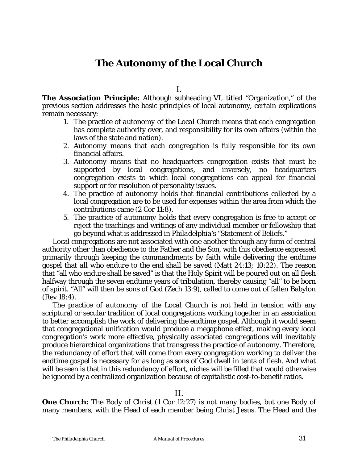## **The Autonomy of the Local Church**

I.

**The Association Principle:** Although subheading VI, titled "Organization," of the previous section addresses the basic principles of local autonomy, certain explications remain necessary:

- 1. The practice of *autonomy of the Local Church* means that each congregation has complete authority over, and responsibility for its own affairs (within the laws of the state and nation).
- 2. *Autonomy* means that each congregation is fully responsible for its own financial affairs.
- 3. *Autonomy* means that no headquarters congregation exists that must be supported by local congregations, and inversely, no headquarters congregation exists to which local congregations can appeal for financial support or for resolution of personality issues.
- 4. The practice of *autonomy* holds that financial contributions collected by a local congregation are to be used for expenses within the area from which the contributions came (2 Cor 11:8).
- 5. The practice of *autonomy* holds that every congregation is free to accept or reject the teachings and writings of any individual member or fellowship that go beyond what is addressed in *Philadelphia's* "Statement of Beliefs."

Local congregations are not associated with one another through any form of central authority other than obedience to the Father and the Son, with this obedience expressed primarily through keeping the commandments by faith while delivering the endtime gospel that *all who endure to the end shall be saved* (Matt 24:13; 10:22). The reason that "all who endure shall be saved" is that the Holy Spirit will be poured out on all flesh halfway through the seven endtime years of tribulation, thereby causing "all" to be born of spirit. "All" will then be sons of God (Zech 13:9), called to come out of fallen Babylon (Rev 18:4).

The practice of *autonomy of the Local Church* is not held in tension with any scriptural or secular tradition of local congregations working together in an association to better accomplish the work of delivering the endtime gospel. Although it would seem that congregational unification would produce a megaphone effect, making every local congregation's work more effective, physically associated congregations will inevitably produce hierarchical organizations that transgress the practice of *autonomy*. Therefore, the redundancy of effort that will come from every congregation working to deliver the endtime gospel is necessary for as long as sons of God dwell in tents of flesh. And what will be seen is that in this redundancy of effort, niches will be filled that would otherwise be ignored by a centralized organization because of capitalistic cost-to-benefit ratios.

II.

**One Church:** The Body of Christ (1 Cor 12:27) is not many bodies, but one Body of many members, with the Head of each member being Christ Jesus. The Head and the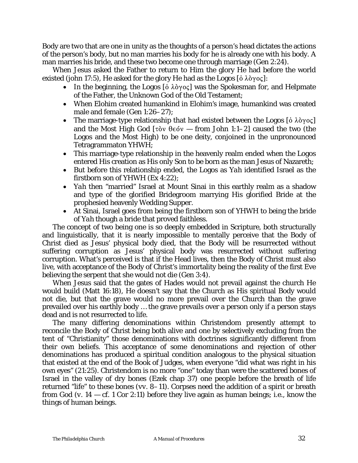Body are *two* that are *one* in unity as the thoughts of a person's head dictates the actions of the person's body, but no man marries his body for he is already one with his body. A man marries his bride, and these two become one through marriage (Gen 2:24).

When Jesus asked the Father to return to Him the glory He had before the world existed (john 17:5), He asked for the glory He had as the Logos  $[\dot{\text{o}} \lambda \dot{\text{o}} \gamma \text{o} \varsigma]$ :

- In the beginning, the Logos  $\delta \lambda \partial y \circ \zeta$  was the Spokesman for, and Helpmate of the Father, the Unknown God of the Old Testament;
- When *Elohim* created humankind in *Elohim's* image, humankind was created male and female (Gen 1:26–27);
- The marriage-type relationship that had existed between the Logos  $[\dot{o} \lambda \dot{o} \gamma o \zeta]$ and the Most High God [ $\tau$ òv  $\theta \in \phi$  — from John 1:1–2] caused the two (the Logos and the Most High) to be one deity, conjoined in the unpronounced Tetragrammaton *YHWH*;
- This marriage-type relationship in the heavenly realm ended when the Logos entered His creation as His only Son to be born as the man Jesus of Nazareth;
- But before this relationship ended, the Logos as *Yah* identified Israel as the firstborn son of *YHWH* (Ex 4:22);
- *Yah* then "married" Israel at Mount Sinai in this earthly realm as a shadow and type of the glorified Bridegroom marrying His glorified Bride at the prophesied heavenly Wedding Supper.
- At Sinai, Israel goes from being the firstborn son of *YHWH* to being the bride of *Yah* though a bride that proved faithless.

The concept of two being one is so deeply embedded in Scripture, both structurally and linguistically, that it is nearly impossible to mentally perceive that the Body of Christ died as Jesus' physical body died, that the Body will be resurrected without suffering corruption as Jesus' physical body was resurrected without suffering corruption. What's perceived is that if the Head lives, then the Body of Christ must also live, with acceptance of the Body of Christ's immortality being the reality of the first Eve believing the serpent that she would not die (Gen 3:4).

When Jesus said that the gates of Hades would not prevail against the church He would build (Matt 16:18), He doesn't say that the Church as His spiritual Body would not die, but that the grave would no more prevail over the Church than the grave prevailed over his earthly body … the grave prevails over a person only if a person stays dead and is not resurrected to life.

The many differing denominations within Christendom presently attempt to reconcile the Body of Christ being both alive and one by selectively excluding from the tent of "Christianity" those denominations with doctrines significantly different from their own beliefs. This acceptance of some denominations and rejection of other denominations has produced a spiritual condition analogous to the physical situation that existed at the end of the Book of Judges, when everyone "did what was right in his own eyes" (21:25). Christendom is no more "one" today than were the scattered bones of Israel in the valley of dry bones (Ezek chap 37) one people before the breath of life returned "life" to these bones (*vv.* 8–11). Corpses need the addition of a spirit or breath from God  $(v. 14 - cf. 1$  Cor 2:11) before they live again as human beings; i.e., know the things of human beings.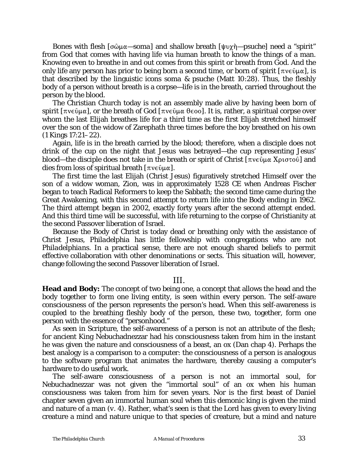Bones with flesh [σῶμα—*soma*] and shallow breath [ψυχὴ—*psuche*] need a "spirit" from God that comes with having life via human breath to know the things of a man. Knowing even to breathe in and out comes from this spirit or breath from God. And the only life any person has prior to being born a second time, or born of spirit  $[\pi v \in \hat{U} \mu \alpha]$ , is that described by the linguistic icons *soma & psuche* (Matt 10:28). Thus, the fleshly body of a person without breath is a corpse—life is in the breath, carried throughout the person by the blood.

The Christian Church today is not an assembly made alive by having been born of spirit [ $\pi$ νεῦμα], or the breath of God [ $\pi$ νεῦμα θεοο]. It is, rather, a spiritual corpse over whom the last Elijah breathes life for a third time as the first Elijah stretched himself over the son of the widow of Zarephath three times before the boy breathed on his own (1 Kings 17:21–22).

Again, life is in the breath carried by the blood; therefore, when a disciple does not drink of the cup on the night that Jesus was betrayed—the cup representing Jesus' blood—the disciple does not take in the breath or spirit of Christ  $[\pi v \in \partial \mu \alpha X \rho \sigma \sigma \sigma \omega]$  and dies from loss of spiritual breath  $[\pi v \in \hat{U} \mu \alpha]$ .

The first time the last Elijah (Christ Jesus) figuratively stretched Himself over the son of a widow woman, Zion, was in approximately 1528 CE when Andreas Fischer began to teach Radical Reformers to keep the Sabbath; the second time came during the Great Awakening, with this second attempt to return life into the Body ending in 1962. The third attempt began in 2002, exactly forty years after the second attempt ended. And this third time will be successful, with life returning to the corpse of Christianity at the second Passover liberation of Israel.

Because the Body of Christ is today dead or breathing only with the assistance of Christ Jesus, *Philadelphia* has little fellowship with congregations who are not *Philadelphians*. In a practical sense, there are not enough shared beliefs to permit effective collaboration with other denominations or sects. This situation will, however, change following the second Passover liberation of Israel.

#### III.

**Head and Body:** The concept of two being one, a concept that allows the head and the body together to form one living entity, is seen within every person. The self-aware consciousness of the person represents the person's head. When this self-awareness is coupled to the breathing fleshly body of the person, these two, together, form one person with the essence of "personhood."

As seen in Scripture, the self-awareness of a person is not an attribute of the flesh; for ancient King Nebuchadnezzar had his consciousness taken from him in the instant he was given the nature and consciousness of a beast, an ox (Dan chap 4). Perhaps the best analogy is a comparison to a computer: the consciousness of a person is analogous to the software program that animates the hardware, thereby causing a computer's hardware to do useful work.

The self-aware consciousness of a person is not an immortal soul, for Nebuchadnezzar was not given the "immortal soul" of an ox when his human consciousness was taken from him for seven years. Nor is the first beast of Daniel chapter seven given an immortal human soul when this demonic king is given the mind and nature of a man (*v.* 4). Rather, what's seen is that the Lord has given to every living creature a mind and nature unique to that species of creature, but a mind and nature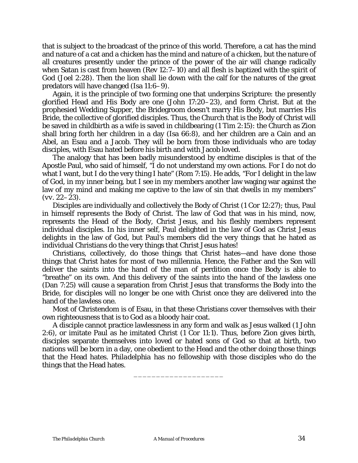that is subject to the broadcast of the prince of this world. Therefore, a cat has the mind and nature of a cat and a chicken has the mind and nature of a chicken, but the nature of all creatures presently under the prince of the power of the air will change radically when Satan is cast from heaven (Rev 12:7–10) and all flesh is baptized with the spirit of God (Joel 2:28). Then the lion shall lie down with the calf for the natures of the great predators will have changed (Isa 11:6–9).

Again, it is the principle of two forming one that underpins Scripture: the presently glorified Head and His Body are one (John 17:20–23), and form Christ. But at the prophesied Wedding Supper, the Bridegroom doesn't marry His Body, but marries His Bride, the collective of glorified disciples. Thus, the Church that is the Body of Christ will be saved in childbirth as a wife is saved in childbearing (1 Tim 2:15): the Church as Zion shall bring forth her children in a day (Isa 66:8), and her children are a Cain and an Abel, an Esau and a Jacob. They will be born from those individuals who are today disciples, with Esau hated before his birth and with Jacob loved.

The analogy that has been badly misunderstood by endtime disciples is that of the Apostle Paul, who said of himself, "I do not understand my own actions. For I do not do what I want, but I do the very thing I hate" (Rom 7:15). He adds, "For I delight in the law of God, in my inner being, but I see in my members another law waging war against the law of my mind and making me captive to the law of sin that dwells in my members" (*vv.* 22–23).

Disciples are individually and collectively the Body of Christ (1 Cor 12:27); thus, Paul in himself represents the Body of Christ. The law of God that was in his mind, now, represents the Head of the Body, Christ Jesus, and his fleshly members represent individual disciples. In his inner self, Paul delighted in the law of God as Christ Jesus delights in the law of God, but Paul's members did the very things that he hated as individual Christians do the very things that Christ Jesus hates!

Christians, collectively, do those things that Christ hates—and have done those things that Christ hates for most of two millennia. Hence, the Father and the Son will deliver the saints into the hand of the man of perdition once the Body is able to "breathe" on its own. And this delivery of the saints into the hand of the lawless one (Dan 7:25) will cause a separation from Christ Jesus that transforms the Body into the Bride, for disciples will no longer be one with Christ once they are delivered into the hand of the lawless one.

Most of Christendom is of Esau, in that these Christians cover themselves with their own righteousness that is to God as a bloody hair coat.

A disciple cannot practice lawlessness in any form and walk as Jesus walked (1 John 2:6), or imitate Paul as he imitated Christ (1 Cor 11:1). Thus, before Zion gives birth, disciples separate themselves into loved or hated sons of God so that at birth, two nations will be born in a day, one obedient to the Head and the other doing those things that the Head hates. *Philadelphia* has no fellowship with those disciples who do the things that the Head hates.

\_\_\_\_\_\_\_\_\_\_\_\_\_\_\_\_\_\_\_\_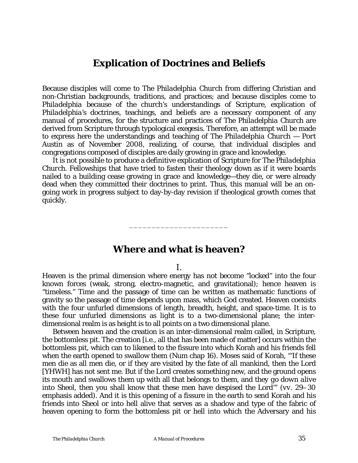## **Explication of Doctrines and Beliefs**

Because disciples will come to *The Philadelphia Church* from differing Christian and non-Christian backgrounds, traditions, and practices; and because disciples come to *Philadelphia* because of the church's understandings of Scripture, explication of *Philadelphia's* doctrines, teachings, and beliefs are a necessary component of any manual of procedures, for the structure and practices of *The Philadelphia Church* are derived from Scripture through typological exegesis. Therefore, an attempt will be made to express here the understandings and teaching of *The Philadelphia Church — Port Austin* as of November 2008, realizing, of course, that individual disciples and congregations composed of disciples are daily growing in grace and knowledge.

It is not possible to produce a definitive explication of Scripture for *The Philadelphia Church.* Fellowships that have tried to fasten their theology down as if it were boards nailed to a building cease growing in grace and knowledge—they die, or were already dead when they committed their doctrines to print. Thus, this manual will be an ongoing work in progress subject to day-by-day revision if theological growth comes that quickly.

## **Where and what is heaven?**

\_\_\_\_\_\_\_\_\_\_\_\_\_\_\_\_\_\_\_\_\_\_

I.

Heaven is the primal dimension where energy has not become "locked" into the four known forces (weak, strong, electro-magnetic, and gravitational); hence heaven is "timeless." Time and the passage of time can be written as mathematic functions of gravity so the passage of time depends upon mass, which God created. Heaven coexists with the four unfurled dimensions of length, breadth, height, and space-time. It is to these four unfurled dimensions as *light* is to a two-dimensional plane; the interdimensional realm is as *height* is to all points on a two dimensional plane.

Between heaven and the creation is an inter-dimensional realm called, in Scripture, the bottomless pit. The creation [i.e., all that has been made of matter] occurs within the bottomless pit, which can to likened to the fissure into which Korah and his friends fell when the earth opened to swallow them (Num chap 16). Moses said of Korah, "'If these men die as all men die, or if they are visited by the fate of all mankind, then the Lord [*YHWH*] has not sent me. But if the Lord creates something new, and the ground opens its mouth and swallows them up with all that belongs to them, and *they go down alive into Sheol*, then you shall know that these men have despised the Lord'" (*vv*. 29–30 emphasis added). And it is this opening of a fissure in the earth to send Korah and his friends into *Sheol* or into hell alive that serves as a shadow and type of the fabric of heaven opening to form the bottomless pit or hell into which the Adversary and his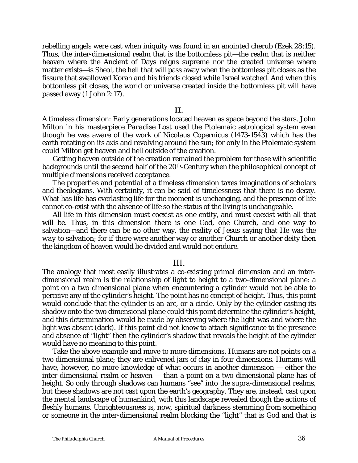rebelling angels were cast when iniquity was found in an anointed cherub (Ezek 28:15). Thus, the inter-dimensional realm that is the bottomless pit—the realm that is neither heaven where the Ancient of Days reigns supreme nor the created universe where matter exists—is *Sheol*, the hell that will pass away when the bottomless pit closes as the fissure that swallowed Korah and his friends closed while Israel watched. And when this bottomless pit closes, the world or universe created inside the bottomless pit will have passed away (1 John 2:17).

#### **II.**

A timeless dimension: Early generations located heaven as space beyond the stars. John Milton in his masterpiece *Paradise Lost* used the Ptolemaic astrological system even though he was aware of the work of Nicolaus Copernicus (1473-1543) which has the earth rotating on its axis and revolving around the sun; for only in the Ptolemaic system could Milton get heaven and hell outside of the creation.

Getting heaven outside of the creation remained the problem for those with scientific backgrounds until the second half of the 20th-Century when the philosophical concept of multiple dimensions received acceptance.

The properties and potential of a timeless dimension taxes imaginations of scholars and theologians. With certainty, it can be said of timelessness that there is no decay. What has life has everlasting life for the moment is unchanging, and the presence of life cannot co-exist with the absence of life so the status of the living is unchangeable.

All life in this dimension must coexist as one entity, and must coexist with all that will be. Thus, in this dimension there is one God, one Church, and one way to salvation—and there can be no other way, the reality of Jesus saying that He was *the way* to salvation; for if there were another way or another Church or another deity then the kingdom of heaven would be divided and would not endure.

#### III.

The analogy that most easily illustrates a co-existing primal dimension and an interdimensional realm is the relationship of light to height to a two-dimensional plane: a point on a two dimensional plane when encountering a cylinder would not be able to perceive any of the cylinder's height. The point has no concept of height. Thus, this point would conclude that the cylinder is an arc, or a circle. Only by the cylinder casting its shadow onto the two dimensional plane could this point determine the cylinder's height, and this determination would be made by observing where the light was and where the light was absent (dark). If this point did not know to attach significance to the presence and absence of "light" then the cylinder's shadow that reveals the height of the cylinder would have no meaning to this point.

Take the above example and move to more dimensions. Humans are not points on a two dimensional plane; they are enlivened jars of clay in four dimensions. Humans will have, however, no more knowledge of what occurs in another dimension — either the inter-dimensional realm or heaven — than a point on a two dimensional plane has of height. So only through shadows can humans "see" into the supra-dimensional realms, but these shadows are not cast upon the earth's geography. They are, instead, cast upon the mental landscape of humankind, with this landscape revealed though the actions of fleshly humans. Unrighteousness is, now, spiritual darkness stemming from something or someone in the inter-dimensional realm blocking the "light" that is God and that is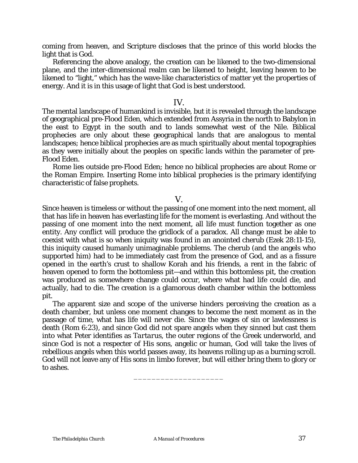coming from heaven, and Scripture discloses that the prince of this world blocks the light that is God.

Referencing the above analogy, the creation can be likened to the two-dimensional plane, and the inter-dimensional realm can be likened to height, leaving heaven to be likened to "light," which has the wave-like characteristics of matter yet the properties of energy. And it is in this usage of light that God is best understood.

### IV.

The mental landscape of humankind is invisible, but it is revealed through the landscape of geographical pre-Flood Eden, which extended from Assyria in the north to Babylon in the east to Egypt in the south and to lands somewhat west of the Nile. Biblical prophecies are only about these geographical lands that are analogous to mental landscapes; hence biblical prophecies are as much spiritually about mental topographies as they were initially about the peoples on specific lands within the parameter of pre-Flood Eden.

Rome lies outside pre-Flood Eden; hence no biblical prophecies are about Rome or the Roman Empire. Inserting Rome into biblical prophecies is the primary identifying characteristic of false prophets.

#### V.

Since heaven is timeless or without the passing of one moment into the next moment, all that has life in heaven has everlasting life for the moment is everlasting. And without the passing of one moment into the next moment, all life must function together as one entity. Any conflict will produce the gridlock of a paradox. All change must be able to coexist with what is so when iniquity was found in an anointed cherub (Ezek 28:11-15), this iniquity caused humanly unimaginable problems. The cherub (and the angels who supported him) had to be immediately cast from the presence of God, and as a fissure opened in the earth's crust to shallow Korah and his friends, a rent in the fabric of heaven opened to form the bottomless pit—and within this bottomless pit, the creation was produced as somewhere change could occur, where what had life could die, and actually, had to die. The creation is a glamorous death chamber within the bottomless pit.

The apparent size and scope of the universe hinders perceiving the creation as a death chamber, but unless one moment changes to become the next moment as in the passage of time, what has life will never die. Since the wages of sin or lawlessness is death (Rom 6:23), and since God did not spare angels when they sinned but cast them into what Peter identifies as *Tartarus*, the outer regions of the Greek underworld, and since God is not a respecter of His sons, angelic or human, God will take the lives of rebellious angels when this world passes away, its heavens rolling up as a burning scroll. God will not leave any of His sons in limbo forever, but will either bring them to glory or to ashes.

\_\_\_\_\_\_\_\_\_\_\_\_\_\_\_\_\_\_\_\_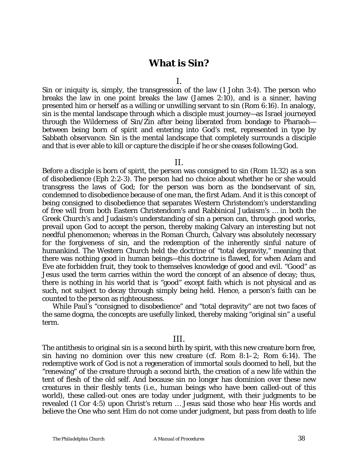## **What is Sin?**

I.

Sin or iniquity is, simply, the transgression of the law (1 John 3:4). The person who breaks the law in one point breaks the law (James 2:10), and is a sinner, having presented him or herself as a willing or unwilling servant to sin (Rom 6:16). In analogy, sin is the mental landscape through which a disciple must journey—as Israel journeyed through the Wilderness of Sin/Zin after being liberated from bondage to Pharaoh between being born of spirit and entering into God's rest, represented in type by Sabbath observance. Sin is the mental landscape that completely surrounds a disciple and that is ever able to kill or capture the disciple if he or she ceases following God.

#### II.

Before a disciple is born of spirit, the person was consigned to sin (Rom 11:32) as a son of disobedience (Eph 2:2-3). The person had no choice about whether he or she would transgress the laws of God; for the person was born as the bondservant of sin, condemned to disobedience because of one man, the first Adam. And it is this concept of being consigned to disobedience that separates Western Christendom's understanding of free will from both Eastern Christendom's and Rabbinical Judaism's … in both the Greek Church's and Judaism's understanding of sin a person can, through good works, prevail upon God to accept the person, thereby making Calvary an interesting but not needful phenomenon; whereas in the Roman Church, Calvary was absolutely necessary for the forgiveness of sin, and the redemption of the inherently sinful nature of humankind. The Western Church held the doctrine of "total depravity," meaning that there was nothing good in human beings—this doctrine is flawed, for when Adam and Eve ate forbidden fruit, they took to themselves knowledge of good and evil. "Good" as Jesus used the term carries within the word the concept of an absence of decay; thus, there is nothing in his world that is "good" except faith which is not physical and as such, not subject to decay through simply being held. Hence, a person's faith can be counted to the person as righteousness.

While Paul's "consigned to disobedience" and "total depravity" are not two faces of the same dogma, the concepts are usefully linked, thereby making "original sin" a useful term.

#### III.

The antithesis to original sin is a second birth by spirit, with this new creature born free, sin having no dominion over this new creature (*cf.* Rom 8:1–2; Rom 6:14). The redemptive work of God is not a regeneration of immortal souls doomed to hell, but the "renewing" of the creature through a second birth, the creation of a new life within the tent of flesh of the old self. And because sin no longer has dominion over these new creatures in their fleshly tents (i.e., human beings who have been called-out of this world), these called-out ones are today under judgment, with their judgments to be revealed (1 Cor 4:5) upon Christ's return … Jesus said those who hear His words and believe the One who sent Him do not come under judgment, but pass from death to life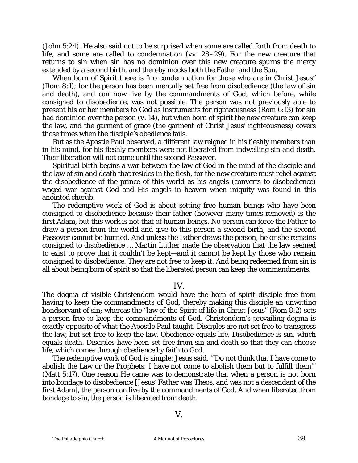(John 5:24). He also said not to be surprised when some are called forth from death to life, and some are called to condemnation (*vv.* 28–29). For the new creature that returns to sin when sin has no dominion over this new creature spurns the mercy extended by a second birth, and thereby mocks both the Father and the Son.

When born of Spirit there is "no condemnation for those who are in Christ Jesus" (Rom 8:1); for the person has been mentally set free from disobedience (the law of sin and death), and can now live by the commandments of God, which before, while consigned to disobedience, was not possible. The person was not previously able to present his or her members to God as instruments for righteousness (Rom 6:13) for sin had dominion over the person (*v.* 14), but when born of spirit the new creature can keep the law, and the garment of grace (the garment of Christ Jesus' righteousness) covers those times when the disciple's obedience fails.

But as the Apostle Paul observed, a different law reigned in his fleshly members than in his mind, for his fleshly members were not liberated from indwelling sin and death. Their liberation will not come until the second Passover.

Spiritual birth begins a war between the law of God in the mind of the disciple and the law of sin and death that resides in the flesh, for the new creature must rebel against the disobedience of the prince of this world as his angels (converts to disobedience) waged war against God and His angels in heaven when iniquity was found in this anointed cherub.

The redemptive work of God is about setting free human beings who have been consigned to disobedience because their father (however many times removed) is the first Adam, but this work is not that of human beings. No person can force the Father to draw a person from the world and give to this person a second birth, and the second Passover cannot be hurried. And unless the Father draws the person, he or she remains consigned to disobedience … Martin Luther made the observation that the law seemed to exist to prove that it couldn't be kept—and it cannot be kept by those who remain consigned to disobedience. They are not free to keep it. And being redeemed from sin is all about being born of spirit so that the liberated person can keep the commandments.

#### IV.

The dogma of visible Christendom would have the born of spirit disciple free from having to keep the commandments of God, thereby making this disciple an unwitting bondservant of sin; whereas the "law of the Spirit of life in Christ Jesus" (Rom 8:2) sets a person free to keep the commandments of God. Christendom's prevailing dogma is exactly opposite of what the Apostle Paul taught. Disciples are not set free to transgress the law, but set free to keep the law. Obedience equals life. Disobedience is sin, which equals death. Disciples have been set free from sin and death so that they can choose life, which comes through obedience by faith to God.

The redemptive work of God is simple: Jesus said, '"Do not think that I have come to abolish the Law or the Prophets; I have not come to abolish them but to fulfill them'" (Matt 5:17). One reason He came was to demonstrate that when a person is not born into bondage to disobedience [Jesus' Father was *Theos*, and was not a descendant of the first Adam], the person can live by the commandments of God. And when liberated from bondage to sin, the person is liberated from death.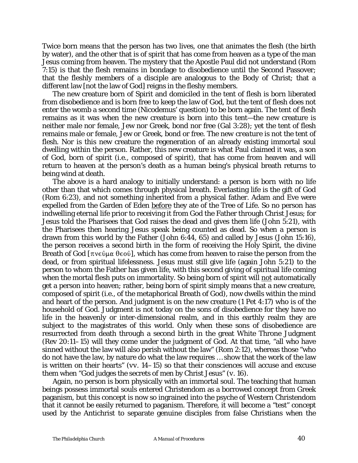Twice born means that the person has two lives, one that animates the flesh (the birth by water), and the other that is of spirit that has come from heaven as a type of the man Jesus coming from heaven. The mystery that the Apostle Paul did not understand (Rom 7:15) is that the flesh remains in bondage to disobedience until the Second Passover; that the fleshly members of a disciple are analogous to the Body of Christ; that a different law [not the law of God] reigns in the fleshy members.

The new creature born of Spirit and domiciled in the tent of flesh is born liberated from disobedience and is born free to keep the law of God, but the tent of flesh does not enter the womb a second time (Nicodemus' question) to be born again. The tent of flesh remains as it was when the new creature is born into this tent—the new creature is neither male nor female, Jew nor Greek, bond nor free (Gal 3:28); yet the tent of flesh remains male or female, Jew or Greek, bond or free. *The new creature is not the tent of flesh.* Nor is this new creature the regeneration of an already existing immortal soul dwelling within the person. Rather, this new creature is what Paul claimed it was, a son of God, born of spirit (i.e., composed of spirit), that has come from heaven and will return to heaven at the person's death as a human being's physical breath returns to being wind at death.

The above is a hard analogy to initially understand: a person is born with no life other than that which comes through physical breath. Everlasting life is the gift of God (Rom 6:23), and not something inherited from a physical father. Adam and Eve were expelled from the Garden of Eden before they ate of the Tree of Life. So no person has indwelling eternal life prior to receiving it from God the Father through Christ Jesus; for Jesus told the Pharisees that God raises the dead and gives them life (John 5:21), with the Pharisees then hearing Jesus speak being counted as dead. So when a person is drawn from this world by the Father (John 6:44, 65) and called by Jesus (John 15:16), the person receives a second birth in the form of receiving the Holy Spirit, the divine Breath of God [ $\pi$ νεῦμα θεοῦ], which has come from heaven to raise the person from the dead, or from spiritual lifelessness. Jesus must still give life (again John 5:21) to the person to whom the Father has given life, with this second giving of spiritual life coming when the mortal flesh puts on immortality. So being born of spirit will not automatically get a person into heaven; rather, being born of spirit simply means that a new creature, composed of spirit (i.e., of the metaphorical Breath of God), now dwells within the mind and heart of the person. And judgment is on the new creature (1 Pet 4:17) who is of the household of God. Judgment is not today on the sons of disobedience for they have no life in the heavenly or inter-dimensional realm, and in this earthly realm they are subject to the magistrates of this world. Only when these sons of disobedience are resurrected from death through a second birth in the great White Throne Judgment (Rev 20:11–15) will they come under the judgment of God. At that time, "all who have sinned without the law will also perish without the law" (Rom 2:12), whereas those "who do not have the law, by nature do what the law requires … show that the work of the law is written on their hearts" (*vv.* 14–15) so that their consciences will accuse and excuse them when "God judges the secrets of men by Christ Jesus" (*v.* 16).

Again, no person is born physically with an immortal soul. The teaching that human beings possess immortal souls entered Christendom as a borrowed concept from Greek paganism, but this concept is now so ingrained into the psyche of Western Christendom that it cannot be easily returned to paganism. Therefore, it will become a "test" concept used by the Antichrist to separate genuine disciples from false Christians when the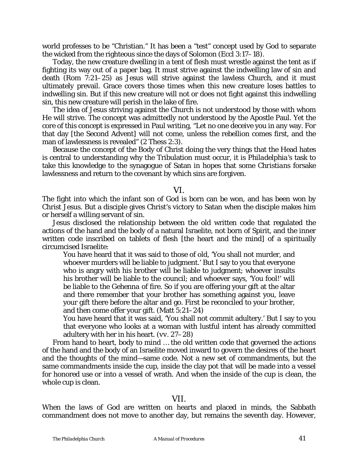world professes to be "Christian." It has been a "test" concept used by God to separate the wicked from the righteous since the days of Solomon (Eccl 3:17–18).

Today, the new creature dwelling in a tent of flesh must wrestle against the tent as if fighting its way out of a paper bag. It must strive against the indwelling law of sin and death (Rom 7:21–25) as Jesus will strive against the lawless Church, and it must ultimately prevail. Grace covers those times when this new creature loses battles to indwelling sin. But if this new creature will not or does not fight against this indwelling sin, this new creature will perish in the lake of fire.

The idea of Jesus striving against the Church is not understood by those with whom He will strive. The concept was admittedly not understood by the Apostle Paul. Yet the core of this concept is expressed in Paul writing, "Let no one deceive you in any way. For that day [the Second Advent] will not come, unless the rebellion comes first, and the man of lawlessness is revealed" (2 Thess 2:3).

Because the concept of the Body of Christ doing the very things that the Head hates is central to understanding why the Tribulation must occur, it is *Philadelphia's* task to take this knowledge to the synagogue of Satan in hopes that some *Christians* forsake lawlessness and return to the covenant by which sins are forgiven.

#### VI.

The fight into which the infant son of God is born can be won, and has been won by Christ Jesus. But a disciple gives Christ's victory to Satan when the disciple makes him or herself a willing servant of sin.

Jesus disclosed the relationship between the old written code that regulated the actions of the hand and the body of a natural Israelite, not born of Spirit, and the inner written code inscribed on tablets of flesh [the heart and the mind] of a spiritually circumcised Israelite:

You have heard that it was said to those of old, 'You shall not murder, and whoever murders will be liable to judgment.' But I say to you that everyone who is angry with his brother will be liable to judgment; whoever insults his brother will be liable to the council; and whoever says, 'You fool!' will be liable to the *Gehenna* of fire. So if you are offering your gift at the altar and there remember that your brother has something against you, leave your gift there before the altar and go. First be reconciled to your brother, and then come offer your gift. (Matt 5:21–24)

You have heard that it was said, 'You shall not commit adultery.' But I say to you that everyone who looks at a woman with lustful intent has already committed adultery with her in his heart. (*vv.* 27–28)

From hand to heart, body to mind … the old written code that governed the actions of the hand and the body of an Israelite moved inward to govern the desires of the heart and the thoughts of the mind—same code. Not a new set of commandments, but the same commandments inside the cup, inside the clay pot that will be made into a vessel for honored use or into a vessel of wrath. And when the inside of the cup is clean, the whole cup is clean.

## VII.

When the laws of God are written on hearts and placed in minds, the Sabbath commandment does not move to another day, but remains the seventh day. However,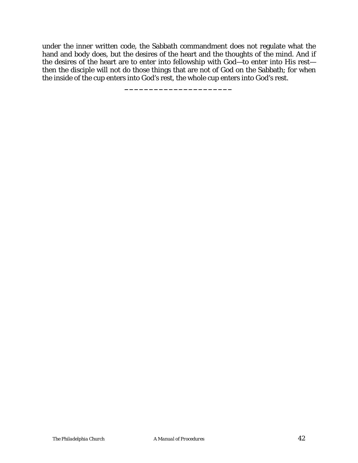under the inner written code, the Sabbath commandment does not regulate what the hand and body does, but the desires of the heart and the thoughts of the mind. And if the desires of the heart are to enter into fellowship with God—to enter into His rest then the disciple will not do those things that are not of God on the Sabbath; for when the inside of the cup enters into God's rest, the whole cup enters into God's rest.

**\_\_\_\_\_\_\_\_\_\_\_\_\_\_\_\_\_\_\_\_\_\_**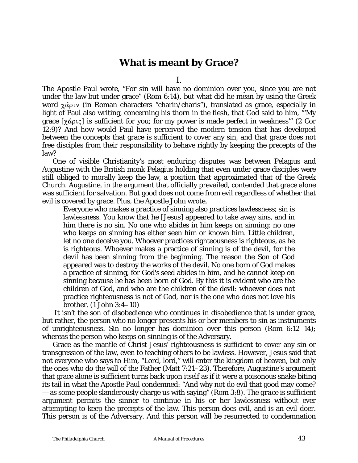# **What is meant by Grace?**

I.

The Apostle Paul wrote, "For sin will have no dominion over you, since you are not under the law but under grace" (Rom 6:14), but what did he mean by using the Greek word  $\chi$ άριν (in Roman characters "charin/charis"), translated as grace, especially in light of Paul also writing, concerning his thorn in the flesh, that God said to him, "'My grace  $[\chi \alpha \rho \psi \varsigma]$  is sufficient for you; for my power is made perfect in weakness" (2 Cor 12:9)? And how would Paul have perceived the modern tension that has developed between the concepts that grace is sufficient to cover any sin, and that grace does not free disciples from their responsibility to behave rightly by keeping the precepts of the law?

One of visible Christianity's most enduring disputes was between Pelagius and Augustine with the British monk Pelagius holding that even under grace disciples were still obliged to morally keep the law, a position that approximated that of the Greek Church. Augustine, in the argument that officially prevailed, contended that grace alone was sufficient for salvation. But good does not come from evil regardless of whether that evil is covered by grace. Plus, the Apostle John wrote,

Everyone who makes a practice of sinning also practices lawlessness; sin is lawlessness. You know that he [Jesus] appeared to take away sins, and in him there is no sin. No one who abides in him keeps on sinning; no one who keeps on sinning has either seen him or known him. Little children, let no one deceive you. Whoever practices righteousness is righteous, as he is righteous. Whoever makes a practice of sinning is of the devil, for the devil has been sinning from the beginning. The reason the Son of God appeared was to destroy the works of the devil. No one born of God makes a practice of sinning, for God's seed abides in him, and he cannot keep on sinning because he has been born of God. By this it is evident who are the children of God, and who are the children of the devil: whoever does not practice righteousness is not of God, nor is the one who does not love his brother. (1 John 3:4–10)

 It isn't the son of disobedience who continues in disobedience that is under grace, but rather, the person who no longer presents his or her members to sin as instruments of unrighteousness. Sin no longer has dominion over this person (Rom 6:12–14); whereas the person who keeps on sinning is of the Adversary.

Grace as the mantle of Christ Jesus' righteousness is sufficient to cover any sin or transgression of the law, even to teaching others to be lawless. However, Jesus said that not everyone who says to Him, "Lord, lord," will enter the kingdom of heaven, but only the ones who do the will of the Father (Matt 7:21–23). Therefore, Augustine's argument that grace alone is sufficient turns back upon itself as if it were a poisonous snake biting its tail in what the Apostle Paul condemned: "And why not do evil that good may come? — as some people slanderously charge us with saying" (Rom 3:8). The *grace is sufficient* argument permits the sinner to continue in his or her lawlessness without ever attempting to keep the precepts of the law. This person does evil, and is an evil-doer. This person is of the Adversary. And this person will be resurrected to condemnation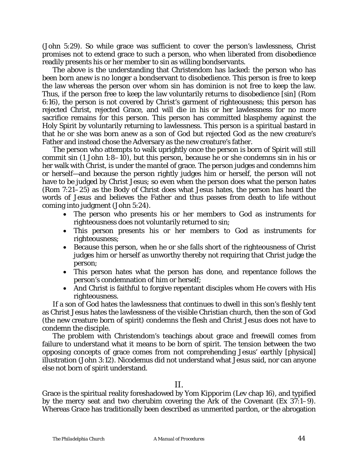(John 5:29). So while grace was sufficient to cover the person's lawlessness, Christ promises not to extend grace to such a person, who when liberated from disobedience readily presents his or her member to sin as willing bondservants.

The above is the understanding that Christendom has lacked: the person who has been born anew is no longer a bondservant to disobedience. This person is free to keep the law whereas the person over whom sin has dominion is not free to keep the law. Thus, if the person free to keep the law voluntarily returns to disobedience [sin] (Rom 6:16), the person is not covered by Christ's garment of righteousness; this person has rejected Christ, rejected Grace, and will die in his or her lawlessness for no more sacrifice remains for this person. This person has committed blasphemy against the Holy Spirit by voluntarily returning to lawlessness. This person is a spiritual bastard in that he or she was born anew as a son of God but rejected God as the new creature's Father and instead chose the Adversary as the new creature's father.

The person who attempts to walk uprightly once the person is born of Spirit will still commit sin (1 John 1:8–10), but this person, because he or she condemns sin in his or her walk with Christ, is under the mantel of grace. The person judges and condemns him or herself—and because the person rightly judges him or herself, the person will not have to be judged by Christ Jesus; so even when the person does what the person hates (Rom 7:21–25) as the Body of Christ does what Jesus hates, the person has heard the words of Jesus and believes the Father and thus passes from death to life without coming into judgment (John 5:24).

- The person who presents his or her members to God as instruments for righteousness does not voluntarily returned to sin;
- This person presents his or her members to God as instruments for righteousness;
- Because this person, when he or she falls short of the righteousness of Christ judges him or herself as unworthy thereby not requiring that Christ judge the person;
- This person hates what the person has done, and repentance follows the person's condemnation of him or herself;
- And Christ is faithful to forgive repentant disciples whom He covers with His righteousness.

If a son of God hates the lawlessness that continues to dwell in this son's fleshly tent as Christ Jesus hates the lawlessness of the visible Christian church, then the son of God (the new creature born of spirit) condemns the flesh and Christ Jesus does not have to condemn the disciple.

The problem with Christendom's teachings about grace and freewill comes from failure to understand what it means to be born of spirit. The tension between the two opposing concepts of grace comes from not comprehending Jesus' earthly [physical] illustration (John 3:12). Nicodemus did not understand what Jesus said, nor can anyone else not born of spirit understand.

### II.

Grace is the spiritual reality foreshadowed by *Yom Kipporim* (Lev chap 16), and typified by the mercy seat and two cherubim covering the Ark of the Covenant (Ex 37:1–9). Whereas Grace has traditionally been described as unmerited pardon, or the abrogation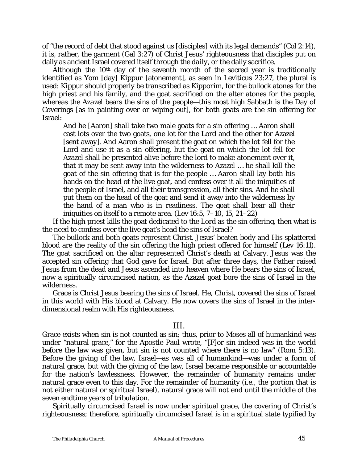of "the record of debt that stood against us [disciples] with its legal demands" (Col 2:14), it is, rather, the garment (Gal 3:27) of Christ Jesus' righteousness that disciples put on daily as ancient Israel covered itself through *the daily*, or the daily sacrifice.

Although the  $10<sup>th</sup>$  day of the seventh month of the sacred year is traditionally identified as *Yom* [day] *Kippur* [atonement], as seen in Leviticus 23:27, the plural is used: *Kippur* should properly be transcribed as *Kipporim*, for the bullock atones for the high priest and his family, and the goat sacrificed on the alter atones for the people, whereas the *Azazel* bears the sins of the people—this most high Sabbath is the Day of Coverings [as in painting over or wiping out], for both goats are the sin offering for Israel:

And he [Aaron] shall take two male goats for a sin offering … Aaron shall cast lots over the two goats, one lot for the Lord and the other for Azazel [sent away]. And Aaron shall present the goat on which the lot fell for the Lord and use it as a sin offering, but the goat on which the lot fell for Azazel shall be presented alive before the lord to make atonement over it, that it may be sent away into the wilderness to Azazel … he shall kill the goat of the sin offering that is for the people … Aaron shall lay both his hands on the head of the live goat, and confess over it all the iniquities of the people of Israel, and all their transgression, all their sins. And he shall put them on the head of the goat and send it away into the wilderness by the hand of a man who is in readiness. The goat shall bear all their iniquities on itself to a remote area. (Lev 16:5, 7–10, 15, 21–22)

If the high priest kills the goat dedicated to the Lord as the sin offering, then what is the need to confess over the live goat's head the sins of Israel?

The bullock and both goats represent Christ. Jesus' beaten body and His splattered blood are the reality of the sin offering the high priest offered for himself (Lev 16:11). The goat sacrificed on the altar represented Christ's death at Calvary. Jesus was the accepted sin offering that God gave for Israel. But after three days, the Father raised Jesus from the dead and Jesus ascended into heaven where He bears the sins of Israel, now a spiritually circumcised nation, as the Azazel goat bore the sins of Israel in the wilderness.

Grace is Christ Jesus bearing the sins of Israel. He, Christ, covered the sins of Israel in this world with His blood at Calvary. He now covers the sins of Israel in the interdimensional realm with His righteousness.

### III.

Grace exists when sin is not counted as sin; thus, prior to Moses all of humankind was under "natural grace," for the Apostle Paul wrote, "[F]or sin indeed was in the world before the law was given, but sin is not counted where there is no law" (Rom 5:13). Before the giving of the law, Israel—as was all of humankind—was under a form of natural grace, but with the giving of the law, Israel became responsible or accountable for the nation's lawlessness. However, the remainder of humanity remains under natural grace even to this day. For the remainder of humanity (i.e., the portion that is not either natural or spiritual Israel), natural grace will not end until the middle of the seven endtime years of tribulation.

Spiritually circumcised Israel is now under spiritual grace, the covering of Christ's righteousness; therefore, spiritually circumcised Israel is in a spiritual state typified by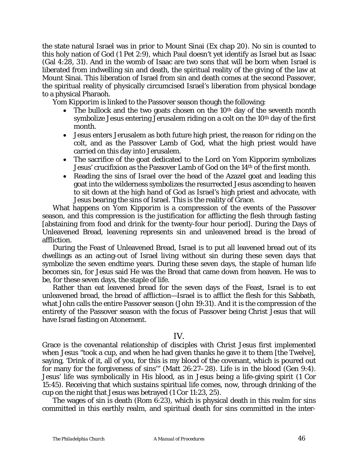the state natural Israel was in prior to Mount Sinai (Ex chap 20). No sin is counted to this holy nation of God (1 Pet 2:9), which Paul doesn't yet identify as Israel but as Isaac (Gal 4:28, 31). And in the womb of Isaac are two sons that will be born when Israel is liberated from indwelling sin and death, the spiritual reality of the giving of the law at Mount Sinai. This liberation of Israel from sin and death comes at the second Passover, the spiritual reality of physically circumcised Israel's liberation from physical bondage to a physical Pharaoh.

*Yom Kipporim* is linked to the Passover season though the following:

- The bullock and the two goats chosen on the  $10<sup>th</sup>$  day of the seventh month symbolize Jesus entering Jerusalem riding on a colt on the 10<sup>th</sup> day of the first month.
- Jesus enters Jerusalem as both future high priest, the reason for riding on the colt, and as the Passover Lamb of God, what the high priest would have carried on this day into Jerusalem.
- The sacrifice of the goat dedicated to the Lord on *Yom Kipporim* symbolizes Jesus' crucifixion as the Passover Lamb of God on the 14th of the first month.
- Reading the sins of Israel over the head of the Azazel goat and leading this goat into the wilderness symbolizes the resurrected Jesus ascending to heaven to sit down at the high hand of God as Israel's high priest and advocate, with Jesus bearing the sins of Israel. This is the reality of Grace.

What happens on *Yom Kipporim* is a compression of the events of the Passover season, and this compression is the justification for afflicting the flesh through fasting [abstaining from food and drink for the twenty-four hour period]. During the Days of Unleavened Bread, leavening represents sin and unleavened bread is the bread of affliction.

During the Feast of Unleavened Bread, Israel is to put all leavened bread out of its dwellings as an acting-out of Israel living without sin during these seven days that symbolize the seven endtime years. During these seven days, the staple of human life becomes sin, for Jesus said He was the Bread that came down from heaven. He was to be, for these seven days, the staple of life.

Rather than eat leavened bread for the seven days of the Feast, Israel is to eat unleavened bread, the bread of affliction—Israel is to afflict the flesh for this Sabbath, what John calls the entire Passover season (John 19:31). And it is the compression of the entirety of the Passover season with the focus of Passover being Christ Jesus that will have Israel fasting on Atonement.

### IV.

Grace is the covenantal relationship of disciples with Christ Jesus first implemented when Jesus "took a cup, and when he had given thanks he gave it to them [the Twelve], saying, 'Drink of it, all of you, for this is my blood of the covenant, which is poured out for many for the forgiveness of sins'" (Matt 26:27–28). Life is in the blood (Gen 9:4). Jesus' life was symbolically in His blood, as in Jesus being a life-giving spirit (1 Cor 15:45). Receiving that which sustains spiritual life comes, now, through drinking of the cup on the night that Jesus was betrayed (1 Cor 11:23, 25).

The wages of sin is death (Rom 6:23), which is physical death in this realm for sins committed in this earthly realm, and spiritual death for sins committed in the inter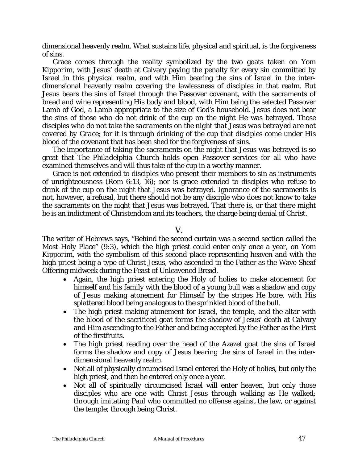dimensional heavenly realm. What sustains life, physical and spiritual, is the forgiveness of sins.

Grace comes through the reality symbolized by the two goats taken on *Yom Kipporim*, with Jesus' death at Calvary paying the penalty for every sin committed by Israel in this physical realm, and with Him bearing the sins of Israel in the interdimensional heavenly realm covering the lawlessness of disciples in that realm. But Jesus bears the sins of Israel through the Passover covenant, with the sacraments of bread and wine representing His body and blood, with Him being the selected Passover Lamb of God, a Lamb appropriate to the size of God's household. Jesus does not bear the sins of those who do not drink of the cup on the night He was betrayed. *Those disciples who do not take the sacraments on the night that Jesus was betrayed are not covered by Grace*; for it is through drinking of the cup that disciples come under His blood of the covenant that has been shed for the forgiveness of sins.

The importance of taking the sacraments on the night that Jesus was betrayed is so great that *The Philadelphia Church* holds open Passover services for all who have examined themselves and will thus take of the cup in a worthy manner.

Grace is not extended to disciples who present their members to sin as instruments of unrighteousness (Rom 6:13, 16); nor is grace extended to disciples who refuse to drink of the cup on the night that Jesus was betrayed. Ignorance of the sacraments is not, however, a refusal, but there should not be any disciple who does not know to take the sacraments on the night that Jesus was betrayed. That there is, or that there might be is an indictment of Christendom and its teachers, the charge being denial of Christ.

V.

The writer of Hebrews says, "Behind the second curtain was a second section called the Most Holy Place" (9:3), which the high priest could enter only once a year, on *Yom Kipporim*, with the symbolism of this second place representing heaven and with the high priest being a type of Christ Jesus, who ascended to the Father as the Wave Sheaf Offering midweek during the Feast of Unleavened Bread.

- Again, the high priest entering the Holy of holies to make atonement for himself and his family with the blood of a young bull was a shadow and copy of Jesus making atonement for Himself by the stripes He bore, with His splattered blood being analogous to the sprinkled blood of the bull.
- The high priest making atonement for Israel, the temple, and the altar with the blood of the sacrificed goat forms the shadow of Jesus' death at Calvary and Him ascending to the Father and being accepted by the Father as the First of the firstfruits.
- The high priest reading over the head of the Azazel goat the sins of Israel forms the shadow and copy of Jesus bearing the sins of Israel in the interdimensional heavenly realm.
- Not all of physically circumcised Israel entered the Holy of holies, but only the high priest, and then he entered only once a year.
- Not all of spiritually circumcised Israel will enter heaven, but only those disciples who are one with Christ Jesus through walking as He walked; through imitating Paul who committed no offense against the law, or against the temple; through being *Christ*.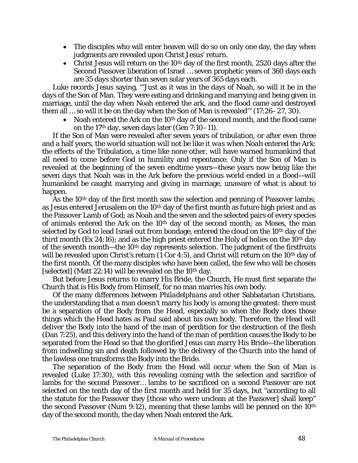- The disciples who will enter heaven will do so on only one day, the day when judgments are revealed upon Christ Jesus' return.
- Christ Jesus will return on the  $10<sup>th</sup>$  day of the first month, 2520 days after the Second Passover liberation of Israel … seven prophetic years of 360 days each are 35 days shorter than seven solar years of 365 days each.

Luke records Jesus saying, "'Just as it was in the days of Noah, so will it be in the days of the Son of Man. They were eating and drinking and marrying and being given in marriage, until the day when Noah entered the ark, and the flood came and destroyed them all … so will it be on the day when the Son of Man is revealed'" (17:26–27, 30).

• Noah entered the Ark on the 10<sup>th</sup> day of the second month, and the flood came on the 17th day, seven days later (Gen 7:10–11).

If the Son of Man were revealed after seven years of tribulation, or after even three and a half years, *the world situation will not be like it was when Noah entered the Ark*: the effects of the Tribulation, a time like none other, will have warned humankind that all need to come before God in humility and repentance. Only if the Son of Man is revealed at the beginning of the seven endtime years—these years now being like the seven days that Noah was in the Ark before the previous world ended in a flood—will humankind be caught marrying and giving in marriage, unaware of what is about to happen.

As the 10<sup>th</sup> day of the first month saw the selection and penning of Passover lambs; as Jesus entered Jerusalem on the 10<sup>th</sup> day of the first month as future high priest and as the Passover Lamb of God; as Noah and the seven and the selected pairs of every species of animals entered the Ark on the 10<sup>th</sup> day of the second month; as Moses, the man selected by God to lead Israel out from bondage, entered the cloud on the 10<sup>th</sup> day of the third month (Ex 24:16); and as the high priest entered the Holy of holies on the 10<sup>th</sup> day of the seventh month—the 10th day represents selection. The judgment of the firstfruits will be revealed upon Christ's return (1 Cor 4:5), and Christ will return on the 10<sup>th</sup> day of the first month. Of the many disciples who have been called, the few who will be chosen [selected] (Matt  $22:14$ ) will be revealed on the  $10<sup>th</sup>$  day.

But before Jesus returns to marry His Bride, the Church, He must first separate the Church that is His Body from Himself, for no man marries his own body.

Of the many differences between *Philadelphians* and other Sabbatarian Christians, the understanding that a man doesn't marry his body is among the greatest: there must be a separation of the Body from the Head, especially so when the Body does those things which the Head hates as Paul said about his own body. Therefore, the Head will deliver the Body into the hand of the man of perdition for the destruction of the flesh (Dan 7:25), and this delivery into the hand of the man of perdition causes the Body to be separated from the Head so that the glorified Jesus can marry His Bride—the liberation from indwelling sin and death followed by the delivery of the Church into the hand of the lawless one transforms the Body into the Bride.

The separation of the Body from the Head will occur when the Son of Man is revealed (Luke 17:30), with this revealing coming with the selection and sacrifice of lambs for the second Passover… lambs to be sacrificed on a second Passover are not selected on the tenth day of the first month and held for 35 days, but "according to all the statute for the Passover they [those who were unclean at the Passover] shall keep" the second Passover (Num 9:12), meaning that these lambs will be penned on the  $10<sup>th</sup>$ day of the second month, the day when Noah entered the Ark.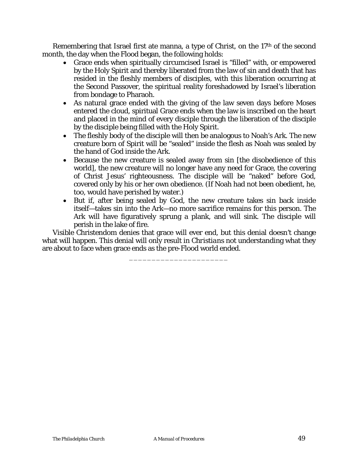Remembering that Israel first ate manna, a type of Christ, on the 17<sup>th</sup> of the second month, the day when the Flood began, the following holds:

- Grace ends when spiritually circumcised Israel is "filled" with, or empowered by the Holy Spirit and thereby liberated from the law of sin and death that has resided in the fleshly members of disciples, with this liberation occurring at the Second Passover, the spiritual reality foreshadowed by Israel's liberation from bondage to Pharaoh.
- As natural grace ended with the giving of the law seven days before Moses entered the cloud, spiritual Grace ends when the law is inscribed on the heart and placed in the mind of every disciple through the liberation of the disciple by the disciple being filled with the Holy Spirit.
- The fleshly body of the disciple will then be analogous to Noah's Ark. The new creature born of Spirit will be "sealed" inside the flesh as Noah was sealed by the hand of God inside the Ark.
- Because the new creature is sealed away from sin [the disobedience of this world], the new creature will no longer have any need for Grace, the covering of Christ Jesus' righteousness. The disciple will be "naked" before God, covered only by his or her own obedience. (If Noah had not been obedient, he, too, would have perished by water.)
- But if, after being sealed by God, the new creature takes sin back inside itself—takes sin into the Ark—no more sacrifice remains for this person. The Ark will have figuratively sprung a plank, and will sink. The disciple will perish in the lake of fire.

Visible Christendom denies that grace will ever end, but this denial doesn't change what will happen. This denial will only result in *Christians* not understanding what they are about to face when grace ends as the pre-Flood world ended.

\_\_\_\_\_\_\_\_\_\_\_\_\_\_\_\_\_\_\_\_\_\_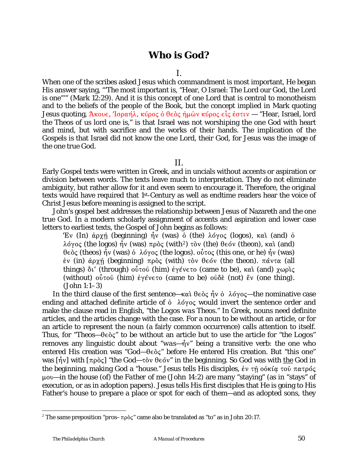# **Who is God?**

#### I.

When one of the scribes asked Jesus which commandment is most important, He began His answer saying, "'The most important is, "Hear, O Israel: The Lord our God, the Lord is one"'" (Mark 12:29). And it is this concept of one Lord that is central to monotheism and to the beliefs of *the people of the Book*, but the concept implied in Mark quoting Jesus quoting, Άκουε, Ίσραήλ, κύρος ο θεὸς ημῶν κύρος εἶς ἐστιν — "Hear, Israel, lord the Theos of us lord one is," is that Israel was not worshiping the one God with heart and mind, but with sacrifice and the works of their hands. The implication of the Gospels is that Israel did not know the one Lord, their God, for Jesus was the image of the one true God.

### II.

Early Gospel texts were written in Greek, and in uncials without accents or aspiration or division between words. The texts leave much to interpretation. They do not eliminate ambiguity, but rather allow for it and even seem to encourage it. Therefore, the original texts would have required that 1st-Century as well as endtime readers hear the voice of Christ Jesus before meaning is assigned to the script.

John's gospel best addresses the relationship between Jesus of Nazareth and the one true God. In a modern scholarly assignment of accents and aspiration and lower case letters to earliest texts, the Gospel of John begins as follows:

Eν (In) άρχη (beginning) ήν (was) ὁ (the) λόγος (logos), καὶ (and) ὁ  $\lambda$ όγος (the logos)  $\bar{\hat{\eta}}$ ν (was) πρὸς (with<sup>[2](#page-49-0)</sup>) τὸν (the) θεόν (theon), καὶ (and)  $\theta \in \partial \zeta$  (theos) ήν (was) ὁ λόγος (the logos).  $\omega \in \mathcal{C}$  (this one, or he) ήν (was)  $\dot{\epsilon}$ ν (in) άργή (beginning) πρὸς (with) τὸν θεόν (the theon). πάντα (all things) δι' (through) οὖτοῦ (him) ἐγένετο (came to be), καὶ (and) χωρὶς (without)  $\omega$ <sub>v</sub><sup>0</sup> (him)  $\dot{\varepsilon}$  $\gamma \dot{\varepsilon}$ v $\epsilon$ v $\sigma$  (came to be)  $\omega \delta \dot{\varepsilon}$  (not)  $\ddot{\varepsilon}$  (one thing). (John 1:1–3)

In the third clause of the first sentence— $\kappa \alpha$   $\beta \in \alpha$   $\beta$   $\alpha$   $\beta$   $\gamma$   $\gamma$   $\gamma$   $\gamma$  as a be nominative case ending and attached definite article of  $\dot{\theta}$   $\lambda \dot{\theta}$  would invert the sentence order and make the clause read in English, "*the Logos was Theos*." In Greek, nouns need definite articles, and the articles change with the case. For a noun to be without an article, or for an article to represent the noun (a fairly common occurrence) calls attention to itself. Thus, for "*Theos*—θεὸς" to be without an article but to use the article for "*the Logos*" removes any linguistic doubt about " $was-\hat{\eta}v$ " being a transitive verb: the one who entered His creation was "God- $\theta \in \partial \zeta$ " before He entered His creation. But "this one" was  $[\hat{\eta}v]$  with  $[\pi \rho \delta \zeta]$  "the God— $\tau \delta v$   $\theta \in \delta v$ " in the beginning. So *God* was with *the God* in the beginning, making *God* a "house." Jesus tells His disciples, έν τη οόκία του πατρός :@L—*in the house (of) the Father of me* (John 14:2) are many "staying" (as in "stays" of execution, or as in adoption papers). Jesus tells His first disciples that He is going to His Father's house to prepare a place or spot for each of them—and as adopted sons, they

1

<span id="page-49-0"></span><sup>&</sup>lt;sup>2</sup> The same preposition " $prox$ - $\pi \rho \delta \zeta$ " came also be translated as "to" as in John 20:17.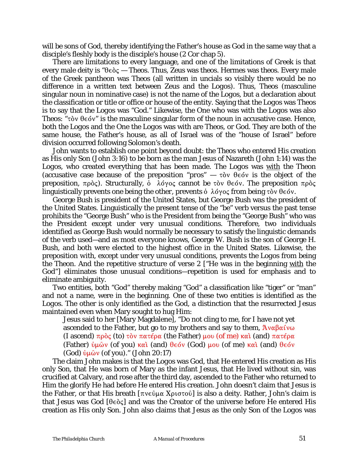will be *sons of God*, thereby identifying the Father's house as *God* in the same way that a disciple's fleshly body is the disciple's house (2 Cor chap 5).

There are limitations to every language, and one of the limitations of Greek is that every male deity is " $\theta \epsilon \delta \zeta$  — *Theos.* Thus, Zeus was *theos.* Hermes was *theos.* Every male of the Greek pantheon was *Theos* (all written in uncials so visibly there would be no difference in a written text between Zeus and *the Logos*). Thus, *Theos* (masculine singular noun in nominative case) is not the name of *the Logos*, but a declaration about the classification or title or office or house of the entity. Saying that *the Logos* was *Theos* is to say that *the Logos* was "God." Likewise, the One who was with *the Logos* was also *Theos*: "τὸν θεόν" is the masculine singular form of the noun in accusative case. Hence, both *the Logos* and the One *the Logos* was with are *Theos*, or *God*. They are both of the same house, the Father's house, as all of Israel was of the "house of Israel" before division occurred following Solomon's death.

John wants to establish one point beyond doubt: *the Theos* who entered His creation as His only Son (John 3:16) to be born as the man Jesus of Nazareth (John 1:14) was *the Logos*, who created everything that has been made. *The Logos* was with *the Theon*  (accusative case because of the preposition " $prox$ "  $\tau \delta v$   $\theta \epsilon \delta v$  is the object of the preposition,  $\pi \rho \delta \zeta$ ). Structurally,  $\dot{\delta}$   $\lambda \dot{\sigma} \gamma \delta \zeta$  cannot be  $\tau \dot{\delta} \nu$  de  $\dot{\delta} \nu$ . The preposition  $\pi \rho \dot{\delta} \zeta$ linguistically prevents *one* being the *other*, prevents ὁ λόγος from being τὸν θεόν.

George Bush is president of the United States, but George Bush was the president of the United States. Linguistically the present tense of the "be" verb versus the past tense prohibits the "George Bush" who is the President from being the "George Bush" who was the President except under very unusual conditions. Therefore, two individuals identified as George Bush would normally be necessary to satisfy the linguistic demands of the verb used—and as most everyone knows, George W. Bush is the son of George H. Bush, and both were elected to the highest office in the United States. Likewise, the preposition *with*, except under very unusual conditions, prevents *the Logos* from being *the Theon*. And the repetitive structure of verse 2 ["He was in the beginning with the God"] eliminates those unusual conditions—repetition is used for emphasis and to eliminate ambiguity.

Two entities, both "God" thereby making "God" a classification like "tiger" or "man" and not a name, were in the beginning. One of these two entities is identified as *the Logos*. The other is only identified as *the God*, a distinction that the resurrected Jesus maintained even when Mary sought to hug Him:

Jesus said to her [Mary Magdalene], "Do not cling to me, for I have not yet ascended to the Father, but go to my brothers and say to them,  $A v_{\alpha} \beta \alpha i v_{\alpha}$ (I ascend)  $\pi \rho \delta \zeta$  (to)  $\tau \delta \nu \pi \alpha \tau \epsilon \rho \alpha$  (the Father)  $\mu \sigma \omega$  (of me)  $\kappa \alpha \tau \alpha$  (and)  $\pi \alpha \tau \epsilon \rho \alpha$ (Father)  $\psi \mu \hat{\omega} v$  (of you)  $\kappa \alpha \hat{\imath}$  (and)  $\theta \epsilon \delta v$  (God)  $\mu \nu$  (of me)  $\kappa \alpha \hat{\imath}$  (and)  $\theta \epsilon \delta v$ (God)  $\dot{v} \mu \hat{\omega} v$  (of you)." (John 20:17)

The claim John makes is that *the Logos* was God, that He entered His creation as His only Son, that He was born of Mary as the infant Jesus, that He lived without sin, was crucified at Calvary, and rose after the third day, ascended to the Father who returned to Him the glorify He had before He entered His creation. John doesn't claim that Jesus is the Father, or that His breath  $[\pi v \in \hat{\mathfrak{g}}]$  also a deity. Rather, John's claim is that Jesus was God  $[\theta \in \partial \zeta]$  and was the Creator of the universe before He entered His creation as His only Son. John also claims that Jesus as the only Son of *the Logos* was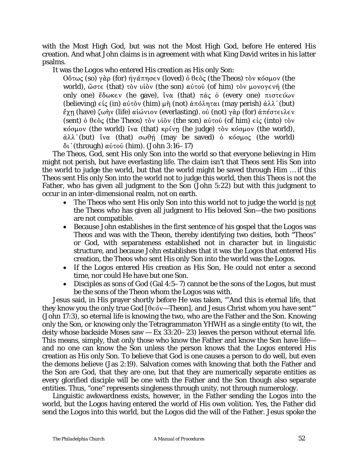with the Most High God, but was not the Most High God, before He entered His creation. And what John claims is in agreement with what King David writes in his latter psalms.

It was *the Logos* who entered His creation as His only Son:

 $\partial$ ότως (so) γάρ (for) ήγάπησεν (loved) ό θεὸς (the Theos) τὸν κόσμον (the world), ώστε (that) τὸν υἱὸν (the son) αὐτοῦ (of him) τὸν μονογενῆ (the only one) έδωκεν (he gave), ΐνα (that) π $\hat{\alpha}$ ς ὁ (every one) πιστεύων (believing)  $\epsilon i \zeta$  (in)  $\alpha \dot{\nu} \tau \delta \nu$  (him)  $\mu \dot{\eta}$  (not)  $\dot{\alpha} \pi \delta \lambda \eta \tau \alpha \iota$  (may perish)  $\dot{\alpha} \lambda \lambda$ '(but)  $\ell_{\chi}$ η (have) ζωὴν (life) αἰώνιον (everlasting). οὐ (not) γὰρ (for) ἀπέστειλεν (sent)  $\dot{\phi}$   $\theta \in \dot{\phi}$  (the Theos)  $\dot{\tau} \dot{\phi}$  v  $\dot{\phi}$  (the son)  $\alpha \dot{\phi}$  (of him)  $\epsilon \dot{\phi}$  (into)  $\dot{\tau} \dot{\phi}$  v  $\kappa$ όσμον (the world) ΐνα (that) κρίνη (he judge) τὸν κόσμον (the world),  $\dot{\alpha}\lambda\lambda$ '(but) ïva (that)  $\sigma\omega\theta\hat{\eta}$  (may be saved)  $\dot{\alpha}$  rosolog (the world)  $δι' (through) αύτού (him). (John 3:16–17)$ 

The *Theos*, God, sent His only Son into the world so that everyone believing in Him might not perish, but have everlasting life. The claim isn't that *Theos* sent His Son into the world to judge the world, but that the world might be saved through Him … if this *Theos* sent His only Son into the world not to judge this world, then this *Theos* is not the Father, who has given all judgment to the Son (John 5:22) but with this judgment to occur in an inter-dimensional realm, not on earth.

- The *Theos* who sent His only Son into this world not to judge the world is not the *Theos* who has given all judgment to His beloved Son—the two positions are not compatible.
- Because John establishes in the first sentence of his gospel that *the Logos* was *Theos* and was with *the Theon*, thereby identifying two deities, both "*Theos*" or God, with separateness established not in character but in linguistic structure, and because John establishes that it was *the Logos* that entered His creation, *the Theos* who sent His only Son into the world was *the Logos.*
- If *the Logos* entered His creation as His Son, He could not enter a second time, nor could He have but one Son.
- Disciples as sons of God (Gal 4:5–7) cannot be the sons of *the Logos*, but must be the sons of *the Theon* whom *the Logos* was with.

Jesus said, in His prayer shortly before He was taken, "'And this is eternal life, that they know you the only true God  $[\theta \in \phi \vee - Theon]$ , and Jesus Christ whom you have sent" (John 17:3), so eternal life is knowing the two, who are the Father and the Son. Knowing only the Son, or knowing only the Tetragrammaton *YHWH* as a single entity (to wit, the deity whose backside Moses saw  $-$  Ex 33:20–23) leaves the person without eternal life. This means, simply, that only those who know the Father and know the Son have life and no one can know the Son unless the person knows that *the Logos* entered His creation as His only Son. To believe that God is one causes a person to do well, but even the demons believe (Jas 2:19). Salvation comes with knowing that both the Father and the Son are God, that they are one, but that they are numerically separate entities as every glorified disciple will be one with the Father and the Son though also separate entities. Thus, "one" represents singleness through unity, not through numerology.

Linguistic awkwardness exists, however, in the Father sending *the Logos* into the world, but *the* Logos having entered the world of His own volition. Yes, the Father did send *the Logos* into this world, but *the Logos* did the will of the Father. Jesus spoke the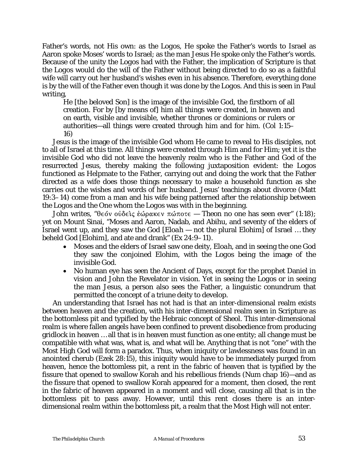Father's words, not His own: as *the Logos*, He spoke the Father's words to Israel as Aaron spoke Moses' words to Israel; as the man Jesus He spoke only the Father's words. Because of the unity *the Logos* had with the Father, the implication of Scripture is that *the Logos* would do the will of the Father without being directed to do so as a faithful wife will carry out her husband's wishes even in his absence. Therefore, everything done is by the will of the Father even though it was done by *the Logos*. And this is seen in Paul writing,

He [the beloved Son] is the image of the invisible God, the firstborn of all creation. For by [by means of] him all things were created, in heaven and on earth, visible and invisible, whether thrones or dominions or rulers or authorities—all things were created through him and for him. (Col 1:15– 16)

Jesus is the image of the invisible God whom He came to reveal to His disciples, not to all of Israel at this time. All things were created through Him and for Him; yet it is the invisible God who did not leave the heavenly realm who is the Father and God of the resurrected Jesus, thereby making the following juxtaposition evident: *the Logos* functioned as Helpmate to the Father, carrying out and doing the work that the Father directed as a wife does those things necessary to make a household function as she carries out the wishes and words of her husband. Jesus' teachings about divorce (Matt 19:3–14) come from a man and his wife being patterned after the relationship between *the Logos* and the One whom *the Logos* was with in the beginning.

John writes, "θεόν οὐδεὶς ἑώρακεν πώποτε — *Theon* no one has seen ever" (1:18); yet on Mount Sinai, "Moses and Aaron, Nadab, and Abihu, and seventy of the elders of Israel went up, and they saw the God [*Eloah* — not the plural *Elohim*] of Israel … they beheld God [*Elohim*], and ate and drank" (Ex 24:9–11).

- Moses and the elders of Israel saw one deity, *Eloah*, and in seeing the one God they saw the conjoined *Elohim*, with *the Logos* being the image of the invisible God.
- No human eye has seen the Ancient of Days, except for the prophet Daniel in vision and John the Revelator in vision. Yet in seeing *the Logos* or in seeing the man Jesus, a person also sees the Father, a linguistic conundrum that permitted the concept of a triune deity to develop.

An understanding that Israel has not had is that an inter-dimensional realm exists between heaven and the creation, with his inter-dimensional realm seen in Scripture as the bottomless pit and typified by the Hebraic concept of *Sheol*. This inter-dimensional realm is where fallen angels have been confined to prevent disobedience from producing gridlock in heaven … all that is in heaven must function as one entity; all change must be compatible with what was, what is, and what will be. Anything that is not "one" with the Most High God will form a paradox. Thus, when iniquity or lawlessness was found in an anointed cherub (Ezek 28:15), this iniquity would have to be immediately purged from heaven, hence the bottomless pit, a rent in the fabric of heaven that is typified by the fissure that opened to swallow Korah and his rebellious friends (Num chap 16)—and as the fissure that opened to swallow Korah appeared for a moment, then closed, the rent in the fabric of heaven appeared in a moment and will close, causing all that is in the bottomless pit to pass away. However, until this rent closes there is an interdimensional realm within the bottomless pit, a realm that the Most High will not enter.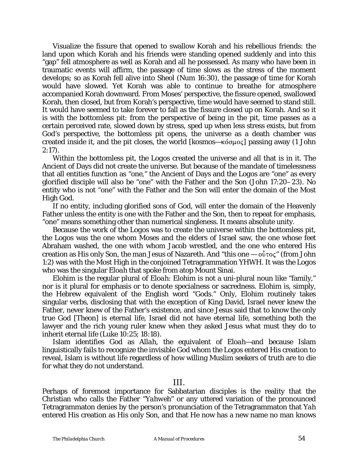Visualize the fissure that opened to swallow Korah and his rebellious friends: the land upon which Korah and his friends were standing opened suddenly and into this "gap" fell atmosphere as well as Korah and all he possessed. As many who have been in traumatic events will affirm, the passage of time slows as the stress of the moment develops; so as Korah fell alive into Sheol (Num 16:30), the passage of time for Korah would have slowed. Yet Korah was able to continue to breathe for atmosphere accompanied Korah downward. From Moses' perspective, the fissure opened, swallowed Korah, then closed, but from Korah's perspective, time would have seemed to stand still. It would have seemed to take forever to fall as the fissure closed up on Korah. And so it is with the bottomless pit: from the perspective of being in the pit, time passes as a certain perceived rate, slowed down by stress, sped up when less stress exists, but from God's perspective, the bottomless pit opens, the universe as a death chamber was created inside it, and the pit closes, the world  $[kosmos - \kappa 6\sigma \mu o \varsigma]$  passing away (1 John 2:17).

Within the bottomless pit, *the Logos* created the universe and all that is in it. The Ancient of Days did not create the universe. But because of the mandate of timelessness that all entities function as "one," the Ancient of Days and *the Logos* are "one" as every glorified disciple will also be "one" with the Father and the Son (John 17:20–23). No entity who is not "one" with the Father and the Son will enter the domain of the Most High God.

If no entity, including glorified sons of God, will enter the domain of the Heavenly Father unless the entity is one with the Father and the Son, then to repeat for emphasis, "one" means something other than numerical singleness. It means absolute unity.

Because the work of *the Logos* was to create the universe within the bottomless pit, *the Logos* was the one whom Moses and the elders of Israel saw, the one whose feet Abraham washed, the one with whom Jacob wrestled, and the one who entered His creation as His only Son, the man Jesus of Nazareth. And "this one  $-\sigma\tilde{\nu}\tau\sigma\zeta$ " (from John 1:2) was with the Most High in the conjoined Tetragrammation *YHWH*. It was *the Logos* who was the singular *Eloah* that spoke from atop Mount Sinai.

*Elohim* is the regular plural of *Eloah*: *Elohim* is not a uni-plural noun like "family," nor is it plural for emphasis or to denote specialness or sacredness. *Elohim* is, simply, the Hebrew equivalent of the English word "Gods." Only, *Elohim* routinely takes singular verbs, disclosing that with the exception of King David, Israel never knew the Father, never knew of the Father's existence, and since Jesus said that to know the only true God [*Theon*] is eternal life, Israel did not have eternal life, something both the lawyer and the rich young ruler knew when they asked Jesus what must they do to inherit eternal life (Luke 10:25; 18:18).

Islam identifies God as *Allah*, the equivalent of *Eloah*—and because Islam linguistically fails to recognize the invisible God whom *the Logos* entered His creation to reveal, Islam is without life regardless of how willing Muslim seekers of truth are to die for what they do not understand.

### III.

Perhaps of foremost importance for Sabbatarian disciples is the reality that the Christian who calls the Father "*Yahweh*" or any uttered variation of the pronounced Tetragrammaton denies by the person's pronunciation of the Tetragrammaton that *Yah* entered His creation as His only Son, and that He now has a new name no man knows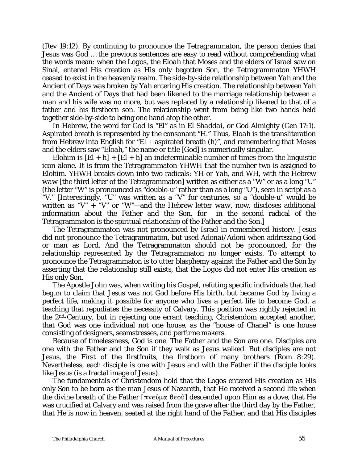(Rev 19:12). By continuing to pronounce the Tetragrammaton, the person denies that Jesus was God … the previous sentences are easy to read without comprehending what the words mean: when *the Logos*, the *Eloah* that Moses and the elders of Israel saw on Sinai, entered His creation as His only begotten Son, the Tetragrammaton *YHWH* ceased to exist in the heavenly realm. The side-by-side relationship between *Yah* and the Ancient of Days was broken by *Yah* entering His creation. The relationship between *Yah*  and the Ancient of Days that had been likened to the marriage relationship between a man and his wife was no more, but was replaced by a relationship likened to that of a father and his firstborn son. The relationship went from being like two hands held together side-by-side to being one hand atop the other.

In Hebrew, the word for God is "*El*" as in *El Shaddai*, or God Almighty (Gen 17:1). Aspirated breath is represented by the consonant "H." Thus, *Eloah* is the transliteration from Hebrew into English for "*El* + aspirated breath (*h*)", and remembering that Moses and the elders saw "*Eloah*," the name or title [God] is numerically singular.

*Elohim* is  $[E] + h] + [EI + h]$  an indeterminable number of times from the linguistic icon alone. It is from the Tetragrammaton *YHWH* that the number two is assigned to *Elohim*. *YHWH* breaks down into two radicals: *YH* or *Yah*, and *WH*, with the Hebrew *waw* [the third letter of the Tetragrammaton] written as either as a "W" or as a long "U" (the letter "W" is pronounced as "double-u" rather than as a long "U"), seen in script as a "V." [Interestingly, "U" was written as a "V" for centuries, so a "double-u" would be written as "V"  $+$  "V" or "W"—and the Hebrew letter *waw*, now, discloses additional information about the Father and the Son, for in the second radical of the Tetragrammaton is the spiritual relationship of the Father and the Son.]

The Tetragrammaton was not pronounced by Israel in remembered history. Jesus did not pronounce the Tetragrammaton, but used *Adonai/Adoni* when addressing God or man as Lord. And the Tetragrammaton should not be pronounced, for the relationship represented by the Tetragrammaton no longer exists. To attempt to pronounce the Tetragrammaton is to utter blasphemy against the Father and the Son by asserting that the relationship still exists, that *the Logos* did not enter His creation as His only Son.

The Apostle John was, when writing his Gospel, refuting specific individuals that had begun to claim that Jesus was not God before His birth, but became God by living a perfect life, making it possible for anyone who lives a perfect life to become God, a teaching that repudiates the necessity of Calvary. This position was rightly rejected in the 2nd-Century, but in rejecting one errant teaching, Christendom accepted another, that God was one individual not one house, as the "house of Chanel" is one house consisting of designers, seamstresses, and perfume makers.

Because of timelessness, God is one. The Father and the Son are one. Disciples are one with the Father and the Son if they walk as Jesus walked. But disciples are not Jesus, the First of the firstfruits, the firstborn of many brothers (Rom 8:29). Nevertheless, each disciple is one with Jesus and with the Father if the disciple looks like Jesus (is a fractal image of Jesus).

The fundamentals of Christendom hold that *the Logos* entered His creation as His only Son to be born as the man Jesus of Nazareth, that He received a second life when the divine breath of the Father  $[\pi v \in \mathfrak{g} \times \mathfrak{g}]$  descended upon Him as a dove, that He was crucified at Calvary and was raised from the grave after the third day by the Father, that He is now in heaven, seated at the right hand of the Father, and that His disciples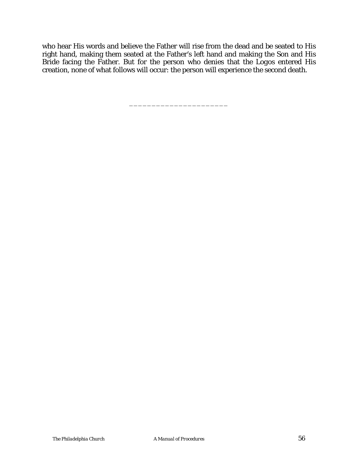who hear His words and believe the Father will rise from the dead and be seated to His right hand, making them seated at the Father's left hand and making the Son and His Bride facing the Father. But for the person who denies that *the Logos* entered His creation, none of what follows will occur: the person will experience the second death.

\_\_\_\_\_\_\_\_\_\_\_\_\_\_\_\_\_\_\_\_\_\_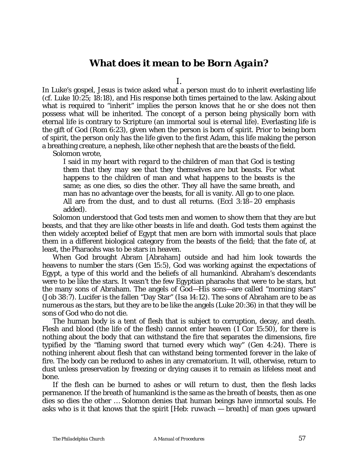# **What does it mean to be** *Born Again***?**

I.

In Luke's gospel, Jesus is twice asked what a person must do to inherit everlasting life (*cf.* Luke 10:25; 18:18), and His response both times pertained to the law. Asking about what is required to "inherit" implies the person knows that he or she does not then possess what will be inherited. The concept of a person being physically born with eternal life is contrary to Scripture (an immortal soul is eternal life). Everlasting life is the gift of God (Rom 6:23), given when the person is born of spirit. Prior to being born of spirit, the person only has the life given to the first Adam, this life making the person a breathing creature, a nephesh, like other nephesh that are the beasts of the field. Solomon wrote,

I said in my heart *with regard to the children of man that God is testing them that they may see that they themselves are but beasts*. For what happens to the children of man and what happens to the beasts is the same; as one dies, so dies the other. They all have the same breath, and man has no advantage over the beasts, for all is vanity. All go to one place. All are from the dust, and to dust all returns. (Eccl 3:18–20 emphasis added).

Solomon understood that God tests men and women to show them that they are but beasts, and that they are like other beasts in life and death. God tests them against the then widely accepted belief of Egypt that men are born with immortal souls that place them in a different biological category from the beasts of the field; that the fate of, at least, the Pharaohs was to be stars in heaven.

When God brought Abram [Abraham] outside and had him look towards the heavens to number the stars (Gen 15:5), God was working against the expectations of Egypt, a type of this world and the beliefs of all humankind. Abraham's descendants were to be like the stars. It wasn't the few Egyptian pharaohs that were to be stars, but the many sons of Abraham. The angels of God—His sons—are called "morning stars" (Job 38:7). Lucifer is the fallen "Day Star" (Isa 14:12). The sons of Abraham are to be as numerous as the stars, but they are to be like the angels (Luke 20:36) in that they will be sons of God who do not die.

The human body is a tent of flesh that is subject to corruption, decay, and death. Flesh and blood (the life of the flesh) cannot enter heaven (1 Cor 15:50), for there is nothing about the body that can withstand the fire that separates the dimensions, fire typified by the "flaming sword that turned every which way" (Gen 4:24). There is nothing inherent about flesh that can withstand being tormented forever in the lake of fire. The body can be reduced to ashes in any crematorium. It will, otherwise, return to dust unless preservation by freezing or drying causes it to remain as lifeless meat and bone.

If the flesh can be burned to ashes or will return to dust, then the flesh lacks permanence. If the breath of humankind is the same as the breath of beasts, then as one dies so dies the other … Solomon denies that human beings have immortal souls. He asks who is it that knows that the spirit [Heb: *ruwach* — breath] of man goes upward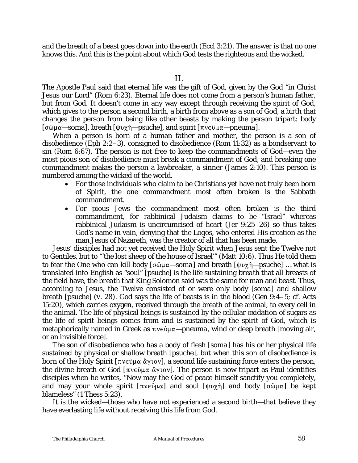and the breath of a beast goes down into the earth (Eccl 3:21). The answer is that no one knows this. And this is the point about which God tests the righteous and the wicked.

The Apostle Paul said that eternal life was the gift of God, given by the God "in Christ Jesus our Lord" (Rom 6:23). Eternal life does not come from a person's human father, but from God. It doesn't come in any way except through receiving the spirit of God, which gives to the person a second birth, a birth from above as a son of God, a birth that changes the person from being like other beasts by making the person tripart: body  $[σ\omega\mu\alpha - soma]$ , breath  $[\psi\gamma\gamma - psuche]$ , and spirit  $[\pi\nu\epsilon\omega\mu\alpha - pnewma]$ .

When a person is born of a human father and mother, the person is a son of disobedience (Eph 2:2–3), consigned to disobedience (Rom 11:32) as a bondservant to sin (Rom 6:67). The person is not free to keep the commandments of God—even the most pious son of disobedience must break a commandment of God, and breaking one commandment makes the person a lawbreaker, a sinner (James 2:10). This person is numbered among the wicked of the world.

- For those individuals who claim to be Christians yet have not truly been born of Spirit, the one commandment most often broken is the Sabbath commandment.
- For pious Jews the commandment most often broken is the third commandment, for rabbinical Judaism claims to be "Israel" whereas rabbinical Judaism is uncircumcised of heart (Jer 9:25–26) so thus takes God's name in vain, denying that the *Logos*, who entered His creation as the man Jesus of Nazareth, was the creator of all that has been made.

Jesus' disciples had not yet received the Holy Spirit when Jesus sent the Twelve not to Gentiles, but to "'the lost sheep of the house of Israel'" (Matt 10:6). Thus He told them to fear the One who can kill body [σῶμα—*soma*] and breath [ψυχὴ—*psuche*] ... what is translated into English as "soul" [*psuche*] is the life sustaining *breath* that all breasts of the field have, the *breath* that King Solomon said was the same for man and beast. Thus, according to Jesus, the Twelve consisted of or were only body [*soma*] and shallow breath [*psuche*] (*v.* 28). God says the life of beasts is in the blood (Gen 9:4–5; *cf.* Acts 15:20), which carries oxygen, received through the breath of the animal, to every cell in the animal. The life of physical beings is sustained by the cellular oxidation of sugars as the life of spirit beings comes from and is sustained by the spirit of God, which is metaphorically named in Greek as  $\pi v \in \hat{\mathfrak{g}} \mu \alpha$ —*pneuma*, wind or deep breath [moving air, or an invisible force].

The son of disobedience who has a body of flesh [*soma*] has his or her physical life sustained by physical or shallow breath [*psuche*], but when this son of disobedience is born of the Holy Spirit  $[\pi v \in \hat{U} \mu \alpha \ \alpha \gamma v \alpha v]$ , a second life sustaining force enters the person, the divine breath of God  $[\pi v \in \partial \mu \alpha \ \alpha v]$ . The person is now tripart as Paul identifies disciples when he writes, "Now may the God of peace himself sanctify you completely, and may your whole spirit  $[\pi v \in \hat{\mathfrak{g}} \cup \alpha]$  and soul  $[\psi v \circ \hat{\mathfrak{g}}]$  and body  $[\sigma \hat{\omega} \cup \alpha]$  be kept blameless" (1 Thess 5:23).

It is the wicked—those who have not experienced a second birth—that believe they have everlasting life without receiving this life from God.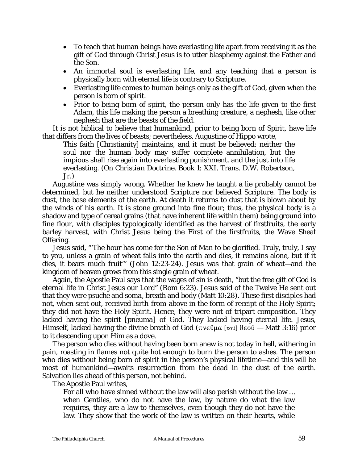- To teach that human beings have everlasting life apart from receiving it as the gift of God through Christ Jesus is to utter blasphemy against the Father and the Son.
- An immortal soul is everlasting life, and any teaching that a person is physically born with eternal life is contrary to Scripture.
- Everlasting life comes to human beings only as the gift of God, given when the person is born of spirit.
- Prior to being born of spirit, the person only has the life given to the first Adam, this life making the person a breathing creature, a nephesh, like other nephesh that are the beasts of the field.

It is not biblical to believe that humankind, prior to being born of Spirit, have life that differs from the lives of beasts; nevertheless, Augustine of Hippo wrote,

This faith [Christianity] maintains, and it must be believed: neither the soul nor the human body may suffer complete annihilation, but the impious shall rise again into everlasting punishment, and the just into life everlasting. (*On Christian Doctrine*. Book 1: XXI. Trans. D.W. Robertson, Jr.)

Augustine was simply wrong. Whether he knew he taught a lie probably cannot be determined, but he neither understood Scripture nor believed Scripture. The body is dust, the base elements of the earth. At death it returns to dust that is blown about by the winds of his earth. It is stone ground into fine flour; thus, the physical body is a shadow and type of cereal grains (that have inherent life within them) being ground into fine flour, with disciples typologically identified as the harvest of firstfruits, the early barley harvest, with Christ Jesus being the First of the firstfruits, the Wave Sheaf Offering.

Jesus said, "'The hour has come for the Son of Man to be glorified. Truly, truly, I say to you, unless a grain of wheat falls into the earth and dies, it remains alone, but if it dies, it bears much fruit'" (John 12:23-24). Jesus was that grain of wheat—and the kingdom of heaven grows from this single grain of wheat.

Again, the Apostle Paul says that the wages of sin is death, "but the free gift of God is eternal life in Christ Jesus our Lord" (Rom 6:23). Jesus said of the Twelve He sent out that they were *psuche* and *soma*, breath and body (Matt 10:28). These first disciples had not, when sent out, received birth-from-above in the form of receipt of the Holy Spirit; they did not have the Holy Spirit. Hence, they were not of tripart composition. They lacked having the spirit [*pneuma*] of God. They lacked having eternal life. Jesus, Himself, lacked having the divine breath of God ( $\pi v \in \partial \mathbb{R}$  [ $\tau \circ \hat{v}$ ]  $\theta \in \partial \hat{v}$  — Matt 3:16) prior to it descending upon Him as a dove.

The person who dies without having been born anew is not today in hell, withering in pain, roasting in flames not quite hot enough to burn the person to ashes. The person who dies without being born of spirit in the person's physical lifetime—and this will be most of humankind—awaits resurrection from the dead in the dust of the earth. Salvation lies ahead of this person, not behind.

The Apostle Paul writes,

For all who have sinned without the law will also perish without the law … when Gentiles, who do not have the law, by nature do what the law requires, they are a law to themselves, even though they do not have the law. They show that the work of the law is written on their hearts, while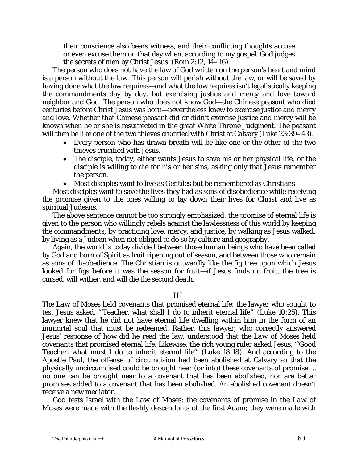their conscience also bears witness, and their conflicting thoughts accuse or even excuse them on that day when, according to my gospel, God judges the secrets of men by Christ Jesus. (Rom 2:12, 14–16)

The person who does not have the law of God written on the person's heart and mind is a person *without the law*. This person will perish without the law, or will be saved by having done what the law requires—and what the law requires isn't legalistically keeping the commandments day by day, but exercising justice and mercy and love toward neighbor and God. The person who does not know God—the Chinese peasant who died centuries before Christ Jesus was born—nevertheless knew to exercise justice and mercy and love. Whether that Chinese peasant did or didn't exercise justice and mercy will be known when he or she is resurrected in the great White Throne Judgment. The peasant will then be like one of the two thieves crucified with Christ at Calvary (Luke 23:39–43).

- Every person who has drawn breath will be like one or the other of the two thieves crucified with Jesus.
- The disciple, today, either wants Jesus to save his or her physical life, or the disciple is willing to die for his or her sins, asking only that Jesus remember the person.
- Most disciples want to live as Gentiles but be remembered as Christians—

Most disciples want to save the lives they had as sons of disobedience while receiving the promise given to the ones willing to lay down their lives for Christ and live as spiritual Judeans.

The above sentence cannot be too strongly emphasized: the promise of eternal life is given to the person who willingly rebels against the lawlessness of this world by keeping the commandments; by practicing love, mercy, and justice; by walking as Jesus walked; by living as a Judean when not obliged to do so by culture and geography.

Again, the world is today divided between those human beings who have been called by God and born of Spirit as fruit ripening out of season, and between those who remain as sons of disobedience. The Christian is outwardly like the fig tree upon which Jesus looked for figs before it was the season for fruit—if Jesus finds no fruit, the tree is cursed, will wither, and will die the second death.

### III.

The *Law of Moses* held covenants that promised eternal life: the lawyer who sought to test Jesus asked, "'Teacher, what shall I do to inherit eternal life'" (Luke 10:25). This lawyer knew that he did not have eternal life dwelling within him in the form of an immortal soul that must be redeemed. Rather, this lawyer, who correctly answered Jesus' response of how did he read the law, understood that *the Law of Moses* held covenants that promised eternal life. Likewise, the rich young ruler asked Jesus, "'Good Teacher, what must I do to inherit eternal life'" (Luke 18:18). And according to the Apostle Paul, the offense of circumcision had been abolished at Calvary so that the physically uncircumcised could be brought near (or into) these covenants of promise … no one can be brought near to a covenant that has been abolished, nor are better promises added to a covenant that has been abolished. An abolished covenant doesn't receive a new mediator.

God tests Israel with the *Law of Moses*: the covenants of promise in the *Law of Moses* were made with the fleshly descendants of the first Adam; they were made with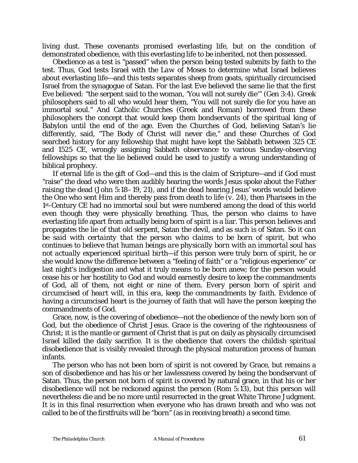living dust. These covenants promised everlasting life, but on the condition of demonstrated obedience, with this everlasting life to be inherited, not then possessed.

Obedience as a test is "passed" when the person being tested submits by faith to the test. Thus, God tests Israel with *the Law of Moses* to determine what Israel believes about everlasting life—and this tests separates sheep from goats, spiritually circumcised Israel from the synagogue of Satan. For the last Eve believed the same lie that the first Eve believed: "the serpent said to the woman, 'You will not surely die'" (Gen 3:4). Greek philosophers said to all who would hear them, "You will not surely die for you have an immortal soul." And Catholic Churches (Greek and Roman) borrowed from these philosophers the concept that would keep them bondservants of the spiritual king of Babylon until the end of the age. Even the Churches of God, believing Satan's lie differently, said, "The Body of Christ will never die," and these Churches of God searched history for any fellowship that might have kept the Sabbath between 325 CE and 1525 CE, wrongly assigning Sabbath observance to various Sunday-observing fellowships so that the lie believed could be used to justify a wrong understanding of biblical prophecy.

If eternal life is the gift of God—and this is the claim of Scripture—and if God must "raise" the dead who were then audibly hearing the words Jesus spoke about the Father raising the dead (John 5:18–19, 21), and if the dead hearing Jesus' words would believe the One who sent Him and thereby pass from death to life (*v.* 24), then Pharisees in the 1st-Century CE had no immortal soul but were numbered among the dead of this world even though they were physically breathing. Thus, the person who claims to have everlasting life apart from actually being born of spirit is a liar. This person believes and propagates the lie of that old serpent, Satan the devil, and as such is of Satan. *So it can be said with certainty that the person who claims to be born of spirit, but who continues to believe that human beings are physically born with an immortal soul has not actually experienced spiritual birth*—if this person were truly born of spirit, he or she would know the difference between a "feeling of faith" or a "religious experience" or last night's indigestion and what it truly means to be born anew; for the person would cease his or her hostility to God and would earnestly desire to keep the commandments of God, all of them, not eight or nine of them. *Every person born of spirit and circumcised of heart will, in this era, keep the commandments by faith*. Evidence of having a circumcised heart is the journey of faith that will have the person keeping the commandments of God.

Grace, now, is the covering of obedience—not the obedience of the newly born son of God, but the obedience of Christ Jesus. Grace is the covering of the righteousness of Christ; it is the mantle or garment of Christ that is put on daily as physically circumcised Israel killed the daily sacrifice. It is the obedience that covers the childish spiritual disobedience that is visibly revealed through the physical maturation process of human infants.

The person who has not been born of spirit is not covered by Grace, but remains a son of disobedience and has his or her lawlessness covered by being the bondservant of Satan. Thus, the person not born of spirit is covered by natural grace, in that his or her disobedience will not be reckoned against the person (Rom 5:13), but this person will nevertheless die and be no more until resurrected in the great White Throne Judgment. It is in this final resurrection when everyone who has drawn breath and who was not called to be of the firstfruits will be "born" (as in receiving breath) a second time.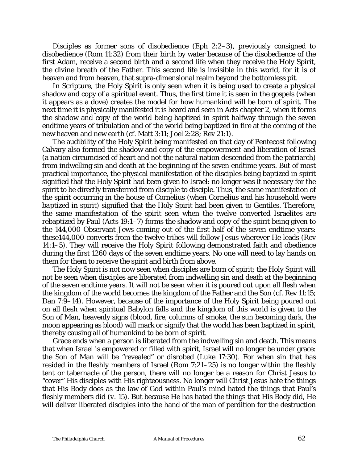Disciples as former sons of disobedience (Eph 2:2–3), previously consigned to disobedience (Rom 11:32) from their birth by water because of the disobedience of the first Adam, receive a second birth and a second life when they receive the Holy Spirit, the divine breath of the Father. This second life is invisible in this world, for it is of heaven and from heaven, that supra-dimensional realm beyond the bottomless pit.

In Scripture, the Holy Spirit is only seen when it is being used to create a physical shadow and copy of a spiritual event. Thus, the first time it is seen in the gospels (when it appears as a dove) creates the model for how humankind will be born of spirit. The next time it is physically manifested it is heard and seen in Acts chapter 2, when it forms the shadow and copy of the world being baptized in spirit halfway through the seven endtime years of tribulation and of the world being baptized in fire at the coming of the new heaven and new earth (*cf*. Matt 3:11; Joel 2:28; Rev 21:1).

The audibility of the Holy Spirit being manifested on that day of Pentecost following Calvary also formed the shadow and copy of the empowerment and liberation of Israel (a nation circumcised of heart and not the natural nation descended from the patriarch) from indwelling sin and death at the beginning of the seven endtime years. But of most practical importance, the physical manifestation of the disciples being baptized in spirit signified that the Holy Spirit had been given to Israel: no longer was it necessary for the spirit to be directly transferred from disciple to disciple. Thus, the same manifestation of the spirit occurring in the house of Cornelius (when Cornelius and his household were *baptized* in spirit) signified that the Holy Spirit had been given to Gentiles. Therefore, the same manifestation of the spirit seen when the twelve converted Israelites are rebaptized by Paul (Acts 19:1–7) forms the shadow and copy of the spirit being given to the 144,000 Observant Jews coming out of the first half of the seven endtime years: these144,000 converts from the twelve tribes will follow Jesus wherever He leads (Rev 14:1–5). They will receive the Holy Spirit following demonstrated faith and obedience during the first 1260 days of the seven endtime years. No one will need to lay hands on them for them to receive the spirit and birth from above.

The Holy Spirit is not now seen when disciples are born of spirit; the Holy Spirit will not be seen when disciples are liberated from indwelling sin and death at the beginning of the seven endtime years. It will not be seen when it is poured out upon all flesh when the kingdom of the world becomes the kingdom of the Father and the Son (*cf.* Rev 11:15; Dan 7:9–14). However, because of the importance of the Holy Spirit being poured out on all flesh when spiritual Babylon falls and the kingdom of this world is given to the Son of Man, heavenly signs (blood, fire, columns of smoke, the sun becoming dark, the moon appearing as blood) will mark or signify that the world has been baptized in spirit, thereby causing all of humankind to be born of spirit.

Grace ends when a person is liberated from the indwelling sin and death. This means that when Israel is empowered or filled with spirit, Israel will no longer be under grace: the Son of Man will be "revealed" or disrobed (Luke 17:30). For when sin that has resided in the fleshly members of Israel (Rom 7:21–25) is no longer within the fleshly tent or tabernacle of the person, there will no longer be a reason for Christ Jesus to "cover" His disciples with His righteousness. No longer will Christ Jesus hate the things that His Body does as the law of God within Paul's mind hated the things that Paul's fleshly members did (*v.* 15). But because He has hated the things that His Body did, He will deliver liberated disciples into the hand of the man of perdition for the destruction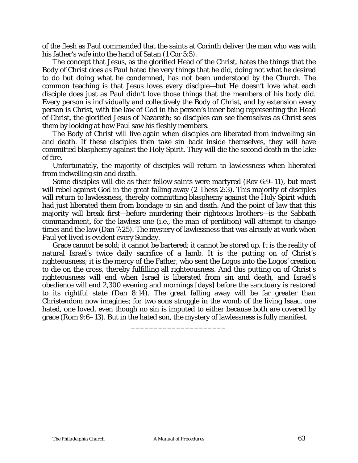of the flesh as Paul commanded that the saints at Corinth deliver the man who was with his father's wife into the hand of Satan (1 Cor 5:5).

The concept that Jesus, as the glorified Head of the Christ, hates the things that the Body of Christ does as Paul hated the very things that he did, doing not what he desired to do but doing what he condemned, has not been understood by the Church. The common teaching is that Jesus loves every disciple—but He doesn't love what each disciple does just as Paul didn't love those things that the members of his body did. Every person is individually and collectively the Body of Christ, and by extension every person is Christ, with the law of God in the person's inner being representing the Head of Christ, the glorified Jesus of Nazareth; so disciples can see themselves as Christ sees them by looking at how Paul saw his fleshly members.

The Body of Christ will live again when disciples are liberated from indwelling sin and death. If these disciples then take sin back inside themselves, they will have committed blasphemy against the Holy Spirit. They will die the second death in the lake of fire.

Unfortunately, the majority of disciples will return to lawlessness when liberated from indwelling sin and death.

Some disciples will die as their fellow saints were martyred (Rev 6:9–11), but most will rebel against God in the great falling away (2 Thess 2:3). This majority of disciples will return to lawlessness, thereby committing blasphemy against the Holy Spirit which had just liberated them from bondage to sin and death. And the point of law that this majority will break first—before murdering their righteous brothers—is the Sabbath commandment, for the lawless one (i.e., the man of perdition) will attempt to change times and the law (Dan 7:25). The mystery of lawlessness that was already at work when Paul yet lived is evident every Sunday.

Grace cannot be sold; it cannot be bartered; it cannot be stored up. It is the reality of natural Israel's twice daily sacrifice of a lamb. It is the putting on of Christ's righteousness; it is the mercy of the Father, who sent *the Logos* into *the Logos'* creation to die on the cross, thereby fulfilling all righteousness. And this putting on of Christ's righteousness will end when Israel is liberated from sin and death, and Israel's obedience will end 2,300 evening and mornings [days] before the sanctuary is restored to its rightful state (Dan 8:14). The great falling away will be far greater than Christendom now imagines; for two sons struggle in the womb of the living Isaac, one hated, one loved, even though no sin is imputed to either because both are covered by grace (Rom 9:6–13). But in the hated son, the mystery of lawlessness is fully manifest.

**\_\_\_\_\_\_\_\_\_\_\_\_\_\_\_\_\_\_\_\_\_**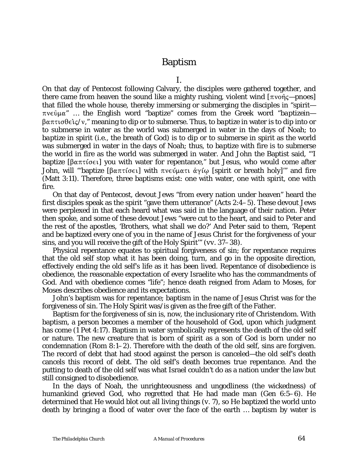## Baptism

I.

On that day of Pentecost following Calvary, the disciples were gathered together, and there came from heaven the sound like a mighty rushing, violent wind [πνοής—*pnoes*] that filled the whole house, thereby immersing or submerging the disciples in "spirit  $πνεθμα$ " ... the English word "baptize" comes from the Greek word "*baptizein*— \$"BJ4F2,ÂH/<," meaning to dip or to submerse. Thus, *to baptize* in water is to dip into or to submerse in water as the world was submerged in water in the days of Noah; *to baptize* in spirit (i.e., the breath of God) is to dip or to submerse in spirit as the world was submerged in water in the days of Noah; thus, *to baptize* with fire is to submerse the world in fire as the world was submerged in water. And John the Baptist said, "'I baptize [ $\beta\alpha\pi\tau\{\sigma\epsilon\}$ ] you with water for repentance," but Jesus, who would come after John, will "baptize [ $\beta\alpha\pi\tau\{\sigma\epsilon\}$ ] with  $\pi\nu\epsilon\psi\mu\alpha\tau\tau\ \dot{\alpha}\gamma\{\omega\}$  [spirit or breath holy]" and fire (Matt 3:11). Therefore, three baptisms exist: one with water, one with spirit, one with fire.

On that day of Pentecost, devout Jews "from every nation under heaven" heard the first disciples speak as the spirit "gave them utterance" (Acts 2:4–5). These devout Jews were perplexed in that each heard what was said in the language of their nation. Peter then spoke, and some of these devout Jews "were cut to the heart, and said to Peter and the rest of the apostles, 'Brothers, what shall we do?' And Peter said to them, 'Repent and be baptized every one of you in the name of Jesus Christ for the forgiveness of your sins, and you will receive the gift of the Holy Spirit'" (*vv.* 37–38).

Physical repentance equates to spiritual forgiveness of sin; for repentance requires that the old self stop what it has been doing, turn, and go in the opposite direction, effectively ending the old self's life as it has been lived. Repentance of disobedience is obedience, the reasonable expectation of every Israelite who has the commandments of God. And with obedience comes "life"; hence death reigned from Adam to Moses, for Moses describes obedience and its expectations.

John's baptism was for repentance; baptism in the name of Jesus Christ was for the forgiveness of sin. The Holy Spirit was/is given as the free gift of the Father.

Baptism for the forgiveness of sin is, now, the inclusionary rite of Christendom. With baptism, a person becomes a member of the household of God, upon which judgment has come (1 Pet 4:17). Baptism in water symbolically represents the death of the old self or nature. The new creature that is born of spirit as a son of God is born under no condemnation (Rom 8:1–2). Therefore with the death of the old self, sins are forgiven. The record of debt that had stood against the person is canceled—the old self's death cancels this record of debt. The old self's death becomes true repentance. And the putting to death of the old self was what Israel couldn't do as a nation under the law but still consigned to disobedience.

In the days of Noah, the unrighteousness and ungodliness (the wickedness) of humankind grieved God, who regretted that He had made man (Gen 6:5–6). He determined that He would blot out all living things (*v.* 7), so He baptized the world unto death by bringing a flood of water over the face of the earth … baptism by water is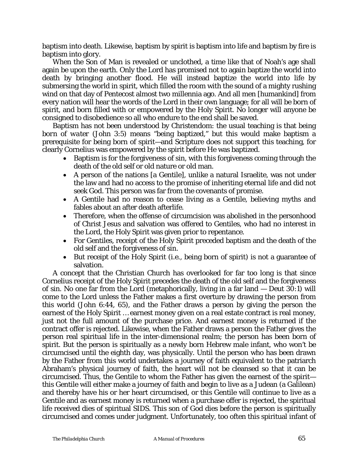baptism into death. Likewise, baptism by spirit is baptism into life and baptism by fire is baptism into glory.

When the Son of Man is revealed or unclothed, a time like that of Noah's age shall again be upon the earth. Only the Lord has promised not to again baptize the world into death by bringing another flood. He will instead baptize the world into life by submersing the world in spirit, which filled the room with the sound of a mighty rushing wind on that day of Pentecost almost two millennia ago. And all men [humankind] from every nation will hear the words of the Lord in their own language; for all will be born of spirit, and born filled with or empowered by the Holy Spirit. No longer will anyone be consigned to disobedience so all who endure to the end shall be saved.

Baptism has not been understood by Christendom: the usual teaching is that being *born of water* (John 3:5) means "being baptized," but this would make baptism a prerequisite for being born of spirit—and Scripture does not support this teaching, for clearly Cornelius was empowered by the spirit before He was baptized.

- Baptism is for the forgiveness of sin, with this forgiveness coming through the death of the old self or old nature or old man.
- A person of the nations [a Gentile], unlike a natural Israelite, was not under the law and had no access to the promise of inheriting eternal life and did not seek God. This person was far from the covenants of promise.
- A Gentile had no reason to cease living as a Gentile, believing myths and fables about an after death afterlife.
- Therefore, when the offense of circumcision was abolished in the personhood of Christ Jesus and salvation was offered to Gentiles, who had no interest in the Lord, the Holy Spirit was given prior to repentance.
- For Gentiles, receipt of the Holy Spirit preceded baptism and the death of the old self and the forgiveness of sin.
- But receipt of the Holy Spirit (i.e., being born of spirit) is not a guarantee of salvation.

A concept that the Christian Church has overlooked for far too long is that since Cornelius receipt of the Holy Spirit precedes the death of the old self and the forgiveness of sin. No one far from the Lord (metaphorically, living in a far land — Deut 30:1) will come to the Lord unless the Father makes a first overture by drawing the person from this world (John 6:44, 65), and the Father draws a person by giving the person the earnest of the Holy Spirit … earnest money given on a real estate contract is real money, just not the full amount of the purchase price. And earnest money is returned if the contract offer is rejected. Likewise, when the Father draws a person the Father gives the person real spiritual life in the inter-dimensional realm; the person has been born of spirit. But the person is spiritually as a newly born Hebrew male infant, who won't be circumcised until the eighth day, was physically. Until the person who has been drawn by the Father from this world undertakes a journey of faith equivalent to the patriarch Abraham's physical journey of faith, the heart will not be cleansed so that it can be circumcised. Thus, the Gentile to whom the Father has given the earnest of the spirit this Gentile will either make a journey of faith and begin to live as a Judean (a Galilean) and thereby have his or her heart circumcised, or this Gentile will continue to live as a Gentile and as earnest money is returned when a purchase offer is rejected, the spiritual life received dies of spiritual SIDS. This son of God dies before the person is spiritually circumcised and comes under judgment. Unfortunately, too often this spiritual infant of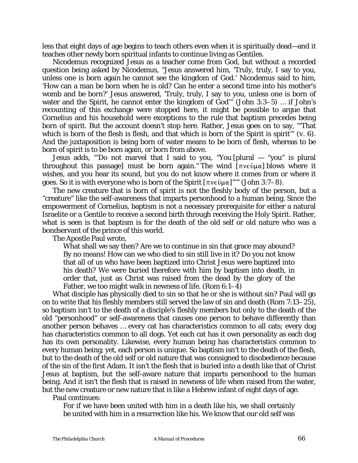less that eight days of age begins to teach others even when it is spiritually dead—and it teaches other newly born spiritual infants to continue living as Gentiles.

Nicodemus recognized Jesus as a teacher come from God, but without a recorded question being asked by Nicodemus, "Jesus answered him, 'Truly, truly, I say to you, unless one is born again he cannot see the kingdom of God.' Nicodemus said to him, 'How can a man be born when he is old? Can he enter a second time into his mother's womb and be born?' Jesus answered, 'Truly, truly, I say to you, unless one is born of water and the Spirit, he cannot enter the kingdom of God" (John 3:3-5) ... if John's recounting of this exchange were stopped here, it might be possible to argue that Cornelius and his household were exceptions to the rule that baptism precedes being born of spirit. But the account doesn't stop here. Rather, Jesus goes on to say, "'That which is born of the flesh is flesh, and that which is born of the Spirit is spirit'" (*v.* 6). And the juxtaposition is being born of water means to be born of flesh, whereas to be born of spirit is to be born again, or born from above.

Jesus adds, "'Do not marvel that I said to you, "You [plural — "you" is plural throughout this passage] must be born again." The wind  $[\pi v \in \hat{O} \mu \alpha]$  blows where it wishes, and you hear its sound, but you do not know where it comes from or where it goes. So it is with everyone who is born of the Spirit  $[\pi v \in \hat{\mathfrak{g}} \cup \alpha]$ "" (John 3:7–8).

The new creature that is born of spirit is not the fleshly body of the person, but a "creature" like the self-awareness that imparts personhood to a human being. Since the empowerment of Cornelius, baptism is not a necessary prerequisite for either a natural Israelite or a Gentile to receive a second birth through receiving the Holy Spirit. Rather, what is seen is that baptism is for the death of the old self or old nature who was a bondservant of the prince of this world.

The Apostle Paul wrote,

What shall we say then? Are we to continue in sin that grace may abound? By no means! How can we who died to sin still live in it? Do you not know that all of us who have been baptized into Christ Jesus were baptized into his death? We were buried therefore with him by baptism into death, in order that, just as Christ was raised from the dead by the glory of the Father, we too might walk in newness of life. (Rom 6:1–4)

What disciple has physically died to sin so that he or she is without sin? Paul will go on to write that his fleshly members still served the law of sin and death (Rom 7:13–25), so baptism isn't to the death of a disciple's fleshly members but only to the death of the old "personhood" or self-awareness that causes one person to behave differently than another person behaves … every cat has characteristics common to all cats; every dog has characteristics common to all dogs. Yet each cat has it own personality as each dog has its own personality. Likewise, every human being has characteristics common to every human being; yet, each person is unique. So baptism isn't to the death of the flesh, but to the death of the old self or old nature that was consigned to disobedience because of the sin of the first Adam. It isn't the flesh that is buried into a death like that of Christ Jesus at baptism, but the self-aware nature that imparts personhood to the human being. And it isn't the flesh that is raised in newness of life when raised from the water, but the new creature or new nature that is like a Hebrew infant of eight days of age.

Paul continues:

For if we have been united with him in a death like his, we shall certainly be united with him in a resurrection like his. We know that our old self was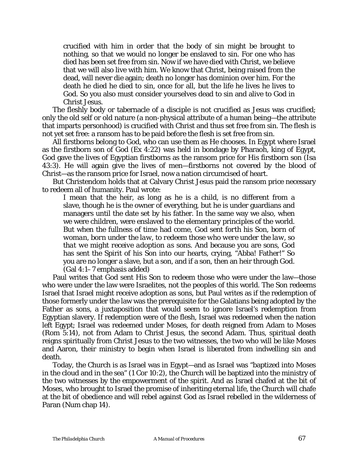crucified with him in order that the body of sin might be brought to nothing, so that we would no longer be enslaved to sin. For one who has died has been set free from sin. Now if we have died with Christ, we believe that we will also live with him. We know that Christ, being raised from the dead, will never die again; death no longer has dominion over him. For the death he died he died to sin, once for all, but the life he lives he lives to God. So you also must consider yourselves dead to sin and alive to God in Christ Jesus.

The fleshly body or tabernacle of a disciple is not crucified as Jesus was crucified; only the old self or old nature (a non-physical attribute of a human being—the attribute that imparts personhood) is crucified with Christ and thus set free from sin. The flesh is not yet set free: a ransom has to be paid before the flesh is set free from sin.

All firstborns belong to God, who can use them as He chooses. In Egypt where Israel as the firstborn son of God (Ex 4:22) was held in bondage by Pharaoh, king of Egypt, God gave the lives of Egyptian firstborns as the ransom price for His firstborn son (Isa 43:3). He will again give the lives of men—firstborns not covered by the blood of Christ—as the ransom price for Israel, now a nation circumcised of heart.

But Christendom holds that at Calvary Christ Jesus paid the ransom price necessary to redeem all of humanity. Paul wrote:

I mean that the heir, as long as he is a child, is no different from a slave, though he is the owner of everything, but he is under guardians and managers until the date set by his father. In the same way we also, when we were children, were enslaved to the elementary principles of the world. But when the fullness of time had come, *God sent forth his Son, born of woman, born under the law, to redeem those who were under the law, so that we might receive adoption as sons.* And because you are sons, God has sent the Spirit of his Son into our hearts, crying, "Abba! Father!" So you are no longer a slave, but a son, and if a son, then an heir through God. (Gal 4:1–7 emphasis added)

Paul writes that God sent His Son to redeem those who were under the law—those who were under the law were Israelites, not the peoples of this world. The Son redeems Israel that Israel might receive adoption as sons, but Paul writes as if the redemption of those formerly under the law was the prerequisite for the Galatians being adopted by the Father as sons, a juxtaposition that would seem to ignore Israel's redemption from Egyptian slavery. If redemption were of the flesh, Israel was redeemed when the nation left Egypt; Israel was redeemed under Moses, for death reigned from Adam to Moses (Rom 5:14), not from Adam to Christ Jesus, the second Adam. Thus, spiritual death reigns spiritually from Christ Jesus to the two witnesses, the two who will be like Moses and Aaron, their ministry to begin when Israel is liberated from indwelling sin and death.

Today, the Church is as Israel was in Egypt—and as Israel was "baptized into Moses in the cloud and in the sea" (1 Cor 10:2), the Church will be baptized into the ministry of the two witnesses by the empowerment of the spirit. And as Israel chafed at the bit of Moses, who brought to Israel the promise of inheriting eternal life, the Church will chafe at the bit of obedience and will rebel against God as Israel rebelled in the wilderness of Paran (Num chap 14).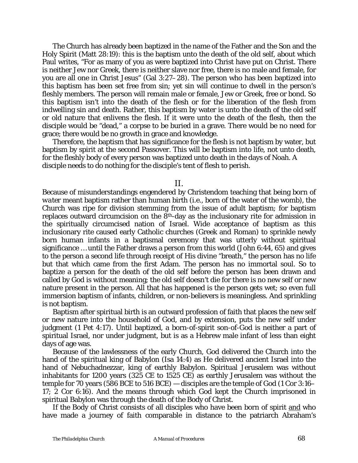The Church has already been baptized in the name of the Father and the Son and the Holy Spirit (Matt 28:19): this is the baptism unto the death of the old self, about which Paul writes, "For as many of you as were baptized into Christ have put on Christ. There is neither Jew nor Greek, there is neither slave nor free, there is no male and female, for you are all one in Christ Jesus" (Gal 3:27–28). The person who has been baptized into this baptism has been set free from sin; yet sin will continue to dwell in the person's fleshly members. The person will remain male or female, Jew or Greek, free or bond. So this baptism isn't into the death of the flesh or for the liberation of the flesh from indwelling sin and death. Rather, this baptism by water is unto the death of the old self or old nature that enlivens the flesh. If it were unto the death of the flesh, then the disciple would be "dead," a corpse to be buried in a grave. There would be no need for grace; there would be no growth in grace and knowledge.

Therefore, the baptism that has significance for the flesh is not baptism by water, but baptism by spirit at the second Passover. This will be baptism into life, not unto death, for the fleshly body of every person was baptized unto death in the days of Noah. A disciple needs to do nothing for the disciple's tent of flesh to perish.

II.

Because of misunderstandings engendered by Christendom teaching that being *born of water* meant baptism rather than human birth (i.e., born of the water of the womb), the Church was ripe for division stemming from the issue of adult baptism; for baptism replaces outward circumcision on the 8th-day as the inclusionary rite for admission in the spiritually circumcised nation of Israel. Wide acceptance of baptism as this inclusionary rite caused early Catholic churches (Greek and Roman) to sprinkle newly born human infants in a baptismal ceremony that was utterly without spiritual significance … until the Father draws a person from this world (John 6:44, 65) and gives to the person a second life through receipt of His divine "breath," the person has no life but that which came from the first Adam. The person has no immortal soul. So to baptize a person for the death of the old self before the person has been drawn and called by God is without meaning; the old self doesn't die for there is no new self or new nature present in the person. All that has happened is the person gets wet; so even full immersion baptism of infants, children, or non-believers is meaningless. And sprinkling is not baptism.

Baptism after spiritual birth is an outward profession of faith that places the new self or new nature into the household of God, and by extension, puts the new self under judgment (1 Pet 4:17). Until baptized, a born-of-spirit son-of-God is neither a part of spiritual Israel, nor under judgment, but is as a Hebrew male infant of less than eight days of age was.

Because of the lawlessness of the early Church, God delivered the Church into the hand of the spiritual king of Babylon (Isa 14:4) as He delivered ancient Israel into the hand of Nebuchadnezzar, king of earthly Babylon. Spiritual Jerusalem was without inhabitants for 1200 years (325 CE to 1525 CE) as earthly Jerusalem was without the temple for 70 years (586 BCE to 516 BCE) — disciples are the temple of God (1 Cor 3:16– 17; 2 Cor 6:16). And the means through which God kept the Church imprisoned in spiritual Babylon was through the death of the Body of Christ.

If the Body of Christ consists of all disciples who have been born of spirit and who have made a journey of faith comparable in distance to the patriarch Abraham's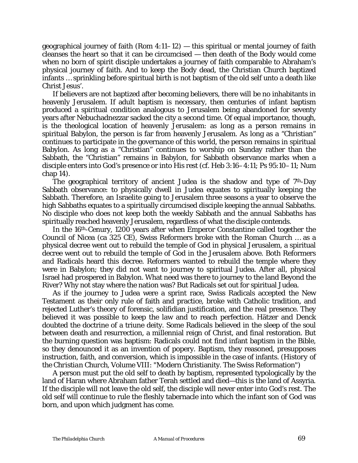geographical journey of faith (Rom 4:11–12) — this spiritual or mental journey of faith cleanses the heart so that it can be circumcised — then death of the Body would come when no born of spirit disciple undertakes a journey of faith comparable to Abraham's physical journey of faith. And to keep the Body dead, the Christian Church baptized infants … sprinkling before spiritual birth is not baptism of the old self unto a death like Christ Jesus'.

If believers are not baptized after becoming believers, there will be no inhabitants in heavenly Jerusalem. If adult baptism is necessary, then centuries of infant baptism produced a spiritual condition analogous to Jerusalem being abandoned for seventy years after Nebuchadnezzar sacked the city a second time. Of equal importance, though, is the theological location of heavenly Jerusalem: as long as a person remains in spiritual Babylon, the person is far from heavenly Jerusalem. As long as a "Christian" continues to participate in the governance of this world, the person remains in spiritual Babylon. As long as a "Christian" continues to worship on Sunday rather than the Sabbath, the "Christian" remains in Babylon, for Sabbath observance marks when a disciple enters into God's presence or into His rest (*cf*. Heb 3:16–4:11; Ps 95:10–11; Num chap 14).

The geographical territory of ancient Judea is the shadow and type of  $7<sup>th</sup>$ -Day Sabbath observance: to physically dwell in Judea equates to spiritually keeping the Sabbath. Therefore, an Israelite going to Jerusalem three seasons a year to observe the high Sabbaths equates to a spiritually circumcised disciple keeping the annual Sabbaths. No disciple who does not keep both the weekly Sabbath and the annual Sabbaths has spiritually reached heavenly Jerusalem, regardless of what the disciple contends.

In the 16th-Cenury, 1200 years after when Emperor Constantine called together the Council of Nicea (ca 325 CE), Swiss Reformers broke with the Roman Church … as a physical decree went out to rebuild the temple of God in physical Jerusalem, a spiritual decree went out to rebuild the temple of God in the Jerusalem above. Both Reformers and Radicals heard this decree. Reformers wanted to rebuild the temple where they were in Babylon; they did not want to journey to spiritual Judea. After all, physical Israel had prospered in Babylon. What need was there to journey to the land Beyond the River? Why not stay where the nation was? But Radicals set out for spiritual Judea.

As if the journey to Judea were a sprint race, Swiss Radicals accepted the New Testament as their only rule of faith and practice, broke with Catholic tradition, and rejected Luther's theory of forensic, solifidian justification, and the real presence. They believed it was possible to keep the law and to reach perfection. Hätzer and Denck doubted the doctrine of a triune deity. Some Radicals believed in the sleep of the soul between death and resurrection, a millennial reign of Christ, and final restoration. But the burning question was baptism: Radicals could not find infant baptism in the Bible, so they denounced it as an invention of popery. Baptism, they reasoned, presupposes instruction, faith, and conversion, which is impossible in the case of infants. (*History of the Christian Church, Volume VIII*: "Modern Christianity. The Swiss Reformation")

A person must put the old self to death by baptism, represented typologically by the land of Haran where Abraham father Terah settled and died—this is the land of Assyria. If the disciple will not leave the old self, the disciple will never enter into God's rest. The old self will continue to rule the fleshly tabernacle into which the infant son of God was born, and upon which judgment has come.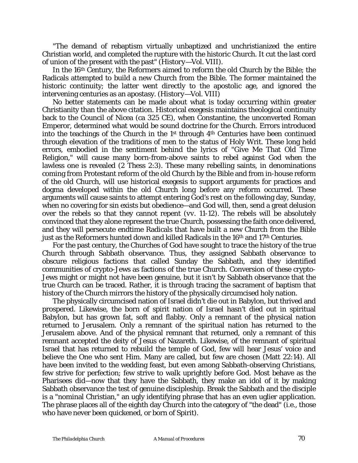"The demand of rebaptism virtually unbaptized and unchristianized the entire Christian world, and completed the rupture with the historic Church. It cut the last cord of union of the present with the past" (*History—Vol. VIII)*.

In the 16th Century, the Reformers aimed to reform the old Church by the Bible; the Radicals attempted to build a new Church from the Bible. The former maintained the historic continuity; the latter went directly to the apostolic age, and ignored the intervening centuries as an apostasy. (*History—Vol. VIII*)

No better statements can be made about what is today occurring within greater Christianity than the above citation. Historical exegesis maintains theological continuity back to the Council of Nicea (ca 325 CE), when Constantine, the unconverted Roman Emperor, determined what would be sound doctrine for the Church. Errors introduced into the teachings of the Church in the  $1<sup>st</sup>$  through  $4<sup>th</sup>$  Centuries have been continued through elevation of the traditions of men to the status of Holy Writ. These long held errors, embodied in the sentiment behind the lyrics of "Give Me That Old Time Religion," will cause many born-from-above saints to rebel against God when the lawless one is revealed (2 Thess 2:3). These many rebelling saints, in denominations coming from Protestant reform of the old Church by the Bible and from in-house reform of the old Church, will use historical exegesis to support arguments for practices and dogma developed within the old Church long before any reform occurred. These arguments will cause saints to attempt entering God's rest on the following day, Sunday, when no covering for sin exists but obedience—and God will, then, send a great delusion over the rebels so that they cannot repent (*vv*. 11-12). The rebels will be absolutely convinced that they alone represent the true Church, possessing the faith once delivered, and they will persecute endtime Radicals that have built a new Church from the Bible just as the Reformers hunted down and killed Radicals in the 16th and 17th Centuries.

For the past century, the Churches of God have sought to trace the history of the true Church through Sabbath observance. Thus, they assigned Sabbath observance to obscure religious factions that called Sunday the Sabbath, and they identified communities of crypto-Jews as factions of the true Church. Conversion of these crypto-Jews might or might not have been genuine, but it isn't by Sabbath observance that the true Church can be traced. Rather, it is through tracing the sacrament of baptism that history of the Church mirrors the history of the physically circumcised holy nation.

The physically circumcised nation of Israel didn't die out in Babylon, but thrived and prospered. Likewise, the born of spirit nation of Israel hasn't died out in spiritual Babylon, but has grown fat, soft and flabby. Only a remnant of the physical nation returned to Jerusalem. Only a remnant of the spiritual nation has returned to the Jerusalem above. And of the physical remnant that returned, only a remnant of this remnant accepted the deity of Jesus of Nazareth. Likewise, of the remnant of spiritual Israel that has returned to rebuild the temple of God, few will hear Jesus' voice and believe the One who sent Him. Many are called, but few are chosen (Matt 22:14). All have been invited to the wedding feast, but even among Sabbath-observing Christians, few strive for perfection; few strive to walk uprightly before God. Most behave as the Pharisees did—now that they have the Sabbath, they make an idol of it by making Sabbath observance the test of genuine discipleship. Break the Sabbath and the disciple is a "nominal Christian," an ugly identifying phrase that has an even uglier application. The phrase places all of the eighth day Church into the category of "the dead" (i.e., those who have never been quickened, or born of Spirit).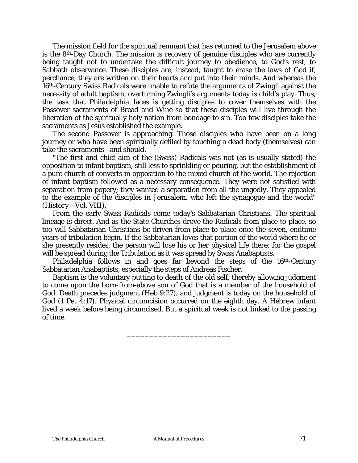The mission field for the spiritual remnant that has returned to the Jerusalem above is the 8th-Day Church. The mission is recovery of genuine disciples who are currently being taught not to undertake the difficult journey to obedience, to God's rest, to Sabbath observance. These disciples are, instead, taught to erase the laws of God if, perchance, they are written on their hearts and put into their minds. And whereas the 16th-Century Swiss Radicals were unable to refute the arguments of Zwingli against the necessity of adult baptism, overturning Zwingli's arguments today is child's play. Thus, the task that *Philadelphia* faces is getting disciples to cover themselves with the Passover sacraments of Bread and Wine so that these disciples will live through the liberation of the spiritually holy nation from bondage to sin. Too few disciples take the sacraments as Jesus established the example.

The second Passover is approaching. Those disciples who have been on a long journey or who have been spiritually defiled by touching a dead body (themselves) can take the sacraments—and should.

"The first and chief aim of the (Swiss) Radicals was not (as is usually stated) the opposition to infant baptism, still less to sprinkling or pouring, but the establishment of a pure church of converts in opposition to the mixed church of the world. The rejection of infant baptism followed as a necessary consequence. They were not satisfied with separation from popery; they wanted a separation from all the ungodly. They appealed to the example of the disciples in Jerusalem, who left the synagogue and the world" (*History—Vol. VIII*).

From the early Swiss Radicals come today's Sabbatarian Christians. The spiritual lineage is direct. And as the State Churches drove the Radicals from place to place, so too will Sabbatarian Christians be driven from place to place once the seven, endtime years of tribulation begin. If the Sabbatarian loves that portion of the world where he or she presently resides, the person will lose his or her physical life there; for the gospel will be spread during the Tribulation as it was spread by Swiss Anabaptists.

*Philadelphia* follows in and goes far beyond the steps of the 16<sup>th</sup>-Century Sabbatarian Anabaptists, especially the steps of Andreas Fischer.

Baptism is the voluntary putting to death of the old self, thereby allowing judgment to come upon the born-from-above son of God that is a member of the household of God. Death precedes judgment (Heb 9:27), and judgment is today on the household of God (1 Pet 4:17). Physical circumcision occurred on the eighth day. A Hebrew infant lived a week before being circumcised. But a spiritual week is not linked to the passing of time.

\_\_\_\_\_\_\_\_\_\_\_\_\_\_\_\_\_\_\_\_\_\_\_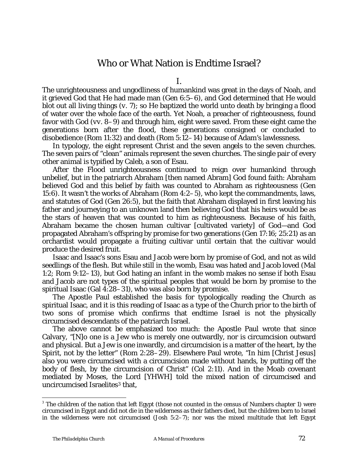## Who or What Nation is Endtime Israel?

I.

The unrighteousness and ungodliness of humankind was great in the days of Noah, and it grieved God that He had made man (Gen 6:5–6), and God determined that He would blot out all living things (*v.* 7); so He baptized the world unto death by bringing a flood of water over the whole face of the earth. Yet Noah, a preacher of righteousness, found favor with God (*vv.* 8–9) and through him, eight were saved. From these eight came the generations born after the flood, these generations consigned or concluded to disobedience (Rom 11:32) and death (Rom 5:12–14) because of Adam's lawlessness.

In typology, the eight represent Christ and the seven angels to the seven churches. The seven pairs of "clean" animals represent the seven churches. The single pair of every other animal is typified by Caleb, a son of Esau.

After the Flood unrighteousness continued to reign over humankind through unbelief, but in the patriarch Abraham [then named Abram] God found faith: Abraham believed God and this belief by faith was counted to Abraham as righteousness (Gen 15:6). It wasn't the works of Abraham (Rom 4:2–5), who kept the commandments, laws, and statutes of God (Gen 26:5), but the faith that Abraham displayed in first leaving his father and journeying to an unknown land then believing God that his heirs would be as the stars of heaven that was counted to him as righteousness. Because of his faith, Abraham became the chosen human cultivar [cultivated variety] of God—and God propagated Abraham's offspring by promise for two generations (Gen 17:16; 25:21) as an orchardist would propagate a fruiting cultivar until certain that the cultivar would produce the desired fruit.

Isaac and Isaac's sons Esau and Jacob were born by promise of God, and not as wild seedlings of the flesh. But while still in the womb, Esau was hated and Jacob loved (Mal 1:2; Rom 9:12–13), but God hating an infant in the womb makes no sense if both Esau and Jacob are not types of the spiritual peoples that would be born by promise to the spiritual Isaac (Gal 4:28–31), who was also born by promise.

The Apostle Paul established the basis for typologically reading the Church as spiritual Isaac, and it is this reading of Isaac as a type of the Church prior to the birth of two sons of promise which confirms that endtime Israel is not the physically circumcised descendants of the patriarch Israel.

The above cannot be emphasized too much: the Apostle Paul wrote that since Calvary, "[N]o one is a Jew who is merely one outwardly, nor is circumcision outward and physical. But a Jew is one inwardly, and circumcision is a matter of the heart, by the Spirit, not by the letter" (Rom 2:28–29). Elsewhere Paul wrote, "In him [Christ Jesus] also you were circumcised with a circumcision made without hands, by putting off the body of flesh, by the circumcision of Christ" (Col 2:11). And in the Moab covenant mediated by Moses, the Lord [*YHWH*] told the mixed nation of circumcised and uncircumcised Israelites<sup>[3](#page-71-0)</sup> that,

1

<span id="page-71-0"></span> $3$  The children of the nation that left Egypt (those not counted in the census of Numbers chapter 1) were circumcised in Egypt and did not die in the wilderness as their fathers died, but the children born to Israel in the wilderness were not circumcised (Josh 5:2–7); nor was the mixed multitude that left Egypt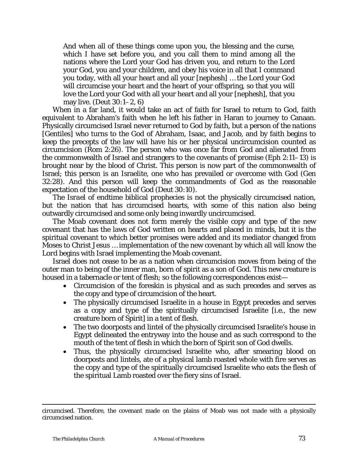And when all of these things come upon you, the blessing and the curse, which I have set before you, and you call them to mind among all the nations where the Lord your God has driven you, and return to the Lord your God, you and your children, and obey his voice in all that I command you today, with all your heart and all your [*nephesh*] … the Lord your God will circumcise your heart and the heart of your offspring, so that you will love the Lord your God with all your heart and all your [*nephesh*], that you may live. (Deut 30:1–2, 6)

When in a far land, it would take an act of faith for Israel to return to God, faith equivalent to Abraham's faith when he left his father in Haran to journey to Canaan. Physically circumcised Israel never returned to God by faith, but a person of *the nations* [Gentiles] who turns to the God of Abraham, Isaac, and Jacob, and by faith begins to keep the precepts of the law will have his or her physical uncircumcision counted as circumcision (Rom 2:26). The person who was once far from God and alienated from the commonwealth of Israel and strangers to the covenants of promise (Eph 2:11–13) is brought near by the blood of Christ. This person is now part of the commonwealth of Israel; this person is an Israelite, one who has prevailed or overcome with God (Gen 32:28). And this person will keep the commandments of God as the reasonable expectation of the household of God (Deut 30:10).

The *Israel* of endtime biblical prophecies is not the physically circumcised nation, but the nation that has circumcised hearts, with some of this nation also being outwardly circumcised and some only being inwardly uncircumcised.

The Moab covenant does not form merely the visible copy and type of the new covenant that has the laws of God written on hearts and placed in minds, but it is the spiritual covenant to which better promises were added and its mediator changed from Moses to Christ Jesus … implementation of the new covenant by which all will *know the Lord* begins with Israel implementing the Moab covenant.

Israel does not cease to be as a nation when circumcision moves from being of the outer man to being of the inner man, born of spirit as a son of God. This new creature is housed in a tabernacle or tent of flesh; so the following correspondences exist—

- Circumcision of the foreskin is physical and as such precedes and serves as the copy and type of circumcision of the heart.
- The physically circumcised Israelite in a house in Egypt precedes and serves as a copy and type of the spiritually circumcised Israelite [i.e., the new creature born of Spirit] in a tent of flesh.
- The two doorposts and lintel of the physically circumcised Israelite's house in Egypt delineated the entryway into the house and as such correspond to the mouth of the tent of flesh in which the born of Spirit son of God dwells.
- Thus, the physically circumcised Israelite who, after smearing blood on doorposts and lintels, ate of a physical lamb roasted whole with fire serves as the copy and type of the spiritually circumcised Israelite who eats the flesh of the spiritual Lamb roasted over the fiery sins of Israel.

 $\overline{a}$ 

circumcised. Therefore, the covenant made on the plains of Moab was not made with a physically circumcised nation.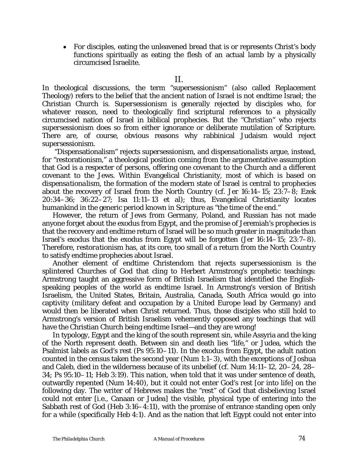• For disciples, eating the unleavened bread that is or represents Christ's body functions spiritually as eating the flesh of an actual lamb by a physically circumcised Israelite.

In theological discussions, the term "supersessionism" (also called Replacement Theology) refers to the belief that the ancient nation of Israel is not endtime Israel; the Christian Church is. *Supersessionism* is generally rejected by disciples who, for whatever reason, need to theologically find scriptural references to a physically circumcised nation of Israel in biblical prophecies. But the "Christian" who rejects *supersessionism* does so from either ignorance or deliberate mutilation of Scripture. There are, of course, obvious reasons why rabbinical Judaism would reject *supersessionism.* 

 "Dispensationalism" rejects *supersessionism*, and *dispensationalists* argue, instead, for "restorationism," a theological position coming from the argumentative assumption that God is a respecter of persons, offering one covenant to the Church and a different covenant to the Jews. Within Evangelical Christianity, most of which is based on *dispensationalism*, the formation of the modern state of Israel is central to prophecies about the recovery of Israel from the North Country (*cf.* Jer 16:14–15; 23:7–8; Ezek 20:34–36; 36:22–27; Isa 11:11–13 et al); thus, Evangelical Christianity locates humankind in the generic period known in Scripture as "the time of the end."

However, the return of Jews from Germany, Poland, and Russian has not made anyone forget about the exodus from Egypt, and the promise of Jeremiah's prophecies is that the recovery and endtime return of Israel will be so much greater in magnitude than Israel's exodus that the exodus from Egypt will be forgotten (Jer 16:14–15; 23:7–8). Therefore, *restorationism* has, at its core, too small of a return from the North Country to satisfy endtime prophecies about Israel.

Another element of endtime Christendom that rejects *supersessionism* is the splintered Churches of God that cling to Herbert Armstrong's prophetic teachings: Armstrong taught an aggressive form of British Israelism that identified the Englishspeaking peoples of the world as endtime Israel. In Armstrong's version of British Israelism, the United States, Britain, Australia, Canada, South Africa would go into captivity (military defeat and occupation by a United Europe lead by Germany) and would then be liberated when Christ returned. Thus, those disciples who still hold to Armstrong's version of British Israelism vehemently opposed any teachings that will have the Christian Church being endtime Israel—and they are wrong!

In typology, Egypt and the king of the south represent sin, while Assyria and the king of the North represent death. Between sin and death lies "life," or Judea, which the Psalmist labels as God's rest (Ps 95:10–11). In the exodus from Egypt, the adult nation counted in the census taken the second year (Num 1:1–3), with the exceptions of Joshua and Caleb, died in the wilderness because of its unbelief (*cf.* Num 14:11–12, 20–24, 28– 34; Ps 95:10–11; Heb 3:19). This nation, when told that it was under sentence of death, outwardly repented (Num 14:40), but it could not enter God's rest [or into life] on the following day. The writer of Hebrews makes the "rest" of God that disbelieving Israel could not enter [i.e., Canaan or Judea] the visible, physical type of entering into the Sabbath rest of God (Heb 3:16–4:11), with the promise of entrance standing open only for a while (specifically Heb 4:1). And as the nation that left Egypt could not enter into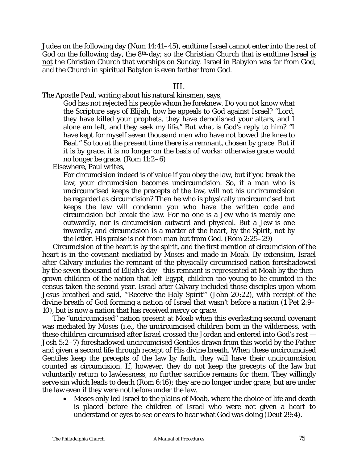Judea on the following day (Num 14:41–45), endtime Israel cannot enter into the rest of God on the following day, the  $8<sup>th</sup>$ -day; so the Christian Church that is endtime Israel is not the Christian Church that worships on Sunday. Israel in Babylon was far from God, and the Church in spiritual Babylon is even farther from God.

### III.

The Apostle Paul, writing about his natural kinsmen, says,

God has not rejected his people whom he foreknew. Do you not know what the Scripture says of Elijah, how he appeals to God against Israel? "Lord, they have killed your prophets, they have demolished your altars, and I alone am left, and they seek my life." But what is God's reply to him? "I have kept for myself seven thousand men who have not bowed the knee to Baal." So too at the present time there is a remnant, chosen by grace. But if it is by grace, it is no longer on the basis of works; otherwise grace would no longer be grace. (Rom 11:2–6)

Elsewhere, Paul writes,

For circumcision indeed is of value if you obey the law, but if you break the law, your circumcision becomes uncircumcision. So, if a man who is uncircumcised keeps the precepts of the law, will not his uncircumcision be regarded as circumcision? Then he who is physically uncircumcised but keeps the law will condemn you who have the written code and circumcision but break the law. For no one is a Jew who is merely one outwardly, nor is circumcision outward and physical. But a Jew is one inwardly, and circumcision is a matter of the heart, by the Spirit, not by the letter. His praise is not from man but from God. (Rom 2:25–29)

Circumcision of the heart is by the spirit, and the first mention of circumcision of the heart is in the covenant mediated by Moses and made in Moab. By extension, Israel after Calvary includes the remnant of the physically circumcised nation foreshadowed by the seven thousand of Elijah's day—this remnant is represented at Moab by the thengrown children of the nation that left Egypt, children too young to be counted in the census taken the second year. Israel after Calvary included those disciples upon whom Jesus breathed and said, '"Receive the Holy Spirit"' (John 20:22), with receipt of the divine breath of God forming a nation of Israel that wasn't before a nation (1 Pet 2:9– 10), but is now a nation that has received mercy or grace.

The "uncircumcised" nation present at Moab when this everlasting second covenant was mediated by Moses (i.e., the uncircumcised children born in the wilderness, with these children circumcised after Israel crossed the Jordan and entered into God's rest — Josh 5:2–7) foreshadowed uncircumcised Gentiles drawn from this world by the Father and given a second life through receipt of His divine breath. When these uncircumcised Gentiles keep the precepts of the law by faith, they will have their uncircumcision counted as circumcision. If, however, they do not keep the precepts of the law but voluntarily return to lawlessness, no further sacrifice remains for them. They willingly serve sin which leads to death (Rom 6:16); they are no longer under grace, but are under the law even if they were not before under the law.

• Moses only led Israel to the plains of Moab, where the choice of life and death is placed before the children of Israel who were not given a heart to understand or eyes to see or ears to hear what God was doing (Deut 29:4).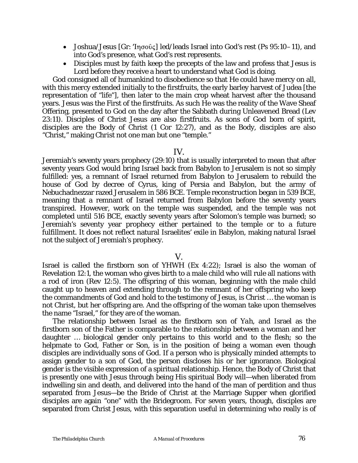- Joshua/Jesus [Gr: 'Ingov̂ç] led/leads Israel into God's rest (Ps  $95:10-11$ ), and into God's presence, what God's rest represents.
- Disciples must by faith keep the precepts of the law and profess that Jesus is Lord before they receive a heart to understand what God is doing.

God consigned all of humankind to disobedience so that He could have mercy on all, with this mercy extended initially to the firstfruits, the early barley harvest of Judea [the representation of "life"], then later to the main crop wheat harvest after the thousand years. Jesus was the First of the firstfruits. As such He was the reality of the Wave Sheaf Offering, presented to God on the day after the Sabbath during Unleavened Bread (Lev 23:11). Disciples of Christ Jesus are also firstfruits. As sons of God born of spirit, disciples are the Body of Christ (1 Cor 12:27), and as the Body, disciples are also "Christ," making *Christ* not one man but one "temple."

### IV.

Jeremiah's seventy years prophecy (29:10) that is usually interpreted to mean that after seventy years God would bring Israel back from Babylon to Jerusalem is not so simply fulfilled: yes, a remnant of Israel returned from Babylon to Jerusalem to rebuild the house of God by decree of Cyrus, king of Persia and Babylon, but the army of Nebuchadnezzar razed Jerusalem in 586 BCE. Temple reconstruction began in 539 BCE, meaning that a remnant of Israel returned from Babylon before the seventy years transpired. However, work on the temple was suspended, and the temple was not completed until 516 BCE, exactly seventy years after Solomon's temple was burned; so Jeremiah's seventy year prophecy either pertained to the temple or to a future fulfillment. It does not reflect natural Israelites' exile in Babylon, making natural Israel not the subject of Jeremiah's prophecy.

### V.

Israel is called the firstborn son of *YHWH* (Ex 4:22); Israel is also the woman of Revelation 12:1, the woman who gives birth to a male child who will rule all nations with a rod of iron (Rev 12:5). The offspring of this woman, beginning with the male child caught up to heaven and extending through to the remnant of her offspring who keep the commandments of God and hold to the testimony of Jesus, is *Christ* … the woman is not *Christ*, but her offspring are. And the offspring of the woman take upon themselves the name "Israel," for they are of the woman.

The relationship between Israel as the firstborn son of *Yah*, and Israel as the firstborn son of the Father is comparable to the relationship between a woman and her daughter … biological gender only pertains to this world and to the flesh; so the helpmate to God, Father or Son, is in the position of being a woman even though disciples are individually sons of God. If a person who is physically minded attempts to assign gender to a son of God, the person discloses his or her ignorance. Biological gender is the visible expression of a spiritual relationship. Hence, the Body of Christ that is presently one with Jesus through being His spiritual Body will—when liberated from indwelling sin and death, and delivered into the hand of the man of perdition and thus separated from Jesus—be the Bride of Christ at the Marriage Supper when glorified disciples are again "one" with the Bridegroom. For seven years, though, disciples are separated from Christ Jesus, with this separation useful in determining who really is of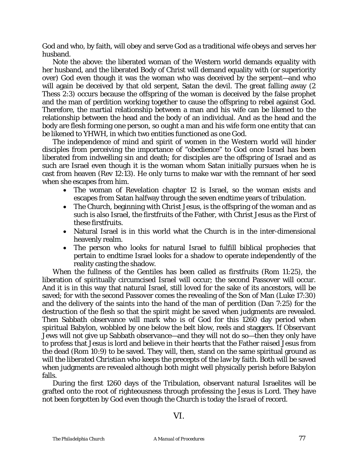God and who, by faith, will obey and serve God as a traditional wife obeys and serves her husband.

Note the above: the liberated woman of the Western world demands equality with her husband, and the liberated Body of Christ will demand equality with (or superiority over) God even though it was the woman who was deceived by the serpent—and who will again be deceived by that old serpent, Satan the devil. The great falling away (2 Thess 2:3) occurs because the offspring of the woman is deceived by the false prophet and the man of perdition working together to cause the offspring to rebel against God. Therefore, the martial relationship between a man and his wife can be likened to the relationship between the head and the body of an individual. And as the head and the body are flesh forming one person, so ought a man and his wife form one entity that can be likened to *YHWH*, in which two entities functioned as one God.

The independence of mind and spirit of women in the Western world will hinder disciples from perceiving the importance of "obedience" to God once Israel has been liberated from indwelling sin and death; for disciples are the offspring of Israel and as such are Israel even though it is the woman whom Satan initially pursues when he is cast from heaven (Rev 12:13). He only turns to make war with the remnant of her seed when she escapes from him.

- The woman of Revelation chapter 12 is Israel, so the woman exists and escapes from Satan halfway through the seven endtime years of tribulation.
- The Church, beginning with Christ Jesus, is the offspring of the woman and as such is also Israel, the firstfruits of the Father, with Christ Jesus as the First of these firstfruits.
- Natural Israel is in this world what the Church is in the inter-dimensional heavenly realm.
- The person who looks for natural Israel to fulfill biblical prophecies that pertain to endtime Israel looks for a shadow to operate independently of the reality casting the shadow.

When the fullness of the Gentiles has been called as firstfruits (Rom 11:25), the liberation of spiritually circumcised Israel will occur; the second Passover will occur. And it is in this way that natural Israel, still loved for the sake of its ancestors, will be saved; for with the second Passover comes the revealing of the Son of Man (Luke 17:30) and the delivery of the saints into the hand of the man of perdition (Dan 7:25) for the destruction of the flesh so that the spirit might be saved when judgments are revealed. Then Sabbath observance will mark who is of God for this 1260 day period when spiritual Babylon, wobbled by one below the belt blow, reels and staggers. If Observant Jews will not give up Sabbath observance—and they will not do so—then they only have to profess that Jesus is lord and believe in their hearts that the Father raised Jesus from the dead (Rom 10:9) to be saved. They will, then, stand on the same spiritual ground as will the liberated *Christian* who keeps the precepts of the law by faith. Both will be saved when judgments are revealed although both might well physically perish before Babylon falls.

During the first 1260 days of the Tribulation, observant natural Israelites will be grafted onto the root of righteousness through professing the Jesus is Lord. They have not been forgotten by God even though the Church is today the *Israel* of record.

VI.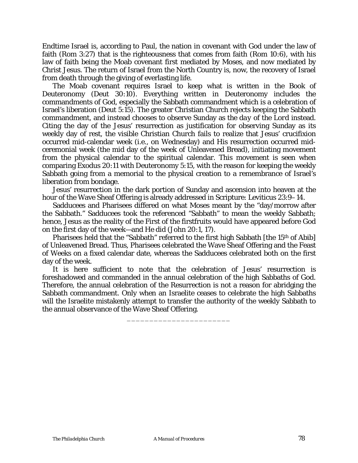Endtime Israel is, according to Paul, the nation in covenant with God under the law of faith (Rom 3:27) that is the righteousness that comes from faith (Rom 10:6), with his law of faith being the Moab covenant first mediated by Moses, and now mediated by Christ Jesus. The return of Israel from the North Country is, now, the recovery of Israel from death through the giving of everlasting life.

The Moab covenant requires Israel to keep what is written in the Book of Deuteronomy (Deut 30:10). Everything written in Deuteronomy includes the commandments of God, especially the Sabbath commandment which is a celebration of Israel's liberation (Deut 5:15). The greater Christian Church rejects keeping the Sabbath commandment, and instead chooses to observe Sunday as *the day of the Lord* instead. Citing the day of the Jesus' resurrection as justification for observing Sunday as its weekly day of rest, the visible Christian Church fails to realize that Jesus' crucifixion occurred mid-calendar week (i.e., on Wednesday) and His resurrection occurred midceremonial week (the mid day of the week of Unleavened Bread), initiating movement from the physical calendar to the spiritual calendar. This movement is seen when comparing Exodus 20:11 with Deuteronomy 5:15, with the reason for keeping the weekly Sabbath going from a memorial to the physical creation to a remembrance of Israel's liberation from bondage.

Jesus' resurrection in the dark portion of Sunday and ascension into heaven at the hour of the Wave Sheaf Offering is already addressed in Scripture: Leviticus 23:9–14.

Sadducees and Pharisees differed on what Moses meant by the "day/morrow after the Sabbath." Sadducees took the referenced "Sabbath" to mean the weekly Sabbath; hence, Jesus as the reality of the First of the firstfruits would have appeared before God on the first day of the week—and He did (John 20:1, 17).

Pharisees held that the "Sabbath" referred to the first high Sabbath [the 15<sup>th</sup> of Abib] of Unleavened Bread. Thus, Pharisees celebrated the Wave Sheaf Offering and the Feast of Weeks on a fixed calendar date, whereas the Sadducees celebrated both on the first day of the week.

It is here sufficient to note that the celebration of Jesus' resurrection is foreshadowed and commanded in the annual celebration of the high Sabbaths of God. Therefore, the annual celebration of the Resurrection is not a reason for abridging the Sabbath commandment. Only when an Israelite ceases to celebrate the high Sabbaths will the Israelite mistakenly attempt to transfer the authority of the weekly Sabbath to the annual observance of the Wave Sheaf Offering.

\_\_\_\_\_\_\_\_\_\_\_\_\_\_\_\_\_\_\_\_\_\_\_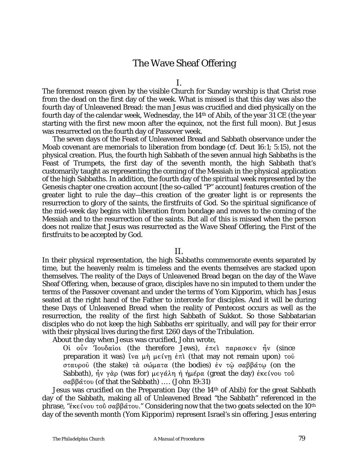## The Wave Sheaf Offering

I.

The foremost reason given by the visible Church for Sunday worship is that Christ rose from the dead on the first day of the week. What is missed is that this day was also the fourth day of Unleavened Bread: the man Jesus was crucified and died physically on the fourth day of the calendar week, Wednesday, the 14th of Abib, of the year 31 CE (the year starting with the first new moon after the equinox, not the first full moon). But Jesus was resurrected on the fourth day of Passover week.

The seven days of the Feast of Unleavened Bread and Sabbath observance under the Moab covenant are memorials to liberation from bondage (*cf.* Deut 16:1; 5:15), not the physical creation. Plus, the fourth high Sabbath of the seven annual high Sabbaths is the Feast of Trumpets, the first day of the seventh month, the high Sabbath that's customarily taught as representing the coming of the Messiah in the physical application of the high Sabbaths. In addition, the fourth day of the spiritual week represented by the Genesis chapter one creation account [the so-called "P" account] features creation of the greater light to rule the day—this creation of the greater light is or represents the resurrection to glory of the saints, the firstfruits of God. So the spiritual significance of the mid-week day begins with liberation from bondage and moves to the coming of the Messiah and to the resurrection of the saints. But all of this is missed when the person does not realize that Jesus was resurrected as the Wave Sheaf Offering, the First of the firstfruits to be accepted by God.

### II.

In their physical representation, the high Sabbaths commemorate events separated by time, but the heavenly realm is timeless and the events themselves are stacked upon themselves. The reality of the Days of Unleavened Bread began on the day of the Wave Sheaf Offering, when, because of grace, disciples have no sin imputed to them under the terms of the Passover covenant and under the terms of *Yom Kipporim*, which has Jesus seated at the right hand of the Father to intercede for disciples. And it will be during these Days of Unleavened Bread when the reality of Pentecost occurs as well as the resurrection, the reality of the first high Sabbath of *Sukkot*. So those Sabbatarian disciples who do not keep the high Sabbaths err spiritually, and will pay for their error with their physical lives during the first 1260 days of the Tribulation.

About the day when Jesus was crucified, John wrote,

?Ê @Þ< [@L\*"Ã@4 (the therefore Jews), ¦B,Â B"D"F6,< μ< (since preparation it was) ΐνα μὴ μείνῃ ἐπὶ (that may not remain upon) τοῦ σταυρού (the stake) τὰ σώματα (the bodies) ἐν τῶ σαββάτω (on the Sabbath),  $\hat{\eta}$ ν γάρ (was for) μεγάλη ή ήμέρα (great the day) έκείνου τοΰ  $\sigma \alpha \beta \beta \alpha \tau$  (of that the Sabbath) ... . (John 19:31)

Jesus was crucified on the Preparation Day (the 14th of Abib) for the great Sabbath day of the Sabbath, making all of Unleavened Bread "the Sabbath" referenced in the phrase, "εκείνου τού σαββάτου." Considering now that the two goats selected on the 10<sup>th</sup> day of the seventh month (*Yom Kipporim*) represent Israel's sin offering, Jesus entering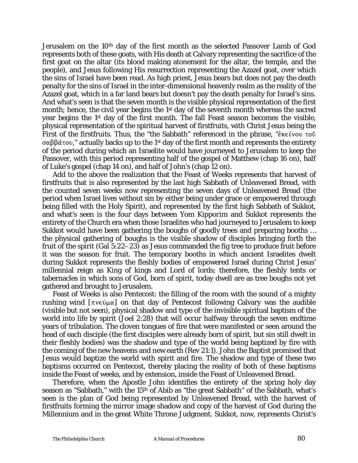Jerusalem on the 10th day of the first month as the selected Passover Lamb of God represents both of these goats, with His death at Calvary representing the sacrifice of the first goat on the altar (its blood making atonement for the altar, the temple, and the people), and Jesus following His resurrection representing the Azazel goat, over which the sins of Israel have been read. As high priest, Jesus bears but does not pay the death penalty for the sins of Israel in the inter-dimensional heavenly realm as the reality of the Azazel goat, which in a far land bears but doesn't pay the death penalty for Israel's sins. And what's seen is that the seven month is the visible physical representation of the first month; hence, the civil year begins the 1<sup>st</sup> day of the seventh month whereas the sacred year begins the 1st day of the first month. The fall Feast season becomes the visible, physical representation of the spiritual harvest of firstfruits, with Christ Jesus being the First of the firstfruits. Thus, the "the Sabbath" referenced in the phrase, " $\epsilon$ <sub>K</sub> $\epsilon$  ivou  $\tau$ o $\ddot{\upsilon}$  $\sigma \alpha \beta \beta \alpha \tau$  actually backs up to the 1<sup>st</sup> day of the first month and represents the entirety of the period during which an Israelite would have journeyed to Jerusalem to keep the Passover, with this period representing half of the gospel of Matthew (chap 16 on), half of Luke's gospel (chap 14 on), and half of John's (chap 12 on).

Add to the above the realization that the Feast of Weeks represents that harvest of firstfruits that is also represented by the last high Sabbath of Unleavened Bread, with the counted seven weeks now representing the seven days of Unleavened Bread (the period when Israel lives without sin by either being under grace or empowered through being filled with the Holy Spirit), and represented by the first high Sabbath of *Sukkot*, and what's seen is the four days between *Yom Kipporim* and *Sukkot* represents the entirety of the Church era when those Israelites who had journeyed to Jerusalem to keep *Sukkot* would have been gathering the boughs of goodly trees and preparing booths … the physical gathering of boughs is the visible shadow of disciples bringing forth the fruit of the spirit (Gal 5:22–23) as Jesus commanded the fig tree to produce fruit before it was the season for fruit. The temporary booths in which ancient Israelites dwelt during *Sukkot* represents the fleshly bodies of empowered Israel during Christ Jesus' millennial reign as King of kings and Lord of lords; therefore, the fleshly tents or tabernacles in which sons of God, born of spirit, today dwell are as tree boughs not yet gathered and brought to Jerusalem.

Feast of Weeks is also Pentecost: the filling of the room with the sound of a mighty rushing wind  $[\pi v \in \hat{U} \cup \alpha]$  on that day of Pentecost following Calvary was the audible (visible but not seen), physical shadow and type of the invisible spiritual baptism of the world into life by spirit (Joel 2:28) that will occur halfway through the seven endtime years of tribulation. The cloven tongues of fire that were manifested or seen around the head of each disciple (the first disciples were already born of spirit, but sin still dwelt in their fleshly bodies) was the shadow and type of the world being baptized by fire with the coming of the new heavens and new earth (Rev 21:1). John the Baptist promised that Jesus would baptize the world with spirit and fire. The shadow and type of these two baptisms occurred on Pentecost, thereby placing the reality of both of these baptisms inside the Feast of weeks, and by extension, inside the Feast of Unleavened Bread.

Therefore, when the Apostle John identifies the entirety of the spring holy day season as "Sabbath," with the 15th of Abib as "the great Sabbath" of the Sabbath, what's seen is the plan of God being represented by Unleavened Bread, with the harvest of firstfruits forming the mirror image shadow and copy of the harvest of God during the Millennium and in the great White Throne Judgment. *Sukkot*, now, represents Christ's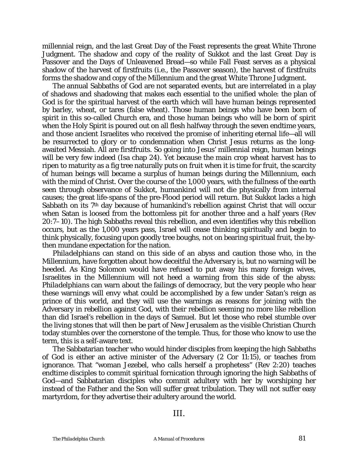millennial reign, and the last Great Day of the Feast represents the great White Throne Judgment. The shadow and copy of the reality of *Sukkot* and the last Great Day is Passover and the Days of Unleavened Bread—so while Fall Feast serves as a physical shadow of the harvest of firstfruits (i.e., the Passover season), the harvest of firstfruits forms the shadow and copy of the Millennium and the great White Throne Judgment.

The annual Sabbaths of God are not separated events, but are interrelated in a play of shadows and shadowing that makes each essential to the unified whole: the plan of God is for the spiritual harvest of the earth which will have human beings represented by barley, wheat, or tares (false wheat). Those human beings who have been born of spirit in this so-called Church era, and those human beings who will be born of spirit when the Holy Spirit is poured out on all flesh halfway through the seven endtime years, and those ancient Israelites who received the promise of inheriting eternal life—all will be resurrected to glory or to condemnation when Christ Jesus returns as the longawaited Messiah. All are firstfruits. So going into Jesus' millennial reign, human beings will be very few indeed (Isa chap 24). Yet because the main crop wheat harvest has to ripen to maturity as a fig tree naturally puts on fruit when it is time for fruit, the scarcity of human beings will became a surplus of human beings during the Millennium, each with the mind of Christ. Over the course of the 1,000 years, with the fullness of the earth seen through observance of *Sukkot*, humankind will not die physically from internal causes; the great life-spans of the pre-Flood period will return. But *Sukkot* lacks a high Sabbath on its 7th day because of humankind's rebellion against Christ that will occur when Satan is loosed from the bottomless pit for another three and a half years (Rev 20:7–10). The high Sabbaths reveal this rebellion, and even identifies why this rebellion occurs, but as the 1,000 years pass, Israel will cease thinking spiritually and begin to think physically, focusing upon goodly tree boughs, not on bearing spiritual fruit, the bythen mundane expectation for the nation.

*Philadelphians* can stand on this side of an abyss and caution those who, in the Millennium, have forgotten about how deceitful the Adversary is, but no warning will be heeded. As King Solomon would have refused to put away his many foreign wives, Israelites in the Millennium will not heed a warning from this side of the abyss: *Philadelphians* can warn about the failings of democracy, but the very people who hear these warnings will envy what could be accomplished by a few under Satan's reign as prince of this world, and they will use the warnings as reasons for joining with the Adversary in rebellion against God, with their rebellion seeming no more like rebellion than did Israel's rebellion in the days of Samuel. But let those who rebel stumble over the living stones that will then be part of New Jerusalem as the visible Christian Church today stumbles over the cornerstone of the temple. Thus, for those who know to use the term, this is a self-aware text.

The Sabbatarian teacher who would hinder disciples from keeping the high Sabbaths of God is either an active minister of the Adversary (2 Cor 11:15), or teaches from ignorance. That "woman Jezebel, who calls herself a prophetess" (Rev 2:20) teaches endtime disciples to commit spiritual fornication through ignoring the high Sabbaths of God—and Sabbatarian disciples who commit adultery with her by worshiping her instead of the Father and the Son will suffer great tribulation. They will not suffer easy martyrdom, for they advertise their adultery around the world.

III.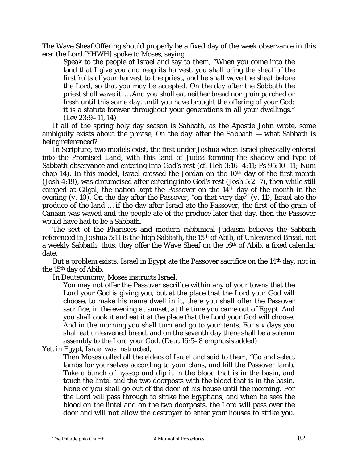The Wave Sheaf Offering should properly be a fixed day of the week observance in this era: the Lord [*YHWH*] spoke to Moses, saying,

Speak to the people of Israel and say to them, "When you come into the land that I give you and reap its harvest, you shall bring the sheaf of the firstfruits of your harvest to the priest, and he shall wave the sheaf before the Lord, so that you may be accepted. On the day after the Sabbath the priest shall wave it. … And you shall eat neither bread nor grain parched or fresh until this same day, until you have brought the offering of your God: it is a statute forever throughout your generations in all your dwellings." (Lev 23:9–11, 14)

If all of the spring holy day season is Sabbath, as the Apostle John wrote, some ambiguity exists about the phrase, *On the day after the Sabbath* — what Sabbath is being referenced?

In Scripture, two models exist, the first under Joshua when Israel physically entered into the Promised Land, with this land of Judea forming the shadow and type of Sabbath observance and entering into God's rest (*cf.* Heb 3:16–4:11; Ps 95:10–11; Num chap 14). In this model, Israel crossed the Jordan on the 10<sup>th</sup> day of the first month (Josh 4:19), was circumcised after entering into God's rest (Josh 5:2–7), then while still camped at Gilgal, the nation kept the Passover on the 14th day of the month in the evening (*v.* 10). On the day after the Passover, "on that very day" (*v.* 11), Israel ate the produce of the land … if the day after Israel ate the Passover, the first of the grain of Canaan was waved and the people ate of the produce later that day, then the Passover would have had to be a Sabbath.

The sect of the Pharisees and modern rabbinical Judaism believes the Sabbath referenced in Joshua 5:11 is the high Sabbath, the 15th of Abib, of Unleavened Bread, not a weekly Sabbath; thus, they offer the Wave Sheaf on the 16th of Abib, a fixed calendar date.

But a problem exists: Israel in Egypt ate the Passover sacrifice on the 14<sup>th</sup> day, not in the 15th day of Abib.

In Deuteronomy, Moses instructs Israel,

You may not offer the Passover sacrifice within any of your towns that the Lord your God is giving you, but at the place that the Lord your God will choose, to make his name dwell in it, there you shall offer the Passover sacrifice, *in the evening at sunset, at the time you came out of Egypt*. And you shall cook it and eat it at the place that the Lord your God will choose. And in the morning you shall turn and go to your tents. For six days you shall eat unleavened bread, and on the seventh day there shall be a solemn assembly to the Lord your God. (Deut 16:5–8 emphasis added)

Yet, in Egypt, Israel was instructed,

Then Moses called all the elders of Israel and said to them, "Go and select lambs for yourselves according to your clans, and kill the Passover lamb. Take a bunch of hyssop and dip it in the blood that is in the basin, and touch the lintel and the two doorposts with the blood that is in the basin. *None of you shall go out of the door of his house until the morning*. For the Lord will pass through to strike the Egyptians, and when he sees the blood on the lintel and on the two doorposts, the Lord will pass over the door and will not allow the destroyer to enter your houses to strike you.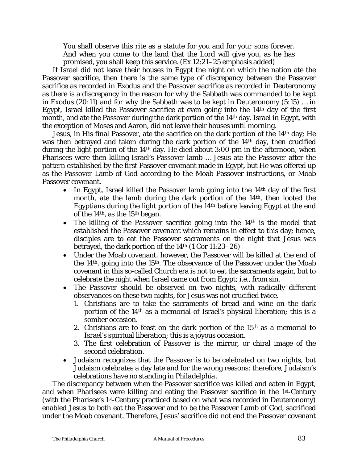You shall observe this rite as a statute for you and for your sons forever. And when you come to the land that the Lord will give you, as he has promised, you shall keep this service. (Ex 12:21–25 emphasis added)

If Israel did not leave their houses in Egypt the night on which the nation ate the Passover sacrifice, then there is the same type of discrepancy between the Passover sacrifice as recorded in Exodus and the Passover sacrifice as recorded in Deuteronomy as there is a discrepancy in the reason for why the Sabbath was commanded to be kept in Exodus (20:11) and for why the Sabbath was to be kept in Deuteronomy (5:15) … in Egypt, Israel killed the Passover sacrifice at even going into the  $14<sup>th</sup>$  day of the first month, and ate the Passover during the dark portion of the 14th day. Israel in Egypt, with the exception of Moses and Aaron, did not leave their houses until morning.

Jesus, in His final Passover, ate the sacrifice on the dark portion of the 14th day; He was then betrayed and taken during the dark portion of the 14<sup>th</sup> day, then crucified during the light portion of the 14th day. He died about 3:00 pm in the afternoon, when Pharisees were then killing Israel's Passover lamb … Jesus ate the Passover after the pattern established by the first Passover covenant made in Egypt, but He was offered up as the Passover Lamb of God according to the Moab Passover instructions, or Moab Passover covenant.

- In Egypt, Israel killed the Passover lamb going into the  $14<sup>th</sup>$  day of the first month, ate the lamb during the dark portion of the 14th, then looted the Egyptians during the light portion of the 14th before leaving Egypt at the end of the 14th, as the 15th began.
- The killing of the Passover sacrifice going into the 14<sup>th</sup> is the model that established the Passover covenant which remains in effect to this day; hence, disciples are to eat the Passover sacraments on the night that Jesus was betrayed, the dark portion of the  $14<sup>th</sup>$  (1 Cor 11:23–26)
- Under the Moab covenant, however, the Passover will be killed at the end of the 14th, going into the 15th. The observance of the Passover under the Moab covenant in this so-called Church era is not to eat the sacraments again, but to celebrate the night when Israel came out from Egypt; i.e., from sin.
- The Passover should be observed on two nights, with radically different observances on these two nights, for Jesus was not crucified twice.
	- 1. Christians are to take the sacraments of bread and wine on the dark portion of the 14th as a memorial of Israel's physical liberation; this is a somber occasion.
	- 2. Christians are to feast on the dark portion of the 15th as a memorial to Israel's spiritual liberation; this is a joyous occasion.
	- 3. The first celebration of Passover is the mirror, or chiral image of the second celebration.
- Judaism recognizes that the Passover is to be celebrated on two nights, but Judaism celebrates a day late and for the wrong reasons; therefore, Judaism's celebrations have no standing in *Philadelphia.*

The discrepancy between when the Passover sacrifice was killed and eaten in Egypt, and when Pharisees were killing and eating the Passover sacrifice in the 1st-Century (with the Pharisee's 1st-Century practiced based on what was recorded in Deuteronomy) enabled Jesus to both eat the Passover and to be the Passover Lamb of God, sacrificed under the Moab covenant. Therefore, Jesus' sacrifice did not end the Passover covenant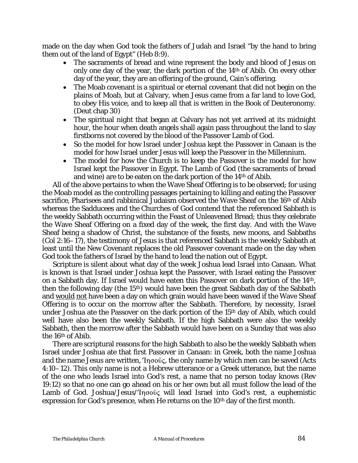made on the day when God took the fathers of Judah and Israel "by the hand to bring them out of the land of Egypt" (Heb 8:9).

- The sacraments of bread and wine represent the body and blood of Jesus on only one day of the year, the dark portion of the 14th of Abib. On every other day of the year, they are an offering of the ground, Cain's offering.
- The Moab covenant is a spiritual or eternal covenant that did not begin on the plains of Moab, but at Calvary, when Jesus came from a far land to love God, to obey His voice, and to keep all that is written in the Book of Deuteronomy. (Deut chap 30)
- The spiritual night that began at Calvary has not yet arrived at its midnight hour, the hour when death angels shall again pass throughout the land to slay firstborns not covered by the blood of the Passover Lamb of God.
- So the model for how Israel under Joshua kept the Passover in Canaan is the model for how Israel under Jesus will keep the Passover in the Millennium.
- The model for how the Church is to keep the Passover is the model for how Israel kept the Passover in Egypt. The Lamb of God (the sacraments of bread and wine) are to be eaten on the dark portion of the 14th of Abib.

All of the above pertains to when the Wave Sheaf Offering is to be observed; for using the Moab model as the controlling passages pertaining to killing and eating the Passover sacrifice, Pharisees and rabbinical Judaism observed the Wave Sheaf on the 16th of Abib whereas the Sadducees and the Churches of God contend that the referenced Sabbath is the weekly Sabbath occurring within the Feast of Unleavened Bread; thus they celebrate the Wave Sheaf Offering on a fixed day of the week, the first day. And with the Wave Sheaf being a shadow of Christ, the substance of the feasts, new moons, and Sabbaths (Col 2:16–17), the testimony of Jesus is that referenced Sabbath is the weekly Sabbath at least until the New Covenant replaces the old Passover covenant made on the day when God took the fathers of Israel by the hand to lead the nation out of Egypt.

Scripture is silent about what day of the week Joshua lead Israel into Canaan. What is known is that Israel under Joshua kept the Passover, with Israel eating the Passover on a Sabbath day. If Israel would have eaten this Passover on dark portion of the 14th, then the following day (the 15th) would have been the great Sabbath day of the Sabbath and would not have been a day on which grain would have been waved if the Wave Sheaf Offering is to occur on the morrow after the Sabbath. Therefore, by necessity, Israel under Joshua ate the Passover on the dark portion of the 15<sup>th</sup> day of Abib, which could well have also been the weekly Sabbath. If the high Sabbath were also the weekly Sabbath, then the morrow after the Sabbath would have been on a Sunday that was also the 16th of Abib.

There are scriptural reasons for the high Sabbath to also be the weekly Sabbath when Israel under Joshua ate that first Passover in Canaan: in Greek, both the name Joshua and the name Jesus are written,  $\text{Tr } \sigma \circ \hat{\sigma}$ , the only name by which men can be saved (Acts 4:10–12). This only name is not a Hebrew utterance or a Greek utterance, but the name of the one who leads Israel into God's rest, a name that no person today knows (Rev 19:12) so that no one can go ahead on his or her own but all must follow the lead of the Lamb of God. Joshua/Jesus/'Inσούς will lead Israel into God's rest, a euphemistic expression for God's presence, when He returns on the 10<sup>th</sup> day of the first month.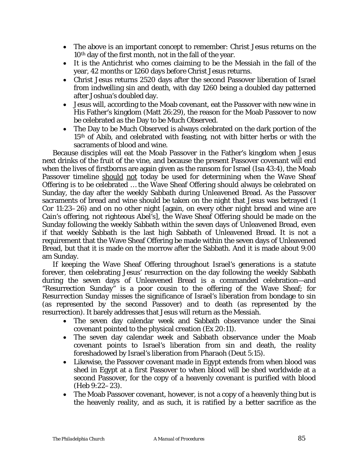- The above is an important concept to remember: Christ Jesus returns on the 10th day of the first month, not in the fall of the year.
- It is the Antichrist who comes claiming to be the Messiah in the fall of the year, 42 months or 1260 days before Christ Jesus returns.
- Christ Jesus returns 2520 days after the second Passover liberation of Israel from indwelling sin and death, with day 1260 being a doubled day patterned after Joshua's doubled day.
- Jesus will, according to the Moab covenant, eat the Passover with new wine in His Father's kingdom (Matt 26:29), the reason for the Moab Passover to now be celebrated as the Day to be Much Observed.
- The Day to be Much Observed is always celebrated on the dark portion of the 15th of Abib, and celebrated with feasting, not with bitter herbs or with the sacraments of blood and wine.

Because disciples will eat the Moab Passover in the Father's kingdom when Jesus next drinks of the fruit of the vine, and because the present Passover covenant will end when the lives of firstborns are again given as the ransom for Israel (Isa 43:4), the Moab Passover timeline should not today be used for determining when the Wave Sheaf Offering is to be celebrated … the Wave Sheaf Offering should always be celebrated on Sunday, the day after the weekly Sabbath during Unleavened Bread. As the Passover sacraments of bread and wine should be taken on the night that Jesus was betrayed (1 Cor 11:23–26) and on no other night [again, on every other night bread and wine are Cain's offering, not righteous Abel's], the Wave Sheaf Offering should be made on the Sunday following the weekly Sabbath within the seven days of Unleavened Bread, even if that weekly Sabbath is the last high Sabbath of Unleavened Bread. It is not a requirement that the Wave Sheaf Offering be made within the seven days of Unleavened Bread, but that it is made on the morrow after the Sabbath. And it is made about 9:00 am Sunday.

If keeping the Wave Sheaf Offering throughout Israel's generations is a statute forever, then celebrating Jesus' resurrection on the day following the weekly Sabbath during the seven days of Unleavened Bread is a commanded celebration—and "Resurrection Sunday" is a poor cousin to the offering of the Wave Sheaf; for *Resurrection Sunday* misses the significance of Israel's liberation from bondage to sin (as represented by the second Passover) and to death (as represented by the resurrection). It barely addresses that Jesus will return as the Messiah.

- The seven day calendar week and Sabbath observance under the Sinai covenant pointed to the physical creation (Ex 20:11).
- The seven day calendar week and Sabbath observance under the Moab covenant points to Israel's liberation from sin and death, the reality foreshadowed by Israel's liberation from Pharaoh (Deut 5:15).
- Likewise, the Passover covenant made in Egypt extends from when blood was shed in Egypt at a first Passover to when blood will be shed worldwide at a second Passover, for the copy of a heavenly covenant is purified with blood (Heb 9:22–23).
- The Moab Passover covenant, however, is not a copy of a heavenly thing but is the heavenly reality, and as such, it is ratified by a better sacrifice as the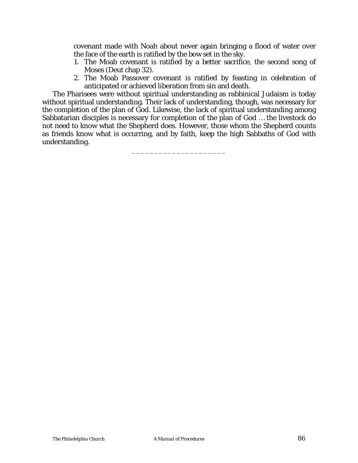covenant made with Noah about never again bringing a flood of water over the face of the earth is ratified by the bow set in the sky.

- 1. The Moab covenant is ratified by a better sacrifice, the second song of Moses (Deut chap 32).
- 2. The Moab Passover covenant is ratified by feasting in celebration of anticipated or achieved liberation from sin and death.

The Pharisees were without spiritual understanding as rabbinical Judaism is today without spiritual understanding. Their lack of understanding, though, was necessary for the completion of the plan of God. Likewise, the lack of spiritual understanding among Sabbatarian disciples is necessary for completion of the plan of God … the livestock do not need to know what the Shepherd does. However, those whom the Shepherd counts as friends know what is occurring, and by faith, keep the high Sabbaths of God with understanding.

\_\_\_\_\_\_\_\_\_\_\_\_\_\_\_\_\_\_\_\_\_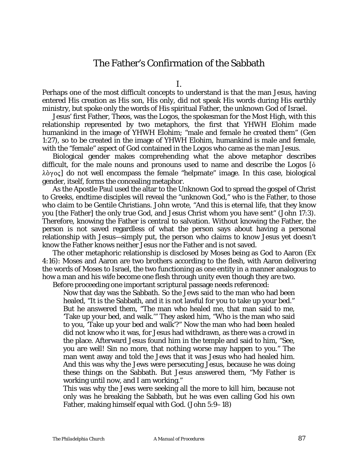# The Father's Confirmation of the Sabbath

Perhaps one of the most difficult concepts to understand is that the man Jesus, having entered His creation as His son, His only, did not speak His words during His earthly ministry, but spoke only the words of His spiritual Father, the unknown God of Israel.

Jesus' first Father, *Theos*, was the *Logos,* the spokesman for the Most High, with this relationship represented by two metaphors, the first that *YHWH Elohim* made humankind in the image of *YHWH Elohim*; "male and female he created them" (Gen 1:27), so to be created in the image of *YHWH Elohim*, humankind is male and female, with the "female" aspect of God contained in the *Logos* who came as the man Jesus.

Biological gender makes comprehending what the above metaphor describes difficult, for the male nouns and pronouns used to name and describe *the Logos* [Ò  $\lambda \delta \gamma$  oc] do not well encompass the female "helpmate" image. In this case, biological gender, itself, forms the concealing metaphor.

As the Apostle Paul used the altar to the Unknown God to spread the gospel of Christ to Greeks, endtime disciples will reveal the "unknown God," who is the Father, to those who claim to be Gentile Christians. John wrote, "And this is eternal life, that they know you [the Father] the only true God, and Jesus Christ whom you have sent" (John 17:3). Therefore, knowing the Father is central to salvation. Without knowing the Father, the person is not saved regardless of what the person says about having a personal relationship with Jesus—simply put, the person who claims to know Jesus yet doesn't know the Father knows neither Jesus nor the Father and is not saved.

The other metaphoric relationship is disclosed by Moses being as God to Aaron (Ex 4:16): Moses and Aaron are two brothers according to the flesh, with Aaron delivering the words of Moses to Israel, the two functioning as one entity in a manner analogous to how a man and his wife become one flesh through unity even though they are two.

Before proceeding one important scriptural passage needs referenced:

Now that day was the Sabbath. So the Jews said to the man who had been healed, "It is the Sabbath, and it is not lawful for you to take up your bed." But he answered them, "The man who healed me, that man said to me, 'Take up your bed, and walk.'" They asked him, "Who is the man who said to you, 'Take up your bed and walk'?" Now the man who had been healed did not know who it was, for Jesus had withdrawn, as there was a crowd in the place. Afterward Jesus found him in the temple and said to him, "See, you are well! Sin no more, that nothing worse may happen to you." The man went away and told the Jews that it was Jesus who had healed him. And this was why the Jews were persecuting Jesus, because he was doing these things on the Sabbath. But Jesus answered them, "My Father is working until now, and I am working."

This was why the Jews were seeking all the more to kill him, because not only was he breaking the Sabbath, but he was even calling God his own Father, making himself equal with God. (John 5:9–18)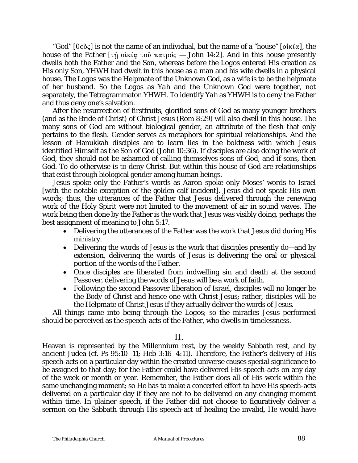"God"  $[\theta \in \partial \zeta]$  is not the name of an individual, but the name of a "house"  $[\theta \in \partial \zeta]$ , the house of the Father  $[\tau \hat{\eta}$  oikig  $\tau \circ \hat{\theta}$   $\pi \alpha \tau \circ \hat{\theta}$   $\zeta$  — John 14:2]. And in this house presently dwells both the Father and the Son, whereas before *the Logos* entered His creation as His only Son, *YHWH* had dwelt in this house as a man and his wife dwells in a physical house. *The Logos* was the Helpmate of the Unknown God, as a wife is to be the helpmate of her husband. So *the Logos* as *Yah* and the Unknown God were together, not separately, the Tetragrammaton *YHWH*. To identify *Yah* as *YHWH* is to deny the Father and thus deny one's salvation.

After the resurrection of firstfruits, glorified sons of God as many younger brothers (and as the Bride of Christ) of Christ Jesus (Rom 8:29) will also dwell in this *house.* The many sons of God are without biological gender, an attribute of the flesh that only pertains to the flesh. Gender serves as metaphors for spiritual relationships. And the lesson of Hanukkah disciples are to learn lies in the boldness with which Jesus identified Himself as the Son of God (John 10:36). If disciples are also doing the work of God, they should not be ashamed of calling themselves sons of God, and if sons, then God. To do otherwise is to deny Christ. But within this *house of God* are relationships that exist through biological gender among human beings.

Jesus spoke only the Father's words as Aaron spoke only Moses' words to Israel [with the notable exception of the golden calf incident]. Jesus did not speak His own words; thus, the utterances of the Father that Jesus delivered through the renewing work of the Holy Spirit were not limited to the movement of air in sound waves. The work being then done by the Father is the work that Jesus was visibly doing, perhaps the best assignment of meaning to John 5:17.

- Delivering the utterances of the Father was the work that Jesus did during His ministry.
- Delivering the words of Jesus is the work that disciples presently do—and by extension, delivering the words of Jesus is delivering the oral or physical portion of the words of the Father.
- Once disciples are liberated from indwelling sin and death at the second Passover, delivering the words of Jesus will be a work of faith.
- Following the second Passover liberation of Israel, disciples will no longer be the Body of Christ and hence one with Christ Jesus; rather, disciples will be the Helpmate of Christ Jesus if they actually deliver the words of Jesus.

All things came into being through the *Logos*; so the miracles Jesus performed should be perceived as the speech-acts of the Father, who dwells in timelessness.

### II.

Heaven is represented by the Millennium rest, by the weekly Sabbath rest, and by ancient Judea (*cf.* Ps 95:10–11; Heb 3:16–4:11). Therefore, the Father's delivery of His speech-acts on a particular day within the created universe causes special significance to be assigned to that day; for the Father could have delivered His speech-acts on any day of the week or month or year. Remember, the Father does all of His work within the same unchanging moment; so He has to make a concerted effort to have His speech-acts delivered on a particular day if they are not to be delivered on any changing moment within time. In plainer speech, if the Father did not choose to figuratively deliver a sermon on the Sabbath through His speech-act of healing the invalid, He would have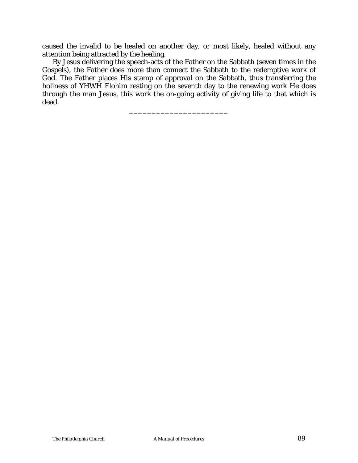caused the invalid to be healed on another day, or most likely, healed without any attention being attracted by the healing.

By Jesus delivering the speech-acts of the Father on the Sabbath (seven times in the Gospels), the Father does more than connect the Sabbath to the redemptive work of God. The Father places His stamp of approval on the Sabbath, thus transferring the holiness of *YHWH Elohim* resting on the seventh day to the renewing work He does through the man Jesus, this work the on-going activity of giving life to that which is dead.

\_\_\_\_\_\_\_\_\_\_\_\_\_\_\_\_\_\_\_\_\_\_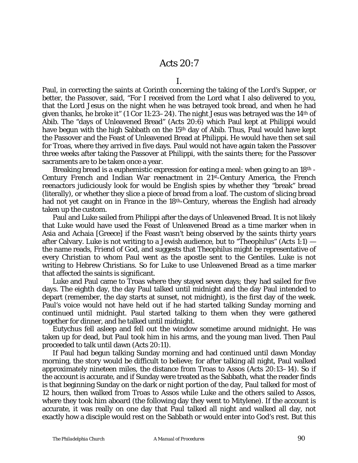## Acts 20:7

I.

Paul, in correcting the saints at Corinth concerning the taking of the *Lord's Supper*, or better, *the Passover*, said, "For I received from the Lord what I also delivered to you, that the Lord Jesus on the night when he was betrayed took bread, and when he had given thanks, he broke it" (1 Cor 11:23–24). The night Jesus was betrayed was the 14th of Abib. The "days of Unleavened Bread" (Acts 20:6) which Paul kept at Philippi would have begun with the high Sabbath on the 15<sup>th</sup> day of Abib. Thus, Paul would have kept the Passover and the Feast of Unleavened Bread at Philippi. He would have then set sail for Troas, where they arrived in five days. Paul would not have again taken the Passover three weeks after taking the Passover at Philippi, with the saints there; for the Passover sacraments are to be taken once a year.

Breaking bread is a euphemistic expression for eating a meal: when going to an 18th - Century French and Indian War reenactment in 21st-Century America, the French reenactors judiciously look for would be English spies by whether they "break" bread (literally), or whether they slice a piece of bread from a loaf. The custom of slicing bread had not yet caught on in France in the 18<sup>th</sup>-Century, whereas the English had already taken up the custom.

Paul and Luke sailed from Philippi after the days of Unleavened Bread. It is not likely that Luke would have used the Feast of Unleavened Bread as a time marker when in Asia and Achaia [Greece] if the Feast wasn't being observed by the saints thirty years after Calvary. Luke is not writing to a Jewish audience, but to "Theophilus" (Acts 1:1) the name reads, *Friend of God*, and suggests that *Theophilus* might be representative of every Christian to whom Paul went as the apostle sent to the Gentiles. Luke is not writing to Hebrew Christians. So for Luke to use Unleavened Bread as a time marker that affected the saints is significant.

Luke and Paul came to Troas where they stayed seven days; they had sailed for five days. The eighth day, the day Paul talked until midnight and the day Paul intended to depart (remember, the day starts at sunset, not midnight), is the first day of the week. Paul's voice would not have held out if he had started talking Sunday morning and continued until midnight. Paul started talking to them when they were gathered together for dinner, and he talked until midnight.

Eutychus fell asleep and fell out the window sometime around midnight. He was taken up for dead, but Paul took him in his arms, and the young man lived. Then Paul proceeded to talk until dawn (Acts 20:11).

If Paul had begun talking Sunday morning and had continued until dawn Monday morning, the story would be difficult to believe; for after talking all night, Paul walked approximately nineteen miles, the distance from Troas to Assos (Acts 20:13–14). So if the account is accurate, and if Sunday were treated as the Sabbath, what the reader finds is that beginning Sunday on the dark or night portion of the day, Paul talked for most of 12 hours, then walked from Troas to Assos while Luke and the others sailed to Assos, where they took him aboard (the following day they went to Mitylene). If the account is accurate, it was really on one day that Paul talked all night and walked all day, not exactly how a disciple would rest on the Sabbath or would enter into God's rest. But this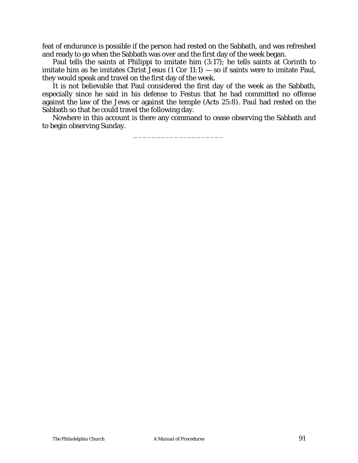feat of endurance is possible if the person had rested on the Sabbath, and was refreshed and ready to go when the Sabbath was over and the first day of the week began.

Paul tells the saints at Philippi to imitate him (3:17); he tells saints at Corinth to imitate him as he imitates Christ Jesus  $(1 \text{ Cor } 11:1)$  — so if saints were to imitate Paul, they would speak and travel on the first day of the week.

It is not believable that Paul considered the first day of the week as the Sabbath, especially since he said in his defense to Festus that he had committed no offense against the law of the Jews or against the temple (Acts 25:8). Paul had rested on the Sabbath so that he could travel the following day.

Nowhere in this account is there any command to cease observing the Sabbath and to begin observing Sunday.

\_\_\_\_\_\_\_\_\_\_\_\_\_\_\_\_\_\_\_\_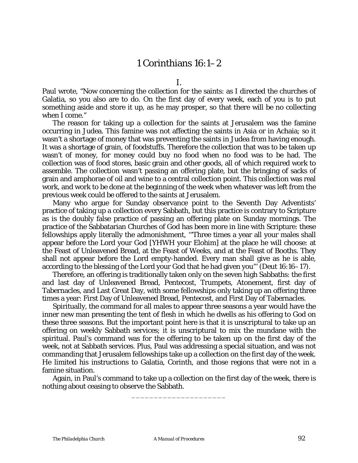# 1 Corinthians 16:1–2

I.

Paul wrote, "Now concerning the collection for the saints: as I directed the churches of Galatia, so you also are to do. On the first day of every week, each of you is to put something aside and store it up, as he may prosper, so that there will be no collecting when I come."

The reason for taking up a collection for the saints at Jerusalem was the famine occurring in Judea. This famine was not affecting the saints in Asia or in Achaia; so it wasn't a shortage of money that was preventing the saints in Judea from having enough. It was a shortage of grain, of foodstuffs. Therefore the collection that was to be taken up wasn't of money, for money could buy no food when no food was to be had. The collection was of food stores, basic grain and other goods, all of which required work to assemble. The collection wasn't passing an offering plate, but the bringing of sacks of grain and amphorae of oil and wine to a central collection point. This collection was real work, and work to be done at the beginning of the week when whatever was left from the previous week could be offered to the saints at Jerusalem.

Many who argue for Sunday observance point to the Seventh Day Adventists' practice of taking up a collection every Sabbath, but this practice is contrary to Scripture as is the doubly false practice of passing an offering plate on Sunday mornings. The practice of the Sabbatarian Churches of God has been more in line with Scripture: these fellowships apply literally the admonishment, '"Three times a year all your males shall appear before the Lord your God [*YHWH* your *Elohim*] at the place he will choose: at the Feast of Unleavened Bread, at the Feast of Weeks, and at the Feast of Booths. They shall not appear before the Lord empty-handed. Every man shall give as he is able, according to the blessing of the Lord your God that he had given you"' (Deut 16:16–17).

Therefore, an offering is traditionally taken only on the seven high Sabbaths: the first and last day of Unleavened Bread, Pentecost, Trumpets, Atonement, first day of Tabernacles, and Last Great Day, with some fellowships only taking up an offering three times a year: First Day of Unleavened Bread, Pentecost, and First Day of Tabernacles.

Spiritually, the command for all males to appear three seasons a year would have the inner new man presenting the tent of flesh in which he dwells as his offering to God on these three seasons. But the important point here is that it is unscriptural to take up an offering on weekly Sabbath services; it is unscriptural to mix the mundane with the spiritual. Paul's command was for the offering to be taken up on the first day of the week, not at Sabbath services. Plus, Paul was addressing a special situation, and was not commanding that Jerusalem fellowships take up a collection on the first day of the week. He limited his instructions to Galatia, Corinth, and those regions that were not in a famine situation.

Again, in Paul's command to take up a collection on the first day of the week, there is nothing about ceasing to observe the Sabbath.

\_\_\_\_\_\_\_\_\_\_\_\_\_\_\_\_\_\_\_\_\_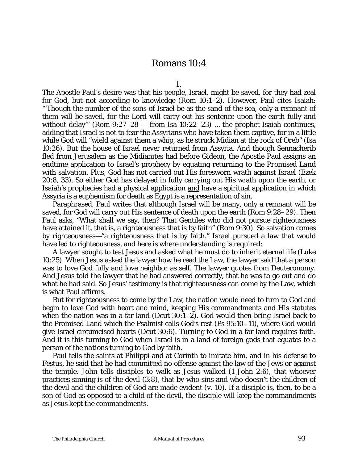### Romans 10:4

I.

The Apostle Paul's desire was that his people, Israel, might be saved, for they had zeal for God, but not according to knowledge (Rom 10:1–2). However, Paul cites Isaiah: "'Though the number of the sons of Israel be as the sand of the sea, only a remnant of them will be saved, for the Lord will carry out his sentence upon the earth fully and without delay" (Rom  $9:27-28$  — from Isa 10:22-23) ... the prophet Isaiah continues, adding that Israel is not to fear the Assyrians who have taken them captive, for in a little while God will "wield against them a whip, as he struck Midian at the rock of Oreb" (Isa 10:26). But the house of Israel never returned from Assyria. And though Sennacherib fled from Jerusalem as the Midianites had before Gideon, the Apostle Paul assigns an endtime application to Israel's prophecy by equating *returning to the Promised Land* with salvation. Plus, God has not carried out His foresworn wrath against Israel (Ezek 20:8, 33). So either God has delayed in fully carrying out His wrath upon the earth, or Isaiah's prophecies had a physical application and have a spiritual application in which Assyria is a euphemism for death as Egypt is a representation of sin.

Paraphrased, Paul writes that although Israel will be many, only a remnant will be saved, for God will carry out His sentence of death upon the earth (Rom 9:28–29). Then Paul asks, "What shall we say, then? That Gentiles who did not pursue righteousness have attained it, that is, a righteousness that is by faith" (Rom 9:30). So salvation comes by righteousness—"a righteousness that is by faith." Israel pursued a law that would have led to righteousness, and here is where understanding is required:

A lawyer sought to test Jesus and asked what he must do to inherit eternal life (Luke 10:25). When Jesus asked the lawyer how he read the Law, the lawyer said that a person was to love God fully and love neighbor as self. The lawyer quotes from Deuteronomy. And Jesus told the lawyer that he had answered correctly, that he was to go out and do what he had said. So Jesus' testimony is that righteousness can come by the Law, which is what Paul affirms.

But for righteousness to come by the Law, the nation would need to turn to God and begin to love God with heart and mind, keeping His commandments and His statutes when the nation was in a far land (Deut 30:1–2). God would then bring Israel back to the Promised Land which the Psalmist calls God's rest (Ps 95:10–11), where God would give Israel circumcised hearts (Deut 30:6). Turning to God in a far land requires faith. And it is this turning to God when Israel is in a land of foreign gods that equates to a person of *the nations* turning to God by faith.

Paul tells the saints at Philippi and at Corinth to imitate him, and in his defense to Festus, he said that he had committed no offense against the law of the Jews or against the temple. John tells disciples to walk as Jesus walked (1 John 2:6), that whoever practices sinning is of the devil (3:8), that by who sins and who doesn't the children of the devil and the children of God are made evident (*v.* 10). If a disciple is, then, to be a son of God as opposed to a child of the devil, the disciple will keep the commandments as Jesus kept the commandments.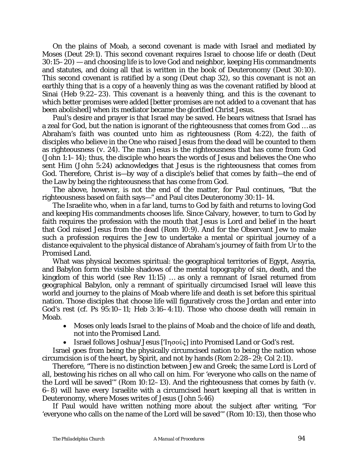On the plains of Moab, a second covenant is made with Israel and mediated by Moses (Deut 29:1). This second covenant requires Israel to choose life or death (Deut 30:15–20) — and choosing life is to love God and neighbor, keeping His commandments and statutes, and doing all that is written in the book of Deuteronomy (Deut 30:10). This second covenant is ratified by a song (Deut chap 32), so this covenant is not an earthly thing that is a copy of a heavenly thing as was the covenant ratified by blood at Sinai (Heb 9:22–23). This covenant is a heavenly thing, and this is the covenant to which better promises were added [better promises are not added to a covenant that has been abolished] when its mediator became the glorified Christ Jesus.

Paul's desire and prayer is that Israel may be saved. He bears witness that Israel has a zeal for God, but the nation is ignorant of the righteousness that comes from God … as Abraham's faith was counted unto him as righteousness (Rom 4:22), the faith of disciples who believe in the One who raised Jesus from the dead will be counted to them as righteousness (*v.* 24). The man Jesus is the righteousness that has come from God (John 1:1–14); thus, the disciple who hears the words of Jesus and believes the One who sent Him (John 5:24) acknowledges that Jesus is the righteousness that comes from God. Therefore, Christ is—by way of a disciple's belief that comes by faith—the end of the Law by being the righteousness that has come from God.

The above, however, is not the end of the matter, for Paul continues, "But the righteousness based on faith says—" and Paul cites Deuteronomy 30:11–14.

The Israelite who, when in a far land, turns to God by faith and returns to loving God and keeping His commandments chooses life. Since Calvary, however, to turn to God by faith requires the profession with the mouth that Jesus is Lord and belief in the heart that God raised Jesus from the dead (Rom 10:9). And for the Observant Jew to make such a profession requires the Jew to undertake a mental or spiritual journey of a distance equivalent to the physical distance of Abraham's journey of faith from Ur to the Promised Land.

What was physical becomes spiritual: the geographical territories of Egypt, Assyria, and Babylon form the visible shadows of the mental topography of sin, death, and the kingdom of this world (see Rev 11:15) … as only a remnant of Israel returned from geographical Babylon, only a remnant of spiritually circumcised Israel will leave this world and journey to the plains of Moab where life and death is set before this spiritual nation. Those disciples that choose life will figuratively cross the Jordan and enter into God's rest (*cf.* Ps 95:10–11; Heb 3:16–4:11). Those who choose death will remain in Moab.

- Moses only leads Israel to the plains of Moab and the choice of life and death, not into the Promised Land.
- Israel follows Joshua/Jesus ['Ingover ] into Promised Land or God's rest.

Israel goes from being the physically circumcised nation to being the nation whose circumcision is of the heart, by Spirit, and not by hands (Rom 2:28–29; Col 2:11).

Therefore, "There is no distinction between Jew and Greek; the same Lord is Lord of all, bestowing his riches on all who call on him. For 'everyone who calls on the name of the Lord will be saved'" (Rom 10:12–13). And the righteousness that comes by faith (*v.* 6–8) will have every Israelite with a circumcised heart keeping all that is written in Deuteronomy, where Moses writes of Jesus (John 5:46)

If Paul would have written nothing more about the subject after writing, "For 'everyone who calls on the name of the Lord will be saved'" (Rom 10:13), then those who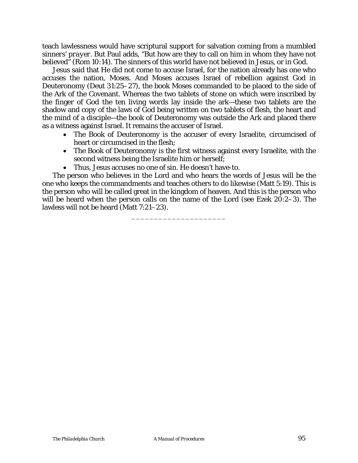teach lawlessness would have scriptural support for salvation coming from a mumbled *sinners' prayer*. But Paul adds, "But how are they to call on him in whom they have not believed<sup>"</sup> (Rom 10:14). The sinners of this world have not believed in Jesus, or in God.

Jesus said that He did not come to accuse Israel, for the nation already has one who accuses the nation, Moses. And Moses accuses Israel of rebellion against God in Deuteronomy (Deut 31:25–27), the book Moses commanded to be placed to the side of the Ark of the Covenant. Whereas the two tablets of stone on which were inscribed by the finger of God the ten living words lay inside the ark—these two tablets are the shadow and copy of the laws of God being written on two tablets of flesh, the heart and the mind of a disciple—the book of Deuteronomy was outside the Ark and placed there as a witness against Israel. It remains the accuser of Israel.

- The Book of Deuteronomy is the accuser of every Israelite, circumcised of heart or circumcised in the flesh;
- The Book of Deuteronomy is the first witness against every Israelite, with the second witness being the Israelite him or herself;
- Thus, Jesus accuses no one of sin. He doesn't have-to.

The person who believes in the Lord and who hears the words of Jesus will be the one who keeps the commandments and teaches others to do likewise (Matt 5:19). This is the person who will be called great in the kingdom of heaven. And this is the person who will be heard when the person calls on the name of the Lord (see Ezek 20:2–3). The lawless will not be heard (Matt 7:21–23).

\_\_\_\_\_\_\_\_\_\_\_\_\_\_\_\_\_\_\_\_\_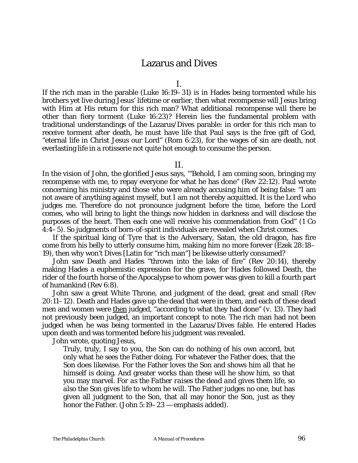## Lazarus and Dives

I.

If the rich man in the parable (Luke 16:19–31) is in Hades being tormented while his brothers yet live during Jesus' lifetime or earlier, then what recompense will Jesus bring with Him at His return for this rich man? What additional recompense will there be other than fiery torment (Luke 16:23)? Herein lies the fundamental problem with traditional understandings of the Lazarus/Dives parable: in order for this rich man to receive torment after death, he must have life that Paul says is the free gift of God, "eternal life in Christ Jesus our Lord" (Rom 6:23), for the wages of sin are death, not everlasting life in a rotisserie not quite hot enough to consume the person.

#### II.

In the vision of John, the glorified Jesus says, '"Behold, I am coming soon, bringing my recompense with me, to repay everyone for what he has done" (Rev 22:12). Paul wrote concerning his ministry and those who were already accusing him of being false: "I am not aware of anything against myself, but I am not thereby acquitted. It is the Lord who judges me. Therefore do not pronounce judgment before the time, before the Lord comes, who will bring to light the things now hidden in darkness and will disclose the purposes of the heart. Then each one will receive his commendation from God" (1 Co 4:4–5). So judgments of born-of-spirit individuals are revealed when Christ comes.

If the spiritual king of Tyre that is the Adversary, Satan, the old dragon, has fire come from his belly to utterly consume him, making him no more forever (Ezek 28:18– 19), then why won't Dives [Latin for "rich man"] be likewise utterly consumed?

John saw Death and Hades "thrown into the lake of fire" (Rev 20:14), thereby making Hades a euphemistic expression for the grave, for Hades followed Death, the rider of the fourth horse of the Apocalypse to whom power was given to kill a fourth part of humankind (Rev 6:8).

John saw a great White Throne, and judgment of the dead, great and small (Rev 20:11–12). Death and Hades gave up the dead that were in them, and each of these dead men and women were then judged, "according to what they had done" (*v.* 13). They had not previously been judged, an important concept to note. The rich man had not been judged when he was being tormented in the Lazarus/Dives fable. He entered Hades upon death and was tormented before his judgment was revealed.

John wrote, quoting Jesus,

Truly, truly, I say to you, the Son can do nothing of his own accord, but only what he sees the Father doing. For whatever the Father does, that the Son does likewise. For the Father loves the Son and shows him all that he himself is doing. And greater works than these will he show him, so that you may marvel. *For as the Father raises the dead and gives them life, so also the Son gives life to whom he will*. The Father judges no one, but has given all judgment to the Son, that all may honor the Son, just as they honor the Father. (John 5:19–23 — emphasis added).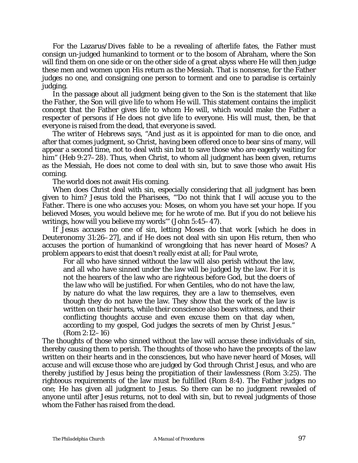For the Lazarus/Dives fable to be a revealing of afterlife fates, the Father must consign un-judged humankind to torment or to the bosom of Abraham, where the Son will find them on one side or on the other side of a great abyss where He will then judge these men and women upon His return as the Messiah. That is nonsense, for the Father judges no one, and consigning one person to torment and one to paradise is certainly judging.

In the passage about all judgment being given to the Son is the statement that *like the Father, the Son will give life to whom He will*. This statement contains the implicit concept that the Father gives life to whom He will, which would make the Father a respecter of persons if He does not give life to everyone. His will must, then, be that everyone is raised from the dead, that everyone is saved.

The writer of Hebrews says, "And just as it is appointed for man to die once, and after that comes judgment, so Christ, having been offered once to bear sins of many, will appear a second time, not to deal with sin but to save those who are eagerly waiting for him" (Heb 9:27–28). Thus, when Christ, to whom all judgment has been given, returns as the Messiah, He does not come to deal with sin, but to save those who await His coming.

The world does not await His coming.

When does Christ deal with sin, especially considering that all judgment has been given to him? Jesus told the Pharisees, "'Do not think that I will accuse you to the Father. There is one who accuses you: Moses, on whom you have set your hope. If you believed Moses, you would believe me; for he wrote of me. But if you do not believe his writings, how will you believe my words'" (John 5:45–47).

If Jesus accuses no one of sin, letting Moses do that work [which he does in Deuteronomy 31:26–27], and if He does not deal with sin upon His return, then who accuses the portion of humankind of wrongdoing that has never heard of Moses? A problem appears to exist that doesn't really exist at all; for Paul wrote,

For all who have sinned without the law will also perish without the law, and all who have sinned under the law will be judged by the law. For it is not the hearers of the law who are righteous before God, but the doers of the law who will be justified. For when Gentiles, who do not have the law, by nature do what the law requires, they are a law to themselves, even though they do not have the law. They show that the work of the law is written on their hearts, while their conscience also bears witness, and their conflicting thoughts accuse and even excuse them on that day when, according to my gospel, God judges the secrets of men by Christ Jesus." (Rom 2:12–16)

The thoughts of those who sinned without the law will accuse these individuals of sin, thereby causing them to perish. The thoughts of those who have the precepts of the law written on their hearts and in the consciences, but who have never heard of Moses, will accuse *and will excuse* those who are judged by God through Christ Jesus, and who are thereby justified by Jesus being the propitiation of their lawlessness (Rom 3:25). The righteous requirements of the law must be fulfilled (Rom 8:4). The Father judges no one; He has given all judgment to Jesus. So there can be no judgment revealed of anyone until after Jesus returns, not to deal with sin, but to reveal judgments of those whom the Father has raised from the dead.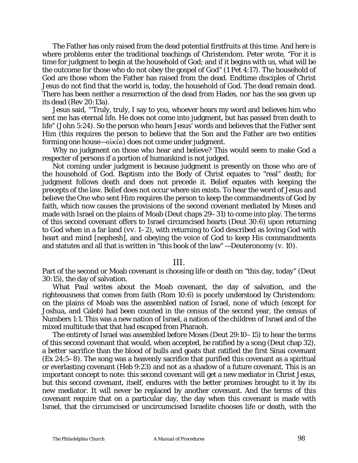The Father has only raised from the dead potential firstfruits at this time. And here is where problems enter the traditional teachings of Christendom. Peter wrote, "For it is time for judgment to begin at the household of God; and if it begins with us, what will be the outcome for those who do not obey the gospel of God" (1 Pet 4:17). The household of God are those whom the Father has raised from the dead. Endtime disciples of Christ Jesus do not find that the world is, today, the household of God. The dead remain dead. There has been neither a resurrection of the dead from Hades, nor has the sea given up its dead (Rev 20:13a).

Jesus said, "'Truly, truly, I say to you, whoever hears my word and believes him who sent me has eternal life. He does not come into judgment, but has passed from death to life" (John 5:24). So the person who hears Jesus' words and believes that the Father sent Him (this requires the person to believe that the Son and the Father are two entities forming one house— $o$ ikí $\alpha$ ) does not come under judgment.

Why no judgment on those who hear and believe? This would seem to make God a respecter of persons if a portion of humankind is not judged.

*Not coming under judgment* is because judgment is presently on those who are of the household of God. Baptism into the Body of Christ equates to "real" death; for judgment follows death and does not precede it. Belief equates with keeping the precepts of the law. Belief does not occur where sin exists. To hear the word of Jesus and believe the One who sent Him requires the person to keep the commandments of God by faith, which now causes the provisions of the second covenant mediated by Moses and made with Israel on the plains of Moab (Deut chaps 29–31) to come into play. The terms of this second covenant offers to Israel circumcised hearts (Deut 30:6) upon returning to God when in a far land (*vv*. 1–2), with returning to God described as loving God with heart and mind [nephesh], and obeying the voice of God to keep His commandments and statutes and all that is written in "this book of the law" —Deuteronomy (*v.* 10).

### III.

Part of the second or Moab covenant is choosing life or death on "this day, today" (Deut 30:15), the day of salvation.

What Paul writes about the Moab covenant, the day of salvation, and the righteousness that comes from faith (Rom 10:6) is poorly understood by Christendom: on the plains of Moab was the assembled nation of Israel, none of which (except for Joshua, and Caleb) had been counted in the census of the second year, the census of Numbers 1:1. This was a new nation of Israel, a nation of the children of Israel and of the mixed multitude that that had escaped from Pharaoh.

The entirety of Israel was assembled before Moses (Deut 29:10–15) to hear the terms of this second covenant that would, when accepted, be ratified by a song (Deut chap 32), a better sacrifice than the blood of bulls and goats that ratified the first Sinai covenant (Ex 24:5–8). The song was a heavenly sacrifice that purified this covenant as a spiritual or everlasting covenant (Heb 9:23) and not as a shadow of a future covenant. This is an important concept to note: this second covenant will get a new mediator in Christ Jesus, but this second covenant, itself, endures with the better promises brought to it by its new mediator. It will never be replaced by another covenant. And the terms of this covenant require that on a particular day, the day when this covenant is made with Israel, that the circumcised or uncircumcised Israelite chooses life or death, with the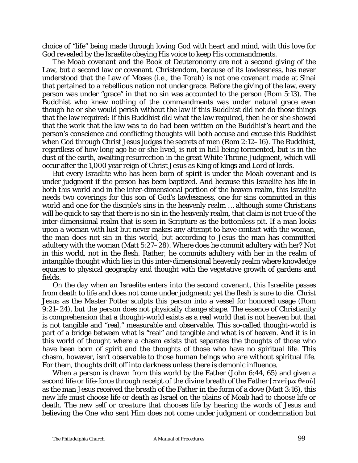choice of "life" being made through loving God with heart and mind, with this love for God revealed by the Israelite obeying His voice to keep His commandments.

The Moab covenant and the Book of Deuteronomy are not a second giving of the Law, but a second law or covenant. Christendom, because of its lawlessness, has never understood that the Law of Moses (i.e., the Torah) is not one covenant made at Sinai that pertained to a rebellious nation not under grace. Before the giving of the law, every person was under "grace" in that no sin was accounted to the person (Rom 5:13). The Buddhist who knew nothing of the commandments was under natural grace even though he or she would perish without the law if this Buddhist did not do those things that the law required: if this Buddhist did what the law required, then he or she showed that the work that the law was to do had been written on the Buddhist's heart and the person's conscience and conflicting thoughts will both accuse and excuse this Buddhist when God through Christ Jesus judges the secrets of men (Rom 2:12–16). The Buddhist, regardless of how long ago he or she lived, is not in hell being tormented, but is in the dust of the earth, awaiting resurrection in the great White Throne Judgment, which will occur after the 1,000 year reign of Christ Jesus as King of kings and Lord of lords.

But every Israelite who has been born of spirit is under the Moab covenant and is under judgment if the person has been baptized. And because this Israelite has life in both this world and in the inter-dimensional portion of the heaven realm, this Israelite needs two coverings for this son of God's lawlessness, one for sins committed in this world and one for the disciple's sins in the heavenly realm … although some Christians will be quick to say that there is no sin in the heavenly realm, that claim is not true of the inter-dimensional realm that is seen in Scripture as the bottomless pit. If a man looks upon a woman with lust but never makes any attempt to have contact with the woman, the man does not sin in this world, but according to Jesus the man has committed adultery with the woman (Matt 5:27–28). Where does he commit adultery with her? Not in this world, not in the flesh. Rather, he commits adultery with her in the realm of intangible thought which lies in this inter-dimensional heavenly realm where knowledge equates to physical geography and thought with the vegetative growth of gardens and fields.

On the day when an Israelite enters into the second covenant, this Israelite passes from death to life and does not come under judgment; yet the flesh is sure to die. Christ Jesus as the Master Potter sculpts this person into a vessel for honored usage (Rom 9:21–24), but the person does not physically change shape. The essence of Christianity is comprehension that a thought-world exists as a real world that is not heaven but that is not tangible and "real," measurable and observable. This so-called thought-world is part of a bridge between what is "real" and tangible and what is of heaven. And it is in this world of thought where a chasm exists that separates the thoughts of those who have been born of spirit and the thoughts of those who have no spiritual life. This chasm, however, isn't observable to those human beings who are without spiritual life. For them, thoughts drift off into darkness unless there is demonic influence.

When a person is drawn from this world by the Father (John 6:44, 65) and given a second life or life-force through receipt of the divine breath of the Father  $[\pi v \epsilon \hat{v} \mu \alpha \theta \epsilon \hat{v}]$ as the man Jesus received the breath of the Father in the form of a dove (Matt 3:16), this new life must choose *life* or *death* as Israel on the plains of Moab had to choose life or death. The *new self* or *creature* that chooses life by hearing the words of Jesus and believing the One who sent Him does not come under judgment or condemnation but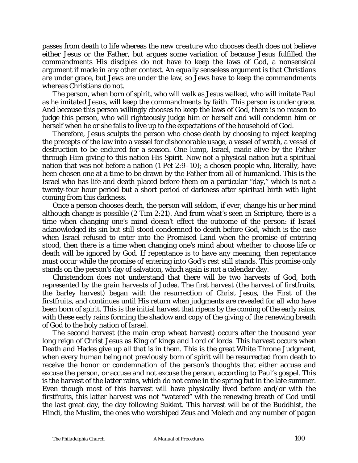passes from death to life whereas the *new creature* who chooses death does not believe either Jesus or the Father, but argues some variation of because Jesus fulfilled the commandments His disciples do not have to keep the laws of God, a nonsensical argument if made in any other context. An equally senseless argument is that Christians are under grace, but Jews are under the law, so Jews have to keep the commandments whereas Christians do not.

The person, when born of spirit, who will walk as Jesus walked, who will imitate Paul as he imitated Jesus, will keep the commandments by faith. This person is under grace. And because this person willingly chooses to keep the laws of God, there is no reason to judge this person, who will righteously judge him or herself and will condemn him or herself when he or she fails to live up to the expectations of the household of God.

Therefore, Jesus sculpts the person who chose death by choosing to reject keeping the precepts of the law into a vessel for dishonorable usage, a vessel of wrath, a vessel of destruction to be endured for a season. One lump, Israel, made alive by the Father through Him giving to this nation His Spirit. Now not a physical nation but a spiritual nation that was not before a nation (1 Pet 2:9–10); a chosen people who, literally, have been chosen one at a time to be drawn by the Father from all of humankind. This is the Israel who has life and death placed before them on a particular "day," which is not a twenty-four hour period but a short period of darkness after spiritual birth with light coming from this darkness.

Once a person chooses death, the person will seldom, if ever, change his or her mind although change is possible (2 Tim 2:21). And from what's seen in Scripture, there is a time when changing one's mind doesn't effect the outcome of the person: if Israel acknowledged its sin but still stood condemned to death before God, which is the case when Israel refused to enter into the Promised Land when the promise of entering stood, then there is a time when changing one's mind about whether to choose life or death will be ignored by God. If repentance is to have any meaning, then repentance must occur while the promise of entering into God's rest still stands. This promise only stands on the person's day of salvation, which again is not a calendar day.

Christendom does not understand that there will be two harvests of God, both represented by the grain harvests of Judea. The first harvest (the harvest of firstfruits, the barley harvest) began with the resurrection of Christ Jesus, the First of the firstfruits, and continues until His return when judgments are revealed for all who have been born of spirit. This is the initial harvest that ripens by the coming of the early rains, with these early rains forming the shadow and copy of the giving of the renewing breath of God to the holy nation of Israel.

The second harvest (the main crop wheat harvest) occurs after the thousand year long reign of Christ Jesus as King of kings and Lord of lords. This harvest occurs when Death and Hades give up all that is in them. This is the great White Throne Judgment, when every human being not previously born of spirit will be resurrected from death to receive the honor or condemnation of the person's thoughts that either accuse and excuse the person, or accuse and not excuse the person, according to Paul's gospel. This is the harvest of the latter rains, which do not come in the spring but in the late summer. Even though most of this harvest will have physically lived before and/or with the firstfruits, this latter harvest was not "watered" with the renewing breath of God until the last great day, the day following *Sukkot*. This harvest will be of the Buddhist, the Hindi, the Muslim, the ones who worshiped Zeus and Molech and any number of pagan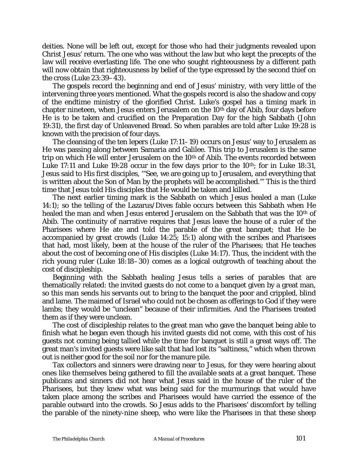deities. None will be left out, except for those who had their judgments revealed upon Christ Jesus' return. The one who was without the law but who kept the precepts of the law will receive everlasting life. The one who sought righteousness by a different path will now obtain that righteousness by belief of the type expressed by the second thief on the cross (Luke 23:39–43).

The gospels record the beginning and end of Jesus' ministry, with very little of the intervening three years mentioned. What the gospels record is also the shadow and copy of the endtime ministry of the glorified Christ. Luke's gospel has a timing mark in chapter nineteen, when Jesus enters Jerusalem on the 10th day of Abib, four days before He is to be taken and crucified on the Preparation Day for the high Sabbath (John 19:31), the first day of Unleavened Bread. So when parables are told after Luke 19:28 is known with the precision of four days.

The cleansing of the ten lepers (Luke 17:11–19) occurs on Jesus' way to Jerusalem as He was passing along between Samaria and Galilee. This trip to Jerusalem is the same trip on which He will enter Jerusalem on the 10th of Abib. The events recorded between Luke 17:11 and Luke 19:28 occur in the few days prior to the  $10<sup>th</sup>$ ; for in Luke 18:31, Jesus said to His first disciples, '"See, we are going up to Jerusalem, and everything that is written about the Son of Man by the prophets will be accomplished."' This is the third time that Jesus told His disciples that He would be taken and killed.

The next earlier timing mark is the Sabbath on which Jesus healed a man (Luke 14:1); so the telling of the Lazarus/Dives fable occurs between this Sabbath when He healed the man and when Jesus entered Jerusalem on the Sabbath that was the 10<sup>th</sup> of Abib. The continuity of narrative requires that Jesus leave the house of a ruler of the Pharisees where He ate and told the parable of the great banquet; that He be accompanied by great crowds (Luke 14:25; 15:1) along with the scribes and Pharisees that had, most likely, been at the house of the ruler of the Pharisees; that He teaches about the cost of becoming one of His disciples (Luke 14:17). Thus, the incident with the rich young ruler (Luke 18:18–30) comes as a logical outgrowth of teaching about the cost of discipleship.

Beginning with the Sabbath healing Jesus tells a series of parables that are thematically related: the invited guests do not come to a banquet given by a great man, so this man sends his servants out to bring to the banquet the poor and crippled, blind and lame. The maimed of Israel who could not be chosen as offerings to God if they were lambs; they would be "unclean" because of their infirmities. And the Pharisees treated them as if they were unclean.

The cost of discipleship relates to the great man who gave the banquet being able to finish what he began even though his invited guests did not come, with this cost of his guests not coming being tallied while the time for banquet is still a great ways off. The great man's invited guests were like salt that had lost its "saltiness," which when thrown out is neither good for the soil nor for the manure pile.

Tax collectors and sinners were drawing near to Jesus, for they were hearing about ones like themselves being gathered to fill the available seats at a great banquet. These publicans and sinners did not hear what Jesus said in the house of the ruler of the Pharisees, but they *knew* what was being said for the murmurings that would have taken place among the scribes and Pharisees would have carried the essence of the parable outward into the crowds. So Jesus adds to the Pharisees' discomfort by telling the parable of the ninety-nine sheep, who were like the Pharisees in that these sheep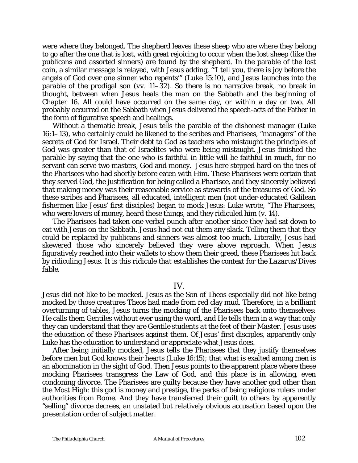were where they belonged. The shepherd leaves these sheep who are where they belong to go after the one that is lost, with great rejoicing to occur when the lost sheep (like the publicans and assorted sinners) are found by the shepherd. In the parable of the lost coin, a similar message is relayed, with Jesus adding, '"I tell you, there is joy before the angels of God over one sinner who repents'" (Luke 15:10), and Jesus launches into the parable of the prodigal son (*vv*. 11–32). So there is no narrative break, no break in thought, between when Jesus heals the man on the Sabbath and the beginning of Chapter 16. All could have occurred on the same day, or within a day or two. All probably occurred on the Sabbath when Jesus delivered the speech-acts of the Father in the form of figurative speech and healings.

Without a thematic break, Jesus tells the parable of the dishonest manager (Luke 16:1–13), who certainly could be likened to the scribes and Pharisees, "managers" of the secrets of God for Israel. Their debt to God as teachers who mistaught the principles of God was greater than that of Israelites who were being mistaught. Jesus finished the parable by saying that the one who is faithful in little will be faithful in much, for no servant can serve two masters, God and money. Jesus here stepped hard on the toes of the Pharisees who had shortly before eaten with Him. These Pharisees were certain that they served God, the justification for being called a *Pharisee*, and they sincerely believed that making money was their reasonable service as stewards of the treasures of God. So these scribes and Pharisees, all educated, intelligent men (not under-educated Galilean fishermen like Jesus' first disciples) began to mock Jesus: Luke wrote, "The Pharisees, who were lovers of money, heard these things, and they ridiculed him (*v.* 14).

The Pharisees had taken one verbal punch after another since they had sat down to eat with Jesus on the Sabbath. Jesus had not cut them any slack. Telling them that they could be replaced by publicans and sinners was almost too much. Literally, Jesus had skewered those who sincerely believed they were above reproach. When Jesus figuratively reached into their wallets to show them their greed, these Pharisees hit back by ridiculing Jesus. *It is this ridicule that establishes the context for the Lazarus/Dives fable*.

### IV.

Jesus did not like to be mocked. Jesus as the Son of *Theos* especially did not like being mocked by those creatures *Theos* had made from red clay mud. Therefore, in a brilliant overturning of tables, Jesus turns the mocking of the Pharisees back onto themselves: He calls them *Gentiles* without ever using the word, and He tells them in a way that only they can understand that they are *Gentile students at the feet of their Master*. Jesus uses the education of these Pharisees against them. Of Jesus' first disciples, apparently only Luke has the education to understand or appreciate what Jesus does.

After being initially mocked, Jesus tells the Pharisees that they justify themselves before men but God knows their hearts (Luke 16:15); that what is exalted among men is an abomination in the sight of God. Then Jesus points to the apparent place where these mocking Pharisees transgress the Law of God, and this place is in allowing, even condoning divorce. The Pharisees are guilty because they have another god other than the Most High: this god is money and prestige, the perks of being religious rulers under authorities from Rome. And they have transferred their guilt to others by apparently "selling" divorce decrees, an unstated but relatively obvious accusation based upon the presentation order of subject matter.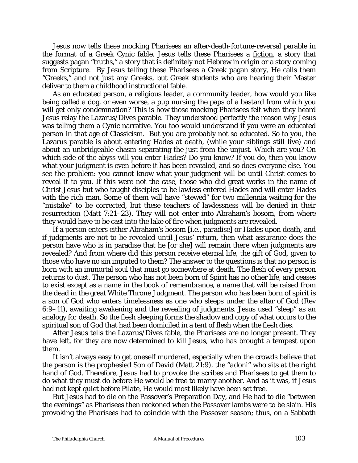Jesus now tells these mocking Pharisees an after-death-fortune-reversal parable in the format of a Greek Cynic fable. Jesus tells these Pharisees a fiction, a story that suggests pagan "truths," a story that is definitely not Hebrew in origin or a story coming from Scripture. By Jesus telling these Pharisees a Greek pagan story, He calls them "Greeks," and not just any *Greeks*, but Greek students who are hearing their Master deliver to them a childhood instructional fable.

As an educated person, a religious leader, a community leader, how would you like being called a dog, or even worse, a pup nursing the paps of a bastard from which you will get only condemnation? This is how those mocking Pharisees felt when they heard Jesus relay the Lazarus/Dives parable. They understood perfectly the reason why Jesus was telling them a Cynic narrative. You too would understand if you were an educated person in that age of Classicism. But you are probably not so educated. So to you, the Lazarus parable is about entering Hades at death, (while your siblings still live) and about an unbridgeable chasm separating the just from the unjust. Which are you? On which side of the abyss will you enter Hades? Do you know? If you do, then you know what your judgment is even before it has been revealed, and so does everyone else. You see the problem: you cannot know what your judgment will be until Christ comes to reveal it to you. If this were not the case, those who did great works in the name of Christ Jesus but who taught disciples to be lawless entered Hades and will enter Hades with the rich man. Some of them will have "stewed" for two millennia waiting for the "mistake" to be corrected, but these teachers of lawlessness will be denied in their resurrection (Matt 7:21–23). They will not enter into Abraham's bosom, from where they would have to be cast into the lake of fire when judgments are revealed.

If a person enters either Abraham's bosom [i.e., paradise] or Hades upon death, and if judgments are not to be revealed until Jesus' return, then what assurance does the person have who is in paradise that he [or she] will remain there when judgments are revealed? And from where did this person receive eternal life, the gift of God, given to those who have no sin imputed to them? The answer to the questions is that no person is born with an immortal soul that must go somewhere at death. The flesh of every person returns to dust. The person who has not been born of Spirit has no other life, and ceases to exist except as a name in the book of remembrance, a name that will be raised from the dead in the great White Throne Judgment. The person who has been born of spirit is a son of God who enters timelessness as one who sleeps under the altar of God (Rev 6:9–11), awaiting awakening and the revealing of judgments. Jesus used "sleep" as an analogy for death. So the flesh sleeping forms the shadow and copy of what occurs to the spiritual son of God that had been domiciled in a tent of flesh when the flesh dies.

After Jesus tells the Lazarus/Dives fable, the Pharisees are no longer present. They have left, for they are now determined to kill Jesus, who has brought a tempest upon them.

It isn't always easy to get oneself murdered, especially when the crowds believe that the person is the prophesied Son of David (Matt 21:9), the "*adoni*" who sits at the right hand of God. Therefore, Jesus had to provoke the scribes and Pharisees to get them to do what they must do before He would be free to marry another. And as it was, if Jesus had not kept quiet before Pilate, He would most likely have been set free.

But Jesus had to die on the Passover's Preparation Day, and He had to die "between the evenings" as Pharisees then reckoned when the Passover lambs were to be slain. His provoking the Pharisees had to coincide with the Passover season; thus, on a Sabbath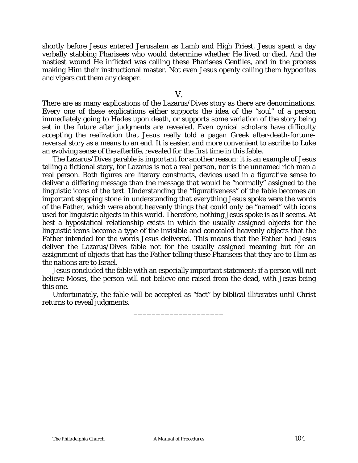shortly before Jesus entered Jerusalem as Lamb and High Priest, Jesus spent a day verbally stabbing Pharisees who would determine whether He lived or died. And the nastiest wound He inflicted was calling these Pharisees Gentiles, and in the process making Him their instructional master. Not even Jesus openly calling them hypocrites and vipers cut them any deeper.

V.

There are as many explications of the Lazarus/Dives story as there are denominations. Every one of these explications either supports the idea of the "soul" of a person immediately going to Hades upon death, or supports some variation of the story being set in the future after judgments are revealed. Even cynical scholars have difficulty accepting the realization that Jesus really told a pagan Greek after-death-fortunereversal story as a means to an end. It is easier, and more convenient to ascribe to Luke an evolving sense of the afterlife, revealed for the first time in this fable.

The Lazarus/Dives parable is important for another reason: it is an example of Jesus telling a fictional story, for Lazarus is not a real person, nor is the unnamed rich man a real person. Both figures are literary constructs, devices used in a figurative sense to deliver a differing message than the message that would be "normally" assigned to the linguistic icons of the text. Understanding the "figurativeness" of the fable becomes an important stepping stone in understanding that everything Jesus spoke were the words of the Father, which were about heavenly things that could only be "named" with icons used for linguistic objects in this world. Therefore, nothing Jesus spoke is as it seems. At best a hypostatical relationship exists in which the usually assigned objects for the linguistic icons become a type of the invisible and concealed heavenly objects that the Father intended for the words Jesus delivered. This means that the Father had Jesus deliver the Lazarus/Dives fable not for the usually assigned meaning but for an assignment of objects that has the Father telling these Pharisees that they are to Him as *the nations* are to Israel.

Jesus concluded the fable with an especially important statement: if a person will not believe Moses, the person will not believe one raised from the dead, with Jesus being this one.

Unfortunately, the fable will be accepted as "fact" by biblical illiterates until Christ returns to reveal judgments.

\_\_\_\_\_\_\_\_\_\_\_\_\_\_\_\_\_\_\_\_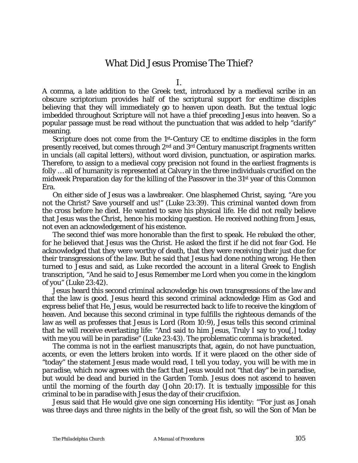## What Did Jesus Promise The Thief?

I.

A comma, a late addition to the Greek text, introduced by a medieval scribe in an obscure scriptorium provides half of the scriptural support for endtime disciples believing that they will immediately go to heaven upon death. But the textual logic imbedded throughout Scripture will not have a thief preceding Jesus into heaven. So a popular passage must be read without the punctuation that was added to help "clarify" meaning.

Scripture does not come from the 1st-Century CE to endtime disciples in the form presently received, but comes through 2nd and 3rd Century manuscript fragments written in uncials (all capital letters), without word division, punctuation, or aspiration marks. Therefore, to assign to a medieval copy precision not found in the earliest fragments is folly … all of humanity is represented at Calvary in the three individuals crucified on the midweek Preparation day for the killing of the Passover in the 31st year of this Common Era.

On either side of Jesus was a lawbreaker. One blasphemed Christ, saying, "Are you not the Christ? Save yourself and us!" (Luke 23:39). This criminal wanted down from the cross before he died. He wanted to save his physical life. He did not really believe that Jesus was the Christ, hence his mocking question. He received nothing from Jesus, not even an acknowledgement of his existence.

The second thief was more honorable than the first to speak. He rebuked the other, for he believed that Jesus was the Christ. He asked the first if he did not fear God. He acknowledged that they were worthy of death, that they were receiving their just due for their transgressions of the law. But he said that Jesus had done nothing wrong. He then turned to Jesus and said, as Luke recorded the account in a literal Greek to English transcription, "And he said to Jesus Remember me Lord when you come in the kingdom of you" (Luke 23:42).

Jesus heard this second criminal acknowledge his own transgressions of the law and that the law is good. Jesus heard this second criminal acknowledge Him as God and express belief that He, Jesus, would be resurrected back to life to receive the kingdom of heaven. And because this second criminal in type fulfills the righteous demands of the law as well as professes that Jesus is Lord (Rom 10:9), Jesus tells this second criminal that he will receive everlasting life: "And said to him Jesus, Truly I say to you[,] today with me you will be in paradise" (Luke 23:43). The problematic comma is bracketed.

The comma is not in the earliest manuscripts that, again, do not have punctuation, accents, or even the letters broken into words. If it were placed on the other side of "today" the statement Jesus made would read, *I tell you today, you will be with me in paradise*, which now agrees with the fact that Jesus would not "that day" be in paradise, but would be dead and buried in the Garden Tomb. Jesus does not ascend to heaven until the morning of the fourth day (John 20:17). It is textually impossible for this criminal to be in paradise with Jesus the day of their crucifixion.

Jesus said that He would give one sign concerning His identity: '"For just as Jonah was three days and three nights in the belly of the great fish, so will the Son of Man be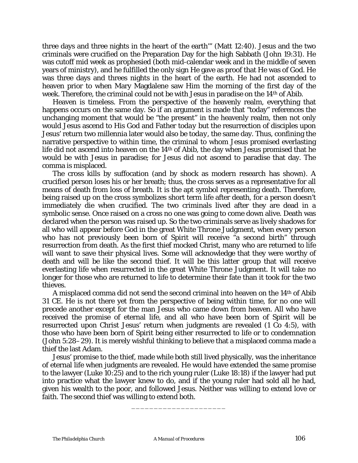three days and three nights in the heart of the earth'" (Matt 12:40). Jesus and the two criminals were crucified on the Preparation Day for the high Sabbath (John 19:31). He was cutoff mid week as prophesied (both mid-calendar week and in the middle of seven years of ministry), and he fulfilled the only sign He gave as proof that He was of God. He was three days and threes nights in the heart of the earth. He had not ascended to heaven prior to when Mary Magdalene saw Him the morning of the first day of the week. Therefore, the criminal could not be with Jesus in paradise on the 14<sup>th</sup> of Abib.

Heaven is timeless. From the perspective of the heavenly realm, everything that happens occurs on the same day. So if an argument is made that "today" references the unchanging moment that would be "the present" in the heavenly realm, then not only would Jesus ascend to His God and Father *today* but the resurrection of disciples upon Jesus' return two millennia later would also be *today*, the same day. Thus, confining the narrative perspective to within time, the criminal to whom Jesus promised everlasting life did not ascend into heaven on the 14th of Abib, the day when Jesus promised that he would be with Jesus in paradise; for Jesus did not ascend to paradise that day. The comma is misplaced.

The cross kills by suffocation (and by shock as modern research has shown). A crucified person loses his or her breath; thus, the cross serves as a representative for all means of death from loss of breath. It is the apt symbol representing death. Therefore, being raised up on the cross symbolizes short term life after death, for a person doesn't immediately die when crucified. The two criminals lived after they are dead in a symbolic sense. Once raised on a cross no one was going to come down alive. Death was declared when the person was raised up. So the two criminals serve as lively shadows for all who will appear before God in the great White Throne Judgment, when every person who has not previously been born of Spirit will receive "a second birth" through resurrection from death. As the first thief mocked Christ, many who are returned to life will want to save their physical lives. Some will acknowledge that they were worthy of death and will be like the second thief. It will be this latter group that will receive everlasting life when resurrected in the great White Throne Judgment. It will take no longer for those who are returned to life to determine their fate than it took for the two thieves.

A misplaced comma did not send the second criminal into heaven on the 14th of Abib 31 CE. He is not there yet from the perspective of being within time, for no one will precede another except for the man Jesus who came down from heaven. All who have received the promise of eternal life, and all who have been born of Spirit will be resurrected upon Christ Jesus' return when judgments are revealed (1 Co 4:5), with those who have been born of Spirit being either resurrected to life or to condemnation (John 5:28–29). It is merely wishful thinking to believe that a misplaced comma made a thief the last Adam.

Jesus' promise to the thief, made while both still lived physically, was the inheritance of eternal life when judgments are revealed. He would have extended the same promise to the lawyer (Luke 10:25) and to the rich young ruler (Luke 18:18) if the lawyer had put into practice what the lawyer knew to do, and if the young ruler had sold all he had, given his wealth to the poor, and followed Jesus. Neither was willing to extend love or faith. The second thief was willing to extend both.

\_\_\_\_\_\_\_\_\_\_\_\_\_\_\_\_\_\_\_\_\_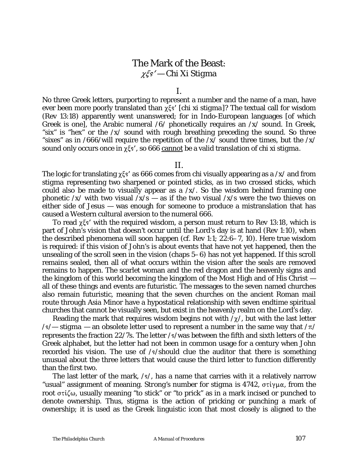## The Mark of the Beast: P>lr *— Chi Xi Stigma*

#### I.

No three Greek letters, purporting to represent a number and the name of a man, have ever been more poorly translated than  $\chi \xi s'$  [*chi xi stigma*]? The textual call for wisdom (Rev 13:18) apparently went unanswered; for in Indo-European languages [of which Greek is one], the Arabic numeral /6/ phonetically requires an /*x*/ sound. In Greek, "six" is "hex" or the /*x*/ sound with rough breathing preceding the sound. So three "sixes" as in /666/will require the repetition of the /*x*/ sound three times, but the /*x*/ sound only occurs once in  $\chi \xi s'$ , so 666 cannot be a valid translation of *chi xi stigma.* 

### II.

The logic for translating  $\gamma \xi s'$  as 666 comes from *chi* visually appearing as a /*x*/ and from *stigma* representing two sharpened or pointed sticks, as in two crossed sticks, which could also be made to visually appear as a /*x*/. So the wisdom behind framing one phonetic /*x*/ with two visual /*x*/s — as if the two visual /*x*/s were the two thieves on either side of Jesus — was enough for someone to produce a mistranslation that has caused a Western cultural aversion to the numeral 666.

To read  $\chi \xi s'$  with the required wisdom, a person must return to Rev 13:18, which is part of John's vision that doesn't occur until the Lord's day is at hand (Rev 1:10), when the described phenomena will soon happen (*cf.* Rev 1:1; 22:6–7, 10). Here true wisdom is required: if this vision of John's is about events that have not yet happened, then the unsealing of the scroll seen in the vision (chaps 5–6) has not yet happened. If this scroll remains sealed, then all of what occurs within the vision after the seals are removed remains to happen. The scarlet woman and the red dragon and the heavenly signs and the kingdom of this world becoming the kingdom of the Most High and of His Christ all of these things and events are futuristic. The messages to the seven named churches also remain futuristic, meaning that the seven churches on the ancient Roman mail route through Asia Minor have a hypostatical relationship with seven endtime spiritual churches that cannot be visually seen, but exist in the heavenly realm on the Lord's day.

Reading the mark that requires wisdom begins not with  $/\gamma$ , but with the last letter  $\sqrt{s}$  *stigma* — an obsolete letter used to represent a number in the same way that  $\sqrt{\pi}$ represents the fraction 22/7s. The letter /s/was between the fifth and sixth letters of the Greek alphabet, but the letter had not been in common usage for a century when John recorded his vision. The use of  $/s$ /should clue the auditor that there is something unusual about the three letters that would cause the third letter to function differently than the first two.

The last letter of the mark,  $\sqrt{s}$ , has a name that carries with it a relatively narrow "usual" assignment of meaning. *Strong's* number for *stigma* is 4742, στίγμα, from the root  $\sigma\tau\zeta\omega$ , usually meaning "to stick" or "to prick" as in a mark incised or punched to denote ownership. Thus, *stigma* is the action of pricking or punching a mark of ownership; it is used as the Greek linguistic icon that most closely is aligned to the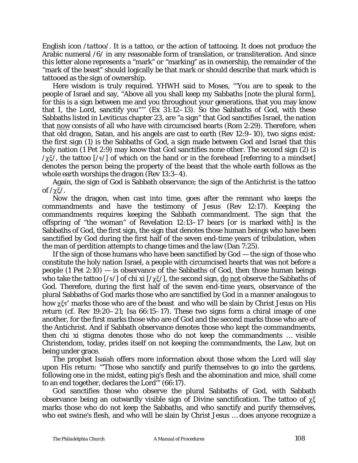English icon /*tattoo*/. It is a tattoo, or the action of tattooing. It does not produce the Arabic numeral /6/ in any reasonable form of translation, or transliteration. And since this letter alone represents a "mark" or "marking" as in ownership, the remainder of the "mark of the beast" should logically be that mark or should describe that mark which is tattooed as the sign of ownership.

Here wisdom is truly required. *YHWH* said to Moses, "'You are to speak to the people of Israel and say, "Above all you shall keep my Sabbaths [note the plural form], for this is a sign between me and you throughout your generations, that you may know that I, the Lord, sanctify you"'" (Ex 31:12–13). So the Sabbaths of God, with these Sabbaths listed in Leviticus chapter 23, are "a sign" that God sanctifies Israel, the nation that now consists of all who have with circumcised hearts (Rom 2:29). Therefore, when that old dragon, Satan, and his angels are cast to earth (Rev 12:9–10), two signs exist: the first sign (1) is the Sabbaths of God, a sign made between God and Israel that this holy nation (1 Pet 2:9) may know that God sanctifies none other. The second sign (2) is  $\gamma \xi$ , the tattoo [/s/] of which on the hand or in the forehead [referring to a mindset] denotes the person being the property of the beast that the whole earth follows as the whole earth worships the dragon (Rev 13:3–4).

Again, the sign of God is Sabbath observance; the sign of the Antichrist is the tattoo of  $/\chi \xi$ .

Now the dragon, when cast into time, goes after the remnant who keeps the commandments and have the testimony of Jesus (Rev 12:17). Keeping the commandments requires keeping the Sabbath commandment. The sign that the offspring of "the woman" of Revelation 12:13–17 bears [or is marked with] is the Sabbaths of God, the first sign, the sign that denotes those human beings who have been sanctified by God during the first half of the seven end-time years of tribulation, when the man of perdition attempts to change times and the law (Dan 7:25).

If the sign of those humans who have been sanctified by God — the sign of those who constitute the holy nation Israel, a people with circumcised hearts that was not before a people  $(1$  Pet  $2:10$ ) — is observance of the Sabbaths of God, then those human beings who take the tattoo  $\left[\frac{s}{\sin x i}\right]$  of *chi xi*  $\left[\frac{s}{\sin x}\right]$ , the second sign, do not observe the Sabbaths of God. Therefore, during the first half of the seven end-time years, observance of the plural Sabbaths of God marks those who are sanctified by God in a manner analogous to how  $\chi \xi s'$  marks those who are of the beast and who will be slain by Christ Jesus on His return (*cf*. Rev 19:20–21; Isa 66:15–17). These two signs form a chiral image of one another, for the first marks those who are of God and the second marks those who are of the Antichrist. And if Sabbath observance denotes those who kept the commandments, then *chi xi stigma* denotes those who do not keep the commandments … visible Christendom, today, prides itself on not keeping the commandments, the Law, but on being under grace.

The prophet Isaiah offers more information about those whom the Lord will slay upon His return: "'Those who sanctify and purify themselves to go into the gardens, following one in the midst, eating pig's flesh and the abomination and mice, shall come to an end together, declares the Lord'" (66:17).

God sanctifies those who observe the plural Sabbaths of God, with Sabbath observance being an outwardly visible sign of Divine sanctification. The tattoo of  $\chi\xi$ marks those who do not keep the Sabbaths, and who sanctify and purify themselves, who eat swine's flesh, and who will be slain by Christ Jesus … does anyone recognize a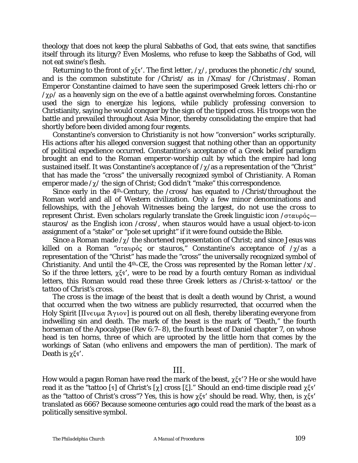theology that does not keep the plural Sabbaths of God, that eats swine, that sanctifies itself through its liturgy? Even Moslems, who refuse to keep the Sabbaths of God, will not eat swine's flesh.

Returning to the front of  $\chi \xi s'$ . The first letter,  $\chi/\chi$ , produces the phonetic  $\ell$ *ch*/ sound, and is the common substitute for /*Christ*/ as in /*Xmas*/ for /*Christmas*/. Roman Emperor Constantine claimed to have seen the superimposed Greek letters *chi-rho* or  $\gamma_{\chi}$  $\rho$  as a heavenly sign on the eve of a battle against overwhelming forces. Constantine used the sign to energize his legions, while publicly professing conversion to Christianity, saying he would conquer by the sign of the tipped cross. His troops won the battle and prevailed throughout Asia Minor, thereby consolidating the empire that had shortly before been divided among four regents.

Constantine's conversion to Christianity is not how "conversion" works scripturally. His actions after his alleged conversion suggest that nothing other than an opportunity of political expedience occurred. Constantine's acceptance of a Greek belief paradigm brought an end to the Roman emperor-worship cult by which the empire had long sustained itself. It was Constantine's acceptance of  $/\chi$ /as a representation of the "Christ" that has made the "cross" the universally recognized symbol of Christianity. A Roman emperor made  $\chi$  the sign of Christ; God didn't "make" this correspondence.

Since early in the 4th-Century, the /*cross*/ has equated to /*Christ*/throughout the Roman world and all of Western civilization. Only a few minor denominations and fellowships, with the Jehovah Witnesses being the largest, do not use the *cross* to represent *Christ*. Even scholars regularly translate the Greek linguistic icon  $\sigma \tau \alpha \nu \rho \dot{\rho}$ . *stauros*/ as the English icon /*cross*/, when *stauros* would have a usual object-to-icon assignment of a "stake" or "pole set upright" if it were found outside the Bible.

Since a Roman made  $\gamma$  the shortened representation of Christ; and since Jesus was killed on a Roman " $\sigma \tau \alpha \nu \rho \dot{\rho} \varsigma$  or *stauros*," Constantine's acceptance of  $/\chi$ /as a representation of the "Christ" has made the "cross" the universally recognized symbol of Christianity. And until the  $4<sup>th</sup>$ -CE, the Cross was represented by the Roman letter  $/x$ . So if the three letters,  $\gamma \xi s'$ , were to be read by a fourth century Roman as individual letters, this Roman would read these three Greek letters as /*Christ-x-tattoo*/ or *the tattoo of Christ's cross.*

The cross is the image of the beast that is dealt a death wound by Christ, a wound that occurred when the two witness are publicly resurrected, that occurred when the Holy Spirit  $[\Pi v \in \mathcal{L} \times \mathcal{L} \times \mathcal{L} \times \mathcal{L} \times \mathcal{L} \times \mathcal{L} \times \mathcal{L} \times \mathcal{L} \times \mathcal{L} \times \mathcal{L} \times \mathcal{L} \times \mathcal{L} \times \mathcal{L} \times \mathcal{L} \times \mathcal{L} \times \mathcal{L} \times \mathcal{L} \times \mathcal{L} \times \mathcal{L} \times \mathcal{L} \times \mathcal{L} \times \mathcal{L} \times \mathcal{L} \times \mathcal{L} \times \mathcal{L} \times \mathcal$ indwelling sin and death. The mark of the beast is the mark of "Death," the fourth horseman of the Apocalypse (Rev 6:7–8), the fourth beast of Daniel chapter 7, on whose head is ten horns, three of which are uprooted by the little horn that comes by the workings of Satan (who enlivens and empowers the man of perdition). The mark of Death is  $\chi \xi s'$ .

#### III.

How would a pagan Roman have read the mark of the beast,  $\chi \xi s$ ? He or she would have read it as the "tattoo [s] of Christ's [ $\chi$ ] cross [ $\xi$ ]." Should an end-time disciple read  $\chi \xi s'$ as the "tattoo of Christ's cross"? Yes, this is how  $\chi \xi s'$  should be read. Why, then, is  $\chi \xi s'$ translated as 666? Because someone centuries ago could read the mark of the beast as a politically sensitive symbol.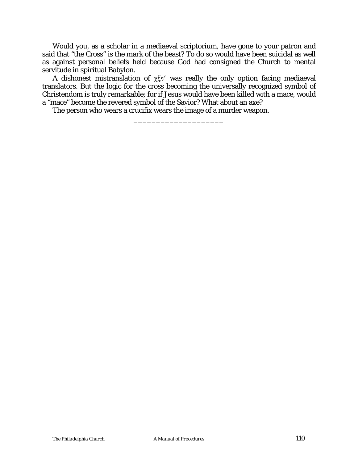Would you, as a scholar in a mediaeval scriptorium, have gone to your patron and said that "the Cross" is the mark of the beast? To do so would have been suicidal as well as against personal beliefs held because God had consigned the Church to mental servitude in spiritual Babylon.

A dishonest mistranslation of  $\chi \xi s'$  was really the only option facing mediaeval translators. But the logic for the cross becoming the universally recognized symbol of Christendom is truly remarkable; for if Jesus would have been killed with a mace, would a "mace" become the revered symbol of the Savior? What about an axe?

\_\_\_\_\_\_\_\_\_\_\_\_\_\_\_\_\_\_\_\_

The person who wears a crucifix wears the image of a murder weapon.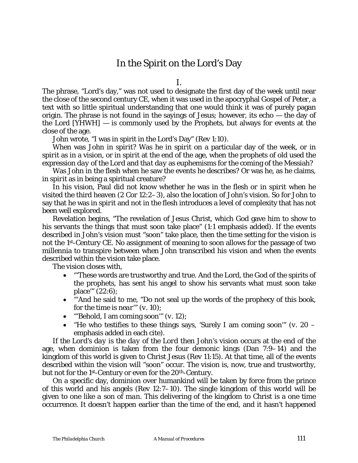## In the Spirit on the Lord's Day

I.

The phrase, "Lord's day," was not used to designate the first day of the week until near the close of the second century CE, when it was used in the apocryphal *Gospel of Peter*, a text with so little spiritual understanding that one would think it was of purely pagan origin. The phrase is not found in the sayings of Jesus; however, its echo — the day of the Lord [*YHWH*] — is commonly used by the Prophets, but always for events at the close of the age.

John wrote, "I was in spirit in the Lord's Day" (Rev 1:10).

When was John *in spirit*? Was he *in spirit* on a particular day of the week, or *in spirit* as in a vision, or *in spirit* at the end of the age, when the prophets of old used the expression *day of the Lord* and *that day* as euphemisms for the coming of the Messiah?

Was John in the flesh when he saw the events he describes? Or was he, as he claims, *in spirit* as in being a spiritual creature?

In his vision, Paul did not know whether he was *in the flesh or in spirit* when he visited the third heaven (2 Cor 12:2–3), also the location of John's vision. So for John to say that he was *in spirit* and not in the flesh introduces a level of complexity that has not been well explored.

Revelation begins, "The revelation of Jesus Christ, which God gave him to show to his servants the things that must *soon* take place" (1:1 emphasis added). If the events described in John's vision must "soon" take place, then the time setting for the vision is not the 1st-Century CE. No assignment of meaning to *soon* allows for the passage of two millennia to transpire between when John transcribed his vision and when the events described within the vision take place.

The vision closes with,

- "'These words are trustworthy and true. And the Lord, the God of the spirits of the prophets, has sent his angel to show his servants what must *soon* take place'" (22:6);
- "'And he said to me, "Do not seal up the words of the prophecy of this book, for the time is *near*'" (*v*. 10);
- "'Behold, I am coming *soon*'" (*v*. 12);
- "He who testifies to these things says, 'Surely I am coming *soon*'" (*v*. 20 emphasis added in each cite).

If *the Lord's day* is *the day of the Lord* then John's vision occurs at the end of the age, when dominion is taken from the four demonic kings (Dan 7:9–14) and the kingdom of this world is given to Christ Jesus (Rev 11:15). At that time, all of the events described within the vision will "soon" occur. The vision is, now, true and trustworthy, but not for the 1<sup>st</sup>-Century or even for the 20<sup>th</sup>-Century.

On a specific day, dominion over humankind will be taken by force from the prince of this world and his angels (Rev 12:7–10). The single kingdom of this world will be given to one like *a son of man*. This delivering of the kingdom to Christ is a one time occurrence. It doesn't happen earlier than *the time of the end*, and it hasn't happened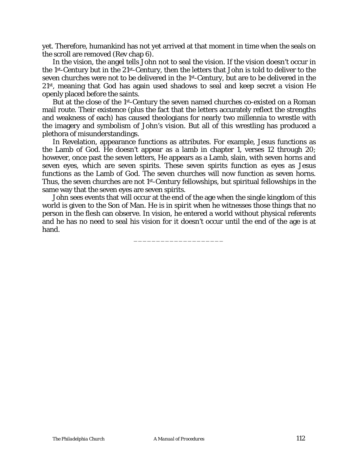yet. Therefore, humankind has not yet arrived at that moment in time when the seals on the scroll are removed (Rev chap 6).

In the vision, the angel tells John not to seal the vision. If the vision doesn't occur in the 1st-Century but in the 21st-Century, then the letters that John is told to deliver to the seven churches were not to be delivered in the 1st-Century, but are to be delivered in the 21st, meaning that God has again used shadows to seal and keep secret a vision He openly placed before the saints.

But at the close of the 1<sup>st</sup>-Century the seven named churches co-existed on a Roman mail route. Their existence (plus the fact that the letters accurately reflect the strengths and weakness of each) has caused theologians for nearly two millennia to wrestle with the imagery and symbolism of John's vision. But all of this wrestling has produced a plethora of misunderstandings.

In Revelation, appearance functions as attributes. For example, Jesus functions as the Lamb of God. He doesn't appear as a lamb in chapter 1, verses 12 through 20; however, once past the seven letters, He appears as a Lamb, slain, with seven horns and seven eyes, which are seven spirits. These seven spirits function as eyes as Jesus functions as the Lamb of God. The seven churches will now function as seven horns. Thus, the seven churches are not 1st-Century fellowships, but spiritual fellowships in the same way that the seven eyes are seven spirits.

John sees events that will occur at the end of the age when the single kingdom of this world is given to the Son of Man. He is *in spirit* when he witnesses those things that no person in the flesh can observe. In vision, he entered a world without physical referents and he has no need to seal his vision for it doesn't occur until the end of the age is at hand.

\_\_\_\_\_\_\_\_\_\_\_\_\_\_\_\_\_\_\_\_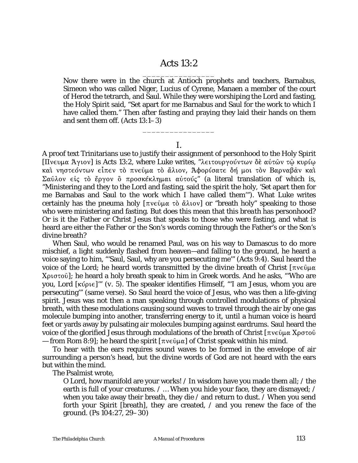## Acts 13:2 \_\_\_\_\_\_\_\_\_\_\_\_\_\_\_\_

Now there were in the church at Antioch prophets and teachers, Barnabus, Simeon who was called Niger, Lucius of Cyrene, Manaen a member of the court of Herod the tetrarch, and Saul. While they were worshiping the Lord and fasting, the Holy Spirit said, "Set apart for me Barnabus and Saul for the work to which I have called them." Then after fasting and praying they laid their hands on them and sent them off. (Acts 13:1–3)

I.

\_\_\_\_\_\_\_\_\_\_\_\_\_\_\_\_

A proof text Trinitarians use to justify their assignment of personhood to the Holy Spirit  $[\Pi$ νευμα Άγιον] is Acts 13:2, where Luke writes, "λειτουργούντων δε αύτῶν τῷ κυρί $\omega$ και νηστεόντων είπεν το πνεύμα το άλιον, Άφορίσατε δή μοι τον Βαρναβάν και Σαύλον είς τὸ ἔργον ὃ προσκέκλημαι αὐτούς" (a literal translation of which is, "Ministering and they to the Lord and fasting, said the spirit the holy, 'Set apart then for me Barnabas and Saul to the work which I have called them'"). What Luke writes certainly has the *pneuma holy*  $[\pi v \in \hat{\mathfrak{g}} \times \hat{\mathfrak{g}} \times \hat{\mathfrak{g}} \times \hat{\mathfrak{g}} \times \hat{\mathfrak{g}} \times \hat{\mathfrak{g}}$  for "breath holy" speaking to those who were ministering and fasting. But does this mean that this *breath* has personhood? Or is it the Father or Christ Jesus that speaks to those who were fasting, and what is heard are either the Father or the Son's words coming through the Father's or the Son's divine breath?

When Saul, who would be renamed Paul, was on his way to Damascus to do more mischief, a light suddenly flashed from heaven—and falling to the ground, he heard a voice saying to him, "'Saul, Saul, why are you persecuting me'" (Acts 9:4). Saul heard the voice of the Lord; he heard words transmitted by the divine breath of Christ  $\lceil \pi v \in \hat{U} \rceil \mu \alpha$  $X$  $\alpha$ <sup>3</sup>); he heard a holy breath speak to him in Greek words. And he asks, "Who are you, Lord [κύρι $\varepsilon$ ]'" (*v.* 5). The speaker identifies Himself, "'I am Jesus, whom you are persecuting'" (same verse). So Saul heard the voice of Jesus, who was then a life-giving spirit. Jesus was not then a man speaking through controlled modulations of physical breath, with these modulations causing sound waves to travel through the air by one gas molecule bumping into another, transferring energy to it, until a human voice is heard feet or yards away by pulsating air molecules bumping against eardrums. Saul heard the voice of the glorified Jesus through modulations of the breath of Christ  $[\pi v \epsilon \hat{v} \mu \alpha X \rho \sigma \tau \hat{v}]$ — from Rom 8:9]; he heard the spirit  $[\pi v \in \hat{O} \mu \alpha]$  of Christ speak within his mind.

To hear with the ears requires sound waves to be formed in the envelope of air surrounding a person's head, but the divine words of God are not heard with the ears but within the mind.

The Psalmist wrote,

O Lord, how manifold are your works! / In wisdom have you made them all; / the earth is full of your creatures. / ... When you hide your face, they are dismayed; / when you take away their breath, they die / and return to dust. / When you send forth your Spirit [breath], they are created, / and you renew the face of the ground. (Ps 104:27, 29–30)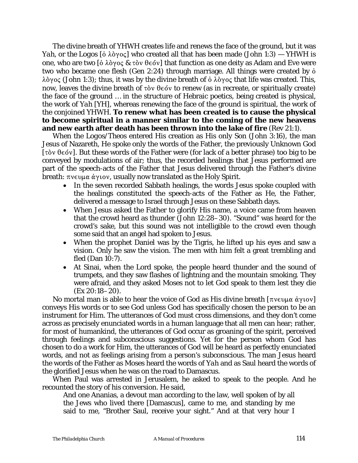The divine breath of *YHWH* creates life and renews the face of the ground, but it was *Yah*, or *the Logos* [ $\delta \lambda \delta y \circ \zeta$ ] who created all that has been made (John 1:3) — *YHWH* is one, who are two  $\left[\dot{\text{o}}\lambda\dot{\text{o}}\gamma$   $\text{o}\varsigma\&\tau\dot{\text{o}}\nu\right]$  that function as one deity as Adam and Eve were two who became one flesh (Gen 2:24) through marriage. All things were created by Ò  $\lambda \partial y$  (John 1:3); thus, it was by the divine breath of  $\delta \lambda \partial y$  oc that life was created. This, now, leaves the divine breath of  $\tau$ òv  $\theta \in \delta v$  to renew (as in recreate, or spiritually create) the face of the ground … in the structure of Hebraic poetics, being created is physical, the work of *Yah* [*YH*], whereas renewing the face of the ground is spiritual, the work of the conjoined *YHWH*. **To renew what has been created is to cause the physical to become spiritual in a manner similar to the coming of the new heavens and new earth after death has been thrown into the lake of fire** (Rev 21:1).

When the *Logos*/*Theos* entered His creation as His only Son (John 3:16), the man Jesus of Nazareth, He spoke only the words of the Father, the previously Unknown God [ $\tau$ òv  $\theta \in \{0, 1\}$ ]. But these words of the Father were (for lack of a better phrase) too big to be conveyed by modulations of air; thus, the recorded healings that Jesus performed are part of the speech-acts of the Father that Jesus delivered through the Father's divine breath:  $\pi$  vev  $\mu \alpha \dot{\alpha}$  y to v, usually now translated as the Holy Spirit.

- In the seven recorded Sabbath healings, the words Jesus spoke coupled with the healings constituted the speech-acts of the Father as He, the Father, delivered a message to Israel through Jesus on these Sabbath days.
- When Jesus asked the Father to glorify His name, a voice came from heaven that the crowd heard as thunder (John 12:28–30). "Sound" was heard for the crowd's sake, but this *sound* was not intelligible to the crowd even though some said that an angel had spoken to Jesus.
- When the prophet Daniel was by the Tigris, he lifted up his eyes and saw a vision. Only he saw the vision. The men with him felt a great trembling and fled (Dan 10:7).
- At Sinai, when the Lord spoke, the people heard thunder and the sound of trumpets, and they saw flashes of lightning and the mountain smoking. They were afraid, and they asked Moses not to let God speak to them lest they die (Ex 20:18–20).

No mortal man is able to hear the voice of God as His divine breath  $[\pi v \epsilon v \mu \alpha \dot{\alpha} \gamma v \delta v]$ conveys His words or to see God unless God has specifically chosen the person to be an instrument for Him. The utterances of God must cross dimensions, and they don't come across as precisely enunciated words in a human language that all men can hear; rather, for most of humankind, the utterances of God occur as groaning of the spirit, perceived through feelings and subconscious suggestions. Yet for the person whom God has chosen to do a work for Him, the utterances of God will be heard as perfectly enunciated words, and not as feelings arising from a person's subconscious. The man Jesus heard the words of the Father as Moses heard the words of *Yah* and as Saul heard the words of the glorified Jesus when he was on the road to Damascus.

When Paul was arrested in Jerusalem, he asked to speak to the people. And he recounted the story of his conversion. He said,

And one Ananias, a devout man according to the law, well spoken of by all the Jews who lived there [Damascus], came to me, and standing by me said to me, "Brother Saul, receive your sight." And at that very hour I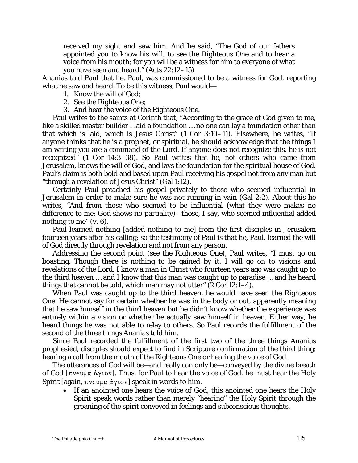received my sight and saw him. And he said, "The God of our fathers appointed you to know his will, to see the Righteous One and to hear a voice from his mouth; for you will be a witness for him to everyone of what you have seen and heard." (Acts 22:12–15)

Ananias told Paul that he, Paul, was commissioned to be a witness for God, reporting what he saw and heard. To be this witness, Paul would—

- 1. Know the will of God;
- 2. See the Righteous One;
- 3. And hear the voice of the Righteous One.

Paul writes to the saints at Corinth that, "According to the grace of God given to me, like a skilled master builder I laid a foundation … no one can lay a foundation other than that which is laid, which is Jesus Christ" (1 Cor 3:10–11). Elsewhere, he writes, "If anyone thinks that he is a prophet, or spiritual, he should acknowledge that the things I am writing you are a command of the Lord. If anyone does not recognize this, he is not recognized" (1 Cor 14:3–38). So Paul writes that he, not others who came from Jerusalem, knows the will of God, and lays the foundation for the spiritual house of God. Paul's claim is both bold and based upon Paul receiving his gospel not from any man but "through a revelation of Jesus Christ" (Gal 1:12).

Certainly Paul preached his gospel privately to those who seemed influential in Jerusalem in order to make sure he was not running in vain (Gal 2:2). About this he writes, "And from those who seemed to be influential (what they were makes no difference to me; God shows no partiality)—those, I say, who seemed influential added nothing to me" (*v.* 6).

Paul learned nothing [*added nothing to me*] from the first disciples in Jerusalem fourteen years after his calling; so the testimony of Paul is that he, Paul, learned the will of God directly through revelation and not from any person.

Addressing the second point (*see the Righteous One*), Paul writes, "I must go on boasting. Though there is nothing to be gained by it. I will go on to visions and revelations of the Lord. I know a man in Christ who fourteen years ago was caught up to the third heaven … and I know that this man was caught up to paradise … and he heard things that cannot be told, which man may not utter" (2 Cor 12:1–4).

When Paul was caught up to the third heaven, he would have seen the Righteous One. He cannot say for certain whether he was in the body or out, apparently meaning that he saw himself in the third heaven but he didn't know whether the experience was entirely within a vision or whether he actually saw himself in heaven. Either way, he heard things he was not able to relay to others. So Paul records the fulfillment of the second of the three things Ananias told him.

Since Paul recorded the fulfillment of the first two of the three things Ananias prophesied, disciples should expect to find in Scripture confirmation of the third thing: hearing a call from the mouth of the Righteous One or hearing the voice of God.

The utterances of God will be—and really can only be—conveyed by the divine breath of God [ $\pi$ νευμα άγιον]. Thus, for Paul to hear the voice of God, he must hear the Holy Spirit [again,  $\pi v \in \mathcal{L}(\alpha, \alpha)$ ] speak in words to him.

• If an anointed one hears the voice of God, this anointed one hears the Holy Spirit speak words rather than merely "hearing" the Holy Spirit through the groaning of the spirit conveyed in feelings and subconscious thoughts.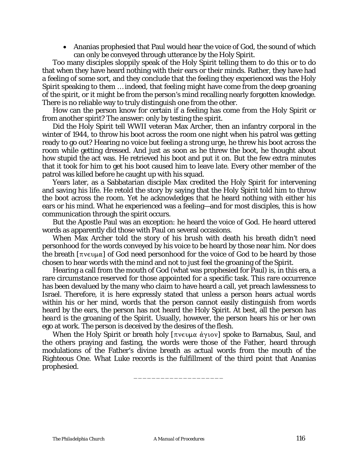• Ananias prophesied that Paul would hear the voice of God, the sound of which can only be conveyed through utterance by the Holy Spirit.

Too many disciples sloppily speak of the Holy Spirit telling them to do this or to do that when they have heard nothing with their ears or their minds. Rather, they have had a feeling of some sort, and they conclude that the feeling they experienced was the Holy Spirit speaking to them … indeed, that feeling might have come from the deep groaning of the spirit, or it might be from the person's mind recalling nearly forgotten knowledge. There is no reliable way to truly distinguish one from the other.

How can the person know for certain if a feeling has come from the Holy Spirit or from another spirit? The answer: only by testing the spirit.

Did the Holy Spirit tell WWII veteran Max Archer, then an infantry corporal in the winter of 1944, to throw his boot across the room one night when his patrol was getting ready to go out? Hearing no voice but feeling a strong urge, he threw his boot across the room while getting dressed. And just as soon as he threw the boot, he thought about how stupid the act was. He retrieved his boot and put it on. But the few extra minutes that it took for him to get his boot caused him to leave late. Every other member of the patrol was killed before he caught up with his squad.

Years later, as a Sabbatarian disciple Max credited the Holy Spirit for intervening and saving his life. He retold the story by saying that the Holy Spirit told him to throw the boot across the room. Yet he acknowledges that he heard nothing with either his ears or his mind. What he experienced was a feeling—and for most disciples, this is how communication through the spirit occurs.

But the Apostle Paul was an exception: he heard the voice of God. He heard uttered words as apparently did those with Paul on several occasions.

When Max Archer told the story of his brush with death his breath didn't need personhood for the words conveyed by his voice to be heard by those near him. Nor does the breath  $[\pi v \in \text{Un} \alpha]$  of God need personhood for the voice of God to be heard by those chosen to hear words with the mind and not to just feel the groaning of the Spirit.

Hearing a call from the mouth of God (what was prophesied for Paul) is, in this era, a rare circumstance reserved for those appointed for a specific task. This rare occurrence has been devalued by the many who claim to have heard a call, yet preach lawlessness to Israel. Therefore, it is here expressly stated that unless a person hears actual words within his or her mind, words that the person cannot easily distinguish from words heard by the ears, the person has not heard the Holy Spirit. At best, all the person has *heard* is the groaning of the Spirit. Usually, however, the person hears his or her own ego at work. The person is deceived by the desires of the flesh.

When the Holy Spirit or breath holy  $[\pi v \in \psi]$  and spoke to Barnabus, Saul, and the others praying and fasting, the words were those of the Father, heard through modulations of the Father's divine breath as actual words from the mouth of the Righteous One. What Luke records is the fulfillment of the third point that Ananias prophesied.

\_\_\_\_\_\_\_\_\_\_\_\_\_\_\_\_\_\_\_\_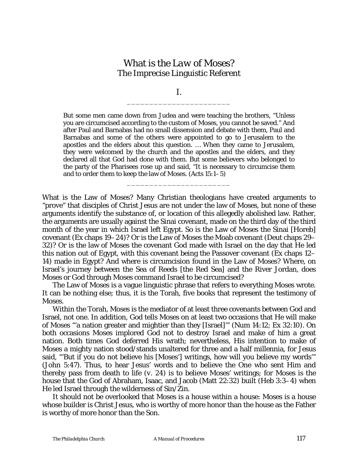# What is *the Law of Moses*? The Imprecise Linguistic Referent

I. \_\_\_\_\_\_\_\_\_\_\_\_\_\_\_\_\_\_\_\_\_\_\_

But some men came down from Judea and were teaching the brothers, "Unless you are circumcised according to the custom of Moses, you cannot be saved." And after Paul and Barnabas had no small dissension and debate with them, Paul and Barnabas and some of the others were appointed to go to Jerusalem to the apostles and the elders about this question. … When they came to Jerusalem, they were welcomed by the church and the apostles and the elders, and they declared all that God had done with them. But some believers who belonged to the party of the Pharisees rose up and said, "It is necessary to circumcise them and to order them to keep the law of Moses. (Acts 15:1*–*5)

\_\_\_\_\_\_\_\_\_\_\_\_\_\_\_\_\_\_\_\_\_\_\_

What is the Law of Moses? Many Christian theologians have created arguments to "prove" that disciples of Christ Jesus are not under the law of Moses, but none of these arguments identify the substance of, or location of this allegedly abolished law. Rather, the arguments are usually against the Sinai covenant, made on the third day of the third month of the year in which Israel left Egypt. So is the Law of Moses the Sinai [Horeb] covenant (Ex chaps 19*–*24)? Or is the Law of Moses the Moab covenant (Deut chaps 29*–* 32)? Or is the law of Moses the covenant God made with Israel on the day that He led this nation out of Egypt, with this covenant being the Passover covenant (Ex chaps 12*–* 14) made in Egypt? And where is circumcision found in the Law of Moses? Where, on Israel's journey between the Sea of Reeds [the Red Sea] and the River Jordan, does Moses or God through Moses command Israel to be circumcised?

The Law of Moses is a vague linguistic phrase that refers to everything Moses wrote. It can be nothing else; thus, it is the Torah, five books that represent the testimony of Moses.

Within the Torah, Moses is the mediator of at least three covenants between God and Israel, not one. In addition, God tells Moses on at least two occasions that He will make of Moses "'a nation greater and mightier than they [Israel]'" (Num 14:12; Ex 32:10). On both occasions Moses implored God not to destroy Israel and make of him a great nation. Both times God deferred His wrath; nevertheless, His intention to make of Moses a mighty nation stood/stands unaltered for three and a half millennia, for Jesus said, "'But if you do not believe his [Moses'] writings, how will you believe my words'" (John 5:47). Thus, to hear Jesus' words and to believe the One who sent Him and thereby pass from death to life (*v.* 24) is to believe Moses' writings; for Moses is the house that the God of Abraham, Isaac, and Jacob (Matt 22:32) built (Heb 3:3*–*4) when He led Israel through the wilderness of Sin/Zin.

It should not be overlooked that Moses is a house within a house: Moses is a house whose builder is Christ Jesus, who is worthy of more honor than the house as the Father is worthy of more honor than the Son.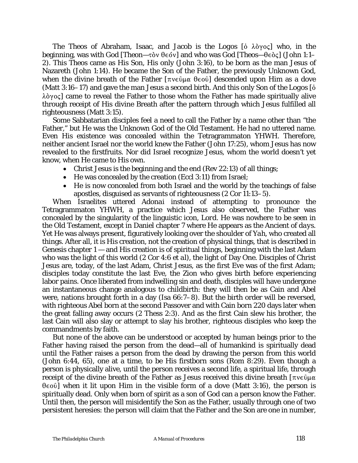The *Theos* of Abraham, Isaac, and Jacob is *the Logos* [on  $\lambda \partial y \circ \zeta$ ] who, in the **beginning, was with God [***Theon***—τὸν θεόν] and who was God [***Theos***—θεὸς] (John 1:1–** 2). This *Theos* came as His Son, His only (John 3:16), to be born as the man Jesus of Nazareth (John 1:14). He became the Son of the Father, the previously Unknown God, when the divine breath of the Father  $[\pi v \in \hat{\mathfrak{g}}]$  descended upon Him as a dove (Matt 3:16*–*17) and gave the man Jesus a second birth. And this only Son of *the Logos* [Ò  $\lambda \delta \gamma o \varsigma$ ] came to reveal the Father to those whom the Father has made spiritually alive through receipt of His divine Breath after the pattern through which Jesus fulfilled all righteousness (Matt 3:15).

Some Sabbatarian disciples feel a need to call the Father by a name other than "the Father," but He was the Unknown God of the Old Testament. He had no uttered name. Even His existence was concealed within the Tetragrammaton *YHWH*. Therefore, neither ancient Israel nor the world knew the Father (John 17:25), whom Jesus has now revealed to the firstfruits. Nor did Israel recognize Jesus, whom the world doesn't yet know, when He came to His own.

- Christ Jesus is the beginning and the end (Rev 22:13) of all things;
- He was concealed by the creation (Eccl 3:11) from Israel;
- He is now concealed from both Israel and the world by the teachings of false apostles, disguised as servants of righteousness (2 Cor 11:13–5).

When Israelites uttered *Adonai* instead of attempting to pronounce the Tetragrammaton *YHWH*, a practice which Jesus also observed, the Father was concealed by the singularity of the linguistic icon, *Lord*. He was nowhere to be seen in the Old Testament, except in Daniel chapter 7 where He appears as the *Ancient of days*. Yet He was always present, figuratively looking over the shoulder of *Yah*, who created all things. After all, it is His creation, not the creation of physical things, that is described in Genesis chapter  $1 -$  and His creation is of spiritual things, beginning with the last Adam who was the light of this world (2 Cor 4:6 *et al*), the light of Day One. Disciples of Christ Jesus are, today, of the last Adam, Christ Jesus, as the first Eve was of the first Adam; disciples today constitute the last Eve, the Zion who gives birth before experiencing labor pains. Once liberated from indwelling sin and death, disciples will have undergone an instantaneous change analogous to childbirth: they will then be as Cain and Abel were, nations brought forth in a day (Isa 66:7–8). But the birth order will be reversed, with righteous Abel born at the second Passover and with Cain born 220 days later when the great falling away occurs (2 Thess 2:3). And as the first Cain slew his brother, the last Cain will also slay or attempt to slay his brother, righteous disciples who keep the commandments by faith.

But none of the above can be understood or accepted by human beings prior to the Father having raised the person from the dead—all of humankind is spiritually dead until the Father raises a person from the dead by drawing the person from this world (John 6:44, 65), one at a time, to be His firstborn sons (Rom 8:29). Even though a person is physically alive, until the person receives a second life, a spiritual life, through receipt of the divine breath of the Father as Jesus received this divine breath  $\lceil \pi v \in \mathfrak{g} \rceil \mu \alpha$  $\theta \in \{0, 0\}$  when it lit upon Him in the visible form of a dove (Matt 3:16), the person is spiritually dead. Only when born of spirit as a son of God can a person know the Father. Until then, the person will misidentify the Son as the Father, usually through one of two persistent heresies: the person will claim that the Father and the Son are one in number,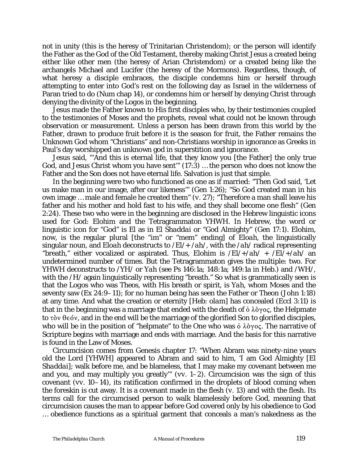not in unity (this is the heresy of Trinitarian Christendom); or the person will identify the Father as the God of the Old Testament, thereby making Christ Jesus a created being either like other men (the heresy of Arian Christendom) or a created being like the archangels Michael and Lucifer (the heresy of the Mormons). Regardless, though, of what heresy a disciple embraces, the disciple condemns him or herself through attempting to enter into God's rest on the following day as Israel in the wilderness of Paran tried to do (Num chap 14), or condemns him or herself by denying Christ through denying the divinity of *the Logos* in the beginning.

Jesus made the Father known to His first disciples who, by their testimonies coupled to the testimonies of Moses and the prophets, reveal what could not be known through observation or measurement. Unless a person has been drawn from this world by the Father, drawn to produce fruit before it is the season for fruit, the Father remains the Unknown God whom "Christians" and non-Christians worship in ignorance as Greeks in Paul's day worshipped an unknown god in superstition and ignorance.

Jesus said, "'And this is eternal life, that they know you [the Father] the only true God, and Jesus Christ whom you have sent'" (17:3) … the person who does not know the Father and the Son does not have eternal life. Salvation is just that simple.

In the beginning were two who functioned as one as if married: "Then God said, 'Let us make man in our image, after our likeness'" (Gen 1:26); "So God created man in his own image … male and female he created them" (*v.* 27); "Therefore a man shall leave his father and his mother and hold fast to his wife, and they shall become one flesh" (Gen 2:24). These two who were in the beginning are disclosed in the Hebrew linguistic icons used for God: *Elohim* and the Tetragrammaton *YHWH*. In Hebrew, the word or linguistic icon for "God" is *El* as in *El Shaddai* or "God Almighty" (Gen 17:1). *Elohim*, now, is the regular plural [the "*im*" or "mem" ending] of *Eloah*, the linguistically singular noun, and *Eloah* deconstructs to /*El*/+ /*ah*/, with the /*ah*/ radical representing "breath," either vocalized or aspirated. Thus, *Elohim* is /*El*/+/*ah*/ + /*El*/+/*ah*/ an undetermined number of times. But the Tetragrammaton gives the multiple: two. For *YHWH* deconstructs to /*YH*/ or *Yah* (see Ps 146:1a; 148:1a; 149:1a in Heb.) and /*WH*/, with the /*H*/ again linguistically representing "breath." So what is grammatically seen is that the *Logos* who was *Theos*, with His breath or spirit, is *Yah*, whom Moses and the seventy saw (Ex 24:9*–*11); for no human being has seen the Father or *Theon* (John 1:18) at any time. And what the creation or eternity [Heb: *olam*] has concealed (Eccl 3:11) is that in the beginning was a marriage that ended with the death of  $\dot{\mathrm{o}} \lambda \dot{\mathrm{o}} \gamma \mathrm{o} \varsigma$ , the Helpmate to  $\tau$   $\delta v$   $\theta \in \delta v$ , and in the end will be the marriage of the glorified Son to glorified disciples, who will be in the position of "helpmate" to the One who was  $\dot{\mathrm{o}}$   $\lambda \dot{\mathrm{o}}$  $\gamma$  os. The narrative of Scripture begins with marriage and ends with marriage. And the basis for this narrative is found in the Law of Moses.

Circumcision comes from Genesis chapter 17: "When Abram was ninety-nine years old the Lord [*YHWH*] appeared to Abram and said to him, 'I am God Almighty [*El Shaddai*]; walk before me, and be blameless, that I may make my covenant between me and you, and may multiply you greatly'" (*vv*. 1*–*2). Circumcision was the sign of this covenant (*vv*. 10*–*14), its ratification confirmed in the droplets of blood coming when the foreskin is cut away. It is a covenant made in the flesh (*v.* 13) and with the flesh. Its terms call for the circumcised person to walk blamelessly before God, meaning that circumcision causes the man to appear before God covered only by his obedience to God … obedience functions as a spiritual garment that conceals a man's nakedness as the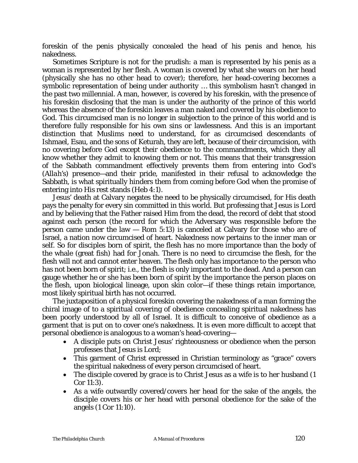foreskin of the penis physically concealed the head of his penis and hence, his nakedness.

Sometimes Scripture is not for the prudish: a man is represented by his penis as a woman is represented by her flesh. A woman is covered by what she wears on her head (physically she has no other head to cover); therefore, her head-covering becomes a symbolic representation of being under authority … this symbolism hasn't changed in the past two millennial. A man, however, is covered by his foreskin, with the presence of his foreskin disclosing that the man is under the authority of the prince of this world whereas the absence of the foreskin leaves a man naked and covered by his obedience to God. This circumcised man is no longer in subjection to the prince of this world and is therefore fully responsible for his own sins or lawlessness. And this is an important distinction that Muslims need to understand, for as circumcised descendants of Ishmael, Esau, and the sons of Keturah, they are left, because of their circumcision, with no covering before God except their obedience to the commandments, which they all know whether they admit to knowing them or not. This means that their transgression of the Sabbath commandment effectively prevents them from entering into God's (*Allah's*) presence—and their pride, manifested in their refusal to acknowledge the Sabbath, is what spiritually hinders them from coming before God when the promise of entering into His rest stands (Heb 4:1).

Jesus' death at Calvary negates the need to be physically circumcised, for His death pays the penalty for every sin committed in this world. But professing that Jesus is Lord and by believing that the Father raised Him from the dead, the record of debt that stood against each person (the record for which the Adversary was responsible before the person came under the law — Rom 5:13) is canceled at Calvary for those who are of Israel, a nation now circumcised of heart. Nakedness now pertains to the inner man or self. So for disciples born of spirit, the flesh has no more importance than the body of the whale (great fish) had for Jonah. There is no need to circumcise the flesh, for the flesh will not and cannot enter heaven. The flesh only has importance to the person who has not been born of spirit; i.e., the flesh is only important to the dead. And a person can gauge whether he or she has been born of spirit by the importance the person places on the flesh, upon biological lineage, upon skin color—if these things retain importance, most likely spiritual birth has not occurred.

The juxtaposition of a physical foreskin covering the nakedness of a man forming the chiral image of to a spiritual covering of obedience concealing spiritual nakedness has been poorly understood by all of Israel. It is difficult to conceive of obedience as a garment that is put on to cover one's nakedness. It is even more difficult to accept that personal obedience is analogous to a woman's head-covering—

- A disciple puts on Christ Jesus' righteousness or obedience when the person professes that Jesus is Lord;
- This garment of Christ expressed in Christian terminology as "grace" covers the spiritual nakedness of every person circumcised of heart.
- The disciple covered by *grace* is to Christ Jesus as a wife is to her husband (1 Cor 11:3).
- As a wife outwardly covered/covers her head for the sake of the angels, the disciple covers his or her head with personal obedience for the sake of the angels (1 Cor 11:10).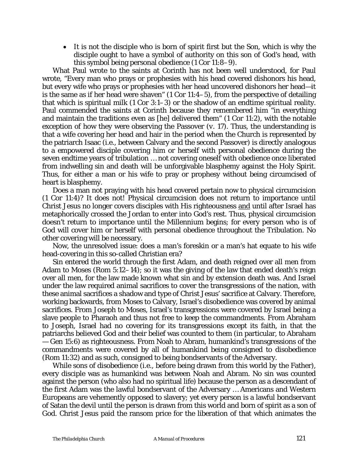• It is not the disciple who is born of spirit first but the Son, which is why the disciple ought to have a symbol of authority on this son of God's head, with this symbol being personal obedience (1 Cor 11:8–9).

What Paul wrote to the saints at Corinth has not been well understood, for Paul wrote, "Every man who prays or prophesies with his head covered dishonors his head, but every wife who prays or prophesies with her head uncovered dishonors her head—it is the same as if her head were shaven"  $(1 \text{ Cor } 11:4-5)$ , from the perspective of detailing that which is spiritual milk (1 Cor 3:1–3) or the shadow of an endtime spiritual reality. Paul commended the saints at Corinth because they remembered him "in everything and maintain the traditions even as [he] delivered them" (1 Cor 11:2), with the notable exception of how they were observing the Passover (*v.* 17). Thus, the understanding is that a wife covering her head and hair in the period when the Church is represented by the patriarch Isaac (i.e., between Calvary and the second Passover) is directly analogous to a empowered disciple covering him or herself with personal obedience during the seven endtime years of tribulation … not covering oneself with obedience once liberated from indwelling sin and death will be unforgivable blasphemy against the Holy Spirit. Thus, for either a man or his wife to pray or prophesy without being circumcised of heart is blasphemy.

Does a man not praying with his head covered pertain now to physical circumcision (1 Cor 11:4)? It does not! Physical circumcision does not return to importance until Christ Jesus no longer covers disciples with His righteousness and until after Israel has metaphorically crossed the Jordan to enter into God's rest. Thus, physical circumcision doesn't return to importance until the Millennium begins; for every person who is of God will cover him or herself with personal obedience throughout the Tribulation. No other covering will be necessary.

Now, the unresolved issue: does a man's foreskin or a man's hat equate to his wife head-covering in this so-called Christian era?

Sin entered the world through the first Adam, and death reigned over all men from Adam to Moses (Rom 5:12–14); so it was the giving of the law that ended death's reign over all men, for the law made known what sin and by extension death was. And Israel under the law required animal sacrifices to cover the transgressions of the nation, with these animal sacrifices a shadow and type of Christ Jesus' sacrifice at Calvary. Therefore, working backwards, from Moses to Calvary, Israel's disobedience was covered by animal sacrifices. From Joseph to Moses, Israel's transgressions were covered by Israel being a slave people to Pharaoh and thus not free to keep the commandments. From Abraham to Joseph, Israel had no covering for its transgressions except its faith, in that the patriarchs believed God and their belief was counted to them (in particular, to Abraham — Gen 15:6) as righteousness. From Noah to Abram, humankind's transgressions of the commandments were covered by all of humankind being consigned to disobedience (Rom 11:32) and as such, consigned to being bondservants of the Adversary.

While sons of disobedience (i.e., before being drawn from this world by the Father), every disciple was as humankind was between Noah and Abram. No sin was counted against the person (who also had no spiritual life) because the person as a descendant of the first Adam was the lawful bondservant of the Adversary … Americans and Western Europeans are vehemently opposed to slavery; yet every person is a lawful bondservant of Satan the devil until the person is drawn from this world and born of spirit as a son of God. Christ Jesus paid the ransom price for the liberation of that which animates the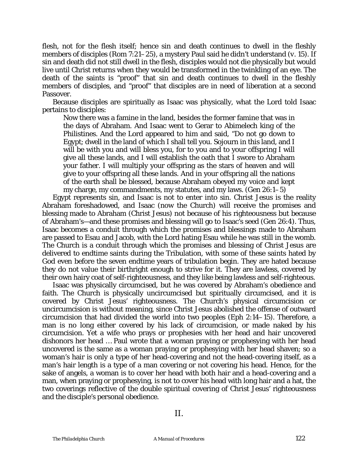flesh, not for the flesh itself; hence sin and death continues to dwell in the fleshly members of disciples (Rom 7:21–25), a mystery Paul said he didn't understand (*v.* 15). If sin and death did not still dwell in the flesh, disciples would not die physically but would live until Christ returns when they would be transformed in the twinkling of an eye. The death of the saints is "proof" that sin and death continues to dwell in the fleshly members of disciples, and "proof" that disciples are in need of liberation at a second Passover.

Because disciples are spiritually as Isaac was physically, what the Lord told Isaac pertains to disciples:

Now there was a famine in the land, besides the former famine that was in the days of Abraham. And Isaac went to Gerar to Abimelech king of the Philistines. And the Lord appeared to him and said, "Do not go down to Egypt; dwell in the land of which I shall tell you. Sojourn in this land, and I will be with you and will bless you, for to you and to your offspring I will give all these lands, and I will establish the oath that I swore to Abraham your father. I will multiply your offspring as the stars of heaven and will give to your offspring all these lands. And in your offspring all the nations of the earth shall be blessed, because Abraham obeyed my voice and kept my charge, my commandments, my statutes, and my laws. (Gen 26:1–5)

Egypt represents sin, and Isaac is not to enter into sin. Christ Jesus is the reality Abraham foreshadowed, and Isaac (now the Church) will receive the promises and blessing made to Abraham (Christ Jesus) not because of his righteousness but because of Abraham's—and these promises and blessing will go to Isaac's seed (Gen 26:4). Thus, Isaac becomes a conduit through which the promises and blessings made to Abraham are passed to Esau and Jacob, with the Lord hating Esau while he was still in the womb. The Church is a conduit through which the promises and blessing of Christ Jesus are delivered to endtime saints during the Tribulation, with some of these saints hated by God even before the seven endtime years of tribulation begin. They are hated because they do not value their birthright enough to strive for it. They are lawless, covered by their own hairy coat of self-righteousness, and they like being lawless and self-righteous.

Isaac was physically circumcised, but he was covered by Abraham's obedience and faith. The Church is physically uncircumcised but spiritually circumcised, and it is covered by Christ Jesus' righteousness. The Church's physical circumcision or uncircumcision is without meaning, since Christ Jesus abolished the offense of outward circumcision that had divided the world into two peoples (Eph 2:14–15). Therefore, a man is no long either covered by his lack of circumcision, or made naked by his circumcision. Yet a wife who prays or prophesies with her head and hair uncovered dishonors her head … Paul wrote that a woman praying or prophesying with her head uncovered is the same as a woman praying or prophesying with her head shaven; so a woman's hair is only a type of her head-covering and not the head-covering itself, as a man's hair length is a type of a man covering or not covering his head. Hence, for the sake of angels, a woman is to cover her head with both hair and a head-covering and a man, when praying or prophesying, is not to cover his head with long hair and a hat, the two coverings reflective of the double spiritual covering of Christ Jesus' righteousness and the disciple's personal obedience.

II.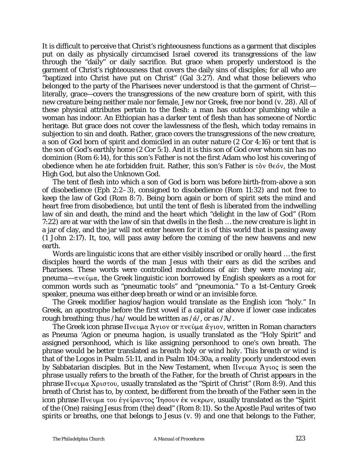It is difficult to perceive that Christ's righteousness functions as a garment that disciples put on daily as physically circumcised Israel covered its transgressions of the law through the "daily" or daily sacrifice. But grace when properly understood is the garment of Christ's righteousness that covers the daily sins of disciples; for all who are "baptized into Christ have put on Christ" (Gal 3:27). And what those believers who belonged to the party of the Pharisees never understood is that the garment of Christ literally, grace—covers the transgressions of the new creature born of spirit, with this new creature being neither male nor female, Jew nor Greek, free nor bond (*v.* 28). All of these physical attributes pertain to the flesh: a man has outdoor plumbing while a woman has indoor. An Ethiopian has a darker tent of flesh than has someone of Nordic heritage. But grace does not cover the lawlessness of the flesh, which today remains in subjection to sin and death. Rather, grace covers the transgressions of the new creature, a son of God born of spirit and domiciled in an outer nature (2 Cor 4:16) or tent that is the son of God's earthly home (2 Cor 5:1). And it is this son of God over whom sin has no dominion (Rom 6:14), for this son's Father is not the first Adam who lost his covering of obedience when he ate forbidden fruit. Rather, this son's Father is  $\tau \delta v$   $\theta \epsilon \delta v$ , the Most High God, but also the Unknown God.

The tent of flesh into which a son of God is born was before birth-from-above a son of disobedience (Eph 2:2*–*3), consigned to disobedience (Rom 11:32) and not free to keep the law of God (Rom 8:7). Being born again or born of spirit sets the mind and heart free from disobedience, but until the tent of flesh is liberated from the indwelling law of sin and death, the mind and the heart which "delight in the law of God" (Rom 7:22) are at war with the law of sin that dwells in the flesh … the new creature is light in a jar of clay, and the jar will not enter heaven for it is of this world that is passing away (1 John 2:17). It, too, will pass away before the coming of the new heavens and new earth.

Words are linguistic icons that are either visibly inscribed or orally heard … the first disciples heard the words of the man Jesus with their ears as did the scribes and Pharisees. These words were controlled modulations of air: they were moving air, *pneuma*— $\pi$ v $\epsilon$  $\hat{\mu}$  $\alpha$ , the Greek linguistic icon borrowed by English speakers as a root for common words such as "pneumatic tools" and "pneumonia." To a 1st-Century Greek speaker, *pneuma* was either deep breath or wind or an invisible force.

The Greek modifier *hagios/hagion* would translate as the English icon "holy." In Greek, an apostrophe before the first vowel if a capital or above if lower case indicates rough breathing; thus  $/ha/$  would be written as  $/\alpha/$ , or as  $/\alpha/$ .

The Greek icon phrase  $\Pi$ νευμα Άγιον or πνεῦμα ἄγιον, written in Roman characters as *Pneuma 'Agion* or *pneuma hagion*, is usually translated as the "Holy Spirit" and assigned personhood, which is like assigning personhood to one's own breath. The phrase would be better translated as *breath holy* or *wind holy*. This *breath* or *wind* is that of *the Logos* in Psalm 51:11, and in Psalm 104:30a, a reality poorly understood even by Sabbatarian disciples. But in the New Testament, when  $\prod$  vertuce  $\Lambda$  yiog is seen the phrase usually refers to the breath of the Father, for the breath of Christ appears in the phrase  $\Pi$ νευμα Χριστου, usually translated as the "Spirit of Christ" (Rom 8:9). And this breath of Christ has to, by context, be different from the breath of the Father seen in the icon phrase  $\Pi$ νευμα του έγείραντος 'Inσουν έκ νεκρων, usually translated as the "Spirit of the (One) raising Jesus from (the) dead" (Rom 8:11). So the Apostle Paul writes of two spirits or breaths, one that belongs to Jesus (*v.* 9) and one that belongs to the Father,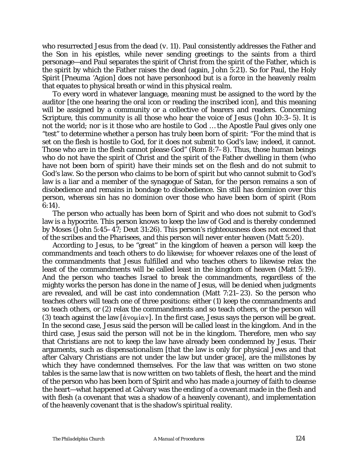who resurrected Jesus from the dead (*v.* 11). Paul consistently addresses the Father and the Son in his epistles, while never sending greetings to the saints from a third personage—and Paul separates the spirit of Christ from the spirit of the Father, which is the spirit by which the Father raises the dead (again, John 5:21). So for Paul, the Holy Spirit [*Pneuma 'Agion*] does not have personhood but is a force in the heavenly realm that equates to physical breath or wind in this physical realm.

To every word in whatever language, meaning must be assigned to the word by the auditor [the one hearing the oral icon or reading the inscribed icon], and this meaning will be assigned by a community or a collective of hearers and readers. Concerning Scripture, this community is all those who hear the voice of Jesus (John 10:3*–*5). It is not the world; nor is it those who are hostile to God … the Apostle Paul gives only one "test" to determine whether a person has truly been born of spirit: "For the mind that is set on the flesh is hostile to God, for it does not submit to God's law; indeed, it cannot. Those who are in the flesh cannot please God" (Rom 8:7*–*8). Thus, those human beings who do not have the spirit of Christ and the spirit of the Father dwelling in them (who have not been born of spirit) have their minds set on the flesh and do not submit to God's law. So the person who claims to be born of spirit but who cannot submit to God's law is a liar and a member of the synagogue of Satan, for the person remains a son of disobedience and remains in bondage to disobedience. Sin still has dominion over this person, whereas sin has no dominion over those who have been born of spirit (Rom 6:14).

The person who actually has been born of Spirit and who does not submit to God's law is a hypocrite. This person knows to keep the law of God and is thereby condemned by Moses (John 5:45–47; Deut 31:26). This person's righteousness does not exceed that of the scribes and the Pharisees, and this person will never enter heaven (Matt 5:20).

According to Jesus, to be "great" in the kingdom of heaven a person will keep the commandments and teach others to do likewise; for whoever relaxes one of the least of the commandments that Jesus fulfilled and who teaches others to likewise relax the least of the commandments will be called least in the kingdom of heaven (Matt 5:19). And the person who teaches Israel to break the commandments, regardless of the mighty works the person has done in the name of Jesus, will be denied when judgments are revealed, and will be cast into condemnation (Matt 7:21*–*23). So the person who teaches others will teach one of three positions: either (1) keep the commandments and so teach others, or (2) relax the commandments and so teach others, or the person will (3) teach against the law  $\lceil d \cdot \hat{K} \rceil$ . In the first case, Jesus says the person will be great. In the second case, Jesus said the person will be called least in the kingdom. And in the third case, Jesus said the person will not be in the kingdom. Therefore, men who say that Christians are not to keep the law have already been condemned by Jesus. Their arguments, such as *dispensationalism* [that the law is only for physical Jews and that after Calvary Christians are not under the law but under grace], are the millstones by which they have condemned themselves. For the law that was written on two stone tables is the same law that is now written on two tablets of flesh, the heart and the mind of the person who has been born of Spirit and who has made a journey of faith to cleanse the heart—what happened at Calvary was the ending of a covenant made in the flesh and with flesh (a covenant that was a shadow of a heavenly covenant), and implementation of the heavenly covenant that is the shadow's spiritual reality.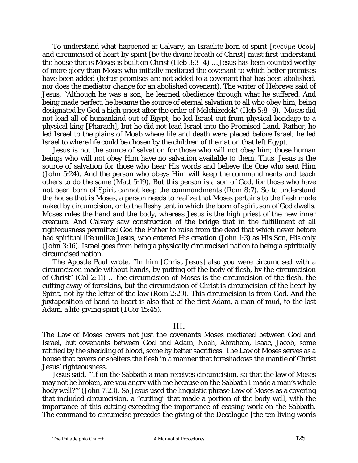To understand what happened at Calvary, an Israelite born of spirit  $[\pi v \epsilon \hat{v} \mu \alpha \theta \epsilon o \hat{v}]$ and circumcised of heart by spirit [by the divine breath of Christ] must first understand the house that is Moses is built on Christ (Heb 3:3*–*4) … Jesus has been counted worthy of more glory than Moses who initially mediated the covenant to which better promises have been added (better promises are not added to a covenant that has been abolished, nor does the mediator change for an abolished covenant). The writer of Hebrews said of Jesus, "Although he was a son, he learned obedience through what he suffered. And being made perfect, he became the source of eternal salvation to all who obey him, being designated by God a high priest after the order of Melchizedek" (Heb 5:8*–*9). Moses did not lead all of humankind out of Egypt; he led Israel out from physical bondage to a physical king [Pharaoh], but he did not lead Israel into the Promised Land. Rather, he led Israel to the plains of Moab where life and death were placed before Israel; he led Israel to where life could be chosen by the children of the nation that left Egypt.

Jesus is not the source of salvation for those who will not obey him; those human beings who will not obey Him have no salvation available to them. Thus, Jesus is the source of salvation for those who hear His words and believe the One who sent Him (John 5:24). And the person who obeys Him will keep the commandments and teach others to do the same (Matt 5:19). But this person is a son of God, for those who have not been born of Spirit cannot keep the commandments (Rom 8:7). So to understand the house that is Moses, a person needs to realize that Moses pertains to the flesh made naked by circumcision, or to the fleshy tent in which the born of spirit son of God dwells. Moses rules the hand and the body, whereas Jesus is the high priest of the new inner creature. And Calvary saw construction of the bridge that in the fulfillment of all righteousness permitted God the Father to raise from the dead that which never before had spiritual life unlike Jesus, who entered His creation (John 1:3) as His Son, His only (John 3:16). Israel goes from being a physically circumcised nation to being a spiritually circumcised nation.

The Apostle Paul wrote, "In him [Christ Jesus] also you were circumcised with a circumcision made without hands, by putting off the body of flesh, by the circumcision of Christ" (Col 2:11) … the circumcision of Moses is the circumcision of the flesh, the cutting away of foreskins, but the circumcision of Christ is circumcision of the heart by Spirit, not by the letter of the law (Rom 2:29). This circumcision is from God. And the juxtaposition of hand to heart is also that of the first Adam, a man of mud, to the last Adam, a life-giving spirit (1 Cor 15:45).

#### III.

The Law of Moses covers not just the covenants Moses mediated between God and Israel, but covenants between God and Adam, Noah, Abraham, Isaac, Jacob, some ratified by the shedding of blood, some by better sacrifices. The Law of Moses serves as a house that covers or shelters the flesh in a manner that foreshadows the mantle of Christ Jesus' righteousness.

Jesus said, "'If on the Sabbath a man receives circumcision, so that the law of Moses may not be broken, are you angry with me because on the Sabbath I made a man's whole body well?'" (John 7:23). So Jesus used the linguistic phrase Law of Moses as a covering that included circumcision, a "cutting" that made a portion of the body well, with the importance of this cutting exceeding the importance of ceasing work on the Sabbath. The command to circumcise precedes the giving of the Decalogue [the ten living words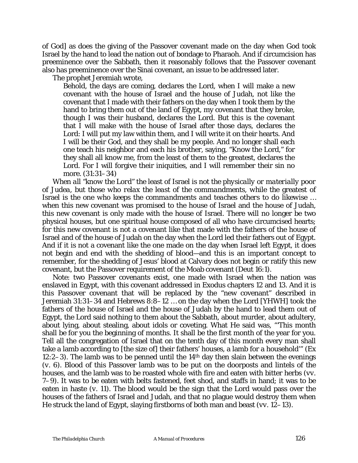of God] as does the giving of the Passover covenant made on the day when God took Israel by the hand to lead the nation out of bondage to Pharaoh. And if circumcision has preeminence over the Sabbath, then it reasonably follows that the Passover covenant also has preeminence over the Sinai covenant, an issue to be addressed later.

The prophet Jeremiah wrote,

Behold, the days are coming, declares the Lord, when I will make a new covenant with the house of Israel and the house of Judah, not like the covenant that I made with their fathers on the day when I took them by the hand to bring them out of the land of Egypt, my covenant that they broke, though I was their husband, declares the Lord. But this is the covenant that I will make with the house of Israel after those days, declares the Lord: I will put my law within them, and I will write it on their hearts. And I will be their God, and they shall be my people. And no longer shall each one teach his neighbor and each his brother, saying, "Know the Lord," for they shall all know me, from the least of them to the greatest, declares the Lord. For I will forgive their iniquities, and I will remember their sin no more. (31:31*–*34)

*When all "know the Lord" the* least of Israel *is not the physically or materially poor of Judea, but those who relax the least of the commandments, while the* greatest of Israel *is the one who keeps the commandments and teaches others to do likewise* … when this new covenant was promised to the house of Israel and the house of Judah, this new covenant is only made with the house of Israel. There will no longer be two physical houses, but one spiritual house composed of all who have circumcised hearts; for this new covenant is not a covenant like that made with the fathers of the house of Israel and of the house of Judah on the day when the Lord led their fathers out of Egypt. And if it is not a covenant like the one made on the day when Israel left Egypt, it does not begin and end with the shedding of blood—and this is an important concept to remember, for the shedding of Jesus' blood at Calvary does not begin or ratify this new covenant, but the Passover requirement of the Moab covenant (Deut 16:1).

Note: two Passover covenants exist, one made with Israel when the nation was enslaved in Egypt, with this covenant addressed in Exodus chapters 12 and 13. And it is this Passover covenant that will be replaced by the "new covenant" described in Jeremiah 31:31–34 and Hebrews 8:8–12 … on the day when the Lord [*YHWH*] took the fathers of the house of Israel and the house of Judah by the hand to lead them out of Egypt, the Lord said nothing to them about the Sabbath, about murder, about adultery, about lying, about stealing, about idols or coveting. What He said was, "'This month shall be for you the beginning of months. It shall be the first month of the year for you. Tell all the congregation of Israel that on the tenth day of this month every man shall take a lamb according to [the size of] their fathers' houses, a lamb for a household'" (Ex 12:2*–*3). The lamb was to be penned until the 14th day then slain between the evenings (*v*. 6). Blood of this Passover lamb was to be put on the doorposts and lintels of the houses, and the lamb was to be roasted whole with fire and eaten with bitter herbs (*vv*. 7*–*9). It was to be eaten with belts fastened, feet shod, and staffs in hand; it was to be eaten in haste (*v*. 11). The blood would be the sign that the Lord would pass over the houses of the fathers of Israel and Judah, and that no plague would destroy them when He struck the land of Egypt, slaying firstborns of both man and beast (*vv*. 12*–*13).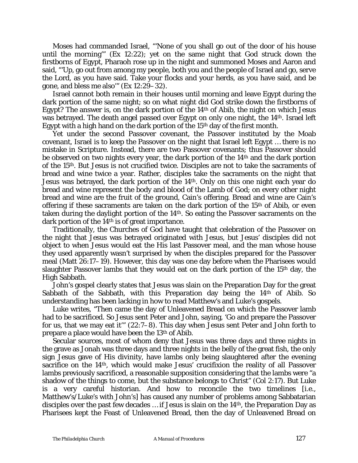Moses had commanded Israel, "'None of you shall go out of the door of his house until the morning'" (Ex 12:22); yet on the same night that God struck down the firstborns of Egypt, Pharaoh rose up in the night and summoned Moses and Aaron and said, "'Up, go out from among my people, both you and the people of Israel and go, serve the Lord, as you have said. Take your flocks and your herds, as you have said, and be gone, and bless me also'" (Ex 12:29*–*32).

Israel cannot both remain in their houses until morning and leave Egypt during the dark portion of the same night; so on what night did God strike down the firstborns of Egypt? The answer is, on the dark portion of the 14th of Abib, the night on which Jesus was betrayed. The death angel passed over Egypt on only one night, the 14th. Israel left Egypt with a high hand on the dark portion of the 15th day of the first month.

Yet under the second Passover covenant, the Passover instituted by the Moab covenant, Israel is to keep the Passover on the night that Israel left Egypt … there is no mistake in Scripture. Instead, there are two Passover covenants; thus Passover should be observed on two nights every year, the dark portion of the 14th and the dark portion of the 15th. But Jesus is not crucified twice. Disciples are not to take the sacraments of bread and wine twice a year. Rather, disciples take the sacraments on the night that Jesus was betrayed, the dark portion of the 14th. Only on this one night each year do bread and wine represent the body and blood of the Lamb of God; on every other night bread and wine are the fruit of the ground, Cain's offering. Bread and wine are Cain's offering if these sacraments are taken on the dark portion of the 15<sup>th</sup> of Abib, or even taken during the daylight portion of the 14th. So eating the Passover sacraments on the dark portion of the 14th is of great importance.

Traditionally, the Churches of God have taught that celebration of the Passover on the night that Jesus was betrayed originated with Jesus, but Jesus' disciples did not object to when Jesus would eat the His last Passover meal, and the man whose house they used apparently wasn't surprised by when the disciples prepared for the Passover meal (Matt 26:17*–*19). However, this day was one day before when the Pharisees would slaughter Passover lambs that they would eat on the dark portion of the 15th day, the High Sabbath.

John's gospel clearly states that Jesus was slain on the Preparation Day for the great Sabbath of the Sabbath, with this Preparation day being the 14<sup>th</sup> of Abib. So understanding has been lacking in how to read Matthew's and Luke's gospels.

Luke writes, "Then came the day of Unleavened Bread on which the Passover lamb had to be sacrificed. So Jesus sent Peter and John, saying, 'Go and prepare the Passover for us, that we may eat it'" (22:7*–*8). This day when Jesus sent Peter and John forth to prepare a place would have been the 13th of Abib.

Secular sources, most of whom deny that Jesus was three days and three nights in the grave as Jonah was three days and three nights in the belly of the great fish, the only sign Jesus gave of His divinity, have lambs only being slaughtered after the evening sacrifice on the 14th, which would make Jesus' crucifixion the reality of all Passover lambs previously sacrificed, a reasonable supposition considering that the lambs were "a shadow of the things to come, but the substance belongs to Christ" (Col 2:17). But Luke is a very careful historian. And how to reconcile the two timelines [i.e., Matthew's/Luke's with John's] has caused any number of problems among Sabbatarian disciples over the past few decades … if Jesus is slain on the 14th, the Preparation Day as Pharisees kept the Feast of Unleavened Bread, then the day of Unleavened Bread on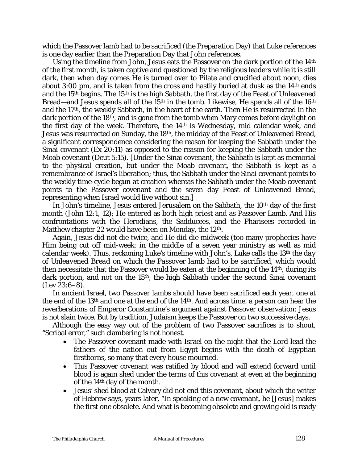which the Passover lamb had to be sacrificed (the Preparation Day) that Luke references is one day earlier than the Preparation Day that John references.

Using the timeline from John, Jesus eats the Passover on the dark portion of the 14th of the first month, is taken captive and questioned by the religious leaders while it is still dark, then when day comes He is turned over to Pilate and crucified about noon, dies about 3:00 pm, and is taken from the cross and hastily buried at dusk as the  $14<sup>th</sup>$  ends and the 15th begins. The 15th is the high Sabbath, the first day of the Feast of Unleavened Bread—and Jesus spends all of the 15<sup>th</sup> in the tomb. Likewise, He spends all of the 16<sup>th</sup> and the 17th, the weekly Sabbath, in the heart of the earth. Then He is resurrected in the dark portion of the 18th, and is gone from the tomb when Mary comes before daylight on the first day of the week. Therefore, the 14th is Wednesday, mid calendar week, and Jesus was resurrected on Sunday, the 18th, the midday of the Feast of Unleavened Bread, a significant correspondence considering the reason for keeping the Sabbath under the Sinai covenant (Ex 20:11) as opposed to the reason for keeping the Sabbath under the Moab covenant (Deut 5:15). [Under the Sinai covenant, the Sabbath is kept as memorial to the physical creation, but under the Moab covenant, the Sabbath is kept as a remembrance of Israel's liberation; thus, the Sabbath under the Sinai covenant points to the weekly time-cycle begun at creation whereas the Sabbath under the Moab covenant points to the Passover covenant and the seven day Feast of Unleavened Bread, representing when Israel would live without sin.]

In John's timeline, Jesus entered Jerusalem on the Sabbath, the 10th day of the first month (John 12:1, 12); He entered as both high priest and as Passover Lamb. And His confrontations with the Herodians, the Sadducees, and the Pharisees recorded in Matthew chapter 22 would have been on Monday, the 12<sup>th</sup>.

Again, Jesus did not die twice, and He did die midweek (too many prophecies have Him being cut off mid-week: in the middle of a seven year ministry as well as mid calendar week). Thus, reckoning Luke's timeline with John's, Luke calls the 13th *the day of Unleavened Bread on which the Passover lamb had to be sacrificed*, which would then necessitate that the Passover would be eaten at the beginning of the  $14<sup>th</sup>$ , during its dark portion, and not on the 15<sup>th</sup>, the high Sabbath under the second Sinai covenant (Lev 23:6*–*8).

In ancient Israel, two Passover lambs should have been sacrificed each year, one at the end of the 13th and one at the end of the 14th. And across time, a person can hear the reverberations of Emperor Constantine's argument against Passover observation: Jesus is not slain twice. But by tradition, Judaism keeps the Passover on two successive days.

Although the easy way out of the problem of two Passover sacrifices is to shout, "Scribal error," such clambering is not honest.

- The Passover covenant made with Israel on the night that the Lord lead the fathers of the nation out from Egypt begins with the death of Egyptian firstborns, so many that every house mourned.
- This Passover covenant was ratified by blood and will extend forward until blood is again shed under the terms of this covenant at even at the beginning of the 14th day of the month.
- Jesus' shed blood at Calvary did not end this covenant, about which the writer of Hebrew says, years later, "In speaking of a new covenant, he [Jesus] makes the first one obsolete. And what is becoming obsolete and growing old is ready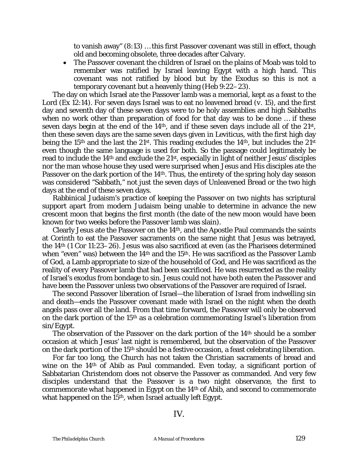to vanish away" (8:13) … this first Passover covenant was still in effect, though old and becoming obsolete, three decades after Calvary.

• The Passover covenant the children of Israel on the plains of Moab was told to remember was ratified by Israel leaving Egypt with a high hand. This covenant was not ratified by blood but by the Exodus so this is not a temporary covenant but a heavenly thing (Heb 9:22–23).

The day on which Israel ate the Passover lamb was a memorial, kept as a feast to the Lord (Ex 12:14). For seven days Israel was to eat no leavened bread (*v.* 15), and the first day and seventh day of these seven days were to be holy assemblies and high Sabbaths when no work other than preparation of food for that day was to be done … if these seven days begin at the end of the 14<sup>th</sup>, and if these seven days include all of the 21<sup>st</sup>, then these seven days are the same seven days given in Leviticus, with the first high day being the 15<sup>th</sup> and the last the 21<sup>st</sup>. This reading excludes the 14<sup>th</sup>, but includes the 21<sup>st</sup> even though the same language is used for both. So the passage could legitimately be read to include the 14th and exclude the 21st, especially in light of neither Jesus' disciples nor the man whose house they used were surprised when Jesus and His disciples ate the Passover on the dark portion of the 14<sup>th</sup>. Thus, the entirety of the spring holy day season was considered "Sabbath," not just the seven days of Unleavened Bread or the two high days at the end of these seven days.

Rabbinical Judaism's practice of keeping the Passover on two nights has scriptural support apart from modern Judaism being unable to determine in advance the new crescent moon that begins the first month (the date of the new moon would have been known for two weeks before the Passover lamb was slain).

Clearly Jesus ate the Passover on the  $14<sup>th</sup>$ , and the Apostle Paul commands the saints at Corinth to eat the Passover sacraments on the same night that Jesus was betrayed, the 14th (1 Cor 11:23*–*26). Jesus was also sacrificed at even (as the Pharisees determined when "even" was) between the 14<sup>th</sup> and the 15<sup>th</sup>. He was sacrificed as the Passover Lamb of God, a Lamb appropriate to size of the household of God, and He was sacrificed as the reality of every Passover lamb that had been sacrificed. He was resurrected as the reality of Israel's exodus from bondage to sin. Jesus could not have both eaten the Passover and have been the Passover unless two observations of the Passover are required of Israel.

The second Passover liberation of Israel—the liberation of Israel from indwelling sin and death—ends the Passover covenant made with Israel on the night when the death angels pass over all the land. From that time forward, the Passover will only be observed on the dark portion of the 15th as a celebration commemorating Israel's liberation from sin/Egypt.

The observation of the Passover on the dark portion of the 14<sup>th</sup> should be a somber occasion at which Jesus' last night is remembered, but the observation of the Passover on the dark portion of the 15th should be a festive occasion, a feast celebrating liberation.

For far too long, the Church has not taken the Christian sacraments of bread and wine on the 14<sup>th</sup> of Abib as Paul commanded. Even today, a significant portion of Sabbatarian Christendom does not observe the Passover as commanded. And very few disciples understand that the Passover is a two night observance, the first to commemorate what happened in Egypt on the 14th of Abib, and second to commemorate what happened on the 15<sup>th</sup>, when Israel actually left Egypt.

IV.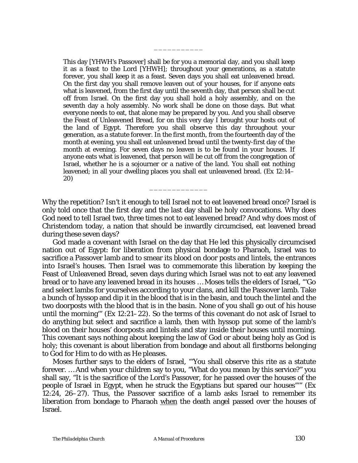This day [*YHWH'*s Passover] shall be for you a memorial day, and you shall keep it as a feast to the Lord [*YHWH*]; throughout your generations, as a statute forever, you shall keep it as a feast. Seven days you shall eat unleavened bread. On the first day you shall remove leaven out of your houses, for if anyone eats what is leavened, from the first day until the seventh day, that person shall be cut off from Israel. On the first day you shall hold a holy assembly, and on the seventh day a holy assembly. No work shall be done on those days. But what everyone needs to eat, that alone may be prepared by you. And you shall observe the Feast of Unleavened Bread, for on this very day I brought your hosts out of the land of Egypt. Therefore you shall observe this day throughout your generation, as a statute forever. In the first month, from the fourteenth day of the month at evening, you shall eat unleavened bread until the twenty-first day of the month at evening. For seven days no leaven is to be found in your houses. If anyone eats what is leavened, that person will be cut off from the congregation of Israel, whether he is a sojourner or a native of the land. You shall eat nothing leavened; in all your dwelling places you shall eat unleavened bread. (Ex 12:14*–* 20)

\_\_\_\_\_\_\_\_\_\_\_

Why the repetition? Isn't it enough to tell Israel not to eat leavened bread once? Israel is only told once that the first day and the last day shall be holy convocations. Why does God need to tell Israel two, three times not to eat leavened bread? And why does most of Christendom today, a nation that should be inwardly circumcised, eat leavened bread during these seven days?

\_\_\_\_\_\_\_\_\_\_\_\_\_

God made a covenant with Israel on the day that He led this physically circumcised nation out of Egypt: for liberation from physical bondage to Pharaoh, Israel was to sacrifice a Passover lamb and to smear its blood on door posts and lintels, the entrances into Israel's houses. Then Israel was to commemorate this liberation by keeping the Feast of Unleavened Bread, seven days during which Israel was not to eat any leavened bread or to have any leavened bread in its houses … Moses tells the elders of Israel, "'Go and select lambs for yourselves according to your clans, and kill the Passover lamb. Take a bunch of hyssop and dip it in the blood that is in the basin, and touch the lintel and the two doorposts with the blood that is in the basin. None of you shall go out of his house until the morning'" (Ex 12:21*–*22). So the terms of this covenant do not ask of Israel to do anything but select and sacrifice a lamb, then with hyssop put some of the lamb's blood on their houses' doorposts and lintels and stay inside their houses until morning. This covenant says nothing about keeping the law of God or about being holy as God is holy; this covenant is about liberation from bondage and about all firstborns belonging to God for Him to do with as He pleases.

Moses further says to the elders of Israel, "'You shall observe this rite as a statute forever. … And when your children say to you, "What do you mean by this service?" you shall say, "It is the sacrifice of the Lord's Passover, for he passed over the houses of the people of Israel in Egypt, when he struck the Egyptians but spared our houses"'" (Ex 12:24, 26*–*27). Thus, the Passover sacrifice of a lamb asks Israel to remember its liberation from bondage to Pharaoh when the death angel passed over the houses of Israel.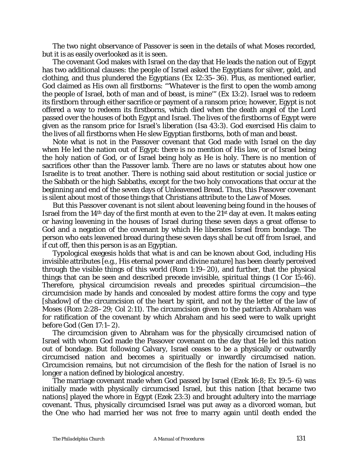The two night observance of Passover is seen in the details of what Moses recorded, but it is as easily overlooked as it is seen.

The covenant God makes with Israel on the day that He leads the nation out of Egypt has two additional clauses: the people of Israel asked the Egyptians for silver, gold, and clothing, and thus plundered the Egyptians (Ex 12:35*–*36). Plus, as mentioned earlier, God claimed as His own all firstborns: "'Whatever is the first to open the womb among the people of Israel, both of man and of beast, is mine'" (Ex 13:2). Israel was to redeem its firstborn through either sacrifice or payment of a ransom price; however, Egypt is not offered a way to redeem its firstborns, which died when the death angel of the Lord passed over the houses of both Egypt and Israel. The lives of the firstborns of Egypt were given as the ransom price for Israel's liberation (Isa 43:3). God exercised His claim to the lives of all firstborns when He slew Egyptian firstborns, both of man and beast.

Note what is not in the Passover covenant that God made with Israel on the day when He led the nation out of Egypt: there is no mention of His law, or of Israel being the holy nation of God, or of Israel being holy as He is holy. There is no mention of sacrifices other than the Passover lamb. There are no laws or statutes about how one Israelite is to treat another. There is nothing said about restitution or social justice or the Sabbath or the high Sabbaths, except for the two holy convocations that occur at the beginning and end of the seven days of Unleavened Bread. Thus, this Passover covenant is silent about most of those things that Christians attribute to the Law of Moses.

But this Passover covenant is not silent about leavening being found in the houses of Israel from the 14<sup>th</sup> day of the first month at even to the 21<sup>st</sup> day at even. It makes eating or having leavening in the houses of Israel during these seven days a great offense to God and a negation of the covenant by which He liberates Israel from bondage. The person who eats leavened bread during these seven days shall be cut off from Israel, and if cut off, then this person is as an Egyptian.

Typological exegesis holds that what is and can be known about God, including His invisible attributes [e.g., His eternal power and divine nature] has been clearly perceived through the visible things of this world (Rom 1:19*–*20), and further, that the physical things that can be seen and described precede invisible, spiritual things (1 Cor 15:46). Therefore, physical circumcision reveals and precedes spiritual circumcision—the circumcision made by hands and concealed by modest attire forms the copy and type [shadow] of the circumcision of the heart by spirit, and not by the letter of the law of Moses (Rom 2:28*–*29; Col 2:11). The circumcision given to the patriarch Abraham was for ratification of the covenant by which Abraham and his seed were to walk upright before God (Gen 17:1*–*2).

The circumcision given to Abraham was for the physically circumcised nation of Israel with whom God made the Passover covenant on the day that He led this nation out of bondage. But following Calvary, Israel ceases to be a physically or outwardly circumcised nation and becomes a spiritually or inwardly circumcised nation. Circumcision remains, but not circumcision of the flesh for the nation of Israel is no longer a nation defined by biological ancestry.

The marriage covenant made when God passed by Israel (Ezek 16:8; Ex 19:5*–*6) was initially made with physically circumcised Israel, but this nation [that became two nations] played the whore in Egypt (Ezek 23:3) and brought adultery into the marriage covenant. Thus, physically circumcised Israel was put away as a divorced woman, but the One who had married her was not free to marry again until death ended the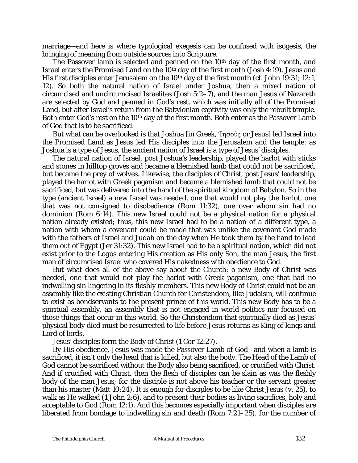marriage—and here is where typological exegesis can be confused with isogesis, the bringing of meaning from outside sources into Scripture.

The Passover lamb is selected and penned on the 10<sup>th</sup> day of the first month, and Israel enters the Promised Land on the 10<sup>th</sup> day of the first month (Josh 4:19). Jesus and His first disciples enter Jerusalem on the 10th day of the first month (*cf.* John 19:31; 12:1, 12). So both the natural nation of Israel under Joshua, then a mixed nation of circumcised and uncircumcised Israelites (Josh 5:2*–*7), and the man Jesus of Nazareth are selected by God and penned in God's rest, which was initially all of the Promised Land, but after Israel's return from the Babylonian captivity was only the rebuilt temple. Both enter God's rest on the 10<sup>th</sup> day of the first month. Both enter as the Passover Lamb of God that is to be sacrificed.

But what can be overlooked is that Joshua [in Greek, 'Inooûç or Jesus] led Israel into the Promised Land as Jesus led His disciples into the Jerusalem and the temple: as Joshua is a type of Jesus, the ancient nation of Israel is a type of Jesus' disciples.

The natural nation of Israel, post Joshua's leadership, played the harlot with sticks and stones in hilltop groves and became a blemished lamb that could not be sacrificed, but became the prey of wolves. Likewise, the disciples of Christ, post Jesus' leadership, played the harlot with Greek paganism and became a blemished lamb that could not be sacrificed, but was delivered into the hand of the spiritual kingdom of Babylon. So in the type (ancient Israel) a new Israel was needed, one that would not play the harlot, one that was not consigned to disobedience (Rom 11:32), one over whom sin had no dominion (Rom 6:14). This new Israel could not be a physical nation for a physical nation already existed; thus, this new Israel had to be a nation of a different type, a nation with whom a covenant could be made that was unlike the covenant God made with the fathers of Israel and Judah on the day when He took them by the hand to lead them out of Egypt (Jer 31:32). This new Israel had to be a spiritual nation, which did not exist prior to the *Logos* entering His creation as His only Son, the man Jesus, the first man of circumcised Israel who covered His nakedness with obedience to God.

But what does all of the above say about the Church: a new Body of Christ was needed, one that would not play the harlot with Greek paganism, one that had no indwelling sin lingering in its fleshly members. This new Body of Christ could not be an assembly like the existing Christian Church for Christendom, like Judaism, will continue to exist as bondservants to the present prince of this world. This new Body has to be a spiritual assembly, an assembly that is not engaged in world politics nor focused on those things that occur in this world. So the Christendom that spiritually died as Jesus' physical body died must be resurrected to life before Jesus returns as King of kings and Lord of lords.

Jesus' disciples form the Body of Christ (1 Cor 12:27).

By His obedience, Jesus was made the Passover Lamb of God—and when a lamb is sacrificed, it isn't only the head that is killed, but also the body. The Head of the Lamb of God cannot be sacrificed without the Body also being sacrificed, or crucified with Christ. And if crucified with Christ, then the flesh of disciples can be slain as was the fleshly body of the man Jesus; for the disciple is not above his teacher or the servant greater than his master (Matt 10:24). It is enough for disciples to be like Christ Jesus (*v.* 25), to walk as He walked (1 John 2:6), and to present their bodies as living sacrifices, holy and acceptable to God (Rom 12:1). And this becomes especially important when disciples are liberated from bondage to indwelling sin and death (Rom 7:21*–*25), for the number of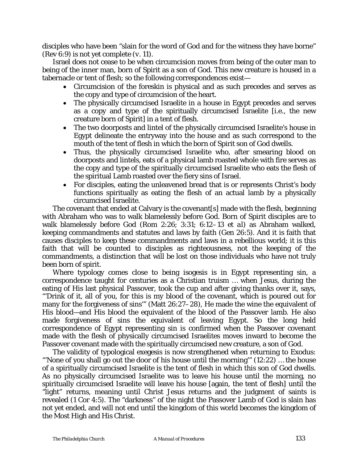disciples who have been "slain for the word of God and for the witness they have borne" (Rev 6:9) is not yet complete (*v.* 11).

Israel does not cease to be when circumcision moves from being of the outer man to being of the inner man, born of Spirit as a son of God. This new creature is housed in a tabernacle or tent of flesh; so the following correspondences exist—

- Circumcision of the foreskin is physical and as such precedes and serves as the copy and type of circumcision of the heart.
- The physically circumcised Israelite in a house in Egypt precedes and serves as a copy and type of the spiritually circumcised Israelite [i.e., the new creature born of Spirit] in a tent of flesh.
- The two doorposts and lintel of the physically circumcised Israelite's house in Egypt delineate the entryway into the house and as such correspond to the mouth of the tent of flesh in which the born of Spirit son of God dwells.
- Thus, the physically circumcised Israelite who, after smearing blood on doorposts and lintels, eats of a physical lamb roasted whole with fire serves as the copy and type of the spiritually circumcised Israelite who eats the flesh of the spiritual Lamb roasted over the fiery sins of Israel.
- For disciples, eating the unleavened bread that is or represents Christ's body functions spiritually as eating the flesh of an actual lamb by a physically circumcised Israelite.

The covenant that ended at Calvary is the covenant[s] made with the flesh, beginning with Abraham who was to walk blamelessly before God. Born of Spirit disciples are to walk blamelessly before God (Rom 2:26; 3:31; 6:12*–*13 *et al*) as Abraham walked, keeping commandments and statutes and laws by faith (Gen 26:5). And it is faith that causes disciples to keep these commandments and laws in a rebellious world; it is this faith that will be counted to disciples as righteousness, not the keeping of the commandments, a distinction that will be lost on those individuals who have not truly been born of spirit.

Where typology comes close to being isogesis is in Egypt representing sin, a correspondence taught for centuries as a Christian truism … when Jesus, during the eating of His last physical Passover, took the cup and after giving thanks over it, says, "'Drink of it, all of you, for this is my blood of the covenant, which is poured out for many for the forgiveness of sins'" (Matt 26:27*–*28), He made the wine the equivalent of His blood—and His blood the equivalent of the blood of the Passover lamb. He also made forgiveness of sins the equivalent of leaving Egypt. So the long held correspondence of Egypt representing sin is confirmed when the Passover covenant made with the flesh of physically circumcised Israelites moves inward to become the Passover covenant made with the spiritually circumcised new creature, a son of God.

The validity of typological exegesis is now strengthened when returning to Exodus: "'None of you shall go out the door of his house until the morning'" (12:22) … the house of a spiritually circumcised Israelite is the tent of flesh in which this son of God dwells. As no physically circumcised Israelite was to leave his house until the morning, no spiritually circumcised Israelite will leave his house [again, the tent of flesh] until the "light" returns, meaning until Christ Jesus returns and the judgment of saints is revealed (1 Cor 4:5). The "darkness" of the night the Passover Lamb of God is slain has not yet ended, and will not end until the kingdom of this world becomes the kingdom of the Most High and His Christ.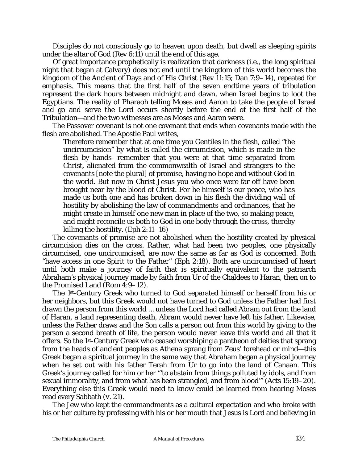Disciples do not consciously go to heaven upon death, but dwell as sleeping spirits under the altar of God (Rev 6:11) until the end of this age.

Of great importance prophetically is realization that darkness (i.e., the long spiritual night that began at Calvary) does not end until the kingdom of this world becomes the kingdom of the Ancient of Days and of His Christ (Rev 11:15; Dan 7:9*–*14), repeated for emphasis. This means that the first half of the seven endtime years of tribulation represent the dark hours between midnight and dawn, when Israel begins to loot the Egyptians. The reality of Pharaoh telling Moses and Aaron to take the people of Israel and go and serve the Lord occurs shortly before the end of the first half of the Tribulation—and the two witnesses are as Moses and Aaron were.

The Passover covenant is not one covenant that ends when covenants made with the flesh are abolished. The Apostle Paul writes,

Therefore remember that at one time you Gentiles in the flesh, called "the uncircumcision" by what is called the circumcision, which is made in the flesh by hands—remember that you were at that time separated from Christ, alienated from the commonwealth of Israel and strangers to the covenants [note the plural] of promise, having no hope and without God in the world. But now in Christ Jesus you who once were far off have been brought near by the blood of Christ. For he himself is our peace, who has made us both one and has broken down in his flesh the dividing wall of hostility by abolishing the law of commandments and ordinances, that he might create in himself one new man in place of the two, so making peace, and might reconcile us both to God in one body through the cross, thereby killing the hostility. (Eph 2:11*–*16)

The covenants of promise are not abolished when the hostility created by physical circumcision dies on the cross. Rather, what had been two peoples, one physically circumcised, one uncircumcised, are now the same as far as God is concerned. Both "have access in one Spirit to the Father" (Eph 2:18). Both are uncircumcised of heart until both make a journey of faith that is spiritually equivalent to the patriarch Abraham's physical journey made by faith from Ur of the Chaldees to Haran, then on to the Promised Land (Rom 4:9*–*12).

The 1st-Century Greek who turned to God separated himself or herself from his or her neighbors, but this Greek would not have turned to God unless the Father had first drawn the person from this world … unless the Lord had called Abram out from the land of Haran, a land representing death, Abram would never have left his father. Likewise, unless the Father draws and the Son calls a person out from this world by giving to the person a second breath of life, the person would never leave this world and all that it offers. So the 1st-Century Greek who ceased worshiping a pantheon of deities that sprang from the heads of ancient peoples as Athena sprang from Zeus' forehead or mind—this Greek began a spiritual journey in the same way that Abraham began a physical journey when he set out with his father Terah from Ur to go into the land of Canaan. This Greek's journey called for him or her "'to abstain from things polluted by idols, and from sexual immorality, and from what has been strangled, and from blood'" (Acts 15:19*–*20). Everything else this Greek would need to know could be learned from hearing Moses read every Sabbath (*v*. 21).

The Jew who kept the commandments as a cultural expectation and who broke with his or her culture by professing with his or her mouth that Jesus is Lord and believing in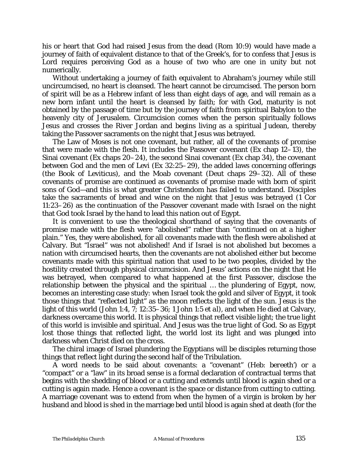his or heart that God had raised Jesus from the dead (Rom 10:9) would have made a journey of faith of equivalent distance to that of the Greek's, for to confess that Jesus is Lord requires perceiving God as a house of two who are one in unity but not numerically.

Without undertaking a journey of faith equivalent to Abraham's journey while still uncircumcised, no heart is cleansed. The heart cannot be circumcised. The person born of spirit will be as a Hebrew infant of less than eight days of age, and will remain as a new born infant until the heart is cleansed by faith; for with God, maturity is not obtained by the passage of time but by the journey of faith from spiritual Babylon to the heavenly city of Jerusalem. Circumcision comes when the person spiritually follows Jesus and crosses the River Jordan and begins living as a spiritual Judean, thereby taking the Passover sacraments on the night that Jesus was betrayed.

The Law of Moses is not one covenant, but rather, all of the covenants of promise that were made with the flesh. It includes the Passover covenant (Ex chap 12*–*13), the Sinai covenant (Ex chaps 20*–*24), the second Sinai covenant (Ex chap 34), the covenant between God and the men of Levi (Ex 32:25*–*29), the added laws concerning offerings (the Book of Leviticus), and the Moab covenant (Deut chaps 29*–*32). All of these covenants of promise are continued as covenants of promise made with born of spirit sons of God—and this is what greater Christendom has failed to understand. Disciples take the sacraments of bread and wine on the night that Jesus was betrayed (1 Cor 11:23*–*26) as the continuation of the Passover covenant made with Israel on the night that God took Israel by the hand to lead this nation out of Egypt.

It is convenient to use the theological shorthand of saying that the covenants of promise made with the flesh were "abolished" rather than "continued on at a higher plain." Yes, they were abolished, for all covenants made with the flesh were abolished at Calvary. But "Israel" was not abolished! And if Israel is not abolished but becomes a nation with circumcised hearts, then the covenants are not abolished either but become covenants made with this spiritual nation that used to be two peoples, divided by the hostility created through physical circumcision. And Jesus' actions on the night that He was betrayed, when compared to what happened at the first Passover, disclose the relationship between the physical and the spiritual … the plundering of Egypt, now, becomes an interesting case study: when Israel took the gold and silver of Egypt, it took those things that "reflected light" as the moon reflects the light of the sun. Jesus is the light of this world (John 1:4, 7; 12:35*–*36; 1 John 1:5 *et al*), and when He died at Calvary, darkness overcame this world. It is physical things that reflect visible light; the true light of this world is invisible and spiritual. And Jesus was the true light of God. So as Egypt lost those things that reflected light, the world lost its light and was plunged into darkness when Christ died on the cross.

The chiral image of Israel plundering the Egyptians will be disciples returning those things that reflect light during the second half of the Tribulation.

A word needs to be said about covenants: a "covenant" (Heb: *bereeth'*) or a "compact" or a "law" in its broad sense is a formal declaration of contractual terms that begins with the shedding of blood or a cutting and extends until blood is again shed or a cutting is again made. Hence a covenant is the space or distance from cutting to cutting. A marriage covenant was to extend from when the hymen of a virgin is broken by her husband and blood is shed in the marriage bed until blood is again shed at death (for the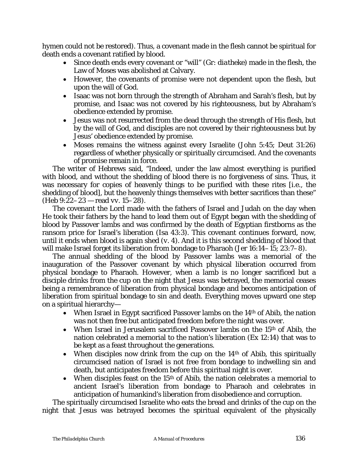hymen could not be restored). Thus, a covenant made in the flesh cannot be spiritual for death ends a covenant ratified by blood.

- Since death ends every covenant or "will" (Gr: *diatheke*) made in the flesh, the Law of Moses was abolished at Calvary.
- However, the covenants of promise were not dependent upon the flesh, but upon the will of God.
- Isaac was not born through the strength of Abraham and Sarah's flesh, but by promise, and Isaac was not covered by his righteousness, but by Abraham's obedience extended by promise.
- Jesus was not resurrected from the dead through the strength of His flesh, but by the will of God, and disciples are not covered by their righteousness but by Jesus' obedience extended by promise.
- Moses remains the witness against every Israelite (John 5:45; Deut 31:26) regardless of whether physically or spiritually circumcised. And the covenants of promise remain in force.

The writer of Hebrews said, "Indeed, under the law almost everything is purified with blood, and without the shedding of blood there is no forgiveness of sins. Thus, it was necessary for copies of heavenly things to be purified with these rites [i.e., the shedding of blood], but the heavenly things themselves with better sacrifices than these" (Heb 9:22*–*23 — read *vv*. 15*–*28).

The covenant the Lord made with the fathers of Israel and Judah on the day when He took their fathers by the hand to lead them out of Egypt began with the shedding of blood by Passover lambs and was confirmed by the death of Egyptian firstborns as the ransom price for Israel's liberation (Isa 43:3). This covenant continues forward, now, until it ends when blood is again shed (*v.* 4). And it is this second shedding of blood that will make Israel forget its liberation from bondage to Pharaoh (Jer 16:14*–*15; 23:7*–*8).

The annual shedding of the blood by Passover lambs was a memorial of the inauguration of the Passover covenant by which physical liberation occurred from physical bondage to Pharaoh. However, when a lamb is no longer sacrificed but a disciple drinks from the cup on the night that Jesus was betrayed, the memorial ceases being a remembrance of liberation from physical bondage and becomes anticipation of liberation from spiritual bondage to sin and death. Everything moves upward one step on a spiritual hierarchy—

- When Israel in Egypt sacrificed Passover lambs on the  $14<sup>th</sup>$  of Abib, the nation was not then free but anticipated freedom before the night was over.
- When Israel in Jerusalem sacrificed Passover lambs on the 15<sup>th</sup> of Abib, the nation celebrated a memorial to the nation's liberation (Ex 12:14) that was to be kept as a feast throughout the generations.
- When disciples now drink from the cup on the  $14<sup>th</sup>$  of Abib, this spiritually circumcised nation of Israel is not free from bondage to indwelling sin and death, but anticipates freedom before this spiritual night is over.
- When disciples feast on the  $15<sup>th</sup>$  of Abib, the nation celebrates a memorial to ancient Israel's liberation from bondage to Pharaoh and celebrates in anticipation of humankind's liberation from disobedience and corruption.

The spiritually circumcised Israelite who eats the bread and drinks of the cup on the night that Jesus was betrayed becomes the spiritual equivalent of the physically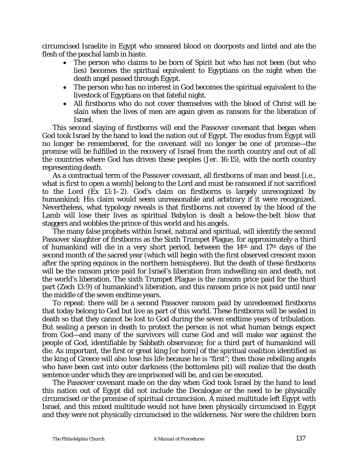circumcised Israelite in Egypt who smeared blood on doorposts and lintel and ate the flesh of the paschal lamb in haste.

- The person who claims to be born of Spirit but who has not been (but who lies) becomes the spiritual equivalent to Egyptians on the night when the death angel passed through Egypt.
- The person who has no interest in God becomes the spiritual equivalent to the livestock of Egyptians on that fateful night.
- All firstborns who do not cover themselves with the blood of Christ will be slain when the lives of men are again given as ransom for the liberation of Israel.

This second slaying of firstborns will end the Passover covenant that began when God took Israel by the hand to lead the nation out of Egypt. The exodus from Egypt will no longer be remembered, for the covenant will no longer be one of promise—the promise will be fulfilled in the recovery of Israel from the north country and out of all the countries where God has driven these peoples (Jer. 16:15), with the north country representing death.

As a contractual term of the Passover covenant, all firstborns of man and beast [i.e., what is first to open a womb] belong to the Lord and must be ransomed if not sacrificed to the Lord (Ex 13:1*–*2). God's claim on firstborns is largely unrecognized by humankind; His claim would seem unreasonable and arbitrary if it were recognized. Nevertheless, what typology reveals is that firstborns not covered by the blood of the Lamb will lose their lives as spiritual Babylon is dealt a below-the-belt blow that staggers and wobbles the prince of this world and his angels.

The many false prophets within Israel, natural and spiritual, will identify the second Passover slaughter of firstborns as the Sixth Trumpet Plague, for approximately a third of humankind will die in a very short period, between the 14th and 17th days of the second month of the sacred year (which will begin with the first observed crescent moon after the spring equinox in the northern hemisphere). But the death of these firstborns will be the ransom price paid for Israel's liberation from indwelling sin and death, not the world's liberation. The sixth Trumpet Plague is the ransom price paid for the third part (Zech 13:9) of humankind's liberation, and this ransom price is not paid until near the middle of the seven endtime years.

To repeat: there will be a second Passover ransom paid by unredeemed firstborns that today belong to God but live as part of this world. These firstborns will be sealed in death so that they cannot be lost to God during the seven endtime years of tribulation. But sealing a person in death to protect the person is not what human beings expect from God—and many of the survivors will curse God and will make war against the people of God, identifiable by Sabbath observance; for a third part of humankind will die. As important, the first or great king [or horn] of the spiritual coalition identified as the king of Greece will also lose his life because he is "first"; then those rebelling angels who have been cast into outer darkness (the bottomless pit) will realize that the death sentence under which they are imprisoned will be, and can be executed.

The Passover covenant made on the day when God took Israel by the hand to lead this nation out of Egypt did not include the Decalogue or the need to be physically circumcised or the promise of spiritual circumcision. A mixed multitude left Egypt with Israel, and this mixed multitude would not have been physically circumcised in Egypt and they were not physically circumcised in the wilderness. Nor were the children born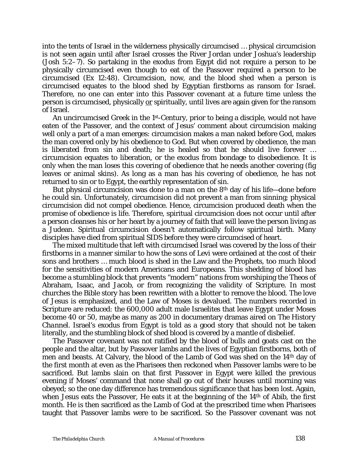into the tents of Israel in the wilderness physically circumcised … physical circumcision is not seen again until after Israel crosses the River Jordan under Joshua's leadership (Josh 5:2*–*7). So partaking in the exodus from Egypt did not require a person to be physically circumcised even though to eat of the Passover required a person to be circumcised (Ex 12:48). Circumcision, now, and the blood shed when a person is circumcised equates to the blood shed by Egyptian firstborns as ransom for Israel. Therefore, no one can enter into this Passover covenant at a future time unless the person is circumcised, physically or spiritually, until lives are again given for the ransom of Israel.

An uncircumcised Greek in the 1st-Century, prior to being a disciple, would not have eaten of the Passover, and the context of Jesus' comment about circumcision making well only a part of a man emerges: circumcision makes a man naked before God, makes the man covered only by his obedience to God. But when covered by obedience, the man is liberated from sin and death; he is healed so that he should live forever … circumcision equates to liberation, or the exodus from bondage to disobedience. It is only when the man loses this covering of obedience that he needs another covering (fig leaves or animal skins). As long as a man has his covering of obedience, he has not returned to sin or to Egypt, the earthly representation of sin.

But physical circumcision was done to a man on the 8th day of his life—done before he could sin. Unfortunately, circumcision did not prevent a man from sinning; physical circumcision did not compel obedience. Hence, circumcision produced death when the promise of obedience is life. Therefore, spiritual circumcision does not occur until after a person cleanses his or her heart by a journey of faith that will leave the person living as a Judean. Spiritual circumcision doesn't automatically follow spiritual birth. Many disciples have died from spiritual SIDS before they were circumcised of heart.

The mixed multitude that left with circumcised Israel was covered by the loss of their firstborns in a manner similar to how the sons of Levi were ordained at the cost of their sons and brothers … much blood is shed in the Law and the Prophets, too much blood for the sensitivities of modern Americans and Europeans. This shedding of blood has become a stumbling block that prevents "modern" nations from worshiping the *Theos* of Abraham, Isaac, and Jacob, or from recognizing the validity of Scripture. In most churches the Bible story has been rewritten with a blotter to remove the blood. The love of Jesus is emphasized, and the Law of Moses is devalued. The numbers recorded in Scripture are reduced: the 600,000 adult male Israelites that leave Egypt under Moses become 40 or 50, maybe as many as 200 in documentary dramas aired on *The History Channel*. Israel's exodus from Egypt is told as a good story that should not be taken literally, and the stumbling block of shed blood is covered by a mantle of disbelief.

The Passover covenant was not ratified by the blood of bulls and goats cast on the people and the altar, but by Passover lambs and the lives of Egyptian firstborns, both of men and beasts. At Calvary, the blood of the Lamb of God was shed on the 14th day of the first month at even as the Pharisees then reckoned when Passover lambs were to be sacrificed. But lambs slain on that first Passover in Egypt were killed the previous evening if Moses' command that none shall go out of their houses until morning was obeyed; so the one day difference has tremendous significance that has been lost. Again, when Jesus eats the Passover, He eats it at the beginning of the 14<sup>th</sup> of Abib, the first month. He is then sacrificed as the Lamb of God at the prescribed time when Pharisees taught that Passover lambs were to be sacrificed. So the Passover covenant was not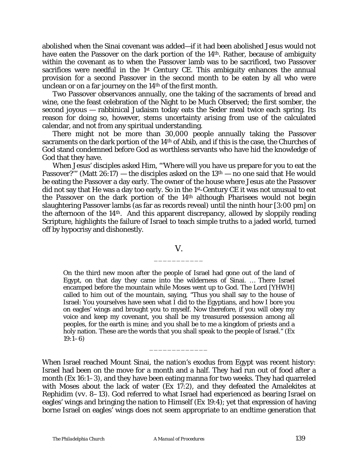abolished when the Sinai covenant was added—if it had been abolished Jesus would not have eaten the Passover on the dark portion of the 14<sup>th</sup>. Rather, because of ambiguity within the covenant as to when the Passover lamb was to be sacrificed, two Passover sacrifices were needful in the 1<sup>st</sup> Century CE. This ambiguity enhances the annual provision for a second Passover in the second month to be eaten by all who were unclean or on a far journey on the 14th of the first month.

Two Passover observances annually, one the taking of the sacraments of bread and wine, one the feast celebration of the Night to be Much Observed; the first somber, the second joyous — rabbinical Judaism today eats the Seder meal twice each spring. Its reason for doing so, however, stems uncertainty arising from use of the calculated calendar, and not from any spiritual understanding.

There might not be more than 30,000 people annually taking the Passover sacraments on the dark portion of the 14th of Abib, and if this is the case, the Churches of God stand condemned before God as worthless servants who have hid the knowledge of God that they have.

When Jesus' disciples asked Him, "'Where will you have us prepare for you to eat the Passover?" (Matt  $26:17$ ) — the disciples asked on the  $13<sup>th</sup>$  — no one said that He would be eating the Passover a day early. The owner of the house where Jesus ate the Passover did not say that He was a day too early. So in the 1st-Century CE it was not unusual to eat the Passover on the dark portion of the 14th although Pharisees would not begin slaughtering Passover lambs (as far as records reveal) until the ninth hour [3:00 pm] on the afternoon of the 14th. And this apparent discrepancy, allowed by sloppily reading Scripture, highlights the failure of Israel to teach simple truths to a jaded world, turned off by hypocrisy and dishonestly.

### V. \_\_\_\_\_\_\_\_\_\_\_

On the third new moon after the people of Israel had gone out of the land of Egypt, on that day they came into the wilderness of Sinai. … There Israel encamped before the mountain while Moses went up to God. The Lord [*YHWH*] called to him out of the mountain, saying, "Thus you shall say to the house of Israel: You yourselves have seen what I did to the Egyptians, and how I bore you on eagles' wings and brought you to myself. Now therefore, if you will obey my voice and keep my covenant, you shall be my treasured possession among all peoples, for the earth is mine; and you shall be to me a kingdom of priests and a holy nation. These are the words that you shall speak to the people of Israel." (Ex 19:1*–*6)

When Israel reached Mount Sinai, the nation's exodus from Egypt was recent history: Israel had been on the move for a month and a half. They had run out of food after a month (Ex 16:1*–*3), and they have been eating manna for two weeks. They had quarreled with Moses about the lack of water (Ex 17:2), and they defeated the Amalekites at Rephidim (*vv*. 8*–*13). God referred to what Israel had experienced as bearing Israel on eagles' wings and bringing the nation to Himself (Ex 19:4); yet that expression of having borne Israel on eagles' wings does not seem appropriate to an endtime generation that

\_\_\_\_\_\_\_\_\_\_\_\_\_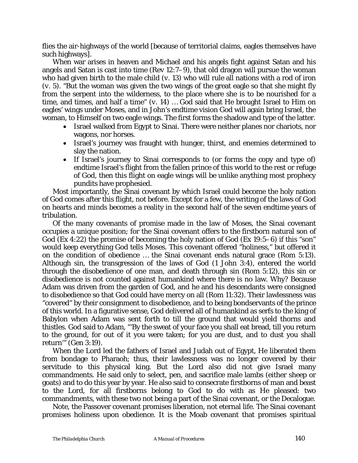flies the air-highways of the world [because of territorial claims, eagles themselves have such highways].

When war arises in heaven and Michael and his angels fight against Satan and his angels and Satan is cast into time (Rev 12:7*–*9), that old dragon will pursue the woman who had given birth to the male child (*v.* 13) who will rule all nations with a rod of iron (*v.* 5). "But the woman was given the two wings of the great eagle so that she might fly from the serpent into the wilderness, to the place where she is to be nourished for a time, and times, and half a time" ( $v$ . 14) ... God said that He brought Israel to Him on eagles' wings under Moses, and in John's endtime vision God will again bring Israel, the woman, to Himself on two eagle wings. The first forms the shadow and type of the latter.

- Israel walked from Egypt to Sinai. There were neither planes nor chariots, nor wagons, nor horses.
- Israel's journey was fraught with hunger, thirst, and enemies determined to slay the nation.
- If Israel's journey to Sinai corresponds to (or forms the copy and type of) endtime Israel's flight from the fallen prince of this world to the rest or refuge of God, then this flight on eagle wings will be unlike anything most prophecy pundits have prophesied.

Most importantly, the Sinai covenant by which Israel could become the holy nation of God comes after this flight, not before. Except for a few, the writing of the laws of God on hearts and minds becomes a reality in the second half of the seven endtime years of tribulation.

Of the many covenants of promise made in the law of Moses, the Sinai covenant occupies a unique position; for the Sinai covenant offers to the firstborn natural son of God (Ex 4:22) the promise of becoming the holy nation of God (Ex 19:5*–*6) if this "son" would keep everything God tells Moses. This covenant offered "holiness," but offered it on the condition of obedience … the Sinai covenant ends natural grace (Rom 5:13). Although sin, the transgression of the laws of God (1 John 3:4), entered the world through the disobedience of one man, and death through sin (Rom 5:12), this sin or disobedience is not counted against humankind where there is no law. Why? Because Adam was driven from the garden of God, and he and his descendants were consigned to disobedience so that God could have mercy on all (Rom 11:32). Their lawlessness was "covered" by their consignment to disobedience, and to being bondservants of the prince of this world. In a figurative sense, God delivered all of humankind as serfs to the king of Babylon when Adam was sent forth to till the ground that would yield thorns and thistles. God said to Adam, "'By the sweat of your face you shall eat bread, till you return to the ground, for out of it you were taken; for you are dust, and to dust you shall return'" (Gen 3:19).

When the Lord led the fathers of Israel and Judah out of Egypt, He liberated them from bondage to Pharaoh; thus, their lawlessness was no longer covered by their servitude to this physical king. But the Lord also did not give Israel many commandments. He said only to select, pen, and sacrifice male lambs (either sheep or goats) and to do this year by year. He also said to consecrate firstborns of man and beast to the Lord, for all firstborns belong to God to do with as He pleased: two commandments, with these two not being a part of the Sinai covenant, or the Decalogue.

Note, the Passover covenant promises liberation, not eternal life. The Sinai covenant promises holiness upon obedience. It is the Moab covenant that promises spiritual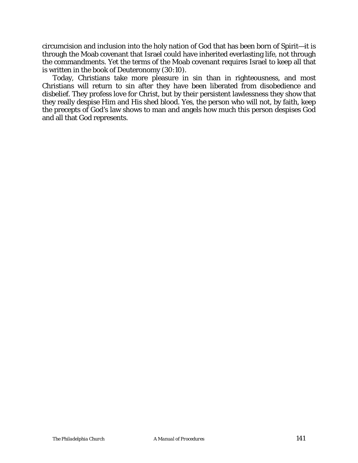circumcision and inclusion into the holy nation of God that has been born of Spirit—it is through the Moab covenant that Israel could have inherited everlasting life, not through the commandments. Yet the terms of the Moab covenant requires Israel to keep all that is written in the book of Deuteronomy (30:10).

Today, Christians take more pleasure in sin than in righteousness, and most Christians will return to sin after they have been liberated from disobedience and disbelief. They profess love for Christ, but by their persistent lawlessness they show that they really despise Him and His shed blood. Yes, the person who will not, by faith, keep the precepts of God's law shows to man and angels how much this person despises God and all that God represents.